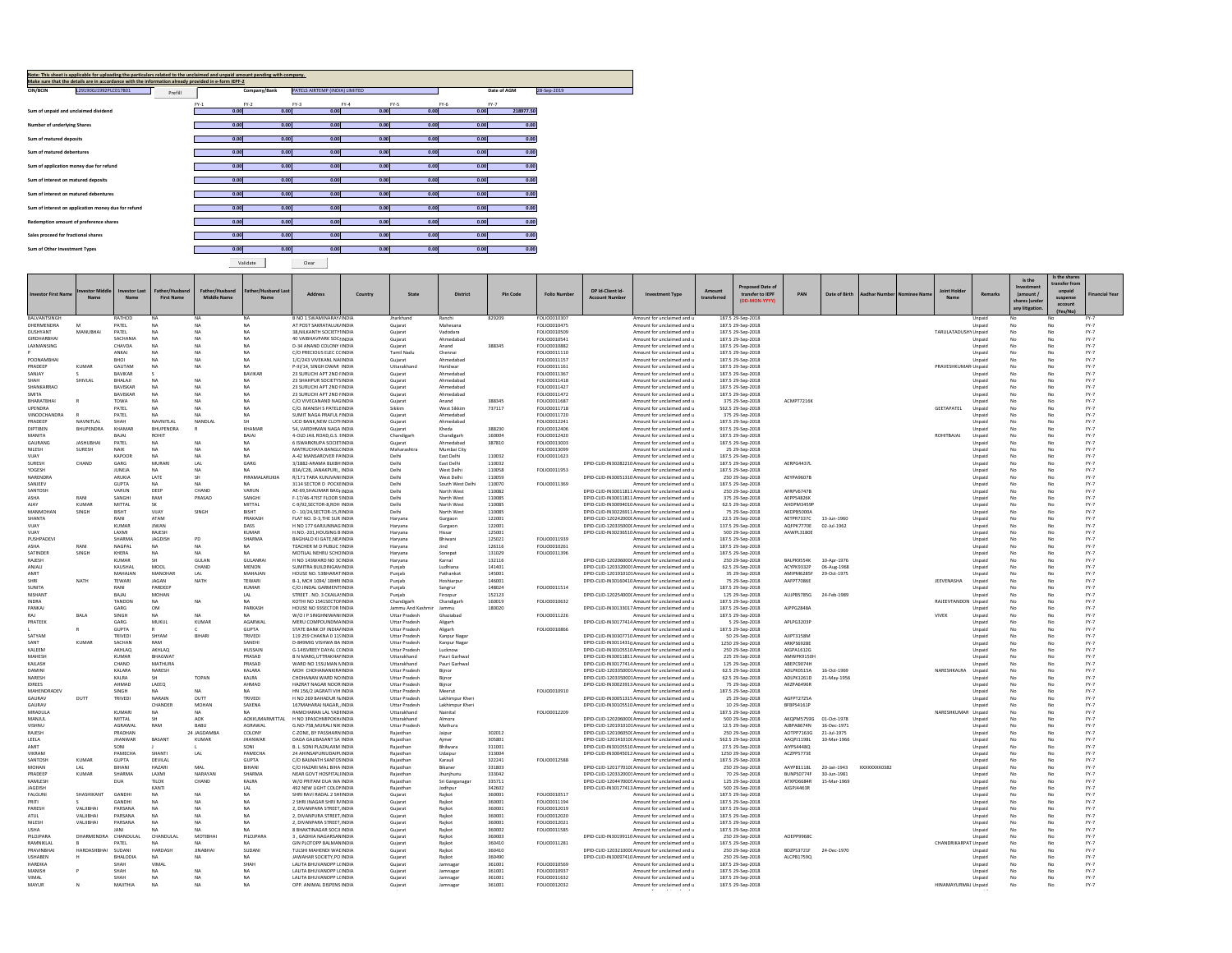|                                     | Note: This sheet is applicable for uploading the particulars related to the unclaimed and unpaid amount pending with company.<br>Make sure that the details are in accordance with the information already provided in e-form IEPF-2 |         |        |              |                                |        |        |        |             |             |
|-------------------------------------|--------------------------------------------------------------------------------------------------------------------------------------------------------------------------------------------------------------------------------------|---------|--------|--------------|--------------------------------|--------|--------|--------|-------------|-------------|
| <b>CIN/BCIN</b>                     | L29190GJ1992PLC017801                                                                                                                                                                                                                |         |        | Company/Bank | PATELS AIRTEMP (INDIA) LIMITED |        |        |        | Date of AGM | 28-Sep-2019 |
|                                     |                                                                                                                                                                                                                                      | Prefill |        |              |                                |        |        |        |             |             |
|                                     |                                                                                                                                                                                                                                      |         | $FY-1$ | $FY-2$       | $FY-3$                         | $FY-4$ | $FY-5$ | $FY-6$ | $FY-7$      |             |
|                                     | Sum of unpaid and unclaimed dividend                                                                                                                                                                                                 |         | 0.00   | 0.00         | 0.00                           | 0.00   | 0.00   | 0.00   | 218977.50   |             |
| Number of underlying Shares         |                                                                                                                                                                                                                                      |         | 0.00   | 0.00         | 0.00                           | 0.00   | 0.00   | 0.00   | 0.00        |             |
| Sum of matured deposits             |                                                                                                                                                                                                                                      |         | 0.00   | 0.00         | 0.00                           | 0.00   | 0.00   | 0.00   | 0.00        |             |
| Sum of matured debentures           |                                                                                                                                                                                                                                      |         | 0.00   | 0.00         | 0.00                           | 0.00   | 0.00   | 0.00   | 0.00        |             |
|                                     |                                                                                                                                                                                                                                      |         |        |              |                                |        |        |        |             |             |
|                                     | Sum of application money due for refund                                                                                                                                                                                              |         | 0.00   | 0.00         | 0.00                           | 0.00   | 0.00   | 0.00   | 0.00        |             |
| Sum of interest on matured deposits |                                                                                                                                                                                                                                      |         | 0.00   | 0.00         | 0.00                           | 0.00   | 0.00   | 0.00   | 0.00        |             |
|                                     | Sum of interest on matured debentures                                                                                                                                                                                                |         | 0.00   | 0.00         | 0.00                           | 0.00   | 0.00   | 0.00   | 0.00        |             |
|                                     | Sum of interest on application money due for refund                                                                                                                                                                                  |         | 0.00   | 0.00         | 0.00                           | 0.00   | 0.00   | 0.00   | 0.00        |             |
|                                     | Redemption amount of preference shares                                                                                                                                                                                               |         | 0.00   | 0.00         | 0.00                           | 0.00   | 0.00   | 0.00   | 0.00        |             |
|                                     |                                                                                                                                                                                                                                      |         |        |              |                                |        |        |        |             |             |
| Sales proceed for fractional shares |                                                                                                                                                                                                                                      |         | 0.00   | 0.00         | 0.00                           | 0.00   | 0.00   | 0.00   | 0.00        |             |
| Sum of Other Investment Types       |                                                                                                                                                                                                                                      |         | 0.00   | 0.00         | 0.00                           | 0.00   | 0.00   | 0.00   | 0.00        |             |
|                                     |                                                                                                                                                                                                                                      |         |        |              |                                |        |        |        |             |             |

Validate Clear

|                                   |                  |                       |                        |                |                        |                                                                   |         |                                |                          |                  |                              |                                                                                                    |                                                          |             |                                        |                          |               |                     |             |                      |                  | Is the                        | Is the shar             |                     |
|-----------------------------------|------------------|-----------------------|------------------------|----------------|------------------------|-------------------------------------------------------------------|---------|--------------------------------|--------------------------|------------------|------------------------------|----------------------------------------------------------------------------------------------------|----------------------------------------------------------|-------------|----------------------------------------|--------------------------|---------------|---------------------|-------------|----------------------|------------------|-------------------------------|-------------------------|---------------------|
|                                   | tor Midd         | nvestor Last          | Father/Husband         | Father/Husband | her/Husband Las        |                                                                   |         |                                |                          |                  |                              | DP Id-Client Id-                                                                                   |                                                          | Amount      | <b>Proposed Date of</b>                |                          |               |                     |             | loint Holde          |                  | nvestmen                      | transfer from<br>unpaid |                     |
| <b>Investor First Nar</b>         | Nam.             | Name                  | <b>First Name</b>      | Middle Name    |                        | Address                                                           | Country | State                          | <b>District</b>          | Pin Code         | <b>Folio Number</b>          | <b>Account Number</b>                                                                              | <b>Investment Type</b>                                   | transferrer | transfer to IEPF                       | PAN                      | Date of Birth | <b>Aadhar Numbe</b> | Nominee Nam |                      | <b>Remarks</b>   | (amount /                     | suspense                | inancial Year       |
|                                   |                  |                       |                        |                |                        |                                                                   |         |                                |                          |                  |                              |                                                                                                    |                                                          |             | (DD-MON-YYYY)                          |                          |               |                     |             |                      |                  | shares lunde<br>any litigatio | account                 |                     |
|                                   |                  |                       |                        |                |                        |                                                                   |         |                                |                          |                  |                              |                                                                                                    |                                                          |             |                                        |                          |               |                     |             |                      |                  |                               | (Yes/No                 |                     |
| <b>BALVANTSINGH</b><br>DHERMENDRA |                  | RATHOL<br>PATEL       | NA                     |                | <b>NA</b><br>NA        | B NO 1 SWAMINARAY/INDIA<br>AT POST SAKRATALUK/INDIA               |         | Jharkhand<br>Guiarat           | Ranchi<br>Mahesana       | 829209           | FOLIO0010307<br>FOLIO0010475 |                                                                                                    | Amount for unclaimed and u<br>Amount for unclaimed and u |             | 187.5 29-Sep-2018<br>187.5 29-Sep-2018 |                          |               |                     |             |                      | Unpaid<br>Unpaid |                               |                         | FY-7<br>EY-7        |
| DUSHYANT                          | MANUBHAI         | PATEL                 | N/                     | <b>NA</b>      | NA                     | 38. NILKANTH SOCIETYHNDIA                                         |         | Guiarat                        | Vadodara                 |                  | FOLIO0010509                 |                                                                                                    | Amount for unclaimed and u                               |             | 187.5 29-Sep-2018                      |                          |               |                     |             | TARULATADUSHY Unpaid |                  | No                            | No                      | <b>FY-7</b>         |
| GIRDHARRHA                        |                  | SACHANIA              | <b>NA</b>              | <b>NA</b>      | <b>NA</b>              | 40 VAIBHAVPARK SOCHNDIA                                           |         | Gujarat                        | Ahmedahar                |                  | FOLIO0010541                 |                                                                                                    | Amount for unclaimed and u                               |             | 187.5 29-Sep-2018                      |                          |               |                     |             |                      | Unpaid           | No                            | No                      | $FY-7$              |
| LAXMANSING                        |                  | CHAVDA                | N/                     | <b>NA</b>      | <b>NA</b>              | <b>D-34 ANAND COLONY IINDIA</b>                                   |         | Guiarat                        | Anand                    | 388345           | FOLIO0010882                 |                                                                                                    | Amount for unclaimed and u                               |             | 187.5 29-Sep-2018                      |                          |               |                     |             |                      | Unpaid           | No                            |                         | $FY-7$              |
|                                   |                  | <b>ANKAI</b>          | NA                     | <b>NA</b>      | NA                     | C/O PRECIOUS ELEC CCINDIA                                         |         | Tamil Nadu                     | Chennai                  |                  | <b>FOU00011110</b>           |                                                                                                    | Amount for unclaimed and u                               |             | 187.5 29-Sep-2018                      |                          |               |                     |             |                      | Unpaid           | No                            | No                      | FY-7                |
| POONAMBHA                         |                  | BHOI                  | NA                     | <b>NA</b>      | <b>NA</b>              | 1/C/243 VIVEKANL NAHNDIA                                          |         | Guiarat                        | Ahmedabac                |                  | FOLIO0011157                 |                                                                                                    | Amount for unclaimed and u                               |             | 187.5 29-Sep-2018                      |                          |               |                     |             |                      | Unpair           | No                            | No                      | $FY-7$              |
| PRADEEP                           | <b>KUMAR</b>     | GAUTAM                | <b>NA</b>              | <b>NA</b>      | <b>NA</b>              | P-III/14, SINGH DWAR INDIA                                        |         | Uttarakhand                    | Haridwar                 |                  | FOLIO0011161                 |                                                                                                    | Amount for unclaimed and u                               |             | 187.5 29-Sep-2018                      |                          |               |                     |             | PRAVESHKUMAR(Unpaid  |                  | No                            | No                      | <b>FY-7</b>         |
| SANIAY<br>SHAH                    | SHIVLAL          | RAVIKAR<br>BHALAJI    | NA                     | <b>NA</b>      | BAVIKAR<br>NA          | 23 SURUCHI APT 2ND FINDIA<br>23 SHAHPUR SOCIETYS INDIA            |         | Gujarat<br>Gujarat             | Ahmedahad<br>Ahmedabad   |                  | FOLIO0011367<br>FOLIO0011418 |                                                                                                    | Amount for unclaimed and u<br>Amount for unclaimed and u |             | 187.5 29-Sep-2018<br>187.5 29-Sep-2018 |                          |               |                     |             |                      | Unpaid<br>Unpaid | No<br>No                      |                         | $FY-7$<br>$FY-7$    |
| SHANKARRAO                        |                  | <b>BAVISKAR</b>       | <b>NA</b>              | <b>NA</b>      | NA                     | 23 SURUCHI APT 2ND FINDIA                                         |         | Guiarat                        | Ahmedabad                |                  | FOLIO0011427                 |                                                                                                    | Amount for unclaimed and u                               |             | 187.5 29-Sep-2018                      |                          |               |                     |             |                      | Unpaid           | No                            | No                      | $FY-7$              |
| SMITA                             |                  | <b>BAVISKAR</b>       | <b>NA</b>              | <b>NA</b>      | <b>NA</b>              | 23 SURUCHI APT 2ND FINDIA                                         |         | Guiarat                        | Ahmedabad                |                  | FOLIO0011472                 |                                                                                                    | Amount for unclaimed and u                               |             | 187.5 29-Sep-2018                      |                          |               |                     |             |                      | Unpaid           | No                            | No                      | $FY-7$              |
| BHARATBHAI                        |                  | TOWA                  | <b>NA</b>              | <b>NA</b>      | <b>NA</b>              | C/O VIVECANAND NAGINDIA                                           |         | Gujarat                        | Anand                    | 388345           | FOLIO0011687                 |                                                                                                    | Amount for unclaimed and u                               |             | 375 29-Sep-2018                        | ACMPT7216K               |               |                     |             |                      | Unpaic           | No                            |                         | $FY-7$              |
| LIPENDRA                          |                  | PATFI                 | NA                     | <b>NA</b>      | NA                     | C/O MANISH S PATFLEINDIA                                          |         | Sikkim                         | West Sikkim              | 737117           | <b>EQUO0011718</b>           |                                                                                                    | Amount for unclaimed and u                               |             | 562.5 29-Sep-2018                      |                          |               |                     |             | <b>GEETAPATEL</b>    | Unpaid           | No                            | No                      | $FY-7$              |
| VINODCHANDRA                      |                  | PATEL                 | NA                     |                | NA                     | SUMIT NAGA PRAFUL HNDIA                                           |         | Gujara                         | Ahmedabad                |                  | FOLIO0011720                 |                                                                                                    | Amount for unclaimed and u                               |             | 375 29-Sep-2018                        |                          |               |                     |             |                      | Unpaid           |                               |                         | FY-7                |
| PRADEEP                           | NAVNITI A        | SHAH                  | NAVNITLAI              | NANDLAL        | <b>SH</b>              | <b>UCO BANK.NEW CLOTHNDIA</b>                                     |         | Guiarat                        | Ahmedabad                |                  | FOLIO0012241                 |                                                                                                    | Amount for unclaimed and u                               |             | 187.5 29-Sep-2018                      |                          |               |                     |             |                      | Unpaid           | No                            |                         | $FY-7$              |
| DIPTIBEN<br>MANITA                | BHUPENDRA        | KHAMAF<br>RAIAI       | BHUPENDRA              | R              | KHAMAR                 | 54. VARDHMAN NAGA INDIA                                           |         | Guiarat                        | Kheda                    | 388230<br>160004 | FOLIO0012406                 |                                                                                                    | Amount for unclaimed and u                               |             | 937.5 29-Sep-2018                      |                          |               |                     |             | ROHITBAIAI           | Unpaid           | No                            | No<br>No                | FY-7                |
| GAURANG                           | <b>JASHUBHA</b>  | PATEL                 | ROHIT<br><b>NA</b>     | <b>NA</b>      | BAJAJ<br><b>NA</b>     | 4-OLD JAIL ROAD, G.S. HNDIA<br>6 ISWARKRUPA SOCIETINDIA           |         | Chandigart<br>Guiarat          | Chandigarh<br>Ahmedabad  | 387810           | FOLIO0012420<br>FOLIO0013003 |                                                                                                    | Amount for unclaimed and u<br>Amount for unclaimed and u |             | 187.5 29-Sep-2018<br>187.5 29-Sep-2018 |                          |               |                     |             |                      | Unpaid<br>Unpaid | No<br>No                      | No                      | $FY-7$<br>$FY-7$    |
| NILESH                            | SURESH           | <b>NAIK</b>           | <b>NA</b>              | <b>NA</b>      | NA                     | MATRUCHAYA RANGI (INDIA                                           |         | Maharashtra                    | Mumbai City              |                  | FOLIO0013099                 |                                                                                                    | Amount for unclaimed and u                               |             | 25 29-Sep-2018                         |                          |               |                     |             |                      | Unpaid           | No                            | No                      | FY-7                |
| VIJAY                             |                  | KAPOOF                | N/                     |                |                        | A-42 MANSAROVER PAINDIA                                           |         | Delhi                          | East Delhi               | 110032           | FOLIO0011623                 |                                                                                                    | Amount for unclaimed and u                               |             | 187.5 29-Sep-2018                      |                          |               |                     |             |                      | Unpaid           |                               |                         | FY-7                |
| SURESH                            | CHAND            | GARG                  | MURARI                 | LAL            | GARG                   | 3/1882-ARAMA BLKBH INDIA                                          |         | Delhi                          | East Delhi               | 110032           |                              |                                                                                                    | DPID-CLID-IN30282210 Amount for unclaimed and u          |             | 187.5 29-Sep-2018                      | AERPG4437L               |               |                     |             |                      | Unpaid           | No                            | No                      | $FY-7$              |
| <b>YOGESH</b>                     |                  | <b>ILINEIA</b>        | NA                     | <b>NA</b>      | NA.                    | 83A/C2B IANAKPURI INDIA                                           |         | Delhi                          | West Delhi               | 110058           | FOLIO0011953                 |                                                                                                    | Amount for unclaimed and u                               |             | 187.5 29-Sep-2018                      |                          |               |                     |             |                      | Unpaid           | No                            | No                      | FY-7                |
| NARENDRA                          |                  | ARUKIA                | LATE                   |                | PIRAMALARUKIA          | R/171 TARA KUNJVANI INDIA                                         |         | Delhi                          | West Delhi               | 110059           |                              | DPID-CLID-IN30051310 Amount for unclaimed and u                                                    |                                                          |             | 250 29-Sep-2018                        | AEYPA9607B               |               |                     |             |                      | Unpaid           | No                            |                         | $FY-7$              |
| SANJEEV                           |                  | GUPTA                 | <b>NA</b>              | <b>NA</b>      | NA.                    | 3114 SECTOR D POCKEINDIA                                          |         | Delhi                          | South West Delhi         | 110070           | FOLIO0011369                 |                                                                                                    | Amount for unclaimed and u                               |             | 187.5 29-Sep-2018                      |                          |               |                     |             |                      | Unpaid           | No                            | No                      | $FY-7$              |
| SANTOSH                           |                  | VARUN                 | DEER                   | CHAND          | VARUN                  | AE-69.SHALIMAR BAGHNDIA                                           |         | Delhi                          | North West               | 110082           |                              | DPID-CLID-IN30011811 Amount for unclaimed and u                                                    |                                                          |             | 250 29-Sep-2018                        | AFRPV6747R               |               |                     |             |                      | Unpaid           | No                            | No                      | $FY-7$              |
| <b>AIAY</b>                       | KUMAR            | SANGHI<br>MITTAL      | RAM<br><b>SK</b>       | PRASAD         | SANGHI<br>MITTAI       | F-17/46-47IST FLOOR SINDIA<br>C-9/92 SECTOR-8 ROH INDIA           |         | Delhi<br>Delhi                 | North West               | 110085<br>110085 |                              | DPID-CLID-IN30011811 Amount for unclaimed and u                                                    |                                                          |             | 375 29-Sep-2018                        | AEPPS4826K<br>AHDPM3459  |               |                     |             |                      | Unpaid           | No                            |                         | FY-7<br>$FY-7$      |
| MANMOHAN                          | SINGH            | <b>BISHT</b>          | VIIAY                  | SINGH          | <b>RISHT</b>           | D - 10/24.SECTOR-15.RINDIA                                        |         | Delhi                          | North West<br>North West | 110085           |                              | DPID-CLID-IN30094010 Amount for unclaimed and u<br>DPID-CLID-IN30226911 Amount for unclaimed and u |                                                          |             | 62.5 29-Sep-2018<br>75 29-Sep-2018     | AKDPR5000A               |               |                     |             |                      | Unpaid<br>Unpaid | No                            | No<br>No                | FY-7                |
| <b>SHANTA</b>                     |                  | RANI                  | ATAM                   |                | PRAKASH                | FLAT NO. D-3.THE SUR INDIA                                        |         | Haryana                        | Gurgaon                  | 122001           |                              | DPID-CLID-120242000( Amount for unclaimed and u                                                    |                                                          |             | 22.5 29-Sep-2018                       | AETPR7337C               | 13-Jun-1960   |                     |             |                      | Unpaid           | No                            |                         | FY-7                |
| YALIV                             |                  | <b>KUMAR</b>          | <b>JIWAN</b>           |                | DASS                   | H NO 177 6ARJUNNAG INDIA                                          |         | Harvana                        | Gurgaon                  | 122001           |                              | DPID-CUD-120335000( Amount for unclaimed and u                                                     |                                                          |             | 137.5 29-Sep-2018                      | AQFPK7770E               | 02-Jul-1962   |                     |             |                      | Unpaid           | No                            | No                      | $FY-7$              |
| VIJAY                             |                  | LAXMI                 | RAJESH                 |                | KUMAR                  | H.NO.-201, HOUSING B INDIA                                        |         | Haryan                         | Hissar                   | 125001           |                              | DPID-CLID-IN30236510 Amount for unclaimed and u                                                    |                                                          |             | 500 29-Sep-2018                        | AAWPL3180E               |               |                     |             |                      | Unpaid           | No                            | No                      | $FY-7$              |
| PUSHPADEVI                        |                  | SHARMA                | JAGDISH                | PD             | SHARMA                 | BAGHALO KI GATE.NEAINDIA                                          |         | Harvana                        | Bhiwani                  | 125021           | FOLIO0011939                 |                                                                                                    | Amount for unclaimed and u                               |             | 187.5 29-Sep-2018                      |                          |               |                     |             |                      | Unpaid           | No                            | No                      | $FY-7$              |
| дырд                              | RANI             | <b>NAGPAL</b>         | NA                     | <b>NA</b>      | NA.                    | TEACHER M D PUBLIC UNDIA                                          |         | Haryana                        | lind                     | 126116           | <b>EQUIO0010261</b>          |                                                                                                    | Amount for unclaimed and u                               |             | 187.5 29-Sep-2018                      |                          |               |                     |             |                      | Unpaid           | No                            | No                      | $FY-7$              |
| SATINDER                          | SINGH            | KHERA                 | <b>NA</b>              | <b>NA</b>      | MA.                    | MOTILAL NEHRU SCHOINDIA                                           |         | Harvan                         | Sonepat                  | 131029           | FOLIO0011396                 |                                                                                                    | Amount for unclaimed and u                               |             | 187.5 29-Sep-2018                      |                          |               |                     |             |                      | Unpaid           | No                            | No                      | $FY-7$              |
| RAJESH                            |                  | <b>KUMAR</b>          | SH                     | GULAN          | GULANRAI               | H NO 143WARD NO 3CINDIA                                           |         | Haryana                        | Karnal                   | 132116           |                              | DPID-CLID-120206000C Amount for unclaimed and u                                                    |                                                          |             | 250 29-Sep-2018                        | BALPK9554K               | 10-Apr-1976   |                     |             |                      | Unpaid           | No                            | No                      | $FY-7$              |
| <b>ANIALL</b>                     |                  | KALISHAL              | MOOL                   | CHAND          | MENON                  | SUMITRA BUILDINGAN INDIA                                          |         | Puniab                         | Ludhiana                 | 141401           |                              | DPID-CUD-1203320003 Amount for unclaimed and u                                                     |                                                          |             | 62.5 29-Sep-2018                       | ACYPK9332P               | 06-Aug-1968   |                     |             |                      | Unpaid           | No                            | No                      | FY-7                |
| <b>AMIT</b>                       |                  | MAHAJAN               | MANOHAE                | LAL            | MAHAJAN                | HOUSE NO. 53BHARATINDIA                                           |         | Puniab                         | Pathanko                 | 145001           |                              | DPID-CLID-1201910101Amount for unclaimed and u                                                     |                                                          |             | 35 29-Sep-2018                         | AMIPM6285F<br>AAFPT7086E | 29-Oct-1975   |                     |             |                      | Unpaic           | No                            | No                      | $FY-7$<br>$FY-7$    |
| SHRI<br><b>SLINITA</b>            | NATH             | <b>TEWARI</b><br>RANI | JAGAN<br>PARDEEP       | <b>NATH</b>    | <b>TEWARI</b><br>KUMAR | B-1, MCH 1094/18HRI INDIA<br>C/O IINDAI GARMENT INDIA             |         | Puniab<br>Punjab               | Hoshiarour<br>Sangrur    | 146001<br>148024 | FOLIO0011514                 | DPID-CLID-IN30160410 Amount for unclaimed and u                                                    | Amount for unclaimed and u                               |             | 75 29-Sep-2018<br>187.5 29-Sep-2018    |                          |               |                     |             | JEEVENASHA           | Unpaid<br>Unpaid | No<br>No                      | No                      | $FY-7$              |
| NISHANT                           |                  | BAJAJ                 | MOHAN                  |                | LAL                    | STREET . NO. 3 CKAILA:INDIA                                       |         | Punjab                         | Firozpur                 | 152123           |                              | DPID-CLID-120254000C Amount for unclaimed and u                                                    |                                                          |             | 125 29-Sep-2018                        | AUJPB5785G               | 24-Feb-1989   |                     |             |                      | Unpair           | No                            | No                      | $FY-7$              |
| <b>INDRA</b>                      |                  | TANDON                | <b>NA</b>              | <b>NA</b>      | NA.                    | KOTHI NO 1541SECTOFINDIA                                          |         | Chandigarh                     | Chandigarh               | 160019           | FOLIO0010632                 |                                                                                                    | Amount for unclaimed and u                               |             | 187.5 29-Sep-2018                      |                          |               |                     |             | RAJEEVTANDON Unpaid  |                  | No                            | No                      | $FY-7$              |
| ΡΔΝΚΑΙ                            |                  | <b>GARG</b>           | OM                     |                | PARKASH                | HOUSE NO 93SECTOR IINDIA                                          |         | Jammu And Kashmi               | Jammu                    | 180020           |                              | DPID-CLID-IN30133017 Amount for unclaimed and u                                                    |                                                          |             | 187.5 29-Sep-2018                      | AJPPG2848A               |               |                     |             |                      | Unpaid           | No                            | No                      | $FY-7$              |
|                                   | BALA             | SINGH                 | <b>NA</b>              | <b>NA</b>      |                        | W/O I P SINGHNIWANI INDIA                                         |         | Uttar Pradesh                  | Ghaziabad                |                  | FOLIO0011226                 |                                                                                                    | Amount for unclaimed and u                               |             | 187.5 29-Sep-2018                      |                          |               |                     |             | VIVEK                | Unpaid           | No                            |                         | $FY-7$              |
| PRATFFK                           |                  | <b>GARG</b>           | MUKUL                  | KUMAR          | <b>AGARWAI</b>         | MERLI COMPOLINDMAINDIA                                            |         | <b>Uttar Pradech</b>           | <b>Aligarh</b>           |                  |                              | DPID-CLID-IN30177414 Amount for unclaimed and u.                                                   |                                                          |             | 5 29-Sep-2018                          | API PG3203P              |               |                     |             |                      | Unnaid           | No                            | No                      | $FY-7$              |
|                                   |                  | <b>GUPTA</b>          |                        |                | <b>GUPTA</b>           | STATE BANK OF INDIA/INDIA                                         |         | Uttar Pradesh                  | Aligarh                  |                  | FOLIO0010866                 |                                                                                                    | Amount for unclaimed and u                               |             | 187.5 29-Sep-2018                      |                          |               |                     |             |                      | Unpaid           | No                            |                         | FY-7                |
| SATYAN                            |                  | TRIVEDI               | SHYAM                  | BIHAR          | TRIVED                 | 119 259 CHAKNA 0 115 INDIA                                        |         | Uttar Pradesh                  | Kanpur Nagar             |                  |                              | DPID-CLID-IN30307710 Amount for unclaimed and u                                                    |                                                          |             | 50 29-Sep-2018                         | AJIPT3158M               |               |                     |             |                      | Unpaid           | No                            | No                      | $FY-7$              |
| SANT<br>KALEEM                    | <b>KUMA</b>      | SACHAN<br>AKHLAQ      | RAM<br>AKHLAQ          |                | SANEHI<br>HUSSAIN      | D-849MIG VISHWA BA INDIA<br>G-14ISVREEY DAYAL CCINDIA             |         | Uttar Pradesh<br>Uttar Pradesh | Kanpur Nagar<br>Lucknow  |                  |                              | DPID-CLID-IN30114310 Amount for unclaimed and u<br>DPID-CLID-IN30105510 Amount for unclaimed and u |                                                          |             | 1250 29-Sep-2018<br>250 29-Sep-2018    | ARKPS6928E<br>AIGPA1612G |               |                     |             |                      | Unpaid<br>Unpaid | No<br>No                      | No<br>No                | $FY-7$<br>$FY-7$    |
| MAHESH                            |                  | KUMAR                 | <b>BHAGWA</b>          |                | PRASAD                 | B N MARG.UTTRAKHANNDIA                                            |         | Uttarakhand                    | Pauri Garhwal            |                  |                              | DPID-CLID-IN30011811 Amount for unclaimed and u                                                    |                                                          |             | 225 29-Sep-2018                        | AMWPK9150H               |               |                     |             |                      | Unpaid           | No                            | No                      | $FY-7$              |
| KAILASH                           |                  | CHAND                 | <b>MATHURA</b>         |                | PRASAD                 | WARD NO 15SUMAN NINDIA                                            |         | Uttarakhand                    | Pauri Garhwal            |                  |                              | DPID-CLID-IN30177414 Amount for unclaimed and u                                                    |                                                          |             | 125 29-Sep-2018                        | ARFPC9074H               |               |                     |             |                      | Unpaid           | No                            | No                      | FY-7                |
| DAMINI                            |                  | KALARA                | NARESH                 |                | KALARA                 | MOH CHOHANANKIRAINDIA                                             |         | Uttar Pradesh                  | Biinor                   |                  |                              | DPID-CLID-1203350001Amount for unclaimed and u                                                     |                                                          |             | 62.5 29-Sep-2018                       | ADLPK0515A               | 16-Oct-1969   |                     |             | NARESHKALRA          | Unpaid           |                               |                         | $FY-7$              |
| NARESH                            |                  | KALRA                 |                        | TOPAN          | KALRA                  | CHOHANAN WARD NOINDIA                                             |         | Uttar Pradesh                  | Bijnor                   |                  |                              | DPID-CLID-1203350001Amount for unclaimed and u                                                     |                                                          |             | 62.5 29-Sep-2018                       | ADLPK1261D               | 21-May-1956   |                     |             |                      | Unpaid           | No                            |                         | $FY-7$              |
| <b>IDREES</b>                     |                  | AHMAD                 | LAEEQ                  |                | AHMAD                  | HAZRAT NAGAR NOOR INDIA                                           |         | <b>Uttar Pradech</b>           | Riinor                   |                  |                              | DPID-CLID-IN30023913 Amount for unclaimed and u                                                    |                                                          |             | 75 29-Sep-2018                         | AK7PA6496R               |               |                     |             |                      | Unnaid           | No                            | No                      | FY-7                |
| MAHENDRADEV                       |                  | SINGH                 | NA                     | <b>NA</b>      | NA.                    | HN 156/2 JAGRATI VIH INDIA                                        |         | Uttar Pradesh                  | Meerut                   |                  | FOLIO0010910                 |                                                                                                    | Amount for unclaimed and u                               |             | 187.5 29-Sep-2018                      |                          |               |                     |             |                      | Unpaid           | No                            | No                      | $FY-7$              |
| GAURAV                            | DUTT             | TRIVEDI               | NARAIN                 | DUTT           | TRIVEDI                | H NO 269 BAHADUR NJNDIA                                           |         | <b>Uttar Pradesh</b>           | Lakhimpur Kher           |                  |                              | DPID-CLID-IN30051315 Amount for unclaimed and u                                                    |                                                          |             | 25 29-Sep-2018                         | AGFPT2725A               |               |                     |             |                      | Unpaid           | No                            | No                      | $FY-7$              |
| GALIRAV                           |                  |                       | CHANDER                | <b>MOHAN</b>   | SAXENA                 | 167MAHARAJ NAGARINDIA                                             |         | Uttar Pradesh                  | Lakhimpur Kher           |                  |                              | DPID-CLID-IN30105510 Amount for unclaimed and u                                                    |                                                          |             | 10 29-Sep-2018                         | BFBPS4161P               |               |                     |             |                      | Unpaid           | No                            | No                      | FY-7                |
| MRADULA<br>MANILI                 |                  | KUMARI<br>MITTAL      | <b>NA</b><br><b>SH</b> | AOK            |                        | RAMCHARAN LAL YADIINDIA<br>ΔΟΚΚΗΜΑRΜΙΤΤΑΙ Η ΝΟ 3ΡΑΝΟΗΜΕΡΟΚΗ ΙΝΟΙΑ |         | Uttarakhand<br>Uttarakhand     | Nainital<br>Almora       |                  | FOLIO0012209                 | DPID-CLID-120206000' Amount for unclaimed and u                                                    | Amount for unclaimed and u                               |             | 187.5 29-Sep-2018<br>500.29-Sen-2018   | AKOPM57596 01-Oct-1978   |               |                     |             | NARESHKUMAR Unpaid   | Unnaid           | No                            | No                      | FY-7<br><b>EY-7</b> |
| <b>VISHNII</b>                    |                  | <b>AGRAWAL</b>        | RAM                    | RARLL          | <b>AGRAWAL</b>         | G.NO-758.MURALI NIK INDIA                                         |         | <b>Uttar Pradesh</b>           | Mathura                  |                  |                              | DPID-CLID-1201910101Amount for unclaimed and u                                                     |                                                          |             | 12.5 29-Sep-2018                       | AIRPAR674N               | 16-Dec-1971   |                     |             |                      | Unpaid           | No                            | No                      | FY-7                |
| RAJESH                            |                  | PRADHAN               |                        | 24 JAGDAMBA    | COLONY                 | C-ZONE. BY PASSHARN INDIA                                         |         | Raiasthan                      | Jaipur                   | 302012           |                              | DPID-CLID-120106050C Amount for unclaimed and u                                                    |                                                          |             | 250 29-Sep-2018                        | AOTPP7163G               | 21-Jul-1975   |                     |             |                      | Unpaid           |                               |                         | $FY-7$              |
| LEELA                             |                  | <b>JHANWAR</b>        | BASANT                 | <b>KUMAR</b>   | <b>JHANWAR</b>         | DAGA GALIBASANT SA INDIA                                          |         | Raiasthan                      | Aimer                    | 305801           |                              | DPID-CLID-120141010( Amount for unclaimed and u                                                    |                                                          |             | 562.5 29-Sep-2018                      | AAQPJ1198L               | 10-Mar-1966   |                     |             |                      | Unpaid           | No                            | No                      | $FY-7$              |
| <b>AMIT</b>                       |                  | SONI                  |                        |                | SONI                   | B. L. SONI PLAZALAXM INDIA                                        |         | Raiasthan                      | Bhilwara                 | 311001           |                              | DPID-CLID-IN30105510 Amount for unclaimed and u                                                    |                                                          |             | 27.5 29-Sep-2018                       | AIYPS4448Q               |               |                     |             |                      | Unpaid           | No                            | No                      | $FY-7$              |
| VIKRAM                            |                  | PAMECHA               | SHANTI                 | LAL            | PAMECHA                | 24 AHINSAPURIUDAIPUNDIA                                           |         | Raiasthan                      | Udaipur                  | 313004           |                              | DPID-CLID-IN30045012 Amount for unclaimed and u                                                    |                                                          |             | 1250 29-Sep-2018                       | ACZPPS773E               |               |                     |             |                      | Unpaid           | No                            |                         | $FY-7$              |
| SANTOSH                           | KUMAR            | GUPTA                 | <b>DEVILAL</b>         |                | <b>GLIPTA</b>          | C/O RAIINATH SANTOSINDIA                                          |         | Raiasthan                      | Karauli                  | 322241           | FOLIO0012588                 |                                                                                                    | Amount for unclaimed and u                               |             | 187.5 29-Sep-2018                      |                          |               |                     |             |                      | Unpaid           | No                            | No                      | $FY-7$              |
| MOHAN                             | LAL.             | RIHANI                | HAZARI                 | MAI            | RIHANI                 | C/O HAZARI MAL BIHA INDIA                                         |         | Raiasthan                      | Rikaner                  | 331803           |                              | DPID-CLID-120177010C Amount for unclaimed and u                                                    |                                                          |             | 250 29-Sep-2018                        | AAYPR1118L               | 20-Jan-1943   | XXXXXXXXI382        |             |                      | Unpaid           | No                            | No                      | $FY-7$              |
| PRADEEP                           | KUMAR            | SHARMA                | LAXMI                  | NARAYAN        | SHARMA                 | NEAR GOVT HOSPITALIINDIA                                          |         | Rajasthan                      | Jhunjhunu                | 333042           |                              | DPID-CLID-1203320003 Amount for unclaimed and u                                                    |                                                          |             | 70 29-Sep-2018                         | BUNPS0774F               | 30-Jun-1981   |                     |             |                      | Unpaid           | No                            |                         | $FY-7$              |
| KAMI ESH                          |                  | <b>DUA</b>            | <b>TILOK</b>           | CHAND          | KALRA                  | W/O PRITAM DUA WA INDIA                                           |         | Raiasthan                      | Sri Ganganagar           | 335711           |                              | DPID-CUD-1204470005 Amount for unclaimed and u                                                     |                                                          |             | 125 29-Sep-2018                        | ATXPD6684R               | 15-Mar-1969   |                     |             |                      | Unpaid           | No                            | No<br>No                | $FY-7$<br>$FY-7$    |
| <b>JAGDISH</b><br><b>FALGUNI</b>  | <b>SHASHIKAN</b> | GANDHI                | KANTI<br><b>NA</b>     |                | LAL<br><b>NA</b>       | 492 NEW LIGHT COLONINDIA<br>SHRI RAVI RADAL 2 SHIINDIA            |         | Rajasthar<br>Guiarat           | Jodhpu<br>Raikot         | 342602<br>360001 | FOLIO0010517                 | DPID-CLID-IN30177413 Amount for unclaimed and u                                                    | Amount for unclaimed and u                               |             | 500 29-Sep-2018<br>187.5 29-Sep-2018   | AJGPJ4463R               |               |                     |             |                      | Unpaid<br>Unpaid | No<br>No                      | No                      | $FY-7$              |
| mgo                               |                  | GANDHI                | NA                     | <b>NA</b>      | NA.                    | 2 SHRLINAGAR SHRLRJINDIA                                          |         | Gujarat                        | Raikot                   | 360001           | FOI IO0011194                |                                                                                                    | Amount for unclaimed and u                               |             | 187.5 29-Sep-2018                      |                          |               |                     |             |                      | Unpaid           | No                            | No                      | $FV-7$              |
| PARESH                            | VALIBHAI         | PARSANA               | <b>NA</b>              | <b>NA</b>      | NA                     | 2, DIVANPARA STREET, INDIA                                        |         | Gujarat                        | Rajkot                   | 360001           | FOLIO0012019                 |                                                                                                    | Amount for unclaimed and u                               |             | 187.5 29-Sep-2018                      |                          |               |                     |             |                      | Unpaid           | No                            | No                      | $FY-7$              |
| <b>ATUL</b>                       | VALUBBAL         | PARSANA               | <b>NA</b>              | <b>NA</b>      | NA.                    | 2. DIVANPURA STREET. INDIA                                        |         | Guiarat                        | Raikot                   | 360001           | FOLIO0012020                 |                                                                                                    | Amount for unclaimed and u                               |             | 187.5 29-Sep-2018                      |                          |               |                     |             |                      | Unpaid           | No                            | No                      | $FY-7$              |
| NILESH                            | VALIBHAI         | PARSANA               | <b>NA</b>              | <b>NA</b>      | NA.                    | 2. DIVANPARA STREET. INDIA                                        |         | Gujarat                        | Raikot                   | 360001           | FOLIO0012021                 |                                                                                                    | Amount for unclaimed and u                               |             | 187.5 29-Sep-2018                      |                          |               |                     |             |                      | Unpaid           | No                            | No                      | FY-7                |
| <b>USHA</b>                       |                  |                       |                        |                | NΔ                     | 8 BHAKTINAGAR SOCJI INDIA                                         |         | Guiarat                        | Raikot                   | 360002           | <b>FOLIO0011585</b>          |                                                                                                    | Amount for unclaimed and u                               |             | 187.5 29-Sep-2018                      |                          |               |                     |             |                      | Unpaid           | No                            |                         | $FY-7$              |
| PILOJPARA                         | DHARMENDRA       | CHANDULAL             | CHANDULAL              | MOTIBHA        | PILOJPARA              | 3. GADHIA NAGARSANINDIA                                           |         | Guiarat                        | Raikot                   | 360003           |                              | DPID-CLID-IN30199110 Amount for unclaimed and u                                                    |                                                          |             | 250 29-Sep-2018                        | AOEPP9968C               |               |                     |             |                      | Unpaid           | No                            | No                      | FY-7                |
| RAMNIKLAI                         |                  | PATFI                 | N4                     | <b>NA</b>      | NΔ                     | <b>GIN PLOTOPP BALMANINDIA</b>                                    |         | Gujara                         | Rajkot                   | 360410           | FOLIO0011281                 |                                                                                                    | Amount for unclaimed and u                               |             | 187.5 29-Sep-2018                      |                          |               |                     |             | CHANDRIKARPAT Unpaid |                  | No                            |                         | $FY-7$              |
| PRAVINBHA                         | HARDASHBHA       | SUDANI                | <b>HARDASH</b>         | <b>JINABHA</b> | SUDANI                 | TULSHI MAHENDI WAEINDIA                                           |         | Guiarat                        | Raikot                   | 360410           |                              | DPID-CLID-120321000( Amount for unclaimed and u                                                    |                                                          |             | 250 29-Sep-2018                        | BDZPS3721F               | 24-Dec-1970   |                     |             |                      | Unpaid           | No                            |                         | $FY-7$              |
| <b>USHABEN</b><br>HARDIKA         |                  | BHALODIA<br>SHAH      | <b>NA</b><br>VIMAL     | <b>NA</b>      | <b>NA</b><br>SHAH      | JAWAHAR SOCIETY.PO INDIA<br>LALITA BHUVANOPP L(INDIA              |         | Guiarat                        | Raikot                   | 360490<br>361001 | <b>FOLIO0010569</b>          | DPID-CLID-IN30097410 Amount for unclaimed and u                                                    | Amount for unclaimed and u                               |             | 250 29-Sep-2018                        | ALCPB1759Q               |               |                     |             |                      | Unpaid           | No<br>No                      | No<br>No                | $FY-7$<br>$FY-7$    |
| MANISH                            |                  | SHAH                  | <b>NA</b>              | <b>NA</b>      | <b>NA</b>              | LALITA BHUVANOPP LCINDIA                                          |         | Gujarat<br>Gujarat             | Jamnaga<br>Jamnagar      | 361001           | FOLIO0010937                 |                                                                                                    | Amount for unclaimed and u                               |             | 187.5 29-Sep-2018<br>187.5 29-Sep-2018 |                          |               |                     |             |                      | Unpaid<br>Unpaid | No                            |                         | $FY-7$              |
| <b>IAMIV</b>                      |                  | SHAH                  | NA                     | <b>NA</b>      | NA                     | <b>LAUTA RHUVANOPP LCINDIA</b>                                    |         | Guiarat                        | Jamnagar                 | 361001           | <b>FOLIO0011632</b>          |                                                                                                    | Amount for unclaimed and u                               |             | 187.5 29-Sep-2018                      |                          |               |                     |             |                      | Unpaid           | No                            | No                      | $FY-7$              |
| MAYUR                             |                  | MAJITHIA              | N/                     | NA             | <b>NA</b>              | OPP. ANIMAL DISPENS INDIA                                         |         | Guiarat                        | Jamnagar                 | 361001           | FOLIO0012032                 |                                                                                                    | Amount for unclaimed and u                               |             | 187.5 29-Sep-2018                      |                          |               |                     |             | HINAMAYURMAJ Unpaid  |                  |                               |                         | FY-7                |
|                                   |                  |                       |                        |                |                        |                                                                   |         |                                |                          |                  |                              |                                                                                                    |                                                          |             |                                        |                          |               |                     |             |                      |                  |                               |                         |                     |

÷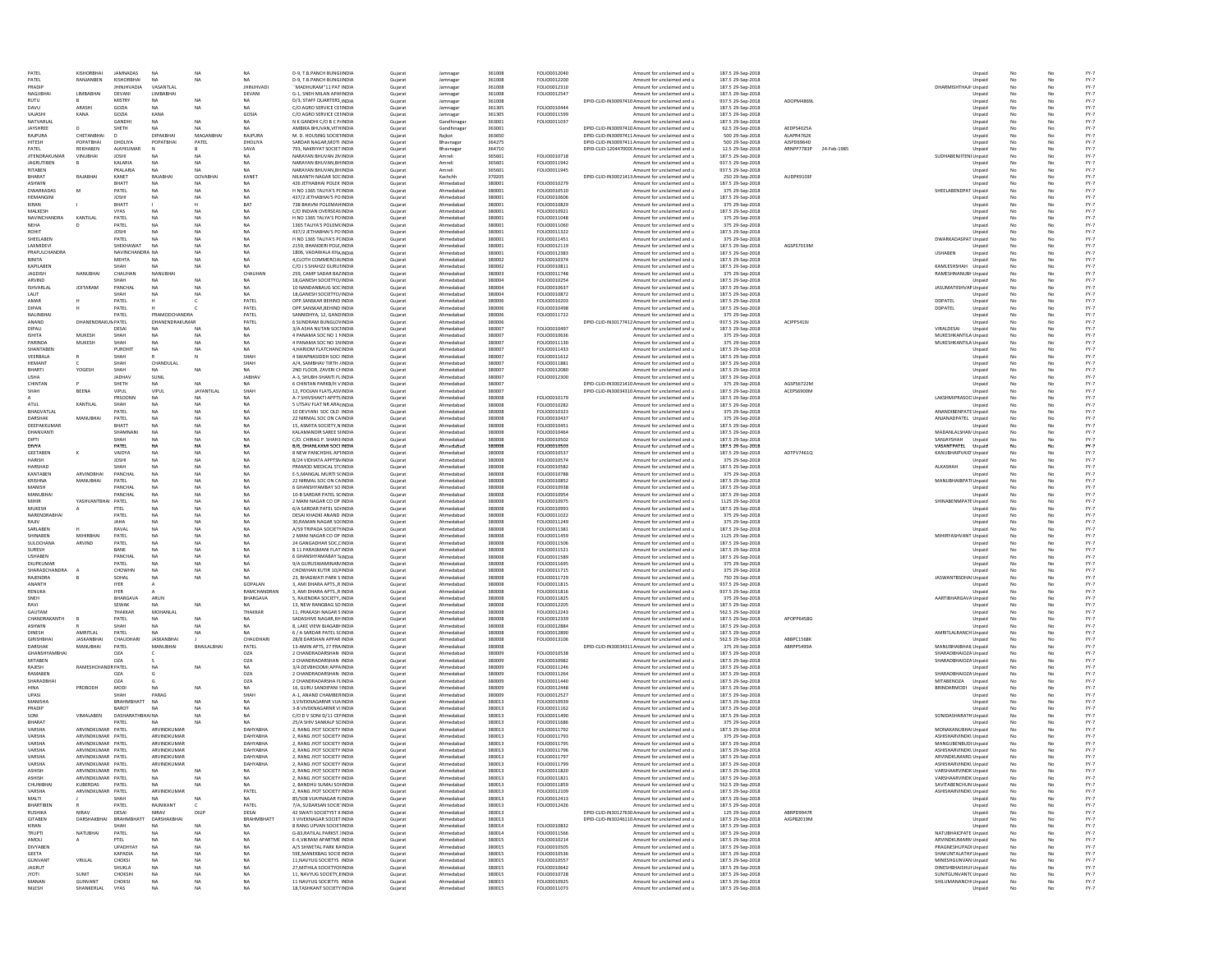| PATEL                 | KISHORBHAI                | JAMNADAS               | <b>NA</b>              | NA                | NA               | D-9, T.B.PANCH BUNGUNDIA                                | Guiarat            | Jamnaga                | 361008           | FOLIO0012040                 | Amount for unclaimed and u                                                    | 187.5 29-Sep-2018                      |            | Unpaid                               | No |           | $FY-7$           |
|-----------------------|---------------------------|------------------------|------------------------|-------------------|------------------|---------------------------------------------------------|--------------------|------------------------|------------------|------------------------------|-------------------------------------------------------------------------------|----------------------------------------|------------|--------------------------------------|----|-----------|------------------|
| PATEL                 | RANJANBEN                 | KISHORBHAI             | <b>NA</b>              | <b>NA</b>         | <b>NA</b>        | D-9, T.B.PANCH BUNGLINDIA                               | Gujarat            | Jamnagar               | 361008           | FOLIO0012200                 | Amount for unclaimed and u                                                    | 187.5 29-Sep-2018                      |            | Unpaid                               | No |           | $FY-7$           |
| PRADIP                |                           | <b>JHINJHVADIA</b>     | VASANTLAL              |                   | <b>JHINJHVAD</b> | "MADHURAM"11 PAT INDIA                                  | Gujarat            | Jamnagar               | 361008           | FOLIO0012310                 | Amount for unclaimed and u                                                    | 187.5 29-Sep-2018                      |            | DHARMISHTHAJH Unpaid                 | No | No        | $FY-7$           |
| NAGJIBHA              | LIMBABHA                  | DEVANI                 | <b>LIMBABHAI</b>       |                   | DEVANI           | G-1, SNEH MILAN APAHNDIA                                | Gujarat            | Jamnagar               | 361008           | FOLIO0012547                 | Amount for unclaimed and u                                                    | 187.5 29-Sep-2018                      |            | Unpaid                               | No | No        | $FY-7$           |
| <b>RUTU</b>           |                           | MISTRY                 | <b>NA</b>              | <b>NA</b>         | <b>NA</b>        | D/3, STAFF QUARTERS, INDIA                              | Gujarat            | Jamnagar               | 361008           |                              | DPID-CLID-IN30097410 Amount for unclaimed and u                               | 937.5 29-Sep-2018                      | ADOPM4869L | Unpaid                               | No | No        | $FY-7$           |
| DAVU                  | ARASHI                    | GOZIA                  | <b>NA</b>              | NA                | <b>NA</b>        | C/O AGRO SERVICE CENNDIA                                | Gujarat            | Jamnagar               | 361305           | FOLIO0010444                 | Amount for unclaimed and u                                                    | 187.5 29-Sep-2018                      |            | Unpaid                               | No | No        | $FY-7$           |
| VAJASHI               | KANA                      | GOZIA                  | KANA                   |                   | GOSIA            | C/O AGRO SERVICE CENNDIA                                |                    |                        | 361305           | FOLIO0011599                 | Amount for unclaimed and u                                                    |                                        |            |                                      | No | No        | $FY-7$           |
|                       |                           |                        |                        | <b>NA</b>         |                  | N K GANDHI C/O B C P/INDIA                              | Gujarat            | Jamnagar               |                  |                              |                                                                               | 187.5 29-Sep-2018                      |            | Unpaid                               |    |           |                  |
| NATVARLAI<br>JAYSHREE |                           | GANDHI<br>SHETH        | <b>NA</b>              |                   | <b>NA</b>        | AMBIKA BHUVAN, VITHINDIA                                | Gujarat            | Gandhinagar            | 363001<br>363001 | FOLIO0011037                 | Amount for unclaimed and u<br>DPID-CLID-IN30097410 Amount for unclaimed and u | 187.5 29-Sep-2018<br>62.5 29-Sep-2018  | AEDPS4025/ | Unpaid                               | No |           | $FY-7$           |
|                       |                           |                        |                        |                   |                  |                                                         | Gujarat            | Gandhinagar            |                  |                              |                                                                               |                                        |            | Unpaid                               |    |           | $FY-7$           |
| RAJPURA               | CHETANBHA                 |                        | DIPAKBHA               | MAGANB            | RAJPURA          | M. D. HOUSING SOCIETINDIA                               | Gujarat            | Rajkot                 | 363650           |                              | DPID-CLID-IN30097411 Amount for unclaimed and u                               | 500 29-Sep-2018                        | ALAPR4762K | Unpaid                               |    |           | $FY-7$           |
| HITESH                | POPATBHAI                 | DHOLIYA                | POPATBHA               | PATEL             | DHOLIYA          | SARDAR NAGAR, MOTI INDIA                                | Gujarat            | Bhavnagar              | 364275           |                              | DPID-CLID-IN30097411 Amount for unclaimed and u                               | 500 29-Sep-2018                        | AJSPD6964D | Unpaid                               |    |           | $FY-7$           |
| PATEL                 | REKHABEN                  | AJAYKUMAI              |                        |                   | SAVA             | 793, NAKRIYAT SOCIET INDIA                              | Gujarat            | Bhavnagar              | 364710           |                              | DPID-CLID-1204470000 Amount for unclaimed and u                               | 12.5 29-Sep-2018                       | ARNPP7783P | 24-Feb-1985<br>Unpaid                |    |           | $FY-7$           |
| <b>JITENDRAKUMAR</b>  | VINUBHA                   | <b>JOSHI</b>           | NA                     | <b>NA</b>         | NA               | VARAYAN BHUVAN 2NINDIA                                  | Gujarat            | Amreli                 | 365601           | FOLIO0010718                 | Amount for unclaimed and u                                                    | 187.5 29-Sep-2018                      |            | SUDHABENJITENI Unpaid                |    |           | $FY-7$           |
| <b>JAGRUTIBEN</b>     |                           | KALARIA                |                        |                   |                  | NARAYAN BHUVAN, BHINDIA                                 | Gujarat            | Amreli                 | 365601           | FOLIO0011942                 | Amount for unclaimed and u                                                    | 937.5 29-Sep-2018                      |            | Unpaid                               |    |           | $FY-7$           |
| RITABEN               |                           | PKALARIA               | NA                     | <b>NA</b>         | NA               | NARAYAN BHUVAN, BHINDIA                                 | Gujarat            | Amreli                 | 365601           | FOLIO0011945                 | Amount for unclaimed and u                                                    | 937.5 29-Sep-2018                      |            | Unpaid                               |    |           | $FY-7$           |
| RHARAT                | RAJABHA                   | KANET                  | RAJABHAI               | GOVABHA           | KANET            | NILKANTH NAGAR SOCINDIA                                 | Gujarat            | Kachchh                | 370205           |                              | DPID-CLID-IN30021413 Amount for unclaimed and u                               | 250 29-Sep-2018                        | AUDPK9103  | Unpaid                               | No |           | $FY-7$           |
| <b>ASHWIN</b>         |                           | BHATT                  | NA                     | <b>NA</b>         | NA               | 426 JETHABHAI POLEK INDIA                               | Gujarat            | Ahmedabad              | 380001           | FOLIO0010279                 | Amount for unclaimed and u                                                    | 187.5 29-Sep-2018                      |            | Unpaid                               | No | No        | $FY-7$           |
| <b>DWARKADAS</b>      | M                         | PATEL                  | <b>NA</b>              | <b>NA</b>         | <b>NA</b>        | H NO 1365 TALIYA'S PCINDIA                              | Gujarat            | Ahmedabad              | 380001           | FOLIO0010510                 | Amount for unclaimed and u                                                    | 375 29-Sep-2018                        |            | SHEELABENDPAT Unpaid                 | No |           | $FY-7$           |
| HEMANGINI             |                           | <b>JOSHI</b>           | <b>NA</b>              | <b>NA</b>         | <b>NA</b>        | 437/2 JETHABHAI'S POINDIA                               | Gujarat            | Ahmedabad              | 380001           | FOLIO0010606                 | Amount for unclaimed and u                                                    | 187.5 29-Sep-2018                      |            | Unpaid                               | No | No        | $FY-7$           |
| KIRAN                 |                           | RHATT                  |                        |                   | <b>BAT</b>       | 738 BHAVNI POLEMAHINDIA                                 | Gujarat            | Ahmedabad              | 380001           | FOLIO0010829                 | Amount for unclaimed and u                                                    | 375 29-Sep-2018                        |            | Unpaid                               | No |           |                  |
| MALKESH               |                           | <b>VYAS</b>            | <b>NA</b>              | NA                | <b>NA</b>        | C/O INDIAN OVERSEAS INDIA                               | Gujarat            | Ahmedabad              | 380001           | FOLIO0010921                 | Amount for unclaimed and u                                                    | 187.5 29-Sep-2018                      |            | Unpaid                               | No | No        | $FY-7$<br>$FY-7$ |
| NAVINCHANDRA          | KANTILAL                  | PATEL                  | <b>NA</b>              | NA                | <b>NA</b>        | H NO 1365 TALYA'S POINDIA                               | Gujarat            | Ahmedabad              | 380001           | FOLIO0011048                 | Amount for unclaimed and u                                                    | 375 29-Sep-2018                        |            | Unpaid                               | No | No        | $FY-7$           |
| <b>NEHA</b>           |                           | PATEL                  | <b>NA</b>              | NA                | <b>NA</b>        | 1365 TALIYA'S POLEMCINDIA                               |                    | Ahmedabad              | 380001           | FOLIO0011060                 | Amount for unclaimed and u                                                    |                                        |            |                                      | No |           | $FY-7$           |
|                       |                           |                        |                        |                   |                  | 437/2 IFTHARHAI'S POINDIA                               | Gujarat            |                        |                  |                              |                                                                               | 375 29-Sep-2018                        |            | Unpaid                               |    | No        |                  |
| ROHIT                 |                           | <b>JOSHI</b>           | <b>NA</b>              | NA                | <b>NA</b>        |                                                         | Guiarat            | Ahmedabad              | 380001           | FOLIO0011322                 | Amount for unclaimed and u                                                    | 187.5 29-Sep-2018                      |            | Unpaid                               | No | No        | $FY-7$           |
| SHEELABEN             |                           | PATEL                  | <b>NA</b>              | NA                | <b>NA</b>        | H NO 1365 TALIYA'S PCINDIA                              | Gujarat            | Ahmedabad              | 380001           | FOLIO0011451                 | Amount for unclaimed and u                                                    | 375 29-Sep-2018                        |            | DWARKADASPAT Unpaid                  | No | No        | $FY-7$           |
| LAXMIDEVI             |                           | SHEKHAWAT              | <b>NA</b>              | NA                | NA               | 2159 BHANDERLPOLE INDIA                                 | Guiarat            | Ahmedabad              | 380001           | FOLIO0012119                 | Amount for unclaimed and u                                                    | 187.5 29-Sep-2018                      | AGSPS7019M | Unpaid                               | No | No        | $FY-7$           |
| PRAFULCHANDRA         |                           | NAVINCHANDRA NA        |                        | NA                | <b>NA</b>        | 1806, VADAWALA KHAINDIA                                 | Gujarat            | Ahmedabad              | 380001           | FOLIO0012383                 | Amount for unclaimed and u                                                    | 187.5 29-Sep-2018                      |            | <b>USHABEN</b><br>Unpaid             | No |           | $FY-7$           |
| BINITA                |                           | <b>MEHTA</b>           | <b>NA</b>              | NA.               | <b>NA</b>        | 4,CLOTH COMMERCIALINDIA                                 | Gujarat            | Ahmedabad              | 380002           | FOLIO0010374                 | Amount for unclaimed and u                                                    | 187.5 29-Sep-2018                      |            | Unpaid                               | No | No        | $FY-7$           |
| KAPILABEN             |                           | SHAH                   | <b>NA</b>              | NA                | <b>NA</b>        | C/O J S SHAH22 GURUIINDIA                               | Gujarat            | Ahmedabad              | 380002           | FOLIO0010811                 | Amount for unclaimed and u                                                    | 187.5 29-Sep-2018                      |            | KAMLESHSHAH Unpaid                   | No | <b>No</b> | $FY-7$           |
| <b>JAGDISH</b>        | NANUBHAI                  | CHAUHAN                | NANUBHAI               |                   | CHAUHAN          | 259, CAMP SADAR BAZINDIA                                | Gujarat            | Ahmedabad              | 380003           | FOLIO0011748                 | Amount for unclaimed and u                                                    | 375 29-Sep-2018                        |            | RAMESHNANUBH Unpaid                  | No | No        | $FY-7$           |
| ARVIND                |                           | SHAH                   | <b>NA</b>              | <b>NA</b>         | <b>NA</b>        | 18, GANESH SOCIETYO/ INDIA                              | Gujarat            | Ahmedabad              | 380004           | FOLIO0010254                 | Amount for unclaimed and u                                                    | 187.5 29-Sep-2018                      |            | Unpaid                               | No | No        | $FY-7$           |
| <b>ISHVARLAL</b>      | <b>JOITARAM</b>           | PANCHAL                | NA                     | NA                | NA               | 10 NANDANBAUG SOC INDIA                                 | Gujarat            | Ahmedabad              | 380004           | FOLIO0010637                 | Amount for unclaimed and u                                                    | 187.5 29-Sep-2018                      |            | JASUMATIISHVAR Unpaid                | No | No        | $FY-7$           |
| LALIT                 |                           | SHAH                   | <b>NA</b>              | <b>NA</b>         | <b>NA</b>        | 18, GANESH SOCIETYO/ INDIA                              | Gujarat            | Ahmedabad              | 380004           | FOLIO0010872                 | Amount for unclaimed and u                                                    | 187.5 29-Sep-2018                      |            | Unpaid                               | No |           | $FY-7$           |
| AMAR                  |                           | PATEL                  |                        |                   | PATEL            | OPP.SANSKAR BEHIND INDIA                                | Gujarat            | Ahmedabad              | 380006           | FOLIO0010203                 | Amount for unclaimed and u                                                    | 187.5 29-Sep-2018                      |            | DDPATEL<br>Unpaid                    |    |           | $FY-7$           |
| DIPAN                 |                           | PATEL                  |                        |                   | PATEL            | OPP.SANSKAR, BEHIND INDIA                               | Gujarat            | Ahmedabad              | 380006           | FOLIO0010498                 | Amount for unclaimed and u                                                    | 187.5 29-Sep-2018                      |            | DDPATEL<br>Unpaid                    |    |           | $FY-7$           |
| NALINBHA              |                           | PATEL                  | PRAMODCHANDRA          |                   | PATEL            | SANNIDHYA, 12, GANDINDIA                                | Gujarat            | Ahmedabad              | 380006           | FOLIO0011722                 | Amount for unclaimed and u                                                    | 375 29-Sep-2018                        |            | Unpaid                               |    |           | $FY-7$           |
| ANAND                 | <b>DHANENDRAKUM PATEL</b> |                        | DHANENDRAKUMAF         |                   | PATEL            | 6 SUNDRAM BUNGLOVINDIA                                  | Gujarat            | Ahmedabad              | 380006           |                              | DPID-CLID-IN30177412 Amount for unclaimed and u                               | 937.5 29-Sep-2018                      | ACIPP5419J | Unpaid                               |    |           | $FY-7$           |
| DIPALI                |                           | DESAI                  |                        | NA                | NA               | 3/A ASHA NUTAN SOCHNDIA                                 | Gujarat            | Ahmedabad              | 380007           | FOLIO0010497                 | Amount for unclaimed and u                                                    | 187.5 29-Sep-2018                      |            | VIRALDESA<br>Unpaid                  |    |           | $FY-7$           |
| <b>ISHITA</b>         | MUKESH                    | SHAH                   |                        |                   |                  | 4 PANAMA SOC NO 1 NINDIA                                | Gujarat            | Ahmedabad              | 380007           | FOLIO0010636                 | Amount for unclaimed and u                                                    | 375 29-Sep-2018                        |            | MUKESHKANTILA Unpaid                 |    |           | $FY-7$           |
| PARINDA               | MUKESH                    | SHAH                   | NA                     | <b>NA</b>         | <b>NA</b>        | 4 PANAMA SOC NO 1NINDIA                                 | Gujarat            | Ahmedabad              | 380007           | FOLIO0011130                 | Amount for unclaimed and u                                                    | 375 29-Sep-2018                        |            | MUKESHKANTILA Unpaid                 | No |           | $FY-7$           |
| SHANTABEN             |                           | PUROHIT                | NA                     | <b>NA</b>         | NA               | 4, HARIOM FLATCHANE INDIA                               | Gujarat            | Ahmedabad              | 380007           | FOLIO0011433                 | Amount for unclaimed and u                                                    | 187.5 29-Sep-2018                      |            | Unpaid                               | No |           | $FY-7$           |
| VEERBALA              |                           | SHAH                   |                        |                   | SHAH             |                                                         |                    | Ahmedabad              | 380007           | FOLIO0011612                 |                                                                               |                                        |            |                                      | No |           |                  |
|                       |                           |                        |                        |                   |                  | 4 SWAPNASIDDH SOCI INDIA                                | Gujarat            |                        |                  |                              | Amount for unclaimed and u                                                    | 187.5 29-Sep-2018                      |            | Unpaid                               |    | No        | $FY-7$           |
| HEMANT                |                           | SHAH                   | CHANDULAI              |                   | SHAH             | A/4, SAMBHAV TIRTH JINDIA                               | Gujarat            | Ahmedabad              | 380007           | FOLIO0011881                 | Amount for unclaimed and u                                                    | 187.5 29-Sep-2018                      |            | Unpaid                               | No |           | $FY-7$           |
| BHARTI                | YOGESH                    | SHAH                   | <b>NA</b>              | NA                | <b>NA</b>        | 2ND FLOOR, ZAVERI CHINDIA                               | Gujarat            | Ahmedabad              | 380007           | FOLIO0012080                 | Amount for unclaimed and u                                                    | 187.5 29-Sep-2018                      |            | Unpaid                               | No | No        | $FY-7$           |
| <b>LISHA</b>          |                           | JADHAV                 | SUNIL                  |                   | JABHAV           | A-3, SHUBH-SHANTI FLINDIA                               | Gujarat            | Ahmedabad              | 380007           | FOLIO0012300                 | Amount for unclaimed and u                                                    | 187.5 29-Sep-2018                      |            | Unpaid                               | No |           | $FY-7$           |
| CHINTAN               |                           | SHETH                  | <b>NA</b>              | NA                | <b>NA</b>        | <b>6 CHINTAN PARKR/H VINDIA</b>                         | Gujarat            | Ahmedabad              | 380007           |                              | DPID-CLID-IN30021410 Amount for unclaimed and u                               | 375 29-Sep-2018                        | AGSPS6722M | Unpaid                               | No | No        | $FY-7$           |
| SHAH                  | BEENA                     | VIPUL                  | VIPUL                  | <b>JAYANTILAL</b> | SHAH             | 12 POOLAN FLATS ASVINDIA                                | Gujarat            | Ahmedabad              | 380007           |                              | DPID-CLID-IN30034310 Amount for unclaimed and u                               | 187.5 29-Sep-2018                      | ACEPS6900M | Unpaid                               | No | No        | $FY-7$           |
|                       |                           | PRSOONN                | NA                     | NA                | NA               | A-7 SHIVSHAKTI APPTS INDIA                              | Gujarat            | Ahmedabad              | 380008           | FOLIO0010179                 | Amount for unclaimed and u                                                    | 187.5 29-Sep-2018                      |            | LAKSHMIPRASOO Unpaid                 | No | No        | $FY-7$           |
| ATUL                  | KANTILAL                  | SHAH                   | <b>NA</b>              | NA                | <b>NA</b>        | 5 LITSAV FLAT NR ARAFINDIA                              | Guiarat            | Ahmedabad              | 380008           | FOLIO0010282                 | Amount for unclaimed and u                                                    | 187.5 29-Sep-2018                      |            | Unpaid                               | No | No        | $FY-7$           |
| BHAGVATLAL            |                           | PATEL                  | <b>NA</b>              | NA                | <b>NA</b>        | 10 DEVYANI SOC OLD INDIA                                | Gujarat            | Ahmedabad              | 380008           | FOLIO0010323                 | Amount for unclaimed and u                                                    | 375 29-Sep-2018                        |            | ANANDIBENPATE Unpaid                 | No | No        | $FY-7$           |
| DARSHAK               | MANUBHAI                  | PATEL                  | <b>NA</b>              | NA                | <b>NA</b>        | 22 NIRMAL SOC ON CAINDIA                                | Guiarat            | Ahmedabad              | 380008           | FOLIO0010437                 | Amount for unclaimed and u                                                    | 375 29-Sep-2018                        |            | ANJANADPATEL Unpaid                  | No | No        | $FY-7$           |
| DEEPAKKUMAR           |                           | BHATT                  | NA                     | NA                | <b>NA</b>        | 15, ASMITA SOCIETY, N INDIA                             | Gujarat            | Ahmedabad              | 380008           | FOLIO0010451                 | Amount for unclaimed and u                                                    | 187.5 29-Sep-2018                      |            | Unpaid                               | No | No        | $FY-7$           |
| DHANVANTI             |                           | SHAMNAM                | NA                     | NA                | <b>NA</b>        | KALAMANDIR SAREE SIINDIA                                | Gujarat            | Ahmedabad              | 380008           | FOLIO0010464                 | Amount for unclaimed and u                                                    | 187.5 29-Sep-2018                      |            | MADANLALSHAM Unpaid                  | No | No        | $FY-7$           |
| <b>DIPTI</b>          |                           | SHAH                   | <b>NA</b>              | NA                | <b>NA</b>        | C/O. CHIRAG P. SHAH3 INDIA                              | Gujarat            | Ahmedabad              | 380008           | FOLIO0010502                 | Amount for unclaimed and u                                                    | 187.5 29-Sep-2018                      |            | SANJAYSHAH Unpaid                    | No | No        | $FY-7$           |
| <b>DIVYA</b>          |                           | PATEL                  | NA                     | NA                | NA               | B/6, DHANLAXMI SOCI INDIA                               | Gujarat            | Ahmedabad              | 380008           | FOLIO0010503                 | Amount for unclaimed and u                                                    | 187.5 29-Sep-2018                      |            | VASANTPATEL Unpaid                   | No | No        | $FY-7$           |
| GEETABEN              |                           | VAIDYA                 | NA                     | NA                | <b>NA</b>        | 8 NEW PANCHSHIL AP1INDIA                                | Gujarat            | Ahmedabad              | 380008           | FOLIO0010537                 | Amount for unclaimed and u                                                    | 187.5 29-Sep-2018                      | ADTPV7461Q | KANUBHAIPVAID' Unpaid                | No | No        | $FY-7$           |
| HARISH                |                           | <b>JOSHI</b>           | <b>NA</b>              | NA                | <b>NA</b>        | B/24 VIDHATA APPTSMINDIA                                | Gujarat            | Ahmedabad              | 380008           | FOLIO0010574                 | Amount for unclaimed and u                                                    | 375 29-Sep-2018                        |            | Unpaid                               | No | No        | $FY-7$           |
| HARSHAD               |                           | SHAH                   | <b>NA</b>              | <b>NA</b>         | <b>NA</b>        | PRAMOD MEDICAL ST(INDIA                                 | Gujarat            | Ahmedabad              | 380008           | FOLIO0010582                 | Amount for unclaimed and u                                                    | 187.5 29-Sep-2018                      |            | ALKASHAH<br>Unpaid                   | No |           | $FY-7$           |
| KANTABEN              | ARVINDBHA                 | PANCHA                 | <b>NA</b>              | NA                |                  | E-5, MANGAL MURTI SCINDIA                               | Gujarat            | Ahmedabad              | 380008           | FOLIO0010788                 | Amount for unclaimed and u                                                    | 375 29-Sep-2018                        |            | Unpaid                               |    |           | $FY-7$           |
| KRISHNA               | MANUBHAI                  | PATEL                  |                        | NA                |                  | 22 NIRMAL SOC ON CAINDIA                                | Gujarat            | Ahmedabad              | 380008           | FOLIO0010852                 | Amount for unclaimed and u                                                    | 187.5 29-Sep-2018                      |            | MANUBHAIBPATI Unpaid                 |    |           | $FY-7$           |
|                       |                           |                        |                        |                   |                  |                                                         |                    |                        |                  |                              | Amount for unclaimed and u                                                    |                                        |            |                                      |    |           |                  |
| MANISH                |                           | PANCHAL                | <b>NA</b>              | <b>NA</b>         | <b>NA</b>        | 6 GHANSHYAMBAY SO INDIA                                 | Gujarat            | Ahmedabad              | 380008           | FOLIO0010938                 |                                                                               | 187.5 29-Sep-2018                      |            | Unpaid                               |    |           | $FY-7$           |
| MANUBHA               |                           | PANCHAL                | <b>NA</b>              | NA                |                  | 10-B SARDAR PATEL SCINDIA                               | Gujarat            | Ahmedabad              | 380008           | FOLIO0010954                 | Amount for unclaimed and u                                                    | 187.5 29-Sep-2018                      |            | Unpaid                               |    |           | $FY-7$           |
| MIHIR                 | YASHVANTBHAI              | PATEL                  | <b>NA</b>              | <b>NA</b>         | <b>NA</b>        | 2 MANI NAGAR CO OP INDIA                                | Gujarat            | Ahmedabad              | 380008           | FOLIO0010975                 | Amount for unclaimed and u                                                    | 1125 29-Sep-2018                       |            | SHINABENMPATE Unpaid                 | No |           | $FY-7$           |
| MUKESH                |                           | PTEL                   |                        | NA                |                  | 6/A SARDAR PATEL SOUNDIA                                | Gujarat            | Ahmedabad              | 380008           | FOLIO0010993                 | Amount for unclaimed and u                                                    | 187.5 29-Sep-201                       |            | Unpaid                               |    |           | $FY-7$           |
| NARENDRABHAI          |                           | PATEI                  | <b>NA</b>              | NA                | <b>NA</b>        | DESAI KHADKI ANAND INDIA                                | Gujarat            | Ahmedabad              | 380008           | FOLIO0011022                 | Amount for unclaimed and u                                                    | 375 29-Sep-2018                        |            | Unpaid                               |    |           | $FY-7$           |
| RAIIV                 |                           | ΙΔΗΔ                   | <b>NA</b>              | NA                | NA               | 30.RAMAN NAGAR SOUNDIA                                  | Gujarat            | Ahmedabad              | 380008           | FOLIO0011249                 | Amount for unclaimed and u                                                    | 375 29-Sep-2018                        |            | Unpaid                               | No |           | $FY-7$           |
| SARLABEN              |                           | RAVAL                  | NA                     | NA                | <b>NA</b>        | A/59 TRIPADA SOCIETYINDIA                               | Gujarat            | Ahmedabad              | 380008           | FOLIO0011381                 | Amount for unclaimed and u                                                    | 187.5 29-Sep-2018                      |            | Unpaid                               | No | No        | $FY-7$           |
| SHINABEN              | MIHIRRHAI                 | PATEL                  | NA                     | <b>NA</b>         | NA               | 2 MANI NAGAR CO OP INDIA                                | Gujarat            | Ahmedabad              | 380008           | FOLIO0011459                 | Amount for unclaimed and u                                                    | 1125 29-Sep-2018                       |            | MIHIRYASHVANT Unpaid                 |    |           | $FY-7$           |
| SULOCHANA             | ARVIND                    | PATEL                  | NA                     | NA                | <b>NA</b>        | 24 GANGADHAR SOC, CINDIA                                | Gujarat            | Ahmedabad              | 380008           | FOLIO0011506                 | Amount for unclaimed and u                                                    | 187.5 29-Sep-2018                      |            | Unpaid                               | No | No        | $FY-7$           |
| SURESH                |                           | RANF                   | NA                     | <b>NA</b>         | NA               | <b>B 11 PARASMANI FLAT INDIA</b>                        | Gujarat            | Ahmedabad              | 380008           | FOLIO0011521                 | Amount for unclaimed and u                                                    | 187.5 29-Sep-2018                      |            | Unpaid                               | No | No        | $FY-7$           |
| <b>USHABEN</b>        |                           | PANCHAL                | <b>NA</b>              | NA                | <b>NA</b>        | 6 GHANSHYAMABAY SINDIA                                  | Guiarat            | Ahmedabad              | 380008           | FOLIO0011589                 | Amount for unclaimed and u                                                    | 187.5 29-Sep-2018                      |            | Unpaid                               | No | No        | $FY-7$           |
| DILIPKUMAR            |                           | PATEL                  | <b>NA</b>              | NA                | <b>NA</b>        | 9/A GURUSWAMINAR/INDIA                                  | Gujarat            | Ahmedabad              | 380008           | FOLIO0011695                 | Amount for unclaimed and u                                                    | 375 29-Sep-2018                        |            | Unpaid                               | No | No        | $FY-7$           |
| SHARADCHANDRA         |                           | CHOWHN                 | <b>NA</b>              | NA                | <b>NA</b>        | CHOWHAN KUTIR 10/4INDIA                                 |                    | Ahmedabad              | 380008           | FOLIO0011715                 | Amount for unclaimed and u                                                    |                                        |            |                                      | No |           | $FY-7$           |
| RAJENDRA              |                           | SOHAL                  | <b>NA</b>              | NA                | NA               | 23. BHAGWATI PARK S INDIA                               | Gujarat<br>Gujarat | Ahmedabad              | 380008           | FOLIO0011729                 | Amount for unclaimed and u                                                    | 375 29-Sep-2018<br>750 29-Sep-2018     |            | Unpaid<br>JASWANTBSOHALUnpaid        | No | No<br>No  | $FY-7$           |
|                       |                           |                        |                        |                   |                  |                                                         |                    |                        |                  |                              |                                                                               |                                        |            |                                      |    |           |                  |
| ANANTH                |                           | <b>IYER</b>            | Δ                      |                   | GOPALAN          | 3. AMI DHARA APTSR INDIA                                | Gujarat            | Ahmedabad              | 380008           | FOLIO0011815                 | Amount for unclaimed and u                                                    | 937.5 29-Sep-2018                      |            | Unpaid                               | No | No        | $FY-7$           |
| RENUKA                |                           | <b>IYER</b>            |                        |                   | RAMCHANDRAN      | 3. AMI DHARA APTSR INDIA                                | Guiarat            | Ahmedabad              | 380008           | FOLIO0011816                 | Amount for unclaimed and u                                                    | 937.5 29-Sep-2018                      |            | Unpaid                               | No | No        | $FY-7$           |
| SNEH                  |                           | BHARGAVA               | ARUN                   |                   | BHARGAVA         | 5, RAJENDRA SOCIETY, INDIA                              | Gujarat            | Ahmedabad              | 380008           | FOLIO0011825                 | Amount for unclaimed and u                                                    | 375 29-Sep-2018                        |            | AARTIBHARGAVA Unpaid                 | No | No        | $FY-7$           |
| RAVI                  |                           | SEWAK                  | <b>NA</b>              | <b>NA</b>         | <b>NA</b>        | 13, NEW RANGBAG SO INDIA                                | Gujarat            | Ahmedabad              | 380008           | FOLIO0012205                 | Amount for unclaimed and u                                                    | 187.5 29-Sep-2018                      |            | Unpaid                               | No | No        | $FY-7$           |
| GAUTAM                |                           | THAKKAR                | MOHANLAI               |                   | THAKKAR          | 11, PRAKASH NAGAR SINDIA                                | Gujarat            | Ahmedabad              | 380008           | FOLIO0012243                 | Amount for unclaimed and u                                                    | 562.5 29-Sep-2018                      |            | Unpaid                               | No | <b>No</b> | $FY-7$           |
| CHANDRAKANTH          |                           | PATEL                  | <b>NA</b>              | <b>NA</b>         | <b>NA</b>        | SADASHIVE NAGAR, KH INDIA                               | Gujarat            | Ahmedabad              | 380008           | FOLIO0012339                 | Amount for unclaimed and u                                                    | 187.5 29-Sep-2018                      | APOPP6458G | Unpaid                               | No | No        | $FY-7$           |
| ASHWIN                |                           | SHAH                   | <b>NA</b>              | <b>NA</b>         | <b>NA</b>        | 8, LAKE VIEW BJAGABI INDIA                              | Gujarat            | Ahmedabad              | 380008           | FOLIO0012884                 | Amount for unclaimed and u                                                    | 187.5 29-Sep-2018                      |            | Unpaid                               | No | No        | $FY-7$           |
| DINESH                | AMRITLAL                  | PATEL                  | <b>NA</b>              | <b>NA</b>         | <b>NA</b>        | 6 / A SARDAR PATEL SCINDIA                              | Gujarat            | Ahmedabad              | 380008           | FOLIO0012890                 | Amount for unclaimed and u                                                    | 187.5 29-Sep-2018                      |            | AMRITLALRANCH Unpaid                 | No | No        | $FY-7$           |
| <b>GIRISHBHA</b>      | JASKANBHAI                | CHAUDHARI              | <b>JASKANBHA</b>       |                   | CHAUDHAR         | 28/8 DARSHAN APPAR INDIA                                | Gujarat            | Ahmedabad              | 380008           | FOLIO0013106                 | Amount for unclaimed and u                                                    | 562.5 29-Sep-2018                      | ABBPC1568K | Unpaid                               | No |           | $FY-7$           |
| DARSHAK               | MANUBHA                   | PATEL                  | MANUBHAI               | <b>BHAILALBHA</b> | PATEL            | 13-AMIN APTS, 27 PRAINDIA                               | Gujarat            | Ahmedabad              | 380008           |                              | DPID-CLID-IN30034311 Amount for unclaimed and u                               | 375 29-Sep-2018                        | ABRPP5499A | MANUBHAIBHAIL Unpaid                 |    |           | $FY-7$           |
| <b>GHANSHYAMBI</b>    |                           | OZA                    |                        |                   | OZA              | 2 CHANDRADARSHAN INDIA                                  | Gujarat            | Ahmedabad              | 380009           | FOLIO0010538                 | Amount for unclaimed and u                                                    | 187.5 29-Sep-2018                      |            | SHARADBHAIOZA Unpaid                 |    |           | $FY-7$           |
| MITABEN               |                           | OZA                    |                        |                   | OZA              | 2 CHANDRADARSHAN INDIA                                  | Gujarat            | Ahmedabad              | 380009           | FOLIO0010982                 | Amount for unclaimed and u                                                    | 187.5 29-Sep-2018                      |            | SHARADBHAIOZA Unpaid                 |    |           | $FY-7$           |
| RAJESH                | RAMESHCHANDR PATEL        |                        | <b>NA</b>              | <b>NA</b>         | NA               | 3/4 DEVBHOOMI APPAINDIA                                 | Gujarat            | Ahmedabad              | 380009           | FOLIO0011246                 | Amount for unclaimed and u                                                    | 187.5 29-Sep-201                       |            | Unpaid                               |    |           | $FY-7$           |
| RAMABEN               |                           | OZA                    |                        |                   | OZA              | 2 CHANDRADARSHAN INDIA                                  | Gujarat            | Ahmedabad              | 380009           | FOLIO0011264                 | Amount for unclaimed and u                                                    | 187.5 29-Sep-2018                      |            | SHARADBHAIOZA Unpaid                 |    |           | $FY-7$           |
| SHARADBHA             |                           | OZA                    |                        |                   | OZA              | 2 CHANDRADARSHA FLINDIA                                 | Gujarat            | Ahmedabad              | 380009           | FOLIO0011440                 | Amount for unclaimed and u                                                    | 187.5 29-Sep-2018                      |            | MITABENOZA Unpaid                    |    |           | $FY-7$           |
| HINA                  | PROBODH                   | MODI                   | <b>NA</b>              | <b>NA</b>         | NA               | 16, GURU SANDIPANI SINDIA                               | Gujarat            | Ahmedabad              | 380009           | FOLIO0012448                 | Amount for unclaimed and u                                                    | 187.5 29-Sep-2018                      |            | BRINDARMODI Unpaid                   |    |           | $FY-7$           |
| UPASI                 |                           | SHAH                   | PARAG                  |                   | <b>SHAH</b>      | A-1, ANAND CHAMBERINDIA                                 | Gujarat            | Ahmedabad              | 380009           | FOLIO0012527                 | Amount for unclaimed and u                                                    | 187.5 29-Sep-2018                      |            | Unpaid                               | No | No        | $FY-7$           |
| MANISHA               |                           | BRAHMBHATT             | NA                     | NA                | NA               | 3, VIVEKNAGARNR VIJA INDIA                              | Gujarat            | Ahmedabad              | 380013           | FOLIO0010939                 | Amount for unclaimed and u                                                    | 187.5 29-Sep-2018                      |            | Unpaid                               | No | No        | $FY-7$           |
| PRADIP                |                           | <b>RAROT</b>           | <b>NA</b>              | <b>NA</b>         | NA               | 3-B VIVEKNAGARNR VI INDIA                               | Gujarat            | Ahmedabad              | 380013           | FOLIO0011162                 | Amount for unclaimed and u                                                    | 187.5 29-Sep-2018                      |            | Unpaid                               |    |           | $FY-7$           |
| SONI                  | VIMALABEN                 | <b>DASHARATHBHAINA</b> |                        | <b>NA</b>         | NA               | C/O D V SONI D/11 CENNDIA                               | Gujarat            | Ahmedabad              | 380013           | FOLIO0011490                 | Amount for unclaimed and u                                                    | 187.5 29-Sep-2018                      |            | SONIDASHARATH Unpaid                 | No | No        | $FY-7$           |
| RHARAT                |                           | PATEL                  | <b>NA</b>              |                   |                  |                                                         |                    | Ahmedabad              | 380013           | FOLIO0011686                 |                                                                               |                                        |            |                                      |    |           |                  |
| VARSHA                | ARVINDKUMAR PATEL         |                        | ARVINDKUMAF            |                   | DAHYABHA         | 25/A SHIV SANKALP SCINDIA<br>2. RANG JYOT SOCIETY INDIA | Gujarat<br>Gujarat | Ahmedabad              | 380013           | FOLIO0011792                 | Amount for unclaimed and u<br>Amount for unclaimed and u                      | 375 29-Sep-2018<br>187.5 29-Sep-2018   |            | MONAKANUBHAI Unpaid                  | No | No        | $FY-7$<br>$FY-7$ |
| VARSHA                | ARVINDKUMAR PATEL         |                        | ARVINDKUMAR            |                   | DAHYABHA         | 2. RANG JYOT SOCIETY INDIA                              | Guiarat            | Ahmedabad              | 380013           | FOLIO0011793                 |                                                                               |                                        |            | ASHISHARVINDKLUnpaid                 |    | No        | $FY-7$           |
|                       |                           |                        |                        |                   |                  | 2 RANG IVOT SOCIETY INDIA                               |                    |                        |                  |                              | Amount for unclaimed and u                                                    | 375 29-Sep-2018                        |            |                                      | No |           |                  |
| VARSHA                | ARVINDKUMAR PATEL         |                        | ARVINDKUMAF            |                   | DAHYABHA         |                                                         | Gujarat            | Ahmedabad              | 380013           | FOLIO0011795                 | Amount for unclaimed and u                                                    | 187.5 29-Sep-2018                      |            | MANGUBENBUDI Unpaid                  | No | No        | $FY-7$           |
| VARSHA                | ARVINDKUMAR PATEL         |                        | ARVINDKUMAR            |                   | DAHYABHA         | 2. RANG JYOT SOCIETY INDIA                              | Guiarat            | Ahmedabad              | 380013           | FOLIO0011796                 | Amount for unclaimed and u                                                    | 187.5 29-Sep-2018                      |            | <b>ASHISHARVINDKI Unnaid</b>         | No | No        | $FY-7$           |
| VARSHA                | ARVINDKUMAR PATEL         |                        | ARVINDKUMAR            |                   | DAHYABHA         | 2. RANG JYOT SOCIETY INDIA                              | Gujarat            | Ahmedabad              | 380013           | FOLIO0011797                 | Amount for unclaimed and u                                                    | 187.5 29-Sep-2018                      |            | ARVINDKUMARD Unpaid                  | No | No        | $FY-7$           |
| VARSHA                | ARVINDKUMAR PATEL         |                        | ARVINDKUMAR            |                   | DAHYABHA         | 2. RANG JYOT SOCIETY INDIA                              | Guiarat            | Ahmedabad              | 380013           | FOLIO0011799                 | Amount for unclaimed and u                                                    | 187.5 29-Sep-2018                      |            | ASHISHARVINDKLUnpaid                 |    |           | $FY-7$           |
| ASHISH                | ARVINDKUMAR PATEL         |                        | <b>NA</b>              | <b>NA</b>         | <b>NA</b>        | 2. RANG JYOT SOCIETY INDIA                              | Gujarat            | Ahmedabad              | 380013           | FOLIO0011820                 | Amount for unclaimed and u                                                    | 187.5 29-Sep-2018                      |            | VARSHAARVINDK Unpaid                 |    |           | <b>FY-7</b>      |
| ASHISH                | ARVINDKUMAR PATEL         |                        | <b>NA</b>              | NA                | <b>NA</b>        | 2, RANG JYOT SOCIETY INDIA                              | Gujarat            | Ahmedabad              | 380013           | FOLIO0011821                 | Amount for unclaimed and u                                                    | 187.5 29-Sep-2018                      |            | VARSHAARVINDK Unpaid                 | No | No        | $FY-7$           |
| CHUNIBHAI             | KUBERDAS                  | PATEL                  | <b>NA</b>              | NA                | <b>NA</b>        | 2, BANDHU SUMAJ SOIINDIA                                | Gujarat            | Ahmedabad              | 380013           | FOLIO0011859                 | Amount for unclaimed and u                                                    | 562.5 29-Sep-2018                      |            | SAVITABENCHUN Unpaid                 | No | No        | $FY-7$           |
| VARSHA                | ARVINDKUMAR PATEL         |                        | ARVINDKUMA             |                   | PATEL            | 2, RANG JYOT SOCIETY INDIA                              | Gujarat            | Ahmedabad              | 380013           | FOLIO0012109                 | Amount for unclaimed and u                                                    | 187.5 29-Sep-2018                      |            | ASHISHARVINDKL Unpaid                | No | No        | $FY-7$           |
| MALTI                 |                           | SHAH                   | <b>NA</b>              | <b>NA</b>         | <b>NA</b>        | 85/508 VIJAYNAGAR FIINDIA                               | Gujarat            | Ahmedabad              | 380013           | FOLIO0012413                 | Amount for unclaimed and u                                                    | 187.5 29-Sep-2018                      |            | Unpaid                               | No | No        | $FY-7$           |
| BHARTIBEN             |                           | PATEL                  | RAJNIKANT              |                   | PATEL            | 7/A, SUDARSAN SOCIE INDIA                               | Gujarat            | Ahmedabad              | 380013           | FOLIO0012426                 | Amount for unclaimed and u                                                    | 187.5 29-Sep-2018                      |            | Unpaid                               | No | No        | $FY-7$           |
| RUSHIKA               | NIRAV                     | DESAI                  | NIRAV                  | DILIP             | DESAI            | 42 SWATI SOCIETYST X INDIA                              | Gujarat            | Ahmedabad              | 380013           |                              | DPID-CLID-IN30127630 Amount for unclaimed and u                               | 125 29-Sep-2018                        | ABRPD9947R | Unpaid                               | No | No        | $FY-7$           |
| GITABEN               | DARSHAKBHA                | BRAHMBHATT             | <b>DARSHAKBHA</b>      |                   | BRAHMBHATT       | 3 VIVEKNAGAR SOCIET INDIA                               | Gujarat            | Ahmedabad              | 380013           |                              | DPID-CLID-IN30246110 Amount for unclaimed and u                               | 187.5 29-Sep-2018                      | AJGPB2019M | Unpaid                               |    |           | $FY-7$           |
| KIRAN                 |                           | <b>SHAI</b>            | <b>NA</b>              |                   |                  | 8 RANG UPVAN SOCIETINDIA                                | Gujarat            | Ahmedabad              | 380014           | FOLIO0010832                 | Amount for unclaimed and u                                                    | 187.5 29-Sep-2018                      |            | Unpaid                               |    |           | $FY-7$           |
| TRUPT                 | NATUBHAI                  | PATEL                  | <b>NA</b>              | NA                | NA               | G-83, RATILAL PARKST. INDIA                             | Gujarat            | Ahmedabad              | 380014           | FOLIO0011566                 | Amount for unclaimed and u                                                    | 187.5 29-Sep-2018                      |            | NATUBHAICPATE Unpaid                 |    |           | $FY-7$           |
| AMOLI                 |                           | PTEL                   | <b>NA</b>              |                   |                  | E-4, VIKRAM APARTME INDIA                               |                    | Ahmedabad              | 380015           | FOLIO0010214                 | Amount for unclaimed and u                                                    | 187.5 29-Sep-2018                      |            | ARVINDKUMARM Unpaid                  |    |           | $FY-7$           |
|                       |                           |                        |                        |                   |                  | A/S SHWETAL PARK RAINDIA                                | Gujarat            |                        |                  |                              | Amount for unclaimed and u                                                    | 187.5 29-Sep-2018                      |            |                                      |    |           |                  |
| DIVYABEN              |                           | <b>UPADHYAY</b>        | NA                     | NA                | NA               |                                                         | Gujarat            | Ahmedabad              | 380015           | FOLIO0010505                 |                                                                               |                                        |            | PRAGNESHUPADI Unpaid                 |    |           | $FY-7$           |
| <b>GEETA</b>          |                           | KAPADIA                | NA                     |                   |                  | 59E, MANEKBAG SOCIE INDIA                               | Gujarat            | Ahmedabad              | 380015           | FOLIO0010536                 | Amount for unclaimed and u                                                    | 187.5 29-Sep-2018                      |            | SHAKUNTALATHA Unpaid                 |    |           | $FY-7$           |
| <b>GUNVANT</b>        | VRIJLAL                   | CHOKSI                 | NA                     | <b>NA</b>         | NA               | 11, NAVYUG SOCIETYS INDIA                               | Gujarat            | Ahmedabad              | 380015           | FOLIO0010557                 | Amount for unclaimed and u                                                    | 187.5 29-Sep-2018                      |            | MINESHGUNVAN Unpaid                  | No | No        | $FY-7$           |
| <b>IAGRUT</b>         |                           | SHI IKI A              | <b>NA</b>              | <b>NA</b>         | NA               | 27. MITHILA SOCIETYOFINDIA                              | Gujarat            | Ahmedabad              | 380015           | FOLIO0010642                 | Amount for unclaimed and u                                                    | 187.5 29-Sep-2018                      |            | DINESHBHAISHUI Unpaid                | No | No        | $FY-7$           |
|                       |                           |                        |                        |                   |                  |                                                         |                    |                        |                  |                              |                                                                               |                                        |            |                                      |    |           |                  |
| <b>JYOTI</b>          | SUNIT                     | CHOKSHI                | NA                     | NA                | <b>NA</b>        | 11, NAVYUG SOCIETY, EINDIA                              | Gujarat            | Ahmedabad              | 380015           | FOLIO0010728                 | Amount for unclaimed and u                                                    | 187.5 29-Sep-2018                      |            | SUNITGUNVANT( Unpaid                 | No | No        | FY-7             |
| MANAN<br>NILESH       | GUNVANT<br>SHANKERLA      | CHOKSI<br>VYAS         | <b>NA</b><br><b>NA</b> | <b>NA</b>         | NA<br>NA         | 11 NAVYUG SOCIETYS INDIA<br>18.TASHKANT SOCIETY INDIA   | Gujarat<br>Guiarat | Ahmedabad<br>Ahmedabad | 380015<br>380015 | FOLIO0010925<br>FOLIO0011073 | Amount for unclaimed and u<br>Amount for unclaimed and u                      | 187.5 29-Sep-2018<br>187.5 29-Sep-2018 |            | SHILUMANANCH(Unpaid<br><b>Unnaid</b> | No |           | $FY-7$<br>$FV-7$ |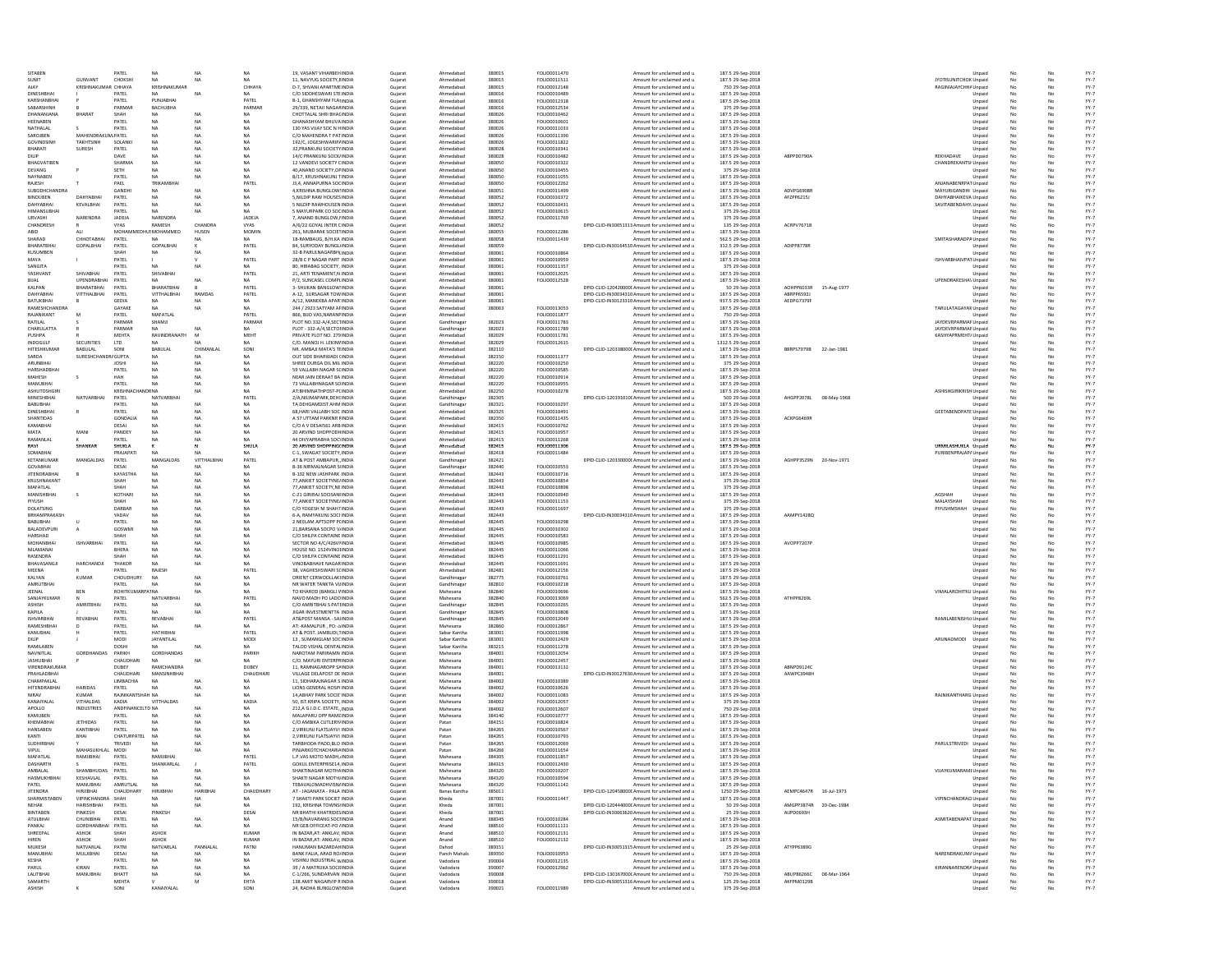| SITABEN<br>Unpaid<br>GUNVANT<br>CHOKSH<br>NA<br>NA<br>NA<br>11, NAVYUG SOCIETY, EINDIA<br>Ahmedabac<br>380015<br>FOLIO0011511<br>Amount for unclaimed and u<br>187.5 29-Sep-2018<br>JYOTISUNITCHOK Unpaid<br>SUNIT<br>Gujarat<br>KRISHNAKUMA<br>CHHAYA<br>KRISHNAKUMA<br>CHHAYA<br>D-7, SHVANI APARTMEINDIA<br>Ahmedabac<br>380015<br>FOLIO0012148<br>Amount for unclaimed and u<br>750 29-Sep-2018<br>RAGINIAJAYCHHA Unpaid<br>Gujarat<br>DINESHBHA<br>PATEL<br>C/O SIDDHESWARI STEINDIA<br>Ahmedabac<br>380016<br>FOLIO0010489<br>Amount for unclaimed and u<br>187.5 29-Sep-2018<br>Gujarat<br>Unpaid<br>KARSHANBHA<br>PATEL<br>PUNJABHA<br>PATEL<br>B-1, GHANSHYAM FLATINDIA<br>Ahmedabac<br>380016<br>FOLIO0012318<br>Amount for unclaimed and u<br>187.5 29-Sep-2018<br>Gujarat<br>Unpaid<br>SABARSHINH<br>PARMAF<br><b>BACHUBHA</b><br>PARMAF<br>29/339, NETAJI NAGARINDIA<br>Ahmedabac<br>380016<br>FOLIO0012534<br>Amount for unclaimed and u<br>375 29-Sep-2018<br>Gujarat<br>Unpaid<br>DHANANJANA<br><b>BHARA</b><br>SHAH<br>NA<br>NA<br>CHOTTALAL SHRI BHACINDIA<br>Ahmedabac<br>380026<br>FOLIO0010462<br>Amount for unclaimed and u<br>187.5 29-Sep-2018<br>Gujarat<br>Unpaid<br>HEENABEN<br>PATEL<br>NA<br><b>GHANASHYAM BHUVAINDI</b><br>Ahmedabac<br>380026<br>FOLIO0010601<br>Amount for unclaimed and u<br>187.5 29-Sep-2018<br>Gujarat<br>Unpaid<br>NATHAL AL<br>PATEL<br>NA<br><b>NA</b><br>130 YAS VIJAY SOC N HINDIA<br>Ahmedabad<br>380026<br>FOLIO0011033<br><b>NA</b><br>Gujarat<br>Amount for unclaimed and u<br>187.5 29-Sep-2018<br>Unpaid<br>SAROIREN<br>MAHENDRAKUM PATEL<br><b>NA</b><br>Ahmedabad<br>FOLIO0011390<br><b>NA</b><br><b>NA</b><br>C/O MAHENDRA T PATINDIA<br>Gujarat<br>380026<br>Amount for unclaimed and u<br>187.5 29-Sep-2018<br>Unpaid<br>GOVINDSINH<br>SOLANKI<br>NA<br>Ahmedabad<br>380026<br>FOLIO0011822<br><b>TAKHTSINH</b><br>NA<br><b>NA</b><br>192/C, JOGESHWARIP/INDIA<br>Gujarat<br>Amount for unclaimed and u<br>187.5 29-Sep-2018<br>Unpaid<br>BHARATI<br>NA<br>Ahmedabad<br>FOLIO0010341<br>SURESH<br>PATEL<br><b>NA</b><br><b>NA</b><br>32, PRANKUNJ SOCIETY INDIA<br>Gujarat<br>380028<br>Amount for unclaimed and u<br>187.5 29-Sep-2018<br>Unpaid<br>DAVE<br>NA<br>NA<br><b>NA</b><br>14/C PRANKUNJ SOCKJINDIA<br>Ahmedabad<br>380028<br>FOLIO0010482<br>187.5 29-Sep-2018<br>ABPPD0790A<br>REKHADAVE<br><b>DILIP</b><br>Gujarat<br>Amount for unclaimed and u<br>Unpaid<br>BHAGVATIBEN<br>SHARMA<br>NA<br>Ahmedabad<br>FOLIO0010322<br>CHANDREKANTSI Unpaid<br><b>NA</b><br>NA<br>12 VANDEVI SOCIETY CINDIA<br>Gujarat<br>380050<br>Amount for unclaimed and u<br>187.5 29-Sep-2018<br>DEVANG<br>SETH<br><b>NA</b><br>NA<br><b>NA</b><br>40 ANANO SOCIETY OF INDIA<br>Guiarat<br>Ahmedabad<br>380050<br>FOLIO0010455<br>Amount for unclaimed and u<br>375 29-Sep-2018<br>Unpaid<br>NAYNABEN<br>PATEL<br><b>NA</b><br>NA<br><b>NA</b><br>B/17, KRUSHNAKUNJ TINDIA<br>Guiarat<br>Ahmedabad<br>380050<br>FOLIO0011055<br>Amount for unclaimed and u<br>187.5 29-Sep-2018<br>Unpaid<br>RAJESH<br>PAEL<br>TRIKAMBHA<br>PATEL<br>J3.4, ANNAPURNA SOCINDIA<br>Guiarat<br>Ahmedabad<br>380050<br>FOLIO0012262<br>Amount for unclaimed and u<br>187.5 29-Sep-2018<br>ANJANABENRPAT Unpaid<br>NA<br>SUBODHCHANDRA<br>GANDHI<br><b>NA</b><br><b>NA</b><br>4.KRISHNA BUNGLOW:INDIA<br>Guiarat<br>Ahmedabad<br>380051<br>FOLIO0011499<br>Amount for unclaimed and u<br>187.5 29-Sep-2018<br>ADVPG6908R<br>MAYURIGANDHI Unpaid<br><b>BINDUBEN</b><br>DAHYABHAI<br>PATEL<br><b>NA</b><br>NA<br>NA<br>5.NILDIP RAW HOUSES INDIA<br>Guiarat<br>Ahmedabad<br>380052<br>FOLIO0010372<br>Amount for unclaimed and u<br>187.5 29-Sep-2018<br>AFZPP6215J<br>DAHYABHAIKEVA Unpaid<br>DAHYABHAI<br>KEVALBHAI<br>PATEL<br><b>NA</b><br>NA<br>5 NILDIP RAWHOUSEN INDIA<br>Guiarat<br>Ahmedabad<br>380052<br>FOLIO0010431<br>Amount for unclaimed and u<br>187.5 29-Sep-2018<br>SAVITABENDAHY <sub></sub> Unpaid<br><b>NA</b><br>5 MAYURPARK CO SOCINDIA<br>380052<br>HIMANSUBHAI<br>PATEL<br>NA.<br><b>NA</b><br>NA<br>Gujarat<br>Ahmedabad<br>FOLIO0010615<br>Amount for unclaimed and u<br>375 29-Sep-2018<br>Unpaid<br>NARENDRA<br>JADEJA<br>380052<br>NARENDRA<br>JADEJA<br>7, ANAND BUNGLOW, IINDIA<br>FOLIO0011769<br>375 29-Sep-2018<br>URVASHI<br>Gujarat<br>Ahmedabad<br>Amount for unclaimed and u<br>Unpaid<br>CHANDRA<br>380052<br>DPID-CLID-IN30051313 Amount for unclaimed and u<br>ACRPV7671B<br>CHANDRESH<br>RAMESH<br>VYAS<br>A/6/22 GOYAL INTER CINDIA<br>Ahmedabad<br>135 29-Sep-2018<br>VYAS<br>Gujarat<br>Unpaid<br>MOMIN<br>380055<br>FOLIO0012286<br>HUSMOHAMMED<br>HUSEN<br>261, MUBARAK SOCIETINDIA<br>Ahmedabad<br>187.5 29-Sep-2018<br>ALI<br><b>MOHAM</b><br>Gujarat<br>Amount for unclaimed and u<br>Unpaid<br>ABID<br>380058<br>SMITASHARADPA Unpaid<br>SHARAD<br>СННОТАВНАІ<br>PATEL<br>18-RAMBAUG, B/H.KA INDIA<br>Ahmedabad<br>FOLIO0011439<br>562.5 29-Sep-2018<br><b>NA</b><br><b>NA</b><br>NA<br>Gujarat<br>Amount for unclaimed and u<br>DPID-CLID-IN30164510 Amount for unclaimed and u<br>GOPALBHAI<br>PATEL<br>380059<br>ADIPP8778R<br>BHARATBHAI<br>GOPALBHAI<br>PATEL<br>84, SURYODAY BUNGLINDIA<br>312.5 29-Sep-2018<br>Gujarat<br>Ahmedabad<br>Unpaid<br>KUSUMBEN<br>32-B PARULNAGARBHUNDI<br>Ahmedabac<br>380061<br>FOLIO001086<br>Amount for unclaimed and u<br>187.5 29-Sep-2018<br>Gujarat<br>SHAI<br>Unpaid<br>PATEL<br>PATEL<br>28/B C P NAGAR PART INDIA<br>Gujarat<br>Ahmedabac<br>380061<br>FOLIO0010959<br>Amount for unclaimed and u<br>187.5 29-Sep-2018<br>ISHVARBHAIVPAT Unpaid<br>SANGITA<br>PATEL<br>80, HIRABAG SOCIETY, INDIA<br>Ahmedabac<br>380061<br>FOLIO0011357<br>Amount for unclaimed and u<br>375 29-Sep-2018<br>NA<br>Gujarat<br>Unpaid<br>YASHVANT<br>SHIVABHA<br>PATEL<br>SHIVABHA<br>PATEL<br>21, ARTI TENAMENT,N INDIA<br>Ahmedabac<br>380061<br>FOLIO0012025<br>Amount for unclaimed and u<br>187.5 29-Sep-2018<br>Gujarat<br>Unpaid<br>UPENDRABHA<br>PATEL<br>NA<br>P/2, SUNCASEL COMPLINDIA<br>Ahmedabac<br>380061<br>FOLIO0012528<br>Amount for unclaimed and u<br>187.5 29-Sep-2018<br>UPENDRAKESHA\ Unpaid<br>NA<br>Gujarat<br>KALPAN<br>BHARATBHAI<br>PATEL<br>BHARATBHA<br>PATEL<br>3- SHUKAN BANGLOW: INDIA<br>Ahmedabac<br>380061<br>DPID-CLID-120420000C Amount for unclaimed and u<br>50 29-Sep-2018<br>AOHPP6033R 15-Aug-1977<br>Gujarat<br>Unpaid<br>DAHYABHA<br>VITTHALBHAI<br>PATEL<br><b>VITTHALBHAI</b><br><b>RAMDA</b><br>PATEL<br>A-12, SURSAGAR TOWINDIA<br>Ahmedabac<br>380061<br>DPID-CLID-IN30034310 Amount for unclaimed and u<br>187.5 29-Sep-2018<br>ABRPP6592<br>Gujarat<br>Unpaid<br>BATUKBHA<br>A/12, MANEKBA APAR INDIA<br>Ahmedabad<br>380061<br>GEDIA<br><b>NA</b><br>NA<br>NA<br>Gujarat<br>DPID-CLID-IN30123310 Amount for unclaimed and u<br>937.5 29-Sep-2018<br>AEDPG7379R<br>Unpaid<br>RAMESHCHANDRA<br>GAYAKE<br>244 / 2923 SATYAM AFINDIA<br>Ahmedabad<br>FOLIO0013053<br>TARULATAGAYAK Unpaid<br>NA.<br>NA<br>NA.<br>Gujarat<br>380063<br>Amount for unclaimed and u<br>187.5 29-Sep-2018<br>RAJANIKANT<br>PATEL<br>MAFATLAL<br>PATEL<br>Ahmedabad<br>FOLIO0011877<br>750 29-Sep-2018<br>M<br>866, BUO VAS, NARANFINDIA<br>Gujarat<br>Amount for unclaimed and u<br>Unpaid<br>PARMAE<br>PARMAF<br>Gandhinagar<br>382023<br>FOLIO0011783<br>187.5 29-Sep-2018<br>JAYDEVRPARMAR Unpaid<br>RATILAL<br>SHAMJI<br>PLOT NO.332-A/4,SECTINDIA<br>Gujarat<br>Amount for unclaimed and u<br>CHARULATTA<br>PARMAR<br>NA<br>Gandhinagar<br>382023<br>FOLIO0011789<br>187.5 29-Sep-2018<br>JAYDEVRPARMAR Unpaid<br>NA<br><b>NA</b><br>PLOT - 332-A/4, SECTOHNDIA<br>Gujarat<br>Amount for unclaimed and u<br>MEHTA<br>RAVINDRANATH<br>MEHT<br>PRIVATE PLOT NO. 279 INDIA<br>Ahmedabad<br>382029<br>FOLIO0011781<br>KASHYAPRMEHT/ Unpaid<br>PUSHPA<br>M<br>Gujarat<br>Amount for unclaimed and u<br>187.5 29-Sep-2018<br><b>INDOGULF</b><br><b>SECURITIES</b><br><b>LTD</b><br><b>NA</b><br>C/O. MANOJ H. LEKINVINDIA<br>Guiarat<br>Ahmedabad<br>382029<br>FOLIO0012615<br>Amount for unclaimed and u<br>1312.5 29-Sep-2018<br>NA<br><b>NA</b><br>Unpaid<br><b>HITESHKUMAR</b><br>BABULAL<br>SONI<br><b>BABULAL</b><br>CHIMANLAI<br>SONI<br>NR. AMBAJI MATA'S TEINDIA<br>Guiarat<br>Ahmedabad<br>382110<br>DPID-CLID-1203380000 Amount for unclaimed and u<br>187.5 29-Sep-2018<br>BBRPS7979B 22-Jan-1981<br>Unpaid<br>SARDA<br>SURESHCHANDR/ GUPTA<br>NA<br><b>NA</b><br>NA<br>OUT SIDE BHARWADI (INDIA<br>Guiarat<br>Ahmedabad<br>382150<br>FOLIO0011377<br>Amount for unclaimed and u<br>187.5 29-Sep-2018<br>Unpaid<br>ARUNBHAI<br><b>NA</b><br><b>NA</b><br>SHREE DURGA OIL MIL INDIA<br>Guiarat<br>Ahmedabad<br>382220<br>FOLIO0010250<br>Amount for unclaimed and u<br>375 29-Sep-2018<br><b>JOSHI</b><br><b>NA</b><br>Unpaid<br>HARSHADBHAI<br>PATEL<br>NA<br>NA<br><b>NA</b><br>59 VALLABH NAGAR SCINDIA<br>Gujarat<br>Ahmedabad<br>382220<br>FOLIO0010585<br>Amount for unclaimed and u<br>187.5 29-Sep-2018<br>Unpaid<br>MAHESH<br>HAH<br>NA.<br>NA<br>NA<br>NEAR JAIN DERAAT BA INDIA<br>Guiarat<br>Ahmedabad<br>382220<br>FOLIO0010914<br>Amount for unclaimed and u<br>187.5 29-Sep-2018<br>Unpaid<br>PATEL<br>Ahmedabad<br>382220<br>FOLIO0010955<br>MANUBHAI<br><b>NA</b><br>NA<br><b>NA</b><br>73 VALLABHNAGAR SOINDIA<br>Gujarat<br>Amount for unclaimed and u<br>187.5 29-Sep-2018<br>Unpaid<br>382250<br><b>ASHISHGIRIKRISH Unpaid</b><br>NA<br>AT:BHIMNATHPOST-P(INDIA<br>Ahmedabad<br>FOLIO0010278<br>ASHUTOSHGIR<br><b>KRISHNACHANDRNA</b><br>NA<br>Gujarat<br>Amount for unclaimed and u<br>187.5 29-Sep-2018<br>PATEL<br>DPID-CLID-120191010C Amount for unclaimed and u<br>NATVARBHAI<br>PATEL<br>NATVARBHA<br>2/A.NILIMAPARK.DEHCINDIA<br>Gandhinagar<br>382305<br>AHGPP2078L 08-May-1968<br>MINESHBHAI<br>Gujarat<br>500 29-Sep-2018<br>Unpaid<br>FOLIO0010297<br>NA<br>382321<br>PATEL<br>NA<br>TA DEHGAMDIST AHM INDIA<br>187.5 29-Sep-2018<br>BABUBHAI<br><b>NA</b><br>Gujarat<br>Gandhinagar<br>Amount for unclaimed and u<br>Unpaid<br><b>GEETABENDPATE Unpaid</b><br>FOLIO0010491<br>DINESHBHAI<br><b>NA</b><br>Ahmedabad<br>382325<br>187.5 29-Sep-2018<br>PATEL<br>NA.<br><b>NA</b><br>68, HARI VALLABH SOC INDIA<br>Gujarat<br>Amount for unclaimed and u<br>A 57 UTTAM PARKNR FINDIA<br>382350<br>FOLIO0011435<br>SHANTIDAS<br>NA<br>NA<br>Ahmedabad<br>187.5 29-Sep-2018<br>ACKPG6469R<br>GONDALIA<br><b>NA</b><br>Gujarat<br>Amount for unclaimed and u<br>Unpaid<br>KAMABHAI<br>NA<br>C/O A V DESAIS61 ARB INDIA<br>Ahmedabac<br>382415<br>FOLIO0010762<br>187.5 29-Sep-2018<br>DESAI<br>Gujarat<br>Amount for unclaimed and u<br>Unpaid<br>MATA<br>MANI<br>PANDEY<br>NA<br>NA<br>NA<br>20 ARVIND SHOPPODHINDIA<br>Ahmedabac<br>382415<br>FOLIO0010957<br>Amount for unclaimed and u<br>187.5 29-Sep-2018<br>Gujarat<br>Unpaid<br>RAMANLAL<br>PATEL<br>NA<br>44 DIVYAPRABHA SOCHNDIA<br>Ahmedabac<br>382415<br>FOLIO0011268<br>Amount for unclaimed and u<br>187.5 29-Sep-2018<br>Gujarat<br>Unpaid<br>RAVI<br>SHANKA<br>SHUKLA<br>SHULA<br>20 ARVIND SHOPPING(INDI)<br>Gujarat<br>Ahmedabac<br>382415<br>FOLIO0011306<br>Amount for unclaimed and u<br>187.5 29-Sep-2018<br>URMILASHUKLA Unpaid<br>SOMABHA<br>PRAJAPATI<br>NA<br>C-1. SWAGAT SOCIETY. INDIA<br>Ahmedabad<br>382418<br>FOLIO0011484<br>Amount for unclaimed and u<br>187.5 29-Sep-2018<br>PURIBENPRAJAP/ Unpaid<br>NA<br>Gujarat<br><b>VITTHALBI</b><br>PATEL<br>KETANKUMAR<br>MANGALDAS<br>PATEL<br><b>MANGALDA</b><br>AT & POST AMBAPUR, INDIA<br>Gujarat<br>Gandhinagar<br>382421<br>DPID-CLID-120330000C Amount for unclaimed and u<br>187.5 29-Sep-2018<br>AGHPP3529N<br>20-Nov-1971<br>Unpaid<br>GOVABHAI<br>NA<br><b>B-36 NIRMALNAGAR SIINDIA</b><br>Gandhinagar<br>382440<br>FOLIO0010553<br>Amount for unclaimed and u<br>187.5 29-Sep-2018<br>DESAI<br>Gujarat<br>Unpaid<br><b>JITENDRABHAI</b><br>KAYASTHA<br>NA<br>NA<br><b>NA</b><br>B-102 NEW JASHPARK INDIA<br>Ahmedahad<br>382443<br>FOLIO0010716<br>Gujarat<br>Amount for unclaimed and u<br>187.5 29-Sep-2018<br>Unpaid<br>KRUSHNAKANT<br><b>NA</b><br>Ahmedabad<br>FOLIO0010854<br>SHAH<br>NΔ<br><b>NA</b><br>77, ANKIET SOCIETYNE/INDIA<br>Gujarat<br>382443<br>Amount for unclaimed and u<br>375 29-Sep-2018<br>Unpaid<br>MAFATLAL<br>SHAH<br>NA<br>Ahmedabad<br>382443<br>FOLIO0010898<br><b>NA</b><br>NA<br>77, ANKIET SOCIETY, NE INDIA<br>Gujarat<br>Amount for unclaimed and u<br>375 29-Sep-2018<br>Unpaid<br>MANISHBHAI<br>KOTHARI<br>NA<br><b>NA</b><br>C-21 GIRIRAJ SOCISANHNDIA<br>Ahmedabad<br>382443<br>FOLIO0010940<br>187.5 29-Sep-2018<br><b>AGSHAH</b><br><b>NA</b><br>Gujarat<br>Amount for unclaimed and u<br>Unpaid<br>NA<br>NA<br><b>NA</b><br>77, ANKIET SOCIETYNE/INDIA<br>Ahmedabad<br>382443<br>FOLIO0011153<br>375 29-Sep-2018<br>MALAYSHAH<br>PIVLISH<br>SHAH<br>Gujarat<br>Amount for unclaimed and u<br>Unpaid<br>DOLATSING<br>DARRAF<br>Ahmedabad<br><b>NA</b><br><b>NA</b><br>NA<br>C/O YOGESH M SHAH7 INDIA<br>Gujarat<br>382443<br>FOLIO0011697<br>Amount for unclaimed and u<br>375 29-Sep-2018<br>PIYUSHMSHAH<br>Unpaid<br>BRHAMPRAKASH<br>YADAV<br><b>NA</b><br>NA<br><b>NA</b><br>6-A RAMYAKUNI SOCUNDIA<br>Guiarat<br>Ahmedabad<br>382443<br>DPID-CLID-IN30034310 Amount for unclaimed and u<br>187.5 29-Sep-2018<br><b>AAMPY1428Q</b><br>Unpaid<br>BABUBHAI<br>PATEL<br><b>NA</b><br>NA<br><b>NA</b><br>2 NEELAM APTSOPP P(INDIA<br>Guiarat<br>Ahmedabad<br>382445<br>FOLIO0010298<br>Amount for unclaimed and u<br>187.5 29-Sep-2018<br>Unpaid<br>BALADEVPURI<br>$\Delta$<br>GOSWMI<br>NA<br><b>NA</b><br><b>NA</b><br>21.BARSANA SOCPO V/INDIA<br>Guiarat<br>Ahmedabad<br>382445<br>FOLIO0010302<br>Amount for unclaimed and u<br>187.5 29-Sep-2018<br>Unpaid<br>HARSHAD<br>SHAH<br><b>NA</b><br>NA<br><b>NA</b><br>C/O SHILPA CONTAINE INDIA<br>Guiarat<br>Ahmedabad<br>382445<br>FOLIO0010583<br>Amount for unclaimed and u<br>187.5 29-Sep-2018<br>Unpaid<br>MOHANBHAI<br><b>ISHVARBHAI</b><br>PATEL<br><b>NA</b><br>NA<br><b>NA</b><br>SECTOR NO 4/C/426VI'INDIA<br>Gujarat<br>Ahmedabad<br>382445<br>FOLIO0010985<br>Amount for unclaimed and u<br>187.5 29-Sep-2018<br>AVOPP7207P<br>Unpaid<br>NILAMANAI<br>BHERA<br><b>NA</b><br>NA<br><b>NA</b><br>HOUSE NO. 1524VINOHNDIA<br>Guiarat<br>Ahmedabad<br>382445<br>FOLIO0011066<br>Amount for unclaimed and u<br>187.5 29-Sep-2018<br>Unpaid<br>RASENDRA<br>NA<br>Ahmedabad<br>382445<br>FOLIO0011291<br>SHAH<br>NA.<br><b>NA</b><br>C/O SHILPA CONTAINE INDIA<br>Gujarat<br>Amount for unclaimed and u<br>187.5 29-Sep-2018<br>Unpaid<br>HARCHANDJI<br><b>NA</b><br>382445<br>FOLIO0011691<br>BHAVASANGJI<br>THAKOR<br>NA<br>NA<br>VINOBABHAVE NAGARINDIA<br>187.5 29-Sep-2018<br>Gujarat<br>Ahmedabad<br>Amount for unclaimed and u<br>Unpaid<br>RAJESH<br>PATEL<br>38, VAGHESHSWARI SCINDIA<br>Ahmedabad<br>382481<br>FOLIO0012156<br>187.5 29-Sep-2018<br>MEENA<br>PATEL<br>Gujarat<br>Amount for unclaimed and u<br>Unpaid<br>NA<br>382775<br>FOLIO0010761<br>NA<br>ORIENT CERWOOLLAKHNDIA<br>187.5 29-Sep-2018<br>KALYAN<br><b>KUMAR</b><br>CHOUDHURY<br>NA<br>Gujarat<br>Gandhinagar<br>Amount for unclaimed and u<br>Unpaid<br>AMRUTBHAI<br>FOLIO0010218<br>PATEL<br>NA<br>NR WATER TANKTA VIJINDIA<br>Gandhinagar<br>382810<br>187.5 29-Sep-2018<br>NA.<br>NA<br>Gujarat<br>Amount for unclaimed and u<br>Unpaid<br>BEN<br>382840<br>FOLIO0010696<br>VIMALAROHITKU Unpaid<br><b>NA</b><br>TO KHAROD (BANGLI VINDIA<br>187.5 29-Sep-2018<br>JEENAL<br>ROHITKUMARPA1NA<br>NA<br>Gujarat<br>Mahesana<br>Amount for unclaimed and u<br>SANJAYKUMAI<br>PATEL<br><b>NATVARBHA</b><br>PATEL<br>NAVO MADH PO LADO INDIA<br>Mahesana<br>382840<br>FOLIO001306<br>Amount for unclaimed and u<br>562.5 29-Sep-2018<br>ATHPP8269<br>Gujarat<br>Unpaid<br><b>AMRITBH</b><br>PATEL<br>NA<br>C/O AMRITBHAI S PATIINDIA<br>Gandhinagar<br>382845<br>FOLIO0010265<br>Amount for unclaimed and u<br>187.5 29-Sep-2018<br><b>ASHISH</b><br>NA<br>Gujarat<br>Unpaid<br>KAPILA<br>PATEL<br>NA<br>JIGAR INVESTMENTTA INDIA<br>Gandhinagar<br>382845<br>FOLIO001080<br>Amount for unclaimed and u<br>187.5 29-Sep-2018<br>NA<br>Gujarat<br>Unpaid<br><b>ISHVARBHA</b><br><b>REVABHA</b><br>PATEL<br>REVABHA<br>PATEL<br>AT&POST MANSA - SAJINDIA<br>Gandhinagar<br>382845<br>FOLIO0012049<br>Amount for unclaimed and u<br>187.5 29-Sep-2018<br>RAMILABENISHV/ Unpaid<br>Gujarat<br>RAMESHBHA<br>PATEL<br>NA<br>NA<br>AT:-KAMALPUR, PO:-J/INDIA<br>Mahesana<br>382860<br>FOLIO0012867<br>Amount for unclaimed and u<br>187.5 29-Sep-2018<br>Gujarat<br>Unpaid<br>KANUBHAI<br>PATEL<br><b>НАТНІВНА</b><br>PATEL<br>AT & POST. JAMBUDI, TINDIA<br>Gujarat<br>Sabar Kantha<br>383001<br>FOLIO0011998<br>Amount for unclaimed and u<br>187.5 29-Sep-2018<br>Unpaid<br><b>JAYANTILAL</b><br>MODI<br>13, SUMANGLAM SOCINDIA<br>Sabar Kantha<br>383001<br>FOLIO0012429<br>Amount for unclaimed and u<br>187.5 29-Sep-2018<br>ARUNADMODI<br>MODI<br>Gujarat<br>Unpaid<br>RAMILABEN<br>383215<br>FOLIO0011278<br>DOSHI<br>NΔ<br><b>NA</b><br><b>NA</b><br>TALOD VISHAL DENTALINDIA<br>Gujarat<br>Sabar Kantha<br>Amount for unclaimed and u<br>187.5 29-Sep-2018<br>Unpaid<br>NAVNITLAL<br>PARIKH<br>GORDHANDAS<br>PARIKH<br>384001<br>FOLIO0012054<br>GORDHANDAS<br>NAROTAM PARIRAMN INDIA<br>Gujarat<br>Mahesana<br>Amount for unclaimed and u<br>187.5 29-Sep-2018<br>Unpaid<br><b>JASHUBHAI</b><br>CHAUDHARI<br><b>NA</b><br>C/O. MAYURI ENTERPRINDIA<br>384001<br>FOLIO0012457<br>187.5 29-Sep-2018<br><b>NA</b><br>Gujarat<br>Mahesana<br>Amount for unclaimed and u<br>Unpaid<br>VIRENDRAKUMAR<br>RAMCHANDRA<br>DUBEY<br>384001<br>DUBEY<br>11, RAMNAGAROPP SAINDIA<br>Gujarat<br>Mahesana<br>FOLIO0013132<br>Amount for unclaimed and u<br>187.5 29-Sep-2018<br>ABNPD91240<br>Unpaid<br>PRAHLADBHAI<br>CHAUDHARI<br>MANSINHRHA<br>CHAUDHAR<br>VILLAGE DELAPOST DE INDIA<br>Mahesana<br>384001<br>DPID-CLID-IN30127630 Amount for unclaimed and u<br>Gujarat<br>187.5 29-Sep-2018<br>AAWPC3948H<br>Unpaid<br>CHAMPAKI AL<br>LIMBACHIA<br><b>NA</b><br>11, SIDHARAJNAGAR S INDIA<br>384002<br><b>FOLIO0010389</b><br><b>NA</b><br>NA.<br>Gujarat<br>Mahesana<br>Amount for unclaimed and u<br>187.5 29-Sep-2018<br>Unpaid<br><b>HITENDRABHAI</b><br><b>HARIDAS</b><br>PATEL<br>NA<br>LIONS GENERAL HOSPI INDIA<br>Guiarat<br>Mahesana<br>384002<br>FOLIO0010626<br>Amount for unclaimed and u<br>187.5 29-Sep-2018<br>Unpaid<br><b>NA</b><br>NA<br><b>NIRAV</b><br><b>KUMAR</b><br>RAJNIKANTSHAH NA<br><b>NA</b><br>14 ABHAY PARK SOCIETINDIA<br>Guiarat<br>Mahesana<br>384002<br>FOLIO0011083<br>Amount for unclaimed and u<br>187.5 29-Sep-2018<br>RAJNIKANTHARG Unpaid<br>NA<br>KANAIYALAL<br>VITHALDAS<br>KADIA<br>VITTHALDAS<br>KADIA<br>50. IST.KRIPA SOCIETY, INDIA<br>Gujarat<br>Mahesana<br>384002<br>FOLIO0012057<br>Amount for unclaimed and u<br>375 29-Sep-2018<br>Unpaid<br>APOLLO<br><b>INDUSTRIES</b><br>ANDFINANCELTD NA<br><b>NA</b><br><b>NA</b><br>212 A G LD C. ESTATE INDIA<br>Gujarat<br>Mahesana<br>384002<br>FOLIO0012607<br>Amount for unclaimed and u<br>750 29-Sep-2018<br>Unpaid<br>KAMUBEN<br>PATEL<br>NA<br><b>NA</b><br>MALAPARU OPP RAMEINDIA<br>Guiarat<br>Mahesana<br>384140<br>FOLIO0010777<br>Amount for unclaimed and u<br>187.5 29-Sep-2018<br>Unpaid<br>NA<br>KHEMABHAI<br><b>JETHIDAS</b><br>PATEL<br>NA<br><b>NA</b><br>C/O AMBIKA CUTLERY/INDIA<br>Guiarat<br>Patan<br>384151<br>FOLIO0010824<br>Amount for unclaimed and u<br>187.5 29-Sep-2018<br>NA<br>Unpaid<br><b>HANSABEN</b><br>KANTIBHAI<br>384265<br>PATEL<br><b>NA</b><br>NA<br><b>NA</b><br>2, VIRKUNJ FLATSJAYVI INDIA<br>Gujarat<br>Patan<br>FOLIO0010567<br>Amount for unclaimed and u<br>187.5 29-Sep-2018<br>Unpaid<br>384265<br>FOLIO0010793<br>NA<br>NA<br>2, VIRKUNJ FLATSJAYVI INDIA<br>KANTI<br>BHAI<br>CHATURPATEL<br><b>NA</b><br>Gujarat<br>Patan<br>Amount for unclaimed and u<br>187.5 29-Sep-2018<br>Unpaid<br>PARULSTRIVEDI Unpaid<br>SUDHIRBHAI<br>NA<br>TARBHODA PADO, BLO INDIA<br>384265<br>FOLIO0012069<br>TRIVEDI<br><b>NA</b><br>NA<br>Gujarat<br>Patan<br>Amount for unclaimed and u<br>187.5 29-Sep-2018<br>384266<br>FOLIO0011654<br>MAHASUKHLAL MODI<br><b>NA</b><br>NA<br>PINJARKOTCHACHARIAINDIA<br>187.5 29-Sep-2018<br>VIPUL<br><b>NA</b><br>Gujarat<br>Patan<br>Amount for unclaimed and u<br>Unpaid<br>MAFATLAL<br>RAMJIBHAI<br>RAMJIBHA<br>PATEL<br>L.P.VAS MOTO MADH, INDIA<br>Mahesana<br>384305<br>FOLIO0011857<br>187.5 29-Sep-2018<br>PATEL<br>Gujarat<br>Amount for unclaimed and u<br>Unpaid<br>PATEL<br>GOKUL ENTERPRISE14, INDIA<br>FOLIO0012430<br>DASHARTH<br>PATEL<br>SHANKARLAL<br>384315<br>187.5 29-Sep-2018<br>Gujarat<br>Mahesana<br>Amount for unclaimed and u<br>Unpaid<br>AMBALA<br>HAMBHUDAS<br>PATEL<br>HAKTINAGAR MOTHAINDI.<br>Mahesana<br>384320<br>FOLIO001020<br>Amount for unclaimed and u<br>187.5 29-Sep-201<br><b>VIJAYKUMARAME Unpaid</b><br>Gujarat<br><b>HASMUKHBHA</b><br>KESHAVLAL<br>PATEL<br><b>NA</b><br>NA<br>NA<br>SHAKTI NAGAR MOTH/INDIA<br>Mahesana<br>384320<br>FOLIO0010594<br>Amount for unclaimed and u<br>187.5 29-Sep-2018<br>Gujarat<br>Unpaid<br>PATEL<br>MANUBHAI<br>AMRUTLAL<br><b>NA</b><br><b>TEBAVALOMADHVISN/INDIA</b><br>Mahesana<br>384320<br>FOLIO0011142<br>Amount for unclaimed and u<br>187.5 29-Sep-2018<br>Gujarat<br>Unpaid<br>JITENDRA<br>HIRJIBHAI<br>CHAUDHARY<br>HIRJIB<br>HARIB<br><b>CHAUDHAR</b><br>AT - JAGANATA - PALA INDIA<br>Banas Kantha<br>385011<br>DPID-CLID-120458000C Amount for unclaimed and u<br>1250 29-Sep-2018<br>AEMPC4647R 16-Jul-1973<br>Gujarat<br>Unpaid<br>SHARMISTABEN<br>VIPINCHANDRA<br>7 SHAKTI PARK SOCIET INDIA<br>387001<br>FOLIO0011447<br>Amount for unclaimed and u<br>187.5 29-Sep-2018<br>VIPINCHANDRACI Unpaid<br>NA<br>Gujarat<br>Kheda<br>DPID-CLID-120444000C Amount for unclaimed and u<br>NEHAK<br>HARISHBHAI<br>PATEL<br>NA<br>NA<br>NA<br>192, KRISHNA TOWNSHNDIA<br>Kheda<br>387001<br>50 29-Sep-2018<br>AMGPP3874R<br>20-Dec-1984<br>Gujarat<br>Unpaid<br><b>BINTABEN</b><br>PINKESH<br>PINKESH<br>DESA<br>NR BHATHI KHATRIDESINDIA<br>Kheda<br>387001<br>DPID-CLID-IN30063620 Amount for unclaimed and u<br>25 29-Sep-2018<br>AUPD0693H<br>Gujarat<br>Unpaid<br>ATULBHA<br>CHUNIBHAI<br>PATEL<br><b>NA</b><br>NA<br>15/B/NAVARANG SOCHNDIA<br>Anand<br>FOLIO0010284<br>187.5 29-Sep-2018<br>ASMITABENAPAT Unpaid<br>NA<br>Gujarat<br>388345<br>Amount for unclaimed and u<br><b>GORDHANBHAI</b><br>NR GER OFFICEAT-PO (INDIA<br>FOLIO0011121<br>187.5 29-Sep-2018<br>ΡΑΝΚΑΙ<br>PATEL<br>NΔ<br>NA<br>NA.<br>Gujarat<br>Anand<br>388510<br>Amount for unclaimed and u<br>Unpaid<br>SHREEPAL<br>ASHOK<br>ASHOK<br>KUMAR<br>IN BAZAR, AT: ANKLAV, INDIA<br>Anand<br>388510<br>FOLIO0012131<br>187.5 29-Sep-2018<br>SHAH<br>Gujarat<br>Amount for unclaimed and u<br>Unpaid<br><b>ASHOK</b><br>ASHOK<br>KUMAR<br>IN BAZAR.AT: ANKLAV. INDIA<br>FOLIO0012132<br>Amount for unclaimed and u<br>187.5 29-Sep-2018<br>HIRFN<br>SHAH<br>Gujarat<br>Anand<br>388510<br>Unpaid<br>MUKESH<br>NATVARLAL<br>PATNI<br>NATVARLAL<br>PANNALAL<br>PATNI<br>HANUMAN BAZARDAHINDIA<br>Dahod<br>389151<br>DPID-CLID-IN30051315 Amount for unclaimed and u<br>25 29-Sep-2018<br>ATYPP6389G<br>Gujarat<br>Unpaid<br>MANUBHAI<br>BANK FALIA, ARAD ROJINDIA<br>Panch Mahals<br><b>FOLIO0010953</b><br>187.5 29-Sep-2018<br>NARENDRAKUMA Unpaid<br>MULJIBHAI<br>DESAL<br>NA.<br><b>NA</b><br>NA<br>Gujarat<br>389350<br>Amount for unclaimed and u<br>KESHA<br>PATEL<br>NA<br>NA<br>NA<br>VISHNI I INDUSTRIAL WINDIA<br>Gujarat<br>Vadodara<br>390004<br>FOLIO0012135<br>Amount for unclaimed and u<br>187.5 29-Sep-2018<br>Unpaid<br>KIRANNARENDRA Unpaid<br>PARUL<br>KIRAN<br>PATEL<br><b>NA</b><br>NA<br>NA<br>39 / A MATRUKA SOCIIINDIA<br>Guiarat<br>Vadodara<br>390007<br>FOLIO0012962<br>Amount for unclaimed and u<br>187.5 29-Sep-2018<br>LALITBHAI<br>MANUBHAI<br>BHATT<br>NA<br><b>NA</b><br>NA<br>C-1/266, SUNDARVAN INDIA<br>Gujarat<br>Vadodara<br>390008<br>DPID-CLID-1301670000 Amount for unclaimed and u<br>750 29-Sep-2018<br>ABUPB6266C 08-Mar-1964<br>Unpaid<br>SAMARTH<br><b>MEHTA</b><br>EHTA<br>138 AMIT NAGARVIP RINDIA<br>Guiarat<br>Vadodara<br>390018<br>DPID-CLID-IN30051316 Amount for unclaimed and u<br>125 29-Sep-2018<br>AKFPM0129B<br>Unpaid<br>M<br>FOLIO0011989<br>ASHISH<br>SONI<br>KANAIYALAL<br>SONI<br>24. RADHA BUNGLOW: INDIA<br>Guiarat<br>Vadodara<br>390021<br>Amount for unclaimed and u<br>375 29-Sep-2018<br>Unpaid<br>ĸ |  |       |    |           |    |                          |         |           |        |              | Amount for unclaimed and u |                   |  |  |          |          |                  |
|------------------------------------------------------------------------------------------------------------------------------------------------------------------------------------------------------------------------------------------------------------------------------------------------------------------------------------------------------------------------------------------------------------------------------------------------------------------------------------------------------------------------------------------------------------------------------------------------------------------------------------------------------------------------------------------------------------------------------------------------------------------------------------------------------------------------------------------------------------------------------------------------------------------------------------------------------------------------------------------------------------------------------------------------------------------------------------------------------------------------------------------------------------------------------------------------------------------------------------------------------------------------------------------------------------------------------------------------------------------------------------------------------------------------------------------------------------------------------------------------------------------------------------------------------------------------------------------------------------------------------------------------------------------------------------------------------------------------------------------------------------------------------------------------------------------------------------------------------------------------------------------------------------------------------------------------------------------------------------------------------------------------------------------------------------------------------------------------------------------------------------------------------------------------------------------------------------------------------------------------------------------------------------------------------------------------------------------------------------------------------------------------------------------------------------------------------------------------------------------------------------------------------------------------------------------------------------------------------------------------------------------------------------------------------------------------------------------------------------------------------------------------------------------------------------------------------------------------------------------------------------------------------------------------------------------------------------------------------------------------------------------------------------------------------------------------------------------------------------------------------------------------------------------------------------------------------------------------------------------------------------------------------------------------------------------------------------------------------------------------------------------------------------------------------------------------------------------------------------------------------------------------------------------------------------------------------------------------------------------------------------------------------------------------------------------------------------------------------------------------------------------------------------------------------------------------------------------------------------------------------------------------------------------------------------------------------------------------------------------------------------------------------------------------------------------------------------------------------------------------------------------------------------------------------------------------------------------------------------------------------------------------------------------------------------------------------------------------------------------------------------------------------------------------------------------------------------------------------------------------------------------------------------------------------------------------------------------------------------------------------------------------------------------------------------------------------------------------------------------------------------------------------------------------------------------------------------------------------------------------------------------------------------------------------------------------------------------------------------------------------------------------------------------------------------------------------------------------------------------------------------------------------------------------------------------------------------------------------------------------------------------------------------------------------------------------------------------------------------------------------------------------------------------------------------------------------------------------------------------------------------------------------------------------------------------------------------------------------------------------------------------------------------------------------------------------------------------------------------------------------------------------------------------------------------------------------------------------------------------------------------------------------------------------------------------------------------------------------------------------------------------------------------------------------------------------------------------------------------------------------------------------------------------------------------------------------------------------------------------------------------------------------------------------------------------------------------------------------------------------------------------------------------------------------------------------------------------------------------------------------------------------------------------------------------------------------------------------------------------------------------------------------------------------------------------------------------------------------------------------------------------------------------------------------------------------------------------------------------------------------------------------------------------------------------------------------------------------------------------------------------------------------------------------------------------------------------------------------------------------------------------------------------------------------------------------------------------------------------------------------------------------------------------------------------------------------------------------------------------------------------------------------------------------------------------------------------------------------------------------------------------------------------------------------------------------------------------------------------------------------------------------------------------------------------------------------------------------------------------------------------------------------------------------------------------------------------------------------------------------------------------------------------------------------------------------------------------------------------------------------------------------------------------------------------------------------------------------------------------------------------------------------------------------------------------------------------------------------------------------------------------------------------------------------------------------------------------------------------------------------------------------------------------------------------------------------------------------------------------------------------------------------------------------------------------------------------------------------------------------------------------------------------------------------------------------------------------------------------------------------------------------------------------------------------------------------------------------------------------------------------------------------------------------------------------------------------------------------------------------------------------------------------------------------------------------------------------------------------------------------------------------------------------------------------------------------------------------------------------------------------------------------------------------------------------------------------------------------------------------------------------------------------------------------------------------------------------------------------------------------------------------------------------------------------------------------------------------------------------------------------------------------------------------------------------------------------------------------------------------------------------------------------------------------------------------------------------------------------------------------------------------------------------------------------------------------------------------------------------------------------------------------------------------------------------------------------------------------------------------------------------------------------------------------------------------------------------------------------------------------------------------------------------------------------------------------------------------------------------------------------------------------------------------------------------------------------------------------------------------------------------------------------------------------------------------------------------------------------------------------------------------------------------------------------------------------------------------------------------------------------------------------------------------------------------------------------------------------------------------------------------------------------------------------------------------------------------------------------------------------------------------------------------------------------------------------------------------------------------------------------------------------------------------------------------------------------------------------------------------------------------------------------------------------------------------------------------------------------------------------------------------------------------------------------------------------------------------------------------------------------------------------------------------------------------------------------------------------------------------------------------------------------------------------------------------------------------------------------------------------------------------------------------------------------------------------------------------------------------------------------------------------------------------------------------------------------------------------------------------------------------------------------------------------------------------------------------------------------------------------------------------------------------------------------------------------------------------------------------------------------------------------------------------------------------------------------------------------------------------------------------------------------------------------------------------------------------------------------------------------------------------------------------------------------------------------------------------------------------------------------------------------------------------------------------------------------------------------------------------------------------------------------------------------------------------------------------------------------------------------------------------------------------------------------------------------------------------------------------------------------------------------------------------------------------------------------------------------------------------------------------------------------------------------------------------------------------------------------------------------------------------------------------------------------------------------------------------------------------------------------------------------------------------------------------------------------------------------------------------------------------------------------------------------------------------------------------------------------------------------------------------------------------------------------------------------------------------------------------------------------------------------------------------------------------------------------------------------------------------------------------------------------------------------------------------------------------------------------------------------------------------------------------------------------------------------------------------------------------------------------------------------------------------------------------------------------------------------------------------------------------------------------------------------------------------------------------------------------------------------------------------------------------------------------------------------------------------------------------------------------------------------------------------------------------------------------------------------------------------------------------------------------------------------------------------------------------------------------------------------------------------------------------------------------------------------------------------------------------------------------------------------------------------------------------------------------------------------------------------------------------------------------------------------------------------------------------------------------------------------------------------------------------------------------------------------------------------------------------------------------------------------------------------------------------------------------------------------------------------------------------------------------------------------------------------------------------------------------------------------------------------------------------------------------------------------------------------------------------------------------------------------------------------------------------------------------------------------------------------------------------------------------------------------------------------------------------------------------------------------------------------------------------------------------------------------------------------------------------------------------------------------------------------------------------------------------------------------------------------------------------------------------------------------------------------------------------------------------------------------------------------------------------------------------------------------------------------------------------------------------------------------------------------------------------------------------------------------------------------------------------------------------------------------------------------------------------------------------------------------------------------------------------------------------------------------------------------------------------------------------------------------------------------------------------------------------------------------------------------------------------------------------------------------------------------------------------------------------------------------------------------------------------------------------------------------------------------------------------------------------------------------------------------------------------------------------------------------------------------------------------------------------------------------------------------------------------------------------------------------------------------------------------------------------------------------------------------------------------------------------------------------------------------------------------------------------------------------------------------------------------------------------------------------------------------------------------------------------------------------------------------------------------------------------------------------------------------------------------------------------------------------------------------------------------------------------------------------------------------------------------------------------------------------------------------------------------------------------------------------------------------------------------------------------------------------------------------------------------------------------------------------------------------------------------------------------------------------------------------------------------------------------------------------------------------------------------------------------------------------------------------------------------------------------------------------------------------------------------------------------------------------------------------------------------------------------------------------------------------------------------------------------------------------------------------------------------------------------------------------------------------------------------------------------------------------------------------------------------------------------------------------------------------------------------------------------------------------------------------------------------------------------------------------------------------------------------------------------------------------------------------------------------------------------------------------------------------------------------------------------------------------------------------------------------------------------------------------------------------------------------------------------------------------------------------------------------------------------------------------------------------------------------------------------------------------------------------------------------------------------------------------------------------------------------------------------------------------------------------------------------------------------------------------------------------------------------------------------------------------------------------------------------------------------------------------------------------------------------------------------------------------------------------------------------------------------------------------------------------------------------------------------------------------------------------------------------------------------------------------------------------------------------------------------------------------------------------------------------------------------------------------------------------------------------------------------------------------------------------------------------------------------------------------------------------------------------------------------------------------------------------------------------------------------------------------------------------------------------------------------------------------------------------------------------------------------------------------------------------------------------------------------------------------------------------------------------------------------------------------------------------------------------------------------------------------------------------------------------------------------------------------------------------------------------------------------------------------------------------------------------------------------------------------------------------------------------------------------------------------------------------------------------------------------------------------------------------------------------------------------------------------------------------------------------------------------------------------------------------------------------------------------------------------------------------------------------------------------------------------------------------------------------------------------------------------------------------------------------------------------------------------------------------------------------------------------------------------------------------------------------------------------------------------------------------------------------------------------------------------------------------------------------------------------------------------------------------------------------------------------------------------------------------------------------------------------------------------------------------------------------------------------------------------------------------------------------------------------------------------------------------------------------------------------------------------------------------------------------------------------------------------------------------------------------------------------------------------------------------------------------------------------------------------------------------------------------------------------------------------------------------------------------------------------------------------------------------------------------------------------------------------------------------------------------------------------------------------------------------------------------------------------------------------------------------------------------------------------------------------------------------------------------------------------------------------------------------------------------------------------------------------------------------------------------------------------------------------------------------------------------------------------------------------------------------------------------------------------------------------------------------------------------------------------------------------------------------------------------------------------------------------------------------------------------------------------------------------------------------------------------------------------------------------------------------------------------------------------------------------------------------------------------------------------------------------------------------------------------------------------------------------------------------------------------------------------------------------------------------------------------------------------------------------------------------------------------------------------------------------------------------------|--|-------|----|-----------|----|--------------------------|---------|-----------|--------|--------------|----------------------------|-------------------|--|--|----------|----------|------------------|
|                                                                                                                                                                                                                                                                                                                                                                                                                                                                                                                                                                                                                                                                                                                                                                                                                                                                                                                                                                                                                                                                                                                                                                                                                                                                                                                                                                                                                                                                                                                                                                                                                                                                                                                                                                                                                                                                                                                                                                                                                                                                                                                                                                                                                                                                                                                                                                                                                                                                                                                                                                                                                                                                                                                                                                                                                                                                                                                                                                                                                                                                                                                                                                                                                                                                                                                                                                                                                                                                                                                                                                                                                                                                                                                                                                                                                                                                                                                                                                                                                                                                                                                                                                                                                                                                                                                                                                                                                                                                                                                                                                                                                                                                                                                                                                                                                                                                                                                                                                                                                                                                                                                                                                                                                                                                                                                                                                                                                                                                                                                                                                                                                                                                                                                                                                                                                                                                                                                                                                                                                                                                                                                                                                                                                                                                                                                                                                                                                                                                                                                                                                                                                                                                                                                                                                                                                                                                                                                                                                                                                                                                                                                                                                                                                                                                                                                                                                                                                                                                                                                                                                                                                                                                                                                                                                                                                                                                                                                                                                                                                                                                                                                                                                                                                                                                                                                                                                                                                                                                                                                                                                                                                                                                                                                                                                                                                                                                                                                                                                                                                                                                                                                                                                                                                                                                                                                                                                                                                                                                                                                                                                                                                                                                                                                                                                                                                                                                                                                                                                                                                                                                                                                                                                                                                                                                                                                                                                                                                                                                                                                                                                                                                                                                                                                                                                                                                                                                                                                                                                                                                                                                                                                                                                                                                                                                                                                                                                                                                                                                                                                                                                                                                                                                                                                                                                                                                                                                                                                                                                                                                                                                                                                                                                                                                                                                                                                                                                                                                                                                                                                                                                                                                                                                                                                                                                                                                                                                                                                                                                                                                                                                                                                                                                                                                                                                                                                                                                                                                                                                                                                                                                                                                                                                                                                                                                                                                                                                                                                                                                                                                                                                                                                                                                                                                                                                                                                                                                                                                                                                                                                                                                                                                                                                                                                                                                                                                                                                                                                                                                                                                                                                                                                                                                                                                                                                                                                                                                                                                                                                                                                                                                                                                                                                                                                                                                                                                                                                                                                                                                                                                                                                                                                                                                                                                                                                                                                                                                                                                                                                                                                                                                                                                                                                                                                                                                                                                                                                                                                                                                                                                                                                                                                                                                                                                                                                                                                                                                                                                                                                                                                                                                                                                                                                                                                                                                                                                                                                                                                                                                                                                                                                                                                                                                                                                                                                                                                                                                                                                                                                                                                                                                                                                                                                                                                                                                                                                                                                                                                                                                                                                                                                                                                                                                                                                                                                                                                                                                                                                                                                                                                                                                                                                                                                                                                                                                                                                                                                                                                                                                                                                                                                                                                                                                                                                                                                                                                                                                                                                                                                                                                                                                                                                                                                                                                                                                                                                                                                                                                                                                                                                                                                                                                                                                                                                                                                                                                                                                                                                                                                                                                                                                                                                                                                                                                                                                                                                                                                                                                                                                                                                                                                                                                                                                                                                                                                                                                                                                                                                                                                                                                                                                                                                                                                                                                                                                                                                                                                                                                                                                                                                                                                                                                                                                                                                                                                                                                                                                                                                                                                                                                                                                                                                                                                                                                                                                                                                                                                                                                                                                                                                                                                                                                                                                                                                                                                                                                                                                                                                                                                                                                              |  | PATEL | NA | <b>NA</b> | NA | 19, VASANT VIHARBEHINDIA | Guiarat | Ahmedabad | 380015 | FOLIO0011470 |                            | 187.5 29-Sep-2018 |  |  |          |          | $FY-7$<br>$FY-7$ |
|                                                                                                                                                                                                                                                                                                                                                                                                                                                                                                                                                                                                                                                                                                                                                                                                                                                                                                                                                                                                                                                                                                                                                                                                                                                                                                                                                                                                                                                                                                                                                                                                                                                                                                                                                                                                                                                                                                                                                                                                                                                                                                                                                                                                                                                                                                                                                                                                                                                                                                                                                                                                                                                                                                                                                                                                                                                                                                                                                                                                                                                                                                                                                                                                                                                                                                                                                                                                                                                                                                                                                                                                                                                                                                                                                                                                                                                                                                                                                                                                                                                                                                                                                                                                                                                                                                                                                                                                                                                                                                                                                                                                                                                                                                                                                                                                                                                                                                                                                                                                                                                                                                                                                                                                                                                                                                                                                                                                                                                                                                                                                                                                                                                                                                                                                                                                                                                                                                                                                                                                                                                                                                                                                                                                                                                                                                                                                                                                                                                                                                                                                                                                                                                                                                                                                                                                                                                                                                                                                                                                                                                                                                                                                                                                                                                                                                                                                                                                                                                                                                                                                                                                                                                                                                                                                                                                                                                                                                                                                                                                                                                                                                                                                                                                                                                                                                                                                                                                                                                                                                                                                                                                                                                                                                                                                                                                                                                                                                                                                                                                                                                                                                                                                                                                                                                                                                                                                                                                                                                                                                                                                                                                                                                                                                                                                                                                                                                                                                                                                                                                                                                                                                                                                                                                                                                                                                                                                                                                                                                                                                                                                                                                                                                                                                                                                                                                                                                                                                                                                                                                                                                                                                                                                                                                                                                                                                                                                                                                                                                                                                                                                                                                                                                                                                                                                                                                                                                                                                                                                                                                                                                                                                                                                                                                                                                                                                                                                                                                                                                                                                                                                                                                                                                                                                                                                                                                                                                                                                                                                                                                                                                                                                                                                                                                                                                                                                                                                                                                                                                                                                                                                                                                                                                                                                                                                                                                                                                                                                                                                                                                                                                                                                                                                                                                                                                                                                                                                                                                                                                                                                                                                                                                                                                                                                                                                                                                                                                                                                                                                                                                                                                                                                                                                                                                                                                                                                                                                                                                                                                                                                                                                                                                                                                                                                                                                                                                                                                                                                                                                                                                                                                                                                                                                                                                                                                                                                                                                                                                                                                                                                                                                                                                                                                                                                                                                                                                                                                                                                                                                                                                                                                                                                                                                                                                                                                                                                                                                                                                                                                                                                                                                                                                                                                                                                                                                                                                                                                                                                                                                                                                                                                                                                                                                                                                                                                                                                                                                                                                                                                                                                                                                                                                                                                                                                                                                                                                                                                                                                                                                                                                                                                                                                                                                                                                                                                                                                                                                                                                                                                                                                                                                                                                                                                                                                                                                                                                                                                                                                                                                                                                                                                                                                                                                                                                                                                                                                                                                                                                                                                                                                                                                                                                                                                                                                                                                                                                                                                                                                                                                                                                                                                                                                                                                                                                                                                                                                                                                                                                                                                                                                                                                                                                                                                                                                                                                                                                                                                                                                                                                                                                                                                                                                                                                                                                                                                                                                                                                                                                                                                                                                                                                                                                                                                                                                                                                                                                                                                                                                                                                                                                                                                                                                                                                                                                                                                                                                                                                                                                                                                                                                                                                                                                                                                                                                                                                                                                                                                                                                                                                                                                                                                                                                                                                                                                                                                                                                                                                                                                                                                                                                                              |  |       |    |           |    |                          |         |           |        |              |                            |                   |  |  |          |          | $FY-7$           |
|                                                                                                                                                                                                                                                                                                                                                                                                                                                                                                                                                                                                                                                                                                                                                                                                                                                                                                                                                                                                                                                                                                                                                                                                                                                                                                                                                                                                                                                                                                                                                                                                                                                                                                                                                                                                                                                                                                                                                                                                                                                                                                                                                                                                                                                                                                                                                                                                                                                                                                                                                                                                                                                                                                                                                                                                                                                                                                                                                                                                                                                                                                                                                                                                                                                                                                                                                                                                                                                                                                                                                                                                                                                                                                                                                                                                                                                                                                                                                                                                                                                                                                                                                                                                                                                                                                                                                                                                                                                                                                                                                                                                                                                                                                                                                                                                                                                                                                                                                                                                                                                                                                                                                                                                                                                                                                                                                                                                                                                                                                                                                                                                                                                                                                                                                                                                                                                                                                                                                                                                                                                                                                                                                                                                                                                                                                                                                                                                                                                                                                                                                                                                                                                                                                                                                                                                                                                                                                                                                                                                                                                                                                                                                                                                                                                                                                                                                                                                                                                                                                                                                                                                                                                                                                                                                                                                                                                                                                                                                                                                                                                                                                                                                                                                                                                                                                                                                                                                                                                                                                                                                                                                                                                                                                                                                                                                                                                                                                                                                                                                                                                                                                                                                                                                                                                                                                                                                                                                                                                                                                                                                                                                                                                                                                                                                                                                                                                                                                                                                                                                                                                                                                                                                                                                                                                                                                                                                                                                                                                                                                                                                                                                                                                                                                                                                                                                                                                                                                                                                                                                                                                                                                                                                                                                                                                                                                                                                                                                                                                                                                                                                                                                                                                                                                                                                                                                                                                                                                                                                                                                                                                                                                                                                                                                                                                                                                                                                                                                                                                                                                                                                                                                                                                                                                                                                                                                                                                                                                                                                                                                                                                                                                                                                                                                                                                                                                                                                                                                                                                                                                                                                                                                                                                                                                                                                                                                                                                                                                                                                                                                                                                                                                                                                                                                                                                                                                                                                                                                                                                                                                                                                                                                                                                                                                                                                                                                                                                                                                                                                                                                                                                                                                                                                                                                                                                                                                                                                                                                                                                                                                                                                                                                                                                                                                                                                                                                                                                                                                                                                                                                                                                                                                                                                                                                                                                                                                                                                                                                                                                                                                                                                                                                                                                                                                                                                                                                                                                                                                                                                                                                                                                                                                                                                                                                                                                                                                                                                                                                                                                                                                                                                                                                                                                                                                                                                                                                                                                                                                                                                                                                                                                                                                                                                                                                                                                                                                                                                                                                                                                                                                                                                                                                                                                                                                                                                                                                                                                                                                                                                                                                                                                                                                                                                                                                                                                                                                                                                                                                                                                                                                                                                                                                                                                                                                                                                                                                                                                                                                                                                                                                                                                                                                                                                                                                                                                                                                                                                                                                                                                                                                                                                                                                                                                                                                                                                                                                                                                                                                                                                                                                                                                                                                                                                                                                                                                                                                                                                                                                                                                                                                                                                                                                                                                                                                                                                                                                                                                                                                                                                                                                                                                                                                                                                                                                                                                                                                                                                                                                                                                                                                                                                                                                                                                                                                                                                                                                                                                                                                                                                                                                                                                                                                                                                                                                                                                                                                                                                                                                                                                                                                                                                                                                                                                                                                                                                                                                                                                                                                                                                                                                                                                                                                                                                                                                                                                                                                                                                                                                                                                                                                                              |  |       |    |           |    |                          |         |           |        |              |                            |                   |  |  |          |          | $FY-7$           |
|                                                                                                                                                                                                                                                                                                                                                                                                                                                                                                                                                                                                                                                                                                                                                                                                                                                                                                                                                                                                                                                                                                                                                                                                                                                                                                                                                                                                                                                                                                                                                                                                                                                                                                                                                                                                                                                                                                                                                                                                                                                                                                                                                                                                                                                                                                                                                                                                                                                                                                                                                                                                                                                                                                                                                                                                                                                                                                                                                                                                                                                                                                                                                                                                                                                                                                                                                                                                                                                                                                                                                                                                                                                                                                                                                                                                                                                                                                                                                                                                                                                                                                                                                                                                                                                                                                                                                                                                                                                                                                                                                                                                                                                                                                                                                                                                                                                                                                                                                                                                                                                                                                                                                                                                                                                                                                                                                                                                                                                                                                                                                                                                                                                                                                                                                                                                                                                                                                                                                                                                                                                                                                                                                                                                                                                                                                                                                                                                                                                                                                                                                                                                                                                                                                                                                                                                                                                                                                                                                                                                                                                                                                                                                                                                                                                                                                                                                                                                                                                                                                                                                                                                                                                                                                                                                                                                                                                                                                                                                                                                                                                                                                                                                                                                                                                                                                                                                                                                                                                                                                                                                                                                                                                                                                                                                                                                                                                                                                                                                                                                                                                                                                                                                                                                                                                                                                                                                                                                                                                                                                                                                                                                                                                                                                                                                                                                                                                                                                                                                                                                                                                                                                                                                                                                                                                                                                                                                                                                                                                                                                                                                                                                                                                                                                                                                                                                                                                                                                                                                                                                                                                                                                                                                                                                                                                                                                                                                                                                                                                                                                                                                                                                                                                                                                                                                                                                                                                                                                                                                                                                                                                                                                                                                                                                                                                                                                                                                                                                                                                                                                                                                                                                                                                                                                                                                                                                                                                                                                                                                                                                                                                                                                                                                                                                                                                                                                                                                                                                                                                                                                                                                                                                                                                                                                                                                                                                                                                                                                                                                                                                                                                                                                                                                                                                                                                                                                                                                                                                                                                                                                                                                                                                                                                                                                                                                                                                                                                                                                                                                                                                                                                                                                                                                                                                                                                                                                                                                                                                                                                                                                                                                                                                                                                                                                                                                                                                                                                                                                                                                                                                                                                                                                                                                                                                                                                                                                                                                                                                                                                                                                                                                                                                                                                                                                                                                                                                                                                                                                                                                                                                                                                                                                                                                                                                                                                                                                                                                                                                                                                                                                                                                                                                                                                                                                                                                                                                                                                                                                                                                                                                                                                                                                                                                                                                                                                                                                                                                                                                                                                                                                                                                                                                                                                                                                                                                                                                                                                                                                                                                                                                                                                                                                                                                                                                                                                                                                                                                                                                                                                                                                                                                                                                                                                                                                                                                                                                                                                                                                                                                                                                                                                                                                                                                                                                                                                                                                                                                                                                                                                                                                                                                                                                                                                                                                                                                                                                                                                                                                                                                                                                                                                                                                                                                                                                                                                                                                                                                                                                                                                                                                                                                                                                                                                                                                                                                                                                                                                                                                                                                                                                                                                                                                                                                                                                                                                                                                                                                                                                                                                                                                                                                                                                                                                                                                                                                                                                                                                                                                                                                                                                                                                                                                                                                                                                                                                                                                                                                                                                                                                                                                                                                                                                                                                                                                                                                                                                                                                                                                                                                                                                                                                                                                                                                                                                                                                                                                                                                                                                                                                                                                                              |  |       |    |           |    |                          |         |           |        |              |                            |                   |  |  |          |          | $FY-7$           |
|                                                                                                                                                                                                                                                                                                                                                                                                                                                                                                                                                                                                                                                                                                                                                                                                                                                                                                                                                                                                                                                                                                                                                                                                                                                                                                                                                                                                                                                                                                                                                                                                                                                                                                                                                                                                                                                                                                                                                                                                                                                                                                                                                                                                                                                                                                                                                                                                                                                                                                                                                                                                                                                                                                                                                                                                                                                                                                                                                                                                                                                                                                                                                                                                                                                                                                                                                                                                                                                                                                                                                                                                                                                                                                                                                                                                                                                                                                                                                                                                                                                                                                                                                                                                                                                                                                                                                                                                                                                                                                                                                                                                                                                                                                                                                                                                                                                                                                                                                                                                                                                                                                                                                                                                                                                                                                                                                                                                                                                                                                                                                                                                                                                                                                                                                                                                                                                                                                                                                                                                                                                                                                                                                                                                                                                                                                                                                                                                                                                                                                                                                                                                                                                                                                                                                                                                                                                                                                                                                                                                                                                                                                                                                                                                                                                                                                                                                                                                                                                                                                                                                                                                                                                                                                                                                                                                                                                                                                                                                                                                                                                                                                                                                                                                                                                                                                                                                                                                                                                                                                                                                                                                                                                                                                                                                                                                                                                                                                                                                                                                                                                                                                                                                                                                                                                                                                                                                                                                                                                                                                                                                                                                                                                                                                                                                                                                                                                                                                                                                                                                                                                                                                                                                                                                                                                                                                                                                                                                                                                                                                                                                                                                                                                                                                                                                                                                                                                                                                                                                                                                                                                                                                                                                                                                                                                                                                                                                                                                                                                                                                                                                                                                                                                                                                                                                                                                                                                                                                                                                                                                                                                                                                                                                                                                                                                                                                                                                                                                                                                                                                                                                                                                                                                                                                                                                                                                                                                                                                                                                                                                                                                                                                                                                                                                                                                                                                                                                                                                                                                                                                                                                                                                                                                                                                                                                                                                                                                                                                                                                                                                                                                                                                                                                                                                                                                                                                                                                                                                                                                                                                                                                                                                                                                                                                                                                                                                                                                                                                                                                                                                                                                                                                                                                                                                                                                                                                                                                                                                                                                                                                                                                                                                                                                                                                                                                                                                                                                                                                                                                                                                                                                                                                                                                                                                                                                                                                                                                                                                                                                                                                                                                                                                                                                                                                                                                                                                                                                                                                                                                                                                                                                                                                                                                                                                                                                                                                                                                                                                                                                                                                                                                                                                                                                                                                                                                                                                                                                                                                                                                                                                                                                                                                                                                                                                                                                                                                                                                                                                                                                                                                                                                                                                                                                                                                                                                                                                                                                                                                                                                                                                                                                                                                                                                                                                                                                                                                                                                                                                                                                                                                                                                                                                                                                                                                                                                                                                                                                                                                                                                                                                                                                                                                                                                                                                                                                                                                                                                                                                                                                                                                                                                                                                                                                                                                                                                                                                                                                                                                                                                                                                                                                                                                                                                                                                                                                                                                                                                                                                                                                                                                                                                                                                                                                                                                                                                                                                                                                                                                                                                                                                                                                                                                                                                                                                                                                                                                                                                                                                                                                                                                                                                                                                                                                                                                                                                                                                                                                                                                                                                                                                                                                                                                                                                                                                                                                                                                                                                                                                                                                                                                                                                                                                                                                                                                                                                                                                                                                                                                                                                                                                                                                                                                                                                                                                                                                                                                                                                                                                                                                                                                                              |  |       |    |           |    |                          |         |           |        |              |                            |                   |  |  |          |          | $FY-7$           |
|                                                                                                                                                                                                                                                                                                                                                                                                                                                                                                                                                                                                                                                                                                                                                                                                                                                                                                                                                                                                                                                                                                                                                                                                                                                                                                                                                                                                                                                                                                                                                                                                                                                                                                                                                                                                                                                                                                                                                                                                                                                                                                                                                                                                                                                                                                                                                                                                                                                                                                                                                                                                                                                                                                                                                                                                                                                                                                                                                                                                                                                                                                                                                                                                                                                                                                                                                                                                                                                                                                                                                                                                                                                                                                                                                                                                                                                                                                                                                                                                                                                                                                                                                                                                                                                                                                                                                                                                                                                                                                                                                                                                                                                                                                                                                                                                                                                                                                                                                                                                                                                                                                                                                                                                                                                                                                                                                                                                                                                                                                                                                                                                                                                                                                                                                                                                                                                                                                                                                                                                                                                                                                                                                                                                                                                                                                                                                                                                                                                                                                                                                                                                                                                                                                                                                                                                                                                                                                                                                                                                                                                                                                                                                                                                                                                                                                                                                                                                                                                                                                                                                                                                                                                                                                                                                                                                                                                                                                                                                                                                                                                                                                                                                                                                                                                                                                                                                                                                                                                                                                                                                                                                                                                                                                                                                                                                                                                                                                                                                                                                                                                                                                                                                                                                                                                                                                                                                                                                                                                                                                                                                                                                                                                                                                                                                                                                                                                                                                                                                                                                                                                                                                                                                                                                                                                                                                                                                                                                                                                                                                                                                                                                                                                                                                                                                                                                                                                                                                                                                                                                                                                                                                                                                                                                                                                                                                                                                                                                                                                                                                                                                                                                                                                                                                                                                                                                                                                                                                                                                                                                                                                                                                                                                                                                                                                                                                                                                                                                                                                                                                                                                                                                                                                                                                                                                                                                                                                                                                                                                                                                                                                                                                                                                                                                                                                                                                                                                                                                                                                                                                                                                                                                                                                                                                                                                                                                                                                                                                                                                                                                                                                                                                                                                                                                                                                                                                                                                                                                                                                                                                                                                                                                                                                                                                                                                                                                                                                                                                                                                                                                                                                                                                                                                                                                                                                                                                                                                                                                                                                                                                                                                                                                                                                                                                                                                                                                                                                                                                                                                                                                                                                                                                                                                                                                                                                                                                                                                                                                                                                                                                                                                                                                                                                                                                                                                                                                                                                                                                                                                                                                                                                                                                                                                                                                                                                                                                                                                                                                                                                                                                                                                                                                                                                                                                                                                                                                                                                                                                                                                                                                                                                                                                                                                                                                                                                                                                                                                                                                                                                                                                                                                                                                                                                                                                                                                                                                                                                                                                                                                                                                                                                                                                                                                                                                                                                                                                                                                                                                                                                                                                                                                                                                                                                                                                                                                                                                                                                                                                                                                                                                                                                                                                                                                                                                                                                                                                                                                                                                                                                                                                                                                                                                                                                                                                                                                                                                                                                                                                                                                                                                                                                                                                                                                                                                                                                                                                                                                                                                                                                                                                                                                                                                                                                                                                                                                                                                                                                                                                                                                                                                                                                                                                                                                                                                                                                                                                                                                                                                                                                                                                                                                                                                                                                                                                                                                                                                                                                                                                                                                                                                                                                                                                                                                                                                                                                                                                                                                                                                                                                                                                                                                                                                                                                                                                                                                                                                                                                                                                                                                                                                                                                                                                                                                                                                                                                                                                                                                                                                                                                                                                                              |  |       |    |           |    |                          |         |           |        |              |                            |                   |  |  |          |          | $FY-7$           |
|                                                                                                                                                                                                                                                                                                                                                                                                                                                                                                                                                                                                                                                                                                                                                                                                                                                                                                                                                                                                                                                                                                                                                                                                                                                                                                                                                                                                                                                                                                                                                                                                                                                                                                                                                                                                                                                                                                                                                                                                                                                                                                                                                                                                                                                                                                                                                                                                                                                                                                                                                                                                                                                                                                                                                                                                                                                                                                                                                                                                                                                                                                                                                                                                                                                                                                                                                                                                                                                                                                                                                                                                                                                                                                                                                                                                                                                                                                                                                                                                                                                                                                                                                                                                                                                                                                                                                                                                                                                                                                                                                                                                                                                                                                                                                                                                                                                                                                                                                                                                                                                                                                                                                                                                                                                                                                                                                                                                                                                                                                                                                                                                                                                                                                                                                                                                                                                                                                                                                                                                                                                                                                                                                                                                                                                                                                                                                                                                                                                                                                                                                                                                                                                                                                                                                                                                                                                                                                                                                                                                                                                                                                                                                                                                                                                                                                                                                                                                                                                                                                                                                                                                                                                                                                                                                                                                                                                                                                                                                                                                                                                                                                                                                                                                                                                                                                                                                                                                                                                                                                                                                                                                                                                                                                                                                                                                                                                                                                                                                                                                                                                                                                                                                                                                                                                                                                                                                                                                                                                                                                                                                                                                                                                                                                                                                                                                                                                                                                                                                                                                                                                                                                                                                                                                                                                                                                                                                                                                                                                                                                                                                                                                                                                                                                                                                                                                                                                                                                                                                                                                                                                                                                                                                                                                                                                                                                                                                                                                                                                                                                                                                                                                                                                                                                                                                                                                                                                                                                                                                                                                                                                                                                                                                                                                                                                                                                                                                                                                                                                                                                                                                                                                                                                                                                                                                                                                                                                                                                                                                                                                                                                                                                                                                                                                                                                                                                                                                                                                                                                                                                                                                                                                                                                                                                                                                                                                                                                                                                                                                                                                                                                                                                                                                                                                                                                                                                                                                                                                                                                                                                                                                                                                                                                                                                                                                                                                                                                                                                                                                                                                                                                                                                                                                                                                                                                                                                                                                                                                                                                                                                                                                                                                                                                                                                                                                                                                                                                                                                                                                                                                                                                                                                                                                                                                                                                                                                                                                                                                                                                                                                                                                                                                                                                                                                                                                                                                                                                                                                                                                                                                                                                                                                                                                                                                                                                                                                                                                                                                                                                                                                                                                                                                                                                                                                                                                                                                                                                                                                                                                                                                                                                                                                                                                                                                                                                                                                                                                                                                                                                                                                                                                                                                                                                                                                                                                                                                                                                                                                                                                                                                                                                                                                                                                                                                                                                                                                                                                                                                                                                                                                                                                                                                                                                                                                                                                                                                                                                                                                                                                                                                                                                                                                                                                                                                                                                                                                                                                                                                                                                                                                                                                                                                                                                                                                                                                                                                                                                                                                                                                                                                                                                                                                                                                                                                                                                                                                                                                                                                                                                                                                                                                                                                                                                                                                                                                                                                                                                                                                                                                                                                                                                                                                                                                                                                                                                                                                                                                                                                                                                                                                                                                                                                                                                                                                                                                                                                                                                                                                                                                                                                                                                                                                                                                                                                                                                                                                                                                                                                                                                                                                                                                                                                                                                                                                                                                                                                                                                                                                                                                                                                                                                                                                                                                                                                                                                                                                                                                                                                                                                                                                                              |  |       |    |           |    |                          |         |           |        |              |                            |                   |  |  |          |          | $FY-7$           |
|                                                                                                                                                                                                                                                                                                                                                                                                                                                                                                                                                                                                                                                                                                                                                                                                                                                                                                                                                                                                                                                                                                                                                                                                                                                                                                                                                                                                                                                                                                                                                                                                                                                                                                                                                                                                                                                                                                                                                                                                                                                                                                                                                                                                                                                                                                                                                                                                                                                                                                                                                                                                                                                                                                                                                                                                                                                                                                                                                                                                                                                                                                                                                                                                                                                                                                                                                                                                                                                                                                                                                                                                                                                                                                                                                                                                                                                                                                                                                                                                                                                                                                                                                                                                                                                                                                                                                                                                                                                                                                                                                                                                                                                                                                                                                                                                                                                                                                                                                                                                                                                                                                                                                                                                                                                                                                                                                                                                                                                                                                                                                                                                                                                                                                                                                                                                                                                                                                                                                                                                                                                                                                                                                                                                                                                                                                                                                                                                                                                                                                                                                                                                                                                                                                                                                                                                                                                                                                                                                                                                                                                                                                                                                                                                                                                                                                                                                                                                                                                                                                                                                                                                                                                                                                                                                                                                                                                                                                                                                                                                                                                                                                                                                                                                                                                                                                                                                                                                                                                                                                                                                                                                                                                                                                                                                                                                                                                                                                                                                                                                                                                                                                                                                                                                                                                                                                                                                                                                                                                                                                                                                                                                                                                                                                                                                                                                                                                                                                                                                                                                                                                                                                                                                                                                                                                                                                                                                                                                                                                                                                                                                                                                                                                                                                                                                                                                                                                                                                                                                                                                                                                                                                                                                                                                                                                                                                                                                                                                                                                                                                                                                                                                                                                                                                                                                                                                                                                                                                                                                                                                                                                                                                                                                                                                                                                                                                                                                                                                                                                                                                                                                                                                                                                                                                                                                                                                                                                                                                                                                                                                                                                                                                                                                                                                                                                                                                                                                                                                                                                                                                                                                                                                                                                                                                                                                                                                                                                                                                                                                                                                                                                                                                                                                                                                                                                                                                                                                                                                                                                                                                                                                                                                                                                                                                                                                                                                                                                                                                                                                                                                                                                                                                                                                                                                                                                                                                                                                                                                                                                                                                                                                                                                                                                                                                                                                                                                                                                                                                                                                                                                                                                                                                                                                                                                                                                                                                                                                                                                                                                                                                                                                                                                                                                                                                                                                                                                                                                                                                                                                                                                                                                                                                                                                                                                                                                                                                                                                                                                                                                                                                                                                                                                                                                                                                                                                                                                                                                                                                                                                                                                                                                                                                                                                                                                                                                                                                                                                                                                                                                                                                                                                                                                                                                                                                                                                                                                                                                                                                                                                                                                                                                                                                                                                                                                                                                                                                                                                                                                                                                                                                                                                                                                                                                                                                                                                                                                                                                                                                                                                                                                                                                                                                                                                                                                                                                                                                                                                                                                                                                                                                                                                                                                                                                                                                                                                                                                                                                                                                                                                                                                                                                                                                                                                                                                                                                                                                                                                                                                                                                                                                                                                                                                                                                                                                                                                                                                                                                                                                                                                                                                                                                                                                                                                                                                                                                                                                                                                                                                                                                                                                                                                                                                                                                                                                                                                                                                                                                                                                                                                                                                                                                                                                                                                                                                                                                                                                                                                                                                                                                                                                                                                                                                                                                                                                                                                                                                                                                                                                                                                                                                                                                                                                                                                                                                                                                                                                                                                                                                                                                                                                                              |  |       |    |           |    |                          |         |           |        |              |                            |                   |  |  | No       | No       | $FY-7$           |
|                                                                                                                                                                                                                                                                                                                                                                                                                                                                                                                                                                                                                                                                                                                                                                                                                                                                                                                                                                                                                                                                                                                                                                                                                                                                                                                                                                                                                                                                                                                                                                                                                                                                                                                                                                                                                                                                                                                                                                                                                                                                                                                                                                                                                                                                                                                                                                                                                                                                                                                                                                                                                                                                                                                                                                                                                                                                                                                                                                                                                                                                                                                                                                                                                                                                                                                                                                                                                                                                                                                                                                                                                                                                                                                                                                                                                                                                                                                                                                                                                                                                                                                                                                                                                                                                                                                                                                                                                                                                                                                                                                                                                                                                                                                                                                                                                                                                                                                                                                                                                                                                                                                                                                                                                                                                                                                                                                                                                                                                                                                                                                                                                                                                                                                                                                                                                                                                                                                                                                                                                                                                                                                                                                                                                                                                                                                                                                                                                                                                                                                                                                                                                                                                                                                                                                                                                                                                                                                                                                                                                                                                                                                                                                                                                                                                                                                                                                                                                                                                                                                                                                                                                                                                                                                                                                                                                                                                                                                                                                                                                                                                                                                                                                                                                                                                                                                                                                                                                                                                                                                                                                                                                                                                                                                                                                                                                                                                                                                                                                                                                                                                                                                                                                                                                                                                                                                                                                                                                                                                                                                                                                                                                                                                                                                                                                                                                                                                                                                                                                                                                                                                                                                                                                                                                                                                                                                                                                                                                                                                                                                                                                                                                                                                                                                                                                                                                                                                                                                                                                                                                                                                                                                                                                                                                                                                                                                                                                                                                                                                                                                                                                                                                                                                                                                                                                                                                                                                                                                                                                                                                                                                                                                                                                                                                                                                                                                                                                                                                                                                                                                                                                                                                                                                                                                                                                                                                                                                                                                                                                                                                                                                                                                                                                                                                                                                                                                                                                                                                                                                                                                                                                                                                                                                                                                                                                                                                                                                                                                                                                                                                                                                                                                                                                                                                                                                                                                                                                                                                                                                                                                                                                                                                                                                                                                                                                                                                                                                                                                                                                                                                                                                                                                                                                                                                                                                                                                                                                                                                                                                                                                                                                                                                                                                                                                                                                                                                                                                                                                                                                                                                                                                                                                                                                                                                                                                                                                                                                                                                                                                                                                                                                                                                                                                                                                                                                                                                                                                                                                                                                                                                                                                                                                                                                                                                                                                                                                                                                                                                                                                                                                                                                                                                                                                                                                                                                                                                                                                                                                                                                                                                                                                                                                                                                                                                                                                                                                                                                                                                                                                                                                                                                                                                                                                                                                                                                                                                                                                                                                                                                                                                                                                                                                                                                                                                                                                                                                                                                                                                                                                                                                                                                                                                                                                                                                                                                                                                                                                                                                                                                                                                                                                                                                                                                                                                                                                                                                                                                                                                                                                                                                                                                                                                                                                                                                                                                                                                                                                                                                                                                                                                                                                                                                                                                                                                                                                                                                                                                                                                                                                                                                                                                                                                                                                                                                                                                                                                                                                                                                                                                                                                                                                                                                                                                                                                                                                                                                                                                                                                                                                                                                                                                                                                                                                                                                                                                                                                                                                                                                                                                                                                                                                                                                                                                                                                                                                                                                                                                                                                                                                                                                                                                                                                                                                                                                                                                                                                                                                                                                                                                                                                                                                                                                                                                                                                                                                                                                                                                                                                                                                                                                              |  |       |    |           |    |                          |         |           |        |              |                            |                   |  |  | No       | No       | $FY-7$           |
|                                                                                                                                                                                                                                                                                                                                                                                                                                                                                                                                                                                                                                                                                                                                                                                                                                                                                                                                                                                                                                                                                                                                                                                                                                                                                                                                                                                                                                                                                                                                                                                                                                                                                                                                                                                                                                                                                                                                                                                                                                                                                                                                                                                                                                                                                                                                                                                                                                                                                                                                                                                                                                                                                                                                                                                                                                                                                                                                                                                                                                                                                                                                                                                                                                                                                                                                                                                                                                                                                                                                                                                                                                                                                                                                                                                                                                                                                                                                                                                                                                                                                                                                                                                                                                                                                                                                                                                                                                                                                                                                                                                                                                                                                                                                                                                                                                                                                                                                                                                                                                                                                                                                                                                                                                                                                                                                                                                                                                                                                                                                                                                                                                                                                                                                                                                                                                                                                                                                                                                                                                                                                                                                                                                                                                                                                                                                                                                                                                                                                                                                                                                                                                                                                                                                                                                                                                                                                                                                                                                                                                                                                                                                                                                                                                                                                                                                                                                                                                                                                                                                                                                                                                                                                                                                                                                                                                                                                                                                                                                                                                                                                                                                                                                                                                                                                                                                                                                                                                                                                                                                                                                                                                                                                                                                                                                                                                                                                                                                                                                                                                                                                                                                                                                                                                                                                                                                                                                                                                                                                                                                                                                                                                                                                                                                                                                                                                                                                                                                                                                                                                                                                                                                                                                                                                                                                                                                                                                                                                                                                                                                                                                                                                                                                                                                                                                                                                                                                                                                                                                                                                                                                                                                                                                                                                                                                                                                                                                                                                                                                                                                                                                                                                                                                                                                                                                                                                                                                                                                                                                                                                                                                                                                                                                                                                                                                                                                                                                                                                                                                                                                                                                                                                                                                                                                                                                                                                                                                                                                                                                                                                                                                                                                                                                                                                                                                                                                                                                                                                                                                                                                                                                                                                                                                                                                                                                                                                                                                                                                                                                                                                                                                                                                                                                                                                                                                                                                                                                                                                                                                                                                                                                                                                                                                                                                                                                                                                                                                                                                                                                                                                                                                                                                                                                                                                                                                                                                                                                                                                                                                                                                                                                                                                                                                                                                                                                                                                                                                                                                                                                                                                                                                                                                                                                                                                                                                                                                                                                                                                                                                                                                                                                                                                                                                                                                                                                                                                                                                                                                                                                                                                                                                                                                                                                                                                                                                                                                                                                                                                                                                                                                                                                                                                                                                                                                                                                                                                                                                                                                                                                                                                                                                                                                                                                                                                                                                                                                                                                                                                                                                                                                                                                                                                                                                                                                                                                                                                                                                                                                                                                                                                                                                                                                                                                                                                                                                                                                                                                                                                                                                                                                                                                                                                                                                                                                                                                                                                                                                                                                                                                                                                                                                                                                                                                                                                                                                                                                                                                                                                                                                                                                                                                                                                                                                                                                                                                                                                                                                                                                                                                                                                                                                                                                                                                                                                                                                                                                                                                                                                                                                                                                                                                                                                                                                                                                                                                                                                                                                                                                                                                                                                                                                                                                                                                                                                                                                                                                                                                                                                                                                                                                                                                                                                                                                                                                                                                                                                                                                                                                                                                                                                                                                                                                                                                                                                                                                                                                                                                                                                                                                                                                                                                                                                                                                                                                                                                                                                                                                                                                                                                                                                                                                                                                                                                                                                                                                                                                                                                                                                                                                                                              |  |       |    |           |    |                          |         |           |        |              |                            |                   |  |  | No       | No       | $FY-7$           |
|                                                                                                                                                                                                                                                                                                                                                                                                                                                                                                                                                                                                                                                                                                                                                                                                                                                                                                                                                                                                                                                                                                                                                                                                                                                                                                                                                                                                                                                                                                                                                                                                                                                                                                                                                                                                                                                                                                                                                                                                                                                                                                                                                                                                                                                                                                                                                                                                                                                                                                                                                                                                                                                                                                                                                                                                                                                                                                                                                                                                                                                                                                                                                                                                                                                                                                                                                                                                                                                                                                                                                                                                                                                                                                                                                                                                                                                                                                                                                                                                                                                                                                                                                                                                                                                                                                                                                                                                                                                                                                                                                                                                                                                                                                                                                                                                                                                                                                                                                                                                                                                                                                                                                                                                                                                                                                                                                                                                                                                                                                                                                                                                                                                                                                                                                                                                                                                                                                                                                                                                                                                                                                                                                                                                                                                                                                                                                                                                                                                                                                                                                                                                                                                                                                                                                                                                                                                                                                                                                                                                                                                                                                                                                                                                                                                                                                                                                                                                                                                                                                                                                                                                                                                                                                                                                                                                                                                                                                                                                                                                                                                                                                                                                                                                                                                                                                                                                                                                                                                                                                                                                                                                                                                                                                                                                                                                                                                                                                                                                                                                                                                                                                                                                                                                                                                                                                                                                                                                                                                                                                                                                                                                                                                                                                                                                                                                                                                                                                                                                                                                                                                                                                                                                                                                                                                                                                                                                                                                                                                                                                                                                                                                                                                                                                                                                                                                                                                                                                                                                                                                                                                                                                                                                                                                                                                                                                                                                                                                                                                                                                                                                                                                                                                                                                                                                                                                                                                                                                                                                                                                                                                                                                                                                                                                                                                                                                                                                                                                                                                                                                                                                                                                                                                                                                                                                                                                                                                                                                                                                                                                                                                                                                                                                                                                                                                                                                                                                                                                                                                                                                                                                                                                                                                                                                                                                                                                                                                                                                                                                                                                                                                                                                                                                                                                                                                                                                                                                                                                                                                                                                                                                                                                                                                                                                                                                                                                                                                                                                                                                                                                                                                                                                                                                                                                                                                                                                                                                                                                                                                                                                                                                                                                                                                                                                                                                                                                                                                                                                                                                                                                                                                                                                                                                                                                                                                                                                                                                                                                                                                                                                                                                                                                                                                                                                                                                                                                                                                                                                                                                                                                                                                                                                                                                                                                                                                                                                                                                                                                                                                                                                                                                                                                                                                                                                                                                                                                                                                                                                                                                                                                                                                                                                                                                                                                                                                                                                                                                                                                                                                                                                                                                                                                                                                                                                                                                                                                                                                                                                                                                                                                                                                                                                                                                                                                                                                                                                                                                                                                                                                                                                                                                                                                                                                                                                                                                                                                                                                                                                                                                                                                                                                                                                                                                                                                                                                                                                                                                                                                                                                                                                                                                                                                                                                                                                                                                                                                                                                                                                                                                                                                                                                                                                                                                                                                                                                                                                                                                                                                                                                                                                                                                                                                                                                                                                                                                                                                                                                                                                                                                                                                                                                                                                                                                                                                                                                                                                                                                                                                                                                                                                                                                                                                                                                                                                                                                                                                                                                                                                                                                                                                                                                                                                                                                                                                                                                                                                                                                                                                                                                                                                                                                                                                                                                                                                                                                                                                                                                                                                                                                                                                                                                                                                                                                                                                                                                                                                                                                                                                                                                                                                                              |  |       |    |           |    |                          |         |           |        |              |                            |                   |  |  |          | No       | $FY-7$           |
|                                                                                                                                                                                                                                                                                                                                                                                                                                                                                                                                                                                                                                                                                                                                                                                                                                                                                                                                                                                                                                                                                                                                                                                                                                                                                                                                                                                                                                                                                                                                                                                                                                                                                                                                                                                                                                                                                                                                                                                                                                                                                                                                                                                                                                                                                                                                                                                                                                                                                                                                                                                                                                                                                                                                                                                                                                                                                                                                                                                                                                                                                                                                                                                                                                                                                                                                                                                                                                                                                                                                                                                                                                                                                                                                                                                                                                                                                                                                                                                                                                                                                                                                                                                                                                                                                                                                                                                                                                                                                                                                                                                                                                                                                                                                                                                                                                                                                                                                                                                                                                                                                                                                                                                                                                                                                                                                                                                                                                                                                                                                                                                                                                                                                                                                                                                                                                                                                                                                                                                                                                                                                                                                                                                                                                                                                                                                                                                                                                                                                                                                                                                                                                                                                                                                                                                                                                                                                                                                                                                                                                                                                                                                                                                                                                                                                                                                                                                                                                                                                                                                                                                                                                                                                                                                                                                                                                                                                                                                                                                                                                                                                                                                                                                                                                                                                                                                                                                                                                                                                                                                                                                                                                                                                                                                                                                                                                                                                                                                                                                                                                                                                                                                                                                                                                                                                                                                                                                                                                                                                                                                                                                                                                                                                                                                                                                                                                                                                                                                                                                                                                                                                                                                                                                                                                                                                                                                                                                                                                                                                                                                                                                                                                                                                                                                                                                                                                                                                                                                                                                                                                                                                                                                                                                                                                                                                                                                                                                                                                                                                                                                                                                                                                                                                                                                                                                                                                                                                                                                                                                                                                                                                                                                                                                                                                                                                                                                                                                                                                                                                                                                                                                                                                                                                                                                                                                                                                                                                                                                                                                                                                                                                                                                                                                                                                                                                                                                                                                                                                                                                                                                                                                                                                                                                                                                                                                                                                                                                                                                                                                                                                                                                                                                                                                                                                                                                                                                                                                                                                                                                                                                                                                                                                                                                                                                                                                                                                                                                                                                                                                                                                                                                                                                                                                                                                                                                                                                                                                                                                                                                                                                                                                                                                                                                                                                                                                                                                                                                                                                                                                                                                                                                                                                                                                                                                                                                                                                                                                                                                                                                                                                                                                                                                                                                                                                                                                                                                                                                                                                                                                                                                                                                                                                                                                                                                                                                                                                                                                                                                                                                                                                                                                                                                                                                                                                                                                                                                                                                                                                                                                                                                                                                                                                                                                                                                                                                                                                                                                                                                                                                                                                                                                                                                                                                                                                                                                                                                                                                                                                                                                                                                                                                                                                                                                                                                                                                                                                                                                                                                                                                                                                                                                                                                                                                                                                                                                                                                                                                                                                                                                                                                                                                                                                                                                                                                                                                                                                                                                                                                                                                                                                                                                                                                                                                                                                                                                                                                                                                                                                                                                                                                                                                                                                                                                                                                                                                                                                                                                                                                                                                                                                                                                                                                                                                                                                                                                                                                                                                                                                                                                                                                                                                                                                                                                                                                                                                                                                                                                                                                                                                                                                                                                                                                                                                                                                                                                                                                                                                                                                                                                                                                                                                                                                                                                                                                                                                                                                                                                                                                                                                                                                                                                                                                                                                                                                                                                                                                                                                                                                                                                                                                                                                                                                                                                                                                                                                                                                                                                                                                                                                                                              |  |       |    |           |    |                          |         |           |        |              |                            |                   |  |  | No       | No       | $FY-7$           |
|                                                                                                                                                                                                                                                                                                                                                                                                                                                                                                                                                                                                                                                                                                                                                                                                                                                                                                                                                                                                                                                                                                                                                                                                                                                                                                                                                                                                                                                                                                                                                                                                                                                                                                                                                                                                                                                                                                                                                                                                                                                                                                                                                                                                                                                                                                                                                                                                                                                                                                                                                                                                                                                                                                                                                                                                                                                                                                                                                                                                                                                                                                                                                                                                                                                                                                                                                                                                                                                                                                                                                                                                                                                                                                                                                                                                                                                                                                                                                                                                                                                                                                                                                                                                                                                                                                                                                                                                                                                                                                                                                                                                                                                                                                                                                                                                                                                                                                                                                                                                                                                                                                                                                                                                                                                                                                                                                                                                                                                                                                                                                                                                                                                                                                                                                                                                                                                                                                                                                                                                                                                                                                                                                                                                                                                                                                                                                                                                                                                                                                                                                                                                                                                                                                                                                                                                                                                                                                                                                                                                                                                                                                                                                                                                                                                                                                                                                                                                                                                                                                                                                                                                                                                                                                                                                                                                                                                                                                                                                                                                                                                                                                                                                                                                                                                                                                                                                                                                                                                                                                                                                                                                                                                                                                                                                                                                                                                                                                                                                                                                                                                                                                                                                                                                                                                                                                                                                                                                                                                                                                                                                                                                                                                                                                                                                                                                                                                                                                                                                                                                                                                                                                                                                                                                                                                                                                                                                                                                                                                                                                                                                                                                                                                                                                                                                                                                                                                                                                                                                                                                                                                                                                                                                                                                                                                                                                                                                                                                                                                                                                                                                                                                                                                                                                                                                                                                                                                                                                                                                                                                                                                                                                                                                                                                                                                                                                                                                                                                                                                                                                                                                                                                                                                                                                                                                                                                                                                                                                                                                                                                                                                                                                                                                                                                                                                                                                                                                                                                                                                                                                                                                                                                                                                                                                                                                                                                                                                                                                                                                                                                                                                                                                                                                                                                                                                                                                                                                                                                                                                                                                                                                                                                                                                                                                                                                                                                                                                                                                                                                                                                                                                                                                                                                                                                                                                                                                                                                                                                                                                                                                                                                                                                                                                                                                                                                                                                                                                                                                                                                                                                                                                                                                                                                                                                                                                                                                                                                                                                                                                                                                                                                                                                                                                                                                                                                                                                                                                                                                                                                                                                                                                                                                                                                                                                                                                                                                                                                                                                                                                                                                                                                                                                                                                                                                                                                                                                                                                                                                                                                                                                                                                                                                                                                                                                                                                                                                                                                                                                                                                                                                                                                                                                                                                                                                                                                                                                                                                                                                                                                                                                                                                                                                                                                                                                                                                                                                                                                                                                                                                                                                                                                                                                                                                                                                                                                                                                                                                                                                                                                                                                                                                                                                                                                                                                                                                                                                                                                                                                                                                                                                                                                                                                                                                                                                                                                                                                                                                                                                                                                                                                                                                                                                                                                                                                                                                                                                                                                                                                                                                                                                                                                                                                                                                                                                                                                                                                                                                                                                                                                                                                                                                                                                                                                                                                                                                                                                                                                                                                                                                                                                                                                                                                                                                                                                                                                                                                                                                                                                                                                                                                                                                                                                                                                                                                                                                                                                                                                                                                                                                                                                                                                                                                                                                                                                                                                                                                                                                                                                                                                                                                                                                                                                                                                                                                                                                                                                                                                                                                                                                                                                                              |  |       |    |           |    |                          |         |           |        |              |                            |                   |  |  |          | No       | $FY-7$           |
|                                                                                                                                                                                                                                                                                                                                                                                                                                                                                                                                                                                                                                                                                                                                                                                                                                                                                                                                                                                                                                                                                                                                                                                                                                                                                                                                                                                                                                                                                                                                                                                                                                                                                                                                                                                                                                                                                                                                                                                                                                                                                                                                                                                                                                                                                                                                                                                                                                                                                                                                                                                                                                                                                                                                                                                                                                                                                                                                                                                                                                                                                                                                                                                                                                                                                                                                                                                                                                                                                                                                                                                                                                                                                                                                                                                                                                                                                                                                                                                                                                                                                                                                                                                                                                                                                                                                                                                                                                                                                                                                                                                                                                                                                                                                                                                                                                                                                                                                                                                                                                                                                                                                                                                                                                                                                                                                                                                                                                                                                                                                                                                                                                                                                                                                                                                                                                                                                                                                                                                                                                                                                                                                                                                                                                                                                                                                                                                                                                                                                                                                                                                                                                                                                                                                                                                                                                                                                                                                                                                                                                                                                                                                                                                                                                                                                                                                                                                                                                                                                                                                                                                                                                                                                                                                                                                                                                                                                                                                                                                                                                                                                                                                                                                                                                                                                                                                                                                                                                                                                                                                                                                                                                                                                                                                                                                                                                                                                                                                                                                                                                                                                                                                                                                                                                                                                                                                                                                                                                                                                                                                                                                                                                                                                                                                                                                                                                                                                                                                                                                                                                                                                                                                                                                                                                                                                                                                                                                                                                                                                                                                                                                                                                                                                                                                                                                                                                                                                                                                                                                                                                                                                                                                                                                                                                                                                                                                                                                                                                                                                                                                                                                                                                                                                                                                                                                                                                                                                                                                                                                                                                                                                                                                                                                                                                                                                                                                                                                                                                                                                                                                                                                                                                                                                                                                                                                                                                                                                                                                                                                                                                                                                                                                                                                                                                                                                                                                                                                                                                                                                                                                                                                                                                                                                                                                                                                                                                                                                                                                                                                                                                                                                                                                                                                                                                                                                                                                                                                                                                                                                                                                                                                                                                                                                                                                                                                                                                                                                                                                                                                                                                                                                                                                                                                                                                                                                                                                                                                                                                                                                                                                                                                                                                                                                                                                                                                                                                                                                                                                                                                                                                                                                                                                                                                                                                                                                                                                                                                                                                                                                                                                                                                                                                                                                                                                                                                                                                                                                                                                                                                                                                                                                                                                                                                                                                                                                                                                                                                                                                                                                                                                                                                                                                                                                                                                                                                                                                                                                                                                                                                                                                                                                                                                                                                                                                                                                                                                                                                                                                                                                                                                                                                                                                                                                                                                                                                                                                                                                                                                                                                                                                                                                                                                                                                                                                                                                                                                                                                                                                                                                                                                                                                                                                                                                                                                                                                                                                                                                                                                                                                                                                                                                                                                                                                                                                                                                                                                                                                                                                                                                                                                                                                                                                                                                                                                                                                                                                                                                                                                                                                                                                                                                                                                                                                                                                                                                                                                                                                                                                                                                                                                                                                                                                                                                                                                                                                                                                                                                                                                                                                                                                                                                                                                                                                                                                                                                                                                                                                                                                                                                                                                                                                                                                                                                                                                                                                                                                                                                                                                                                                                                                                                                                                                                                                                                                                                                                                                                                                                                                                                                                                                                                                                                                                                                                                                                                                                                                                                                                                                                                                                                                                                                                                                                                                                                                                                                                                                                                                                                                                                                                                              |  |       |    |           |    |                          |         |           |        |              |                            |                   |  |  | No       | No       | $FY-7$           |
|                                                                                                                                                                                                                                                                                                                                                                                                                                                                                                                                                                                                                                                                                                                                                                                                                                                                                                                                                                                                                                                                                                                                                                                                                                                                                                                                                                                                                                                                                                                                                                                                                                                                                                                                                                                                                                                                                                                                                                                                                                                                                                                                                                                                                                                                                                                                                                                                                                                                                                                                                                                                                                                                                                                                                                                                                                                                                                                                                                                                                                                                                                                                                                                                                                                                                                                                                                                                                                                                                                                                                                                                                                                                                                                                                                                                                                                                                                                                                                                                                                                                                                                                                                                                                                                                                                                                                                                                                                                                                                                                                                                                                                                                                                                                                                                                                                                                                                                                                                                                                                                                                                                                                                                                                                                                                                                                                                                                                                                                                                                                                                                                                                                                                                                                                                                                                                                                                                                                                                                                                                                                                                                                                                                                                                                                                                                                                                                                                                                                                                                                                                                                                                                                                                                                                                                                                                                                                                                                                                                                                                                                                                                                                                                                                                                                                                                                                                                                                                                                                                                                                                                                                                                                                                                                                                                                                                                                                                                                                                                                                                                                                                                                                                                                                                                                                                                                                                                                                                                                                                                                                                                                                                                                                                                                                                                                                                                                                                                                                                                                                                                                                                                                                                                                                                                                                                                                                                                                                                                                                                                                                                                                                                                                                                                                                                                                                                                                                                                                                                                                                                                                                                                                                                                                                                                                                                                                                                                                                                                                                                                                                                                                                                                                                                                                                                                                                                                                                                                                                                                                                                                                                                                                                                                                                                                                                                                                                                                                                                                                                                                                                                                                                                                                                                                                                                                                                                                                                                                                                                                                                                                                                                                                                                                                                                                                                                                                                                                                                                                                                                                                                                                                                                                                                                                                                                                                                                                                                                                                                                                                                                                                                                                                                                                                                                                                                                                                                                                                                                                                                                                                                                                                                                                                                                                                                                                                                                                                                                                                                                                                                                                                                                                                                                                                                                                                                                                                                                                                                                                                                                                                                                                                                                                                                                                                                                                                                                                                                                                                                                                                                                                                                                                                                                                                                                                                                                                                                                                                                                                                                                                                                                                                                                                                                                                                                                                                                                                                                                                                                                                                                                                                                                                                                                                                                                                                                                                                                                                                                                                                                                                                                                                                                                                                                                                                                                                                                                                                                                                                                                                                                                                                                                                                                                                                                                                                                                                                                                                                                                                                                                                                                                                                                                                                                                                                                                                                                                                                                                                                                                                                                                                                                                                                                                                                                                                                                                                                                                                                                                                                                                                                                                                                                                                                                                                                                                                                                                                                                                                                                                                                                                                                                                                                                                                                                                                                                                                                                                                                                                                                                                                                                                                                                                                                                                                                                                                                                                                                                                                                                                                                                                                                                                                                                                                                                                                                                                                                                                                                                                                                                                                                                                                                                                                                                                                                                                                                                                                                                                                                                                                                                                                                                                                                                                                                                                                                                                                                                                                                                                                                                                                                                                                                                                                                                                                                                                                                                                                                                                                                                                                                                                                                                                                                                                                                                                                                                                                                                                                                                                                                                                                                                                                                                                                                                                                                                                                                                                                                                                                                                                                                                                                                                                                                                                                                                                                                                                                                                                                                                                                                                                                                                                                                                                                                                                                                                                                                                                                                                                                                                                                                                                                                                                                                                                                                                                                                                                                                                                                                                                                                                                                              |  |       |    |           |    |                          |         |           |        |              |                            |                   |  |  | No       | No       | $FY-7$           |
|                                                                                                                                                                                                                                                                                                                                                                                                                                                                                                                                                                                                                                                                                                                                                                                                                                                                                                                                                                                                                                                                                                                                                                                                                                                                                                                                                                                                                                                                                                                                                                                                                                                                                                                                                                                                                                                                                                                                                                                                                                                                                                                                                                                                                                                                                                                                                                                                                                                                                                                                                                                                                                                                                                                                                                                                                                                                                                                                                                                                                                                                                                                                                                                                                                                                                                                                                                                                                                                                                                                                                                                                                                                                                                                                                                                                                                                                                                                                                                                                                                                                                                                                                                                                                                                                                                                                                                                                                                                                                                                                                                                                                                                                                                                                                                                                                                                                                                                                                                                                                                                                                                                                                                                                                                                                                                                                                                                                                                                                                                                                                                                                                                                                                                                                                                                                                                                                                                                                                                                                                                                                                                                                                                                                                                                                                                                                                                                                                                                                                                                                                                                                                                                                                                                                                                                                                                                                                                                                                                                                                                                                                                                                                                                                                                                                                                                                                                                                                                                                                                                                                                                                                                                                                                                                                                                                                                                                                                                                                                                                                                                                                                                                                                                                                                                                                                                                                                                                                                                                                                                                                                                                                                                                                                                                                                                                                                                                                                                                                                                                                                                                                                                                                                                                                                                                                                                                                                                                                                                                                                                                                                                                                                                                                                                                                                                                                                                                                                                                                                                                                                                                                                                                                                                                                                                                                                                                                                                                                                                                                                                                                                                                                                                                                                                                                                                                                                                                                                                                                                                                                                                                                                                                                                                                                                                                                                                                                                                                                                                                                                                                                                                                                                                                                                                                                                                                                                                                                                                                                                                                                                                                                                                                                                                                                                                                                                                                                                                                                                                                                                                                                                                                                                                                                                                                                                                                                                                                                                                                                                                                                                                                                                                                                                                                                                                                                                                                                                                                                                                                                                                                                                                                                                                                                                                                                                                                                                                                                                                                                                                                                                                                                                                                                                                                                                                                                                                                                                                                                                                                                                                                                                                                                                                                                                                                                                                                                                                                                                                                                                                                                                                                                                                                                                                                                                                                                                                                                                                                                                                                                                                                                                                                                                                                                                                                                                                                                                                                                                                                                                                                                                                                                                                                                                                                                                                                                                                                                                                                                                                                                                                                                                                                                                                                                                                                                                                                                                                                                                                                                                                                                                                                                                                                                                                                                                                                                                                                                                                                                                                                                                                                                                                                                                                                                                                                                                                                                                                                                                                                                                                                                                                                                                                                                                                                                                                                                                                                                                                                                                                                                                                                                                                                                                                                                                                                                                                                                                                                                                                                                                                                                                                                                                                                                                                                                                                                                                                                                                                                                                                                                                                                                                                                                                                                                                                                                                                                                                                                                                                                                                                                                                                                                                                                                                                                                                                                                                                                                                                                                                                                                                                                                                                                                                                                                                                                                                                                                                                                                                                                                                                                                                                                                                                                                                                                                                                                                                                                                                                                                                                                                                                                                                                                                                                                                                                                                                                                                                                                                                                                                                                                                                                                                                                                                                                                                                                                                                                                                                                                                                                                                                                                                                                                                                                                                                                                                                                                                                                                                                                                                                                                                                                                                                                                                                                                                                                                                                                                                                                                                                                                                                                                                                                                                                                                                                                                                                                                                                                                                                                                                                                                                                                                                                                                                                                                                                                                                                                                                                                                                                                                                                                              |  |       |    |           |    |                          |         |           |        |              |                            |                   |  |  | No       | No       | $FY-7$           |
|                                                                                                                                                                                                                                                                                                                                                                                                                                                                                                                                                                                                                                                                                                                                                                                                                                                                                                                                                                                                                                                                                                                                                                                                                                                                                                                                                                                                                                                                                                                                                                                                                                                                                                                                                                                                                                                                                                                                                                                                                                                                                                                                                                                                                                                                                                                                                                                                                                                                                                                                                                                                                                                                                                                                                                                                                                                                                                                                                                                                                                                                                                                                                                                                                                                                                                                                                                                                                                                                                                                                                                                                                                                                                                                                                                                                                                                                                                                                                                                                                                                                                                                                                                                                                                                                                                                                                                                                                                                                                                                                                                                                                                                                                                                                                                                                                                                                                                                                                                                                                                                                                                                                                                                                                                                                                                                                                                                                                                                                                                                                                                                                                                                                                                                                                                                                                                                                                                                                                                                                                                                                                                                                                                                                                                                                                                                                                                                                                                                                                                                                                                                                                                                                                                                                                                                                                                                                                                                                                                                                                                                                                                                                                                                                                                                                                                                                                                                                                                                                                                                                                                                                                                                                                                                                                                                                                                                                                                                                                                                                                                                                                                                                                                                                                                                                                                                                                                                                                                                                                                                                                                                                                                                                                                                                                                                                                                                                                                                                                                                                                                                                                                                                                                                                                                                                                                                                                                                                                                                                                                                                                                                                                                                                                                                                                                                                                                                                                                                                                                                                                                                                                                                                                                                                                                                                                                                                                                                                                                                                                                                                                                                                                                                                                                                                                                                                                                                                                                                                                                                                                                                                                                                                                                                                                                                                                                                                                                                                                                                                                                                                                                                                                                                                                                                                                                                                                                                                                                                                                                                                                                                                                                                                                                                                                                                                                                                                                                                                                                                                                                                                                                                                                                                                                                                                                                                                                                                                                                                                                                                                                                                                                                                                                                                                                                                                                                                                                                                                                                                                                                                                                                                                                                                                                                                                                                                                                                                                                                                                                                                                                                                                                                                                                                                                                                                                                                                                                                                                                                                                                                                                                                                                                                                                                                                                                                                                                                                                                                                                                                                                                                                                                                                                                                                                                                                                                                                                                                                                                                                                                                                                                                                                                                                                                                                                                                                                                                                                                                                                                                                                                                                                                                                                                                                                                                                                                                                                                                                                                                                                                                                                                                                                                                                                                                                                                                                                                                                                                                                                                                                                                                                                                                                                                                                                                                                                                                                                                                                                                                                                                                                                                                                                                                                                                                                                                                                                                                                                                                                                                                                                                                                                                                                                                                                                                                                                                                                                                                                                                                                                                                                                                                                                                                                                                                                                                                                                                                                                                                                                                                                                                                                                                                                                                                                                                                                                                                                                                                                                                                                                                                                                                                                                                                                                                                                                                                                                                                                                                                                                                                                                                                                                                                                                                                                                                                                                                                                                                                                                                                                                                                                                                                                                                                                                                                                                                                                                                                                                                                                                                                                                                                                                                                                                                                                                                                                                                                                                                                                                                                                                                                                                                                                                                                                                                                                                                                                                                                                                                                                                                                                                                                                                                                                                                                                                                                                                                                                                                                                                                                                                                                                                                                                                                                                                                                                                                                                                                                                                                                                                                                                                                                                                                                                                                                                                                                                                                                                                                                                                                                                                                                                                                                                                                                                                                                                                                                                                                                                                                                                                                                                                                                                                                                                                                                                                                                                                                                                                                                                                                                                                                                                              |  |       |    |           |    |                          |         |           |        |              |                            |                   |  |  | No       | No       | $FY-7$           |
|                                                                                                                                                                                                                                                                                                                                                                                                                                                                                                                                                                                                                                                                                                                                                                                                                                                                                                                                                                                                                                                                                                                                                                                                                                                                                                                                                                                                                                                                                                                                                                                                                                                                                                                                                                                                                                                                                                                                                                                                                                                                                                                                                                                                                                                                                                                                                                                                                                                                                                                                                                                                                                                                                                                                                                                                                                                                                                                                                                                                                                                                                                                                                                                                                                                                                                                                                                                                                                                                                                                                                                                                                                                                                                                                                                                                                                                                                                                                                                                                                                                                                                                                                                                                                                                                                                                                                                                                                                                                                                                                                                                                                                                                                                                                                                                                                                                                                                                                                                                                                                                                                                                                                                                                                                                                                                                                                                                                                                                                                                                                                                                                                                                                                                                                                                                                                                                                                                                                                                                                                                                                                                                                                                                                                                                                                                                                                                                                                                                                                                                                                                                                                                                                                                                                                                                                                                                                                                                                                                                                                                                                                                                                                                                                                                                                                                                                                                                                                                                                                                                                                                                                                                                                                                                                                                                                                                                                                                                                                                                                                                                                                                                                                                                                                                                                                                                                                                                                                                                                                                                                                                                                                                                                                                                                                                                                                                                                                                                                                                                                                                                                                                                                                                                                                                                                                                                                                                                                                                                                                                                                                                                                                                                                                                                                                                                                                                                                                                                                                                                                                                                                                                                                                                                                                                                                                                                                                                                                                                                                                                                                                                                                                                                                                                                                                                                                                                                                                                                                                                                                                                                                                                                                                                                                                                                                                                                                                                                                                                                                                                                                                                                                                                                                                                                                                                                                                                                                                                                                                                                                                                                                                                                                                                                                                                                                                                                                                                                                                                                                                                                                                                                                                                                                                                                                                                                                                                                                                                                                                                                                                                                                                                                                                                                                                                                                                                                                                                                                                                                                                                                                                                                                                                                                                                                                                                                                                                                                                                                                                                                                                                                                                                                                                                                                                                                                                                                                                                                                                                                                                                                                                                                                                                                                                                                                                                                                                                                                                                                                                                                                                                                                                                                                                                                                                                                                                                                                                                                                                                                                                                                                                                                                                                                                                                                                                                                                                                                                                                                                                                                                                                                                                                                                                                                                                                                                                                                                                                                                                                                                                                                                                                                                                                                                                                                                                                                                                                                                                                                                                                                                                                                                                                                                                                                                                                                                                                                                                                                                                                                                                                                                                                                                                                                                                                                                                                                                                                                                                                                                                                                                                                                                                                                                                                                                                                                                                                                                                                                                                                                                                                                                                                                                                                                                                                                                                                                                                                                                                                                                                                                                                                                                                                                                                                                                                                                                                                                                                                                                                                                                                                                                                                                                                                                                                                                                                                                                                                                                                                                                                                                                                                                                                                                                                                                                                                                                                                                                                                                                                                                                                                                                                                                                                                                                                                                                                                                                                                                                                                                                                                                                                                                                                                                                                                                                                                                                                                                                                                                                                                                                                                                                                                                                                                                                                                                                                                                                                                                                                                                                                                                                                                                                                                                                                                                                                                                                                                                                                                                                                                                                                                                                                                                                                                                                                                                                                                                                                                                                                                                                                                                                                                                                                                                                                                                                                                                                                                                                                                                                                                                                                                                                                                                                                                                                                                                                                                                                                                                                                                                                                                                                                                                                                                                                                                                                                                                                                                                                                                                                                                                                                                                              |  |       |    |           |    |                          |         |           |        |              |                            |                   |  |  | No       | No       | $FY-7$           |
|                                                                                                                                                                                                                                                                                                                                                                                                                                                                                                                                                                                                                                                                                                                                                                                                                                                                                                                                                                                                                                                                                                                                                                                                                                                                                                                                                                                                                                                                                                                                                                                                                                                                                                                                                                                                                                                                                                                                                                                                                                                                                                                                                                                                                                                                                                                                                                                                                                                                                                                                                                                                                                                                                                                                                                                                                                                                                                                                                                                                                                                                                                                                                                                                                                                                                                                                                                                                                                                                                                                                                                                                                                                                                                                                                                                                                                                                                                                                                                                                                                                                                                                                                                                                                                                                                                                                                                                                                                                                                                                                                                                                                                                                                                                                                                                                                                                                                                                                                                                                                                                                                                                                                                                                                                                                                                                                                                                                                                                                                                                                                                                                                                                                                                                                                                                                                                                                                                                                                                                                                                                                                                                                                                                                                                                                                                                                                                                                                                                                                                                                                                                                                                                                                                                                                                                                                                                                                                                                                                                                                                                                                                                                                                                                                                                                                                                                                                                                                                                                                                                                                                                                                                                                                                                                                                                                                                                                                                                                                                                                                                                                                                                                                                                                                                                                                                                                                                                                                                                                                                                                                                                                                                                                                                                                                                                                                                                                                                                                                                                                                                                                                                                                                                                                                                                                                                                                                                                                                                                                                                                                                                                                                                                                                                                                                                                                                                                                                                                                                                                                                                                                                                                                                                                                                                                                                                                                                                                                                                                                                                                                                                                                                                                                                                                                                                                                                                                                                                                                                                                                                                                                                                                                                                                                                                                                                                                                                                                                                                                                                                                                                                                                                                                                                                                                                                                                                                                                                                                                                                                                                                                                                                                                                                                                                                                                                                                                                                                                                                                                                                                                                                                                                                                                                                                                                                                                                                                                                                                                                                                                                                                                                                                                                                                                                                                                                                                                                                                                                                                                                                                                                                                                                                                                                                                                                                                                                                                                                                                                                                                                                                                                                                                                                                                                                                                                                                                                                                                                                                                                                                                                                                                                                                                                                                                                                                                                                                                                                                                                                                                                                                                                                                                                                                                                                                                                                                                                                                                                                                                                                                                                                                                                                                                                                                                                                                                                                                                                                                                                                                                                                                                                                                                                                                                                                                                                                                                                                                                                                                                                                                                                                                                                                                                                                                                                                                                                                                                                                                                                                                                                                                                                                                                                                                                                                                                                                                                                                                                                                                                                                                                                                                                                                                                                                                                                                                                                                                                                                                                                                                                                                                                                                                                                                                                                                                                                                                                                                                                                                                                                                                                                                                                                                                                                                                                                                                                                                                                                                                                                                                                                                                                                                                                                                                                                                                                                                                                                                                                                                                                                                                                                                                                                                                                                                                                                                                                                                                                                                                                                                                                                                                                                                                                                                                                                                                                                                                                                                                                                                                                                                                                                                                                                                                                                                                                                                                                                                                                                                                                                                                                                                                                                                                                                                                                                                                                                                                                                                                                                                                                                                                                                                                                                                                                                                                                                                                                                                                                                                                                                                                                                                                                                                                                                                                                                                                                                                                                                                                                                                                                                                                                                                                                                                                                                                                                                                                                                                                                                                                                                                                                                                                                                                                                                                                                                                                                                                                                                                                                                                                                                                                                                                                                                                                                                                                                                                                                                                                                                                                                                                                                                                                                                                                                                                                                                                                                                                                                                                                                                                                                                                                                              |  |       |    |           |    |                          |         |           |        |              |                            |                   |  |  | No       | No       | $FY-7$           |
|                                                                                                                                                                                                                                                                                                                                                                                                                                                                                                                                                                                                                                                                                                                                                                                                                                                                                                                                                                                                                                                                                                                                                                                                                                                                                                                                                                                                                                                                                                                                                                                                                                                                                                                                                                                                                                                                                                                                                                                                                                                                                                                                                                                                                                                                                                                                                                                                                                                                                                                                                                                                                                                                                                                                                                                                                                                                                                                                                                                                                                                                                                                                                                                                                                                                                                                                                                                                                                                                                                                                                                                                                                                                                                                                                                                                                                                                                                                                                                                                                                                                                                                                                                                                                                                                                                                                                                                                                                                                                                                                                                                                                                                                                                                                                                                                                                                                                                                                                                                                                                                                                                                                                                                                                                                                                                                                                                                                                                                                                                                                                                                                                                                                                                                                                                                                                                                                                                                                                                                                                                                                                                                                                                                                                                                                                                                                                                                                                                                                                                                                                                                                                                                                                                                                                                                                                                                                                                                                                                                                                                                                                                                                                                                                                                                                                                                                                                                                                                                                                                                                                                                                                                                                                                                                                                                                                                                                                                                                                                                                                                                                                                                                                                                                                                                                                                                                                                                                                                                                                                                                                                                                                                                                                                                                                                                                                                                                                                                                                                                                                                                                                                                                                                                                                                                                                                                                                                                                                                                                                                                                                                                                                                                                                                                                                                                                                                                                                                                                                                                                                                                                                                                                                                                                                                                                                                                                                                                                                                                                                                                                                                                                                                                                                                                                                                                                                                                                                                                                                                                                                                                                                                                                                                                                                                                                                                                                                                                                                                                                                                                                                                                                                                                                                                                                                                                                                                                                                                                                                                                                                                                                                                                                                                                                                                                                                                                                                                                                                                                                                                                                                                                                                                                                                                                                                                                                                                                                                                                                                                                                                                                                                                                                                                                                                                                                                                                                                                                                                                                                                                                                                                                                                                                                                                                                                                                                                                                                                                                                                                                                                                                                                                                                                                                                                                                                                                                                                                                                                                                                                                                                                                                                                                                                                                                                                                                                                                                                                                                                                                                                                                                                                                                                                                                                                                                                                                                                                                                                                                                                                                                                                                                                                                                                                                                                                                                                                                                                                                                                                                                                                                                                                                                                                                                                                                                                                                                                                                                                                                                                                                                                                                                                                                                                                                                                                                                                                                                                                                                                                                                                                                                                                                                                                                                                                                                                                                                                                                                                                                                                                                                                                                                                                                                                                                                                                                                                                                                                                                                                                                                                                                                                                                                                                                                                                                                                                                                                                                                                                                                                                                                                                                                                                                                                                                                                                                                                                                                                                                                                                                                                                                                                                                                                                                                                                                                                                                                                                                                                                                                                                                                                                                                                                                                                                                                                                                                                                                                                                                                                                                                                                                                                                                                                                                                                                                                                                                                                                                                                                                                                                                                                                                                                                                                                                                                                                                                                                                                                                                                                                                                                                                                                                                                                                                                                                                                                                                                                                                                                                                                                                                                                                                                                                                                                                                                                                                                                                                                                                                                                                                                                                                                                                                                                                                                                                                                                                                                                                                                                                                                                                                                                                                                                                                                                                                                                                                                                                                                                                                                                                                                                                                                                                                                                                                                                                                                                                                                                                                                                                                                                                                                                                                                                                                                                                                                                                                                                                                                                                                                                                                                                                                                                                                                                                                                                                                                                                                                                                                                                                                                                                                                              |  |       |    |           |    |                          |         |           |        |              |                            |                   |  |  |          | No       | $FY-7$           |
|                                                                                                                                                                                                                                                                                                                                                                                                                                                                                                                                                                                                                                                                                                                                                                                                                                                                                                                                                                                                                                                                                                                                                                                                                                                                                                                                                                                                                                                                                                                                                                                                                                                                                                                                                                                                                                                                                                                                                                                                                                                                                                                                                                                                                                                                                                                                                                                                                                                                                                                                                                                                                                                                                                                                                                                                                                                                                                                                                                                                                                                                                                                                                                                                                                                                                                                                                                                                                                                                                                                                                                                                                                                                                                                                                                                                                                                                                                                                                                                                                                                                                                                                                                                                                                                                                                                                                                                                                                                                                                                                                                                                                                                                                                                                                                                                                                                                                                                                                                                                                                                                                                                                                                                                                                                                                                                                                                                                                                                                                                                                                                                                                                                                                                                                                                                                                                                                                                                                                                                                                                                                                                                                                                                                                                                                                                                                                                                                                                                                                                                                                                                                                                                                                                                                                                                                                                                                                                                                                                                                                                                                                                                                                                                                                                                                                                                                                                                                                                                                                                                                                                                                                                                                                                                                                                                                                                                                                                                                                                                                                                                                                                                                                                                                                                                                                                                                                                                                                                                                                                                                                                                                                                                                                                                                                                                                                                                                                                                                                                                                                                                                                                                                                                                                                                                                                                                                                                                                                                                                                                                                                                                                                                                                                                                                                                                                                                                                                                                                                                                                                                                                                                                                                                                                                                                                                                                                                                                                                                                                                                                                                                                                                                                                                                                                                                                                                                                                                                                                                                                                                                                                                                                                                                                                                                                                                                                                                                                                                                                                                                                                                                                                                                                                                                                                                                                                                                                                                                                                                                                                                                                                                                                                                                                                                                                                                                                                                                                                                                                                                                                                                                                                                                                                                                                                                                                                                                                                                                                                                                                                                                                                                                                                                                                                                                                                                                                                                                                                                                                                                                                                                                                                                                                                                                                                                                                                                                                                                                                                                                                                                                                                                                                                                                                                                                                                                                                                                                                                                                                                                                                                                                                                                                                                                                                                                                                                                                                                                                                                                                                                                                                                                                                                                                                                                                                                                                                                                                                                                                                                                                                                                                                                                                                                                                                                                                                                                                                                                                                                                                                                                                                                                                                                                                                                                                                                                                                                                                                                                                                                                                                                                                                                                                                                                                                                                                                                                                                                                                                                                                                                                                                                                                                                                                                                                                                                                                                                                                                                                                                                                                                                                                                                                                                                                                                                                                                                                                                                                                                                                                                                                                                                                                                                                                                                                                                                                                                                                                                                                                                                                                                                                                                                                                                                                                                                                                                                                                                                                                                                                                                                                                                                                                                                                                                                                                                                                                                                                                                                                                                                                                                                                                                                                                                                                                                                                                                                                                                                                                                                                                                                                                                                                                                                                                                                                                                                                                                                                                                                                                                                                                                                                                                                                                                                                                                                                                                                                                                                                                                                                                                                                                                                                                                                                                                                                                                                                                                                                                                                                                                                                                                                                                                                                                                                                                                                                                                                                                                                                                                                                                                                                                                                                                                                                                                                                                                                                                                                                                                                                                                                                                                                                                                                                                                                                                                                                                                                                                                                                                                                                                                                                                                                                                                                                                                                                                                                                                                                                                                                                                                                                                                                                                                                                                                                                                                                                                                                                                                                                                                                                                                                                                                                                                                                                                                                                                                                                                                                                                                                                                                                                                                              |  |       |    |           |    |                          |         |           |        |              |                            |                   |  |  | No       | No       | $FY-7$           |
|                                                                                                                                                                                                                                                                                                                                                                                                                                                                                                                                                                                                                                                                                                                                                                                                                                                                                                                                                                                                                                                                                                                                                                                                                                                                                                                                                                                                                                                                                                                                                                                                                                                                                                                                                                                                                                                                                                                                                                                                                                                                                                                                                                                                                                                                                                                                                                                                                                                                                                                                                                                                                                                                                                                                                                                                                                                                                                                                                                                                                                                                                                                                                                                                                                                                                                                                                                                                                                                                                                                                                                                                                                                                                                                                                                                                                                                                                                                                                                                                                                                                                                                                                                                                                                                                                                                                                                                                                                                                                                                                                                                                                                                                                                                                                                                                                                                                                                                                                                                                                                                                                                                                                                                                                                                                                                                                                                                                                                                                                                                                                                                                                                                                                                                                                                                                                                                                                                                                                                                                                                                                                                                                                                                                                                                                                                                                                                                                                                                                                                                                                                                                                                                                                                                                                                                                                                                                                                                                                                                                                                                                                                                                                                                                                                                                                                                                                                                                                                                                                                                                                                                                                                                                                                                                                                                                                                                                                                                                                                                                                                                                                                                                                                                                                                                                                                                                                                                                                                                                                                                                                                                                                                                                                                                                                                                                                                                                                                                                                                                                                                                                                                                                                                                                                                                                                                                                                                                                                                                                                                                                                                                                                                                                                                                                                                                                                                                                                                                                                                                                                                                                                                                                                                                                                                                                                                                                                                                                                                                                                                                                                                                                                                                                                                                                                                                                                                                                                                                                                                                                                                                                                                                                                                                                                                                                                                                                                                                                                                                                                                                                                                                                                                                                                                                                                                                                                                                                                                                                                                                                                                                                                                                                                                                                                                                                                                                                                                                                                                                                                                                                                                                                                                                                                                                                                                                                                                                                                                                                                                                                                                                                                                                                                                                                                                                                                                                                                                                                                                                                                                                                                                                                                                                                                                                                                                                                                                                                                                                                                                                                                                                                                                                                                                                                                                                                                                                                                                                                                                                                                                                                                                                                                                                                                                                                                                                                                                                                                                                                                                                                                                                                                                                                                                                                                                                                                                                                                                                                                                                                                                                                                                                                                                                                                                                                                                                                                                                                                                                                                                                                                                                                                                                                                                                                                                                                                                                                                                                                                                                                                                                                                                                                                                                                                                                                                                                                                                                                                                                                                                                                                                                                                                                                                                                                                                                                                                                                                                                                                                                                                                                                                                                                                                                                                                                                                                                                                                                                                                                                                                                                                                                                                                                                                                                                                                                                                                                                                                                                                                                                                                                                                                                                                                                                                                                                                                                                                                                                                                                                                                                                                                                                                                                                                                                                                                                                                                                                                                                                                                                                                                                                                                                                                                                                                                                                                                                                                                                                                                                                                                                                                                                                                                                                                                                                                                                                                                                                                                                                                                                                                                                                                                                                                                                                                                                                                                                                                                                                                                                                                                                                                                                                                                                                                                                                                                                                                                                                                                                                                                                                                                                                                                                                                                                                                                                                                                                                                                                                                                                                                                                                                                                                                                                                                                                                                                                                                                                                                                                                                                                                                                                                                                                                                                                                                                                                                                                                                                                                                                                                                                                                                                                                                                                                                                                                                                                                                                                                                                                                                                                                                                                                                                                                                                                                                                                                                                                                                                                                                                                                                                                                                                                                                                                                                                                                                                                                                                                                                                                                                                                                                                                              |  |       |    |           |    |                          |         |           |        |              |                            |                   |  |  |          | No       | $FY-7$           |
|                                                                                                                                                                                                                                                                                                                                                                                                                                                                                                                                                                                                                                                                                                                                                                                                                                                                                                                                                                                                                                                                                                                                                                                                                                                                                                                                                                                                                                                                                                                                                                                                                                                                                                                                                                                                                                                                                                                                                                                                                                                                                                                                                                                                                                                                                                                                                                                                                                                                                                                                                                                                                                                                                                                                                                                                                                                                                                                                                                                                                                                                                                                                                                                                                                                                                                                                                                                                                                                                                                                                                                                                                                                                                                                                                                                                                                                                                                                                                                                                                                                                                                                                                                                                                                                                                                                                                                                                                                                                                                                                                                                                                                                                                                                                                                                                                                                                                                                                                                                                                                                                                                                                                                                                                                                                                                                                                                                                                                                                                                                                                                                                                                                                                                                                                                                                                                                                                                                                                                                                                                                                                                                                                                                                                                                                                                                                                                                                                                                                                                                                                                                                                                                                                                                                                                                                                                                                                                                                                                                                                                                                                                                                                                                                                                                                                                                                                                                                                                                                                                                                                                                                                                                                                                                                                                                                                                                                                                                                                                                                                                                                                                                                                                                                                                                                                                                                                                                                                                                                                                                                                                                                                                                                                                                                                                                                                                                                                                                                                                                                                                                                                                                                                                                                                                                                                                                                                                                                                                                                                                                                                                                                                                                                                                                                                                                                                                                                                                                                                                                                                                                                                                                                                                                                                                                                                                                                                                                                                                                                                                                                                                                                                                                                                                                                                                                                                                                                                                                                                                                                                                                                                                                                                                                                                                                                                                                                                                                                                                                                                                                                                                                                                                                                                                                                                                                                                                                                                                                                                                                                                                                                                                                                                                                                                                                                                                                                                                                                                                                                                                                                                                                                                                                                                                                                                                                                                                                                                                                                                                                                                                                                                                                                                                                                                                                                                                                                                                                                                                                                                                                                                                                                                                                                                                                                                                                                                                                                                                                                                                                                                                                                                                                                                                                                                                                                                                                                                                                                                                                                                                                                                                                                                                                                                                                                                                                                                                                                                                                                                                                                                                                                                                                                                                                                                                                                                                                                                                                                                                                                                                                                                                                                                                                                                                                                                                                                                                                                                                                                                                                                                                                                                                                                                                                                                                                                                                                                                                                                                                                                                                                                                                                                                                                                                                                                                                                                                                                                                                                                                                                                                                                                                                                                                                                                                                                                                                                                                                                                                                                                                                                                                                                                                                                                                                                                                                                                                                                                                                                                                                                                                                                                                                                                                                                                                                                                                                                                                                                                                                                                                                                                                                                                                                                                                                                                                                                                                                                                                                                                                                                                                                                                                                                                                                                                                                                                                                                                                                                                                                                                                                                                                                                                                                                                                                                                                                                                                                                                                                                                                                                                                                                                                                                                                                                                                                                                                                                                                                                                                                                                                                                                                                                                                                                                                                                                                                                                                                                                                                                                                                                                                                                                                                                                                                                                                                                                                                                                                                                                                                                                                                                                                                                                                                                                                                                                                                                                                                                                                                                                                                                                                                                                                                                                                                                                                                                                                                                                                                                                                                                                                                                                                                                                                                                                                                                                                                                                                                                                                                                                                                                                                                                                                                                                                                                                                                                                                                                                                                                                                                                                                                                                                                                                                                                                                                                                                                                                                                                                                                                                                                                                                                                                                                                                                                                                                                                                                                                                                                                                                                                                                                                              |  |       |    |           |    |                          |         |           |        |              |                            |                   |  |  | No       | No       | $FY-7$           |
|                                                                                                                                                                                                                                                                                                                                                                                                                                                                                                                                                                                                                                                                                                                                                                                                                                                                                                                                                                                                                                                                                                                                                                                                                                                                                                                                                                                                                                                                                                                                                                                                                                                                                                                                                                                                                                                                                                                                                                                                                                                                                                                                                                                                                                                                                                                                                                                                                                                                                                                                                                                                                                                                                                                                                                                                                                                                                                                                                                                                                                                                                                                                                                                                                                                                                                                                                                                                                                                                                                                                                                                                                                                                                                                                                                                                                                                                                                                                                                                                                                                                                                                                                                                                                                                                                                                                                                                                                                                                                                                                                                                                                                                                                                                                                                                                                                                                                                                                                                                                                                                                                                                                                                                                                                                                                                                                                                                                                                                                                                                                                                                                                                                                                                                                                                                                                                                                                                                                                                                                                                                                                                                                                                                                                                                                                                                                                                                                                                                                                                                                                                                                                                                                                                                                                                                                                                                                                                                                                                                                                                                                                                                                                                                                                                                                                                                                                                                                                                                                                                                                                                                                                                                                                                                                                                                                                                                                                                                                                                                                                                                                                                                                                                                                                                                                                                                                                                                                                                                                                                                                                                                                                                                                                                                                                                                                                                                                                                                                                                                                                                                                                                                                                                                                                                                                                                                                                                                                                                                                                                                                                                                                                                                                                                                                                                                                                                                                                                                                                                                                                                                                                                                                                                                                                                                                                                                                                                                                                                                                                                                                                                                                                                                                                                                                                                                                                                                                                                                                                                                                                                                                                                                                                                                                                                                                                                                                                                                                                                                                                                                                                                                                                                                                                                                                                                                                                                                                                                                                                                                                                                                                                                                                                                                                                                                                                                                                                                                                                                                                                                                                                                                                                                                                                                                                                                                                                                                                                                                                                                                                                                                                                                                                                                                                                                                                                                                                                                                                                                                                                                                                                                                                                                                                                                                                                                                                                                                                                                                                                                                                                                                                                                                                                                                                                                                                                                                                                                                                                                                                                                                                                                                                                                                                                                                                                                                                                                                                                                                                                                                                                                                                                                                                                                                                                                                                                                                                                                                                                                                                                                                                                                                                                                                                                                                                                                                                                                                                                                                                                                                                                                                                                                                                                                                                                                                                                                                                                                                                                                                                                                                                                                                                                                                                                                                                                                                                                                                                                                                                                                                                                                                                                                                                                                                                                                                                                                                                                                                                                                                                                                                                                                                                                                                                                                                                                                                                                                                                                                                                                                                                                                                                                                                                                                                                                                                                                                                                                                                                                                                                                                                                                                                                                                                                                                                                                                                                                                                                                                                                                                                                                                                                                                                                                                                                                                                                                                                                                                                                                                                                                                                                                                                                                                                                                                                                                                                                                                                                                                                                                                                                                                                                                                                                                                                                                                                                                                                                                                                                                                                                                                                                                                                                                                                                                                                                                                                                                                                                                                                                                                                                                                                                                                                                                                                                                                                                                                                                                                                                                                                                                                                                                                                                                                                                                                                                                                                                                                                                                                                                                                                                                                                                                                                                                                                                                                                                                                                                                                                                                                                                                                                                                                                                                                                                                                                                                                                                                                                                                                                                                                                                                                                                                                                                                                                                                                                                                                                                                                                                                                                                                                                                                                                                                                                                                                                                                                                                                                                                                                                                                                                                                                                                                                                                                                                                                                                                                                                                                                                                                                                                                                                              |  |       |    |           |    |                          |         |           |        |              |                            |                   |  |  |          | No       | $FY-7$           |
|                                                                                                                                                                                                                                                                                                                                                                                                                                                                                                                                                                                                                                                                                                                                                                                                                                                                                                                                                                                                                                                                                                                                                                                                                                                                                                                                                                                                                                                                                                                                                                                                                                                                                                                                                                                                                                                                                                                                                                                                                                                                                                                                                                                                                                                                                                                                                                                                                                                                                                                                                                                                                                                                                                                                                                                                                                                                                                                                                                                                                                                                                                                                                                                                                                                                                                                                                                                                                                                                                                                                                                                                                                                                                                                                                                                                                                                                                                                                                                                                                                                                                                                                                                                                                                                                                                                                                                                                                                                                                                                                                                                                                                                                                                                                                                                                                                                                                                                                                                                                                                                                                                                                                                                                                                                                                                                                                                                                                                                                                                                                                                                                                                                                                                                                                                                                                                                                                                                                                                                                                                                                                                                                                                                                                                                                                                                                                                                                                                                                                                                                                                                                                                                                                                                                                                                                                                                                                                                                                                                                                                                                                                                                                                                                                                                                                                                                                                                                                                                                                                                                                                                                                                                                                                                                                                                                                                                                                                                                                                                                                                                                                                                                                                                                                                                                                                                                                                                                                                                                                                                                                                                                                                                                                                                                                                                                                                                                                                                                                                                                                                                                                                                                                                                                                                                                                                                                                                                                                                                                                                                                                                                                                                                                                                                                                                                                                                                                                                                                                                                                                                                                                                                                                                                                                                                                                                                                                                                                                                                                                                                                                                                                                                                                                                                                                                                                                                                                                                                                                                                                                                                                                                                                                                                                                                                                                                                                                                                                                                                                                                                                                                                                                                                                                                                                                                                                                                                                                                                                                                                                                                                                                                                                                                                                                                                                                                                                                                                                                                                                                                                                                                                                                                                                                                                                                                                                                                                                                                                                                                                                                                                                                                                                                                                                                                                                                                                                                                                                                                                                                                                                                                                                                                                                                                                                                                                                                                                                                                                                                                                                                                                                                                                                                                                                                                                                                                                                                                                                                                                                                                                                                                                                                                                                                                                                                                                                                                                                                                                                                                                                                                                                                                                                                                                                                                                                                                                                                                                                                                                                                                                                                                                                                                                                                                                                                                                                                                                                                                                                                                                                                                                                                                                                                                                                                                                                                                                                                                                                                                                                                                                                                                                                                                                                                                                                                                                                                                                                                                                                                                                                                                                                                                                                                                                                                                                                                                                                                                                                                                                                                                                                                                                                                                                                                                                                                                                                                                                                                                                                                                                                                                                                                                                                                                                                                                                                                                                                                                                                                                                                                                                                                                                                                                                                                                                                                                                                                                                                                                                                                                                                                                                                                                                                                                                                                                                                                                                                                                                                                                                                                                                                                                                                                                                                                                                                                                                                                                                                                                                                                                                                                                                                                                                                                                                                                                                                                                                                                                                                                                                                                                                                                                                                                                                                                                                                                                                                                                                                                                                                                                                                                                                                                                                                                                                                                                                                                                                                                                                                                                                                                                                                                                                                                                                                                                                                                                                                                                                                                                                                                                                                                                                                                                                                                                                                                                                                                                                                                                                                                                                                                                                                                                                                                                                                                                                                                                                                                                                                                                                                                                                                                                                                                                                                                                                                                                                                                                                                                                                                                                                                                                                                                                                                                                                                                                                                                                                                                                                                                                                                                                                                                                                                                                                                                                                                                                                                                                                                                                                                                                                                                                                              |  |       |    |           |    |                          |         |           |        |              |                            |                   |  |  |          | No       | $FY-7$           |
|                                                                                                                                                                                                                                                                                                                                                                                                                                                                                                                                                                                                                                                                                                                                                                                                                                                                                                                                                                                                                                                                                                                                                                                                                                                                                                                                                                                                                                                                                                                                                                                                                                                                                                                                                                                                                                                                                                                                                                                                                                                                                                                                                                                                                                                                                                                                                                                                                                                                                                                                                                                                                                                                                                                                                                                                                                                                                                                                                                                                                                                                                                                                                                                                                                                                                                                                                                                                                                                                                                                                                                                                                                                                                                                                                                                                                                                                                                                                                                                                                                                                                                                                                                                                                                                                                                                                                                                                                                                                                                                                                                                                                                                                                                                                                                                                                                                                                                                                                                                                                                                                                                                                                                                                                                                                                                                                                                                                                                                                                                                                                                                                                                                                                                                                                                                                                                                                                                                                                                                                                                                                                                                                                                                                                                                                                                                                                                                                                                                                                                                                                                                                                                                                                                                                                                                                                                                                                                                                                                                                                                                                                                                                                                                                                                                                                                                                                                                                                                                                                                                                                                                                                                                                                                                                                                                                                                                                                                                                                                                                                                                                                                                                                                                                                                                                                                                                                                                                                                                                                                                                                                                                                                                                                                                                                                                                                                                                                                                                                                                                                                                                                                                                                                                                                                                                                                                                                                                                                                                                                                                                                                                                                                                                                                                                                                                                                                                                                                                                                                                                                                                                                                                                                                                                                                                                                                                                                                                                                                                                                                                                                                                                                                                                                                                                                                                                                                                                                                                                                                                                                                                                                                                                                                                                                                                                                                                                                                                                                                                                                                                                                                                                                                                                                                                                                                                                                                                                                                                                                                                                                                                                                                                                                                                                                                                                                                                                                                                                                                                                                                                                                                                                                                                                                                                                                                                                                                                                                                                                                                                                                                                                                                                                                                                                                                                                                                                                                                                                                                                                                                                                                                                                                                                                                                                                                                                                                                                                                                                                                                                                                                                                                                                                                                                                                                                                                                                                                                                                                                                                                                                                                                                                                                                                                                                                                                                                                                                                                                                                                                                                                                                                                                                                                                                                                                                                                                                                                                                                                                                                                                                                                                                                                                                                                                                                                                                                                                                                                                                                                                                                                                                                                                                                                                                                                                                                                                                                                                                                                                                                                                                                                                                                                                                                                                                                                                                                                                                                                                                                                                                                                                                                                                                                                                                                                                                                                                                                                                                                                                                                                                                                                                                                                                                                                                                                                                                                                                                                                                                                                                                                                                                                                                                                                                                                                                                                                                                                                                                                                                                                                                                                                                                                                                                                                                                                                                                                                                                                                                                                                                                                                                                                                                                                                                                                                                                                                                                                                                                                                                                                                                                                                                                                                                                                                                                                                                                                                                                                                                                                                                                                                                                                                                                                                                                                                                                                                                                                                                                                                                                                                                                                                                                                                                                                                                                                                                                                                                                                                                                                                                                                                                                                                                                                                                                                                                                                                                                                                                                                                                                                                                                                                                                                                                                                                                                                                                                                                                                                                                                                                                                                                                                                                                                                                                                                                                                                                                                                                                                                                                                                                                                                                                                                                                                                                                                                                                                                                                                                                                                                                                                                                                                                                                                                                                                                                                                                                                                                                                                                                                                                                                                                                                                                                                                                                                                                                                                                                                                                                                                                                                                                                                                                                                                                                                                                                                                                                                                                                                                                                                                                                                                              |  |       |    |           |    |                          |         |           |        |              |                            |                   |  |  |          |          | $FY-7$           |
|                                                                                                                                                                                                                                                                                                                                                                                                                                                                                                                                                                                                                                                                                                                                                                                                                                                                                                                                                                                                                                                                                                                                                                                                                                                                                                                                                                                                                                                                                                                                                                                                                                                                                                                                                                                                                                                                                                                                                                                                                                                                                                                                                                                                                                                                                                                                                                                                                                                                                                                                                                                                                                                                                                                                                                                                                                                                                                                                                                                                                                                                                                                                                                                                                                                                                                                                                                                                                                                                                                                                                                                                                                                                                                                                                                                                                                                                                                                                                                                                                                                                                                                                                                                                                                                                                                                                                                                                                                                                                                                                                                                                                                                                                                                                                                                                                                                                                                                                                                                                                                                                                                                                                                                                                                                                                                                                                                                                                                                                                                                                                                                                                                                                                                                                                                                                                                                                                                                                                                                                                                                                                                                                                                                                                                                                                                                                                                                                                                                                                                                                                                                                                                                                                                                                                                                                                                                                                                                                                                                                                                                                                                                                                                                                                                                                                                                                                                                                                                                                                                                                                                                                                                                                                                                                                                                                                                                                                                                                                                                                                                                                                                                                                                                                                                                                                                                                                                                                                                                                                                                                                                                                                                                                                                                                                                                                                                                                                                                                                                                                                                                                                                                                                                                                                                                                                                                                                                                                                                                                                                                                                                                                                                                                                                                                                                                                                                                                                                                                                                                                                                                                                                                                                                                                                                                                                                                                                                                                                                                                                                                                                                                                                                                                                                                                                                                                                                                                                                                                                                                                                                                                                                                                                                                                                                                                                                                                                                                                                                                                                                                                                                                                                                                                                                                                                                                                                                                                                                                                                                                                                                                                                                                                                                                                                                                                                                                                                                                                                                                                                                                                                                                                                                                                                                                                                                                                                                                                                                                                                                                                                                                                                                                                                                                                                                                                                                                                                                                                                                                                                                                                                                                                                                                                                                                                                                                                                                                                                                                                                                                                                                                                                                                                                                                                                                                                                                                                                                                                                                                                                                                                                                                                                                                                                                                                                                                                                                                                                                                                                                                                                                                                                                                                                                                                                                                                                                                                                                                                                                                                                                                                                                                                                                                                                                                                                                                                                                                                                                                                                                                                                                                                                                                                                                                                                                                                                                                                                                                                                                                                                                                                                                                                                                                                                                                                                                                                                                                                                                                                                                                                                                                                                                                                                                                                                                                                                                                                                                                                                                                                                                                                                                                                                                                                                                                                                                                                                                                                                                                                                                                                                                                                                                                                                                                                                                                                                                                                                                                                                                                                                                                                                                                                                                                                                                                                                                                                                                                                                                                                                                                                                                                                                                                                                                                                                                                                                                                                                                                                                                                                                                                                                                                                                                                                                                                                                                                                                                                                                                                                                                                                                                                                                                                                                                                                                                                                                                                                                                                                                                                                                                                                                                                                                                                                                                                                                                                                                                                                                                                                                                                                                                                                                                                                                                                                                                                                                                                                                                                                                                                                                                                                                                                                                                                                                                                                                                                                                                                                                                                                                                                                                                                                                                                                                                                                                                                                                                                                                                                                                                                                                                                                                                                                                                                                                                                                                                                                                                                                                                                                                                                                                                                                                                                                                                                                                                                                                                                                                                                                                                                                                                                                                                                                                                                                                                                                                                                                                                                                                                                                                                                                                                                                                                                                                                                                                                                                                                                                                                                                                                                                                                                              |  |       |    |           |    |                          |         |           |        |              |                            |                   |  |  |          |          | $FY-7$           |
|                                                                                                                                                                                                                                                                                                                                                                                                                                                                                                                                                                                                                                                                                                                                                                                                                                                                                                                                                                                                                                                                                                                                                                                                                                                                                                                                                                                                                                                                                                                                                                                                                                                                                                                                                                                                                                                                                                                                                                                                                                                                                                                                                                                                                                                                                                                                                                                                                                                                                                                                                                                                                                                                                                                                                                                                                                                                                                                                                                                                                                                                                                                                                                                                                                                                                                                                                                                                                                                                                                                                                                                                                                                                                                                                                                                                                                                                                                                                                                                                                                                                                                                                                                                                                                                                                                                                                                                                                                                                                                                                                                                                                                                                                                                                                                                                                                                                                                                                                                                                                                                                                                                                                                                                                                                                                                                                                                                                                                                                                                                                                                                                                                                                                                                                                                                                                                                                                                                                                                                                                                                                                                                                                                                                                                                                                                                                                                                                                                                                                                                                                                                                                                                                                                                                                                                                                                                                                                                                                                                                                                                                                                                                                                                                                                                                                                                                                                                                                                                                                                                                                                                                                                                                                                                                                                                                                                                                                                                                                                                                                                                                                                                                                                                                                                                                                                                                                                                                                                                                                                                                                                                                                                                                                                                                                                                                                                                                                                                                                                                                                                                                                                                                                                                                                                                                                                                                                                                                                                                                                                                                                                                                                                                                                                                                                                                                                                                                                                                                                                                                                                                                                                                                                                                                                                                                                                                                                                                                                                                                                                                                                                                                                                                                                                                                                                                                                                                                                                                                                                                                                                                                                                                                                                                                                                                                                                                                                                                                                                                                                                                                                                                                                                                                                                                                                                                                                                                                                                                                                                                                                                                                                                                                                                                                                                                                                                                                                                                                                                                                                                                                                                                                                                                                                                                                                                                                                                                                                                                                                                                                                                                                                                                                                                                                                                                                                                                                                                                                                                                                                                                                                                                                                                                                                                                                                                                                                                                                                                                                                                                                                                                                                                                                                                                                                                                                                                                                                                                                                                                                                                                                                                                                                                                                                                                                                                                                                                                                                                                                                                                                                                                                                                                                                                                                                                                                                                                                                                                                                                                                                                                                                                                                                                                                                                                                                                                                                                                                                                                                                                                                                                                                                                                                                                                                                                                                                                                                                                                                                                                                                                                                                                                                                                                                                                                                                                                                                                                                                                                                                                                                                                                                                                                                                                                                                                                                                                                                                                                                                                                                                                                                                                                                                                                                                                                                                                                                                                                                                                                                                                                                                                                                                                                                                                                                                                                                                                                                                                                                                                                                                                                                                                                                                                                                                                                                                                                                                                                                                                                                                                                                                                                                                                                                                                                                                                                                                                                                                                                                                                                                                                                                                                                                                                                                                                                                                                                                                                                                                                                                                                                                                                                                                                                                                                                                                                                                                                                                                                                                                                                                                                                                                                                                                                                                                                                                                                                                                                                                                                                                                                                                                                                                                                                                                                                                                                                                                                                                                                                                                                                                                                                                                                                                                                                                                                                                                                                                                                                                                                                                                                                                                                                                                                                                                                                                                                                                                                                                                                                                                                                                                                                                                                                                                                                                                                                                                                                                                                                                                                                                                                                                                                                                                                                                                                                                                                                                                                                                                                                                                                                                                                                                                                                                                                                                                                                                                                                                                                                                                                                                                                                                                                                                                                                                                                                                                                                                                                                                                                                                                                                                                                                              |  |       |    |           |    |                          |         |           |        |              |                            |                   |  |  |          |          | $FY-7$           |
|                                                                                                                                                                                                                                                                                                                                                                                                                                                                                                                                                                                                                                                                                                                                                                                                                                                                                                                                                                                                                                                                                                                                                                                                                                                                                                                                                                                                                                                                                                                                                                                                                                                                                                                                                                                                                                                                                                                                                                                                                                                                                                                                                                                                                                                                                                                                                                                                                                                                                                                                                                                                                                                                                                                                                                                                                                                                                                                                                                                                                                                                                                                                                                                                                                                                                                                                                                                                                                                                                                                                                                                                                                                                                                                                                                                                                                                                                                                                                                                                                                                                                                                                                                                                                                                                                                                                                                                                                                                                                                                                                                                                                                                                                                                                                                                                                                                                                                                                                                                                                                                                                                                                                                                                                                                                                                                                                                                                                                                                                                                                                                                                                                                                                                                                                                                                                                                                                                                                                                                                                                                                                                                                                                                                                                                                                                                                                                                                                                                                                                                                                                                                                                                                                                                                                                                                                                                                                                                                                                                                                                                                                                                                                                                                                                                                                                                                                                                                                                                                                                                                                                                                                                                                                                                                                                                                                                                                                                                                                                                                                                                                                                                                                                                                                                                                                                                                                                                                                                                                                                                                                                                                                                                                                                                                                                                                                                                                                                                                                                                                                                                                                                                                                                                                                                                                                                                                                                                                                                                                                                                                                                                                                                                                                                                                                                                                                                                                                                                                                                                                                                                                                                                                                                                                                                                                                                                                                                                                                                                                                                                                                                                                                                                                                                                                                                                                                                                                                                                                                                                                                                                                                                                                                                                                                                                                                                                                                                                                                                                                                                                                                                                                                                                                                                                                                                                                                                                                                                                                                                                                                                                                                                                                                                                                                                                                                                                                                                                                                                                                                                                                                                                                                                                                                                                                                                                                                                                                                                                                                                                                                                                                                                                                                                                                                                                                                                                                                                                                                                                                                                                                                                                                                                                                                                                                                                                                                                                                                                                                                                                                                                                                                                                                                                                                                                                                                                                                                                                                                                                                                                                                                                                                                                                                                                                                                                                                                                                                                                                                                                                                                                                                                                                                                                                                                                                                                                                                                                                                                                                                                                                                                                                                                                                                                                                                                                                                                                                                                                                                                                                                                                                                                                                                                                                                                                                                                                                                                                                                                                                                                                                                                                                                                                                                                                                                                                                                                                                                                                                                                                                                                                                                                                                                                                                                                                                                                                                                                                                                                                                                                                                                                                                                                                                                                                                                                                                                                                                                                                                                                                                                                                                                                                                                                                                                                                                                                                                                                                                                                                                                                                                                                                                                                                                                                                                                                                                                                                                                                                                                                                                                                                                                                                                                                                                                                                                                                                                                                                                                                                                                                                                                                                                                                                                                                                                                                                                                                                                                                                                                                                                                                                                                                                                                                                                                                                                                                                                                                                                                                                                                                                                                                                                                                                                                                                                                                                                                                                                                                                                                                                                                                                                                                                                                                                                                                                                                                                                                                                                                                                                                                                                                                                                                                                                                                                                                                                                                                                                                                                                                                                                                                                                                                                                                                                                                                                                                                                                                                                                                                                                                                                                                                                                                                                                                                                                                                                                                                                                                                                                                                                                                                                                                                                                                                                                                                                                                                                                                                                                                                                                                                                                                                                                                                                                                                                                                                                                                                                                                                                                                                                                                                                                                                                                                                                                                                                                                                                                                                                                                                                                                                                                              |  |       |    |           |    |                          |         |           |        |              |                            |                   |  |  |          |          | $FY-7$           |
|                                                                                                                                                                                                                                                                                                                                                                                                                                                                                                                                                                                                                                                                                                                                                                                                                                                                                                                                                                                                                                                                                                                                                                                                                                                                                                                                                                                                                                                                                                                                                                                                                                                                                                                                                                                                                                                                                                                                                                                                                                                                                                                                                                                                                                                                                                                                                                                                                                                                                                                                                                                                                                                                                                                                                                                                                                                                                                                                                                                                                                                                                                                                                                                                                                                                                                                                                                                                                                                                                                                                                                                                                                                                                                                                                                                                                                                                                                                                                                                                                                                                                                                                                                                                                                                                                                                                                                                                                                                                                                                                                                                                                                                                                                                                                                                                                                                                                                                                                                                                                                                                                                                                                                                                                                                                                                                                                                                                                                                                                                                                                                                                                                                                                                                                                                                                                                                                                                                                                                                                                                                                                                                                                                                                                                                                                                                                                                                                                                                                                                                                                                                                                                                                                                                                                                                                                                                                                                                                                                                                                                                                                                                                                                                                                                                                                                                                                                                                                                                                                                                                                                                                                                                                                                                                                                                                                                                                                                                                                                                                                                                                                                                                                                                                                                                                                                                                                                                                                                                                                                                                                                                                                                                                                                                                                                                                                                                                                                                                                                                                                                                                                                                                                                                                                                                                                                                                                                                                                                                                                                                                                                                                                                                                                                                                                                                                                                                                                                                                                                                                                                                                                                                                                                                                                                                                                                                                                                                                                                                                                                                                                                                                                                                                                                                                                                                                                                                                                                                                                                                                                                                                                                                                                                                                                                                                                                                                                                                                                                                                                                                                                                                                                                                                                                                                                                                                                                                                                                                                                                                                                                                                                                                                                                                                                                                                                                                                                                                                                                                                                                                                                                                                                                                                                                                                                                                                                                                                                                                                                                                                                                                                                                                                                                                                                                                                                                                                                                                                                                                                                                                                                                                                                                                                                                                                                                                                                                                                                                                                                                                                                                                                                                                                                                                                                                                                                                                                                                                                                                                                                                                                                                                                                                                                                                                                                                                                                                                                                                                                                                                                                                                                                                                                                                                                                                                                                                                                                                                                                                                                                                                                                                                                                                                                                                                                                                                                                                                                                                                                                                                                                                                                                                                                                                                                                                                                                                                                                                                                                                                                                                                                                                                                                                                                                                                                                                                                                                                                                                                                                                                                                                                                                                                                                                                                                                                                                                                                                                                                                                                                                                                                                                                                                                                                                                                                                                                                                                                                                                                                                                                                                                                                                                                                                                                                                                                                                                                                                                                                                                                                                                                                                                                                                                                                                                                                                                                                                                                                                                                                                                                                                                                                                                                                                                                                                                                                                                                                                                                                                                                                                                                                                                                                                                                                                                                                                                                                                                                                                                                                                                                                                                                                                                                                                                                                                                                                                                                                                                                                                                                                                                                                                                                                                                                                                                                                                                                                                                                                                                                                                                                                                                                                                                                                                                                                                                                                                                                                                                                                                                                                                                                                                                                                                                                                                                                                                                                                                                                                                                                                                                                                                                                                                                                                                                                                                                                                                                                                                                                                                                                                                                                                                                                                                                                                                                                                                                                                                                                                                                                                                                                                                                                                                                                                                                                                                                                                                                                                                                                                                                                                                                                                                                                                                                                                                                                                                                                                                                                                                                                                                                                                                                                                                                                                                                                                                                                                                                                                                                                                                                                                                                                              |  |       |    |           |    |                          |         |           |        |              |                            |                   |  |  |          |          | $FY-7$<br>$FY-7$ |
|                                                                                                                                                                                                                                                                                                                                                                                                                                                                                                                                                                                                                                                                                                                                                                                                                                                                                                                                                                                                                                                                                                                                                                                                                                                                                                                                                                                                                                                                                                                                                                                                                                                                                                                                                                                                                                                                                                                                                                                                                                                                                                                                                                                                                                                                                                                                                                                                                                                                                                                                                                                                                                                                                                                                                                                                                                                                                                                                                                                                                                                                                                                                                                                                                                                                                                                                                                                                                                                                                                                                                                                                                                                                                                                                                                                                                                                                                                                                                                                                                                                                                                                                                                                                                                                                                                                                                                                                                                                                                                                                                                                                                                                                                                                                                                                                                                                                                                                                                                                                                                                                                                                                                                                                                                                                                                                                                                                                                                                                                                                                                                                                                                                                                                                                                                                                                                                                                                                                                                                                                                                                                                                                                                                                                                                                                                                                                                                                                                                                                                                                                                                                                                                                                                                                                                                                                                                                                                                                                                                                                                                                                                                                                                                                                                                                                                                                                                                                                                                                                                                                                                                                                                                                                                                                                                                                                                                                                                                                                                                                                                                                                                                                                                                                                                                                                                                                                                                                                                                                                                                                                                                                                                                                                                                                                                                                                                                                                                                                                                                                                                                                                                                                                                                                                                                                                                                                                                                                                                                                                                                                                                                                                                                                                                                                                                                                                                                                                                                                                                                                                                                                                                                                                                                                                                                                                                                                                                                                                                                                                                                                                                                                                                                                                                                                                                                                                                                                                                                                                                                                                                                                                                                                                                                                                                                                                                                                                                                                                                                                                                                                                                                                                                                                                                                                                                                                                                                                                                                                                                                                                                                                                                                                                                                                                                                                                                                                                                                                                                                                                                                                                                                                                                                                                                                                                                                                                                                                                                                                                                                                                                                                                                                                                                                                                                                                                                                                                                                                                                                                                                                                                                                                                                                                                                                                                                                                                                                                                                                                                                                                                                                                                                                                                                                                                                                                                                                                                                                                                                                                                                                                                                                                                                                                                                                                                                                                                                                                                                                                                                                                                                                                                                                                                                                                                                                                                                                                                                                                                                                                                                                                                                                                                                                                                                                                                                                                                                                                                                                                                                                                                                                                                                                                                                                                                                                                                                                                                                                                                                                                                                                                                                                                                                                                                                                                                                                                                                                                                                                                                                                                                                                                                                                                                                                                                                                                                                                                                                                                                                                                                                                                                                                                                                                                                                                                                                                                                                                                                                                                                                                                                                                                                                                                                                                                                                                                                                                                                                                                                                                                                                                                                                                                                                                                                                                                                                                                                                                                                                                                                                                                                                                                                                                                                                                                                                                                                                                                                                                                                                                                                                                                                                                                                                                                                                                                                                                                                                                                                                                                                                                                                                                                                                                                                                                                                                                                                                                                                                                                                                                                                                                                                                                                                                                                                                                                                                                                                                                                                                                                                                                                                                                                                                                                                                                                                                                                                                                                                                                                                                                                                                                                                                                                                                                                                                                                                                                                                                                                                                                                                                                                                                                                                                                                                                                                                                                                                                                                                                                                                                                                                                                                                                                                                                                                                                                                                                                                                                                                                                                                                                                                                                                                                                                                                                                                                                                                                                                                                                                                                                                                                                                                                                                                                                                                                                                                                                                                                                                                                                                                                                                                                                                                                                                                                                                                                                                                                                                                                                                                                                                                                                                              |  |       |    |           |    |                          |         |           |        |              |                            |                   |  |  |          |          | $FY-7$           |
|                                                                                                                                                                                                                                                                                                                                                                                                                                                                                                                                                                                                                                                                                                                                                                                                                                                                                                                                                                                                                                                                                                                                                                                                                                                                                                                                                                                                                                                                                                                                                                                                                                                                                                                                                                                                                                                                                                                                                                                                                                                                                                                                                                                                                                                                                                                                                                                                                                                                                                                                                                                                                                                                                                                                                                                                                                                                                                                                                                                                                                                                                                                                                                                                                                                                                                                                                                                                                                                                                                                                                                                                                                                                                                                                                                                                                                                                                                                                                                                                                                                                                                                                                                                                                                                                                                                                                                                                                                                                                                                                                                                                                                                                                                                                                                                                                                                                                                                                                                                                                                                                                                                                                                                                                                                                                                                                                                                                                                                                                                                                                                                                                                                                                                                                                                                                                                                                                                                                                                                                                                                                                                                                                                                                                                                                                                                                                                                                                                                                                                                                                                                                                                                                                                                                                                                                                                                                                                                                                                                                                                                                                                                                                                                                                                                                                                                                                                                                                                                                                                                                                                                                                                                                                                                                                                                                                                                                                                                                                                                                                                                                                                                                                                                                                                                                                                                                                                                                                                                                                                                                                                                                                                                                                                                                                                                                                                                                                                                                                                                                                                                                                                                                                                                                                                                                                                                                                                                                                                                                                                                                                                                                                                                                                                                                                                                                                                                                                                                                                                                                                                                                                                                                                                                                                                                                                                                                                                                                                                                                                                                                                                                                                                                                                                                                                                                                                                                                                                                                                                                                                                                                                                                                                                                                                                                                                                                                                                                                                                                                                                                                                                                                                                                                                                                                                                                                                                                                                                                                                                                                                                                                                                                                                                                                                                                                                                                                                                                                                                                                                                                                                                                                                                                                                                                                                                                                                                                                                                                                                                                                                                                                                                                                                                                                                                                                                                                                                                                                                                                                                                                                                                                                                                                                                                                                                                                                                                                                                                                                                                                                                                                                                                                                                                                                                                                                                                                                                                                                                                                                                                                                                                                                                                                                                                                                                                                                                                                                                                                                                                                                                                                                                                                                                                                                                                                                                                                                                                                                                                                                                                                                                                                                                                                                                                                                                                                                                                                                                                                                                                                                                                                                                                                                                                                                                                                                                                                                                                                                                                                                                                                                                                                                                                                                                                                                                                                                                                                                                                                                                                                                                                                                                                                                                                                                                                                                                                                                                                                                                                                                                                                                                                                                                                                                                                                                                                                                                                                                                                                                                                                                                                                                                                                                                                                                                                                                                                                                                                                                                                                                                                                                                                                                                                                                                                                                                                                                                                                                                                                                                                                                                                                                                                                                                                                                                                                                                                                                                                                                                                                                                                                                                                                                                                                                                                                                                                                                                                                                                                                                                                                                                                                                                                                                                                                                                                                                                                                                                                                                                                                                                                                                                                                                                                                                                                                                                                                                                                                                                                                                                                                                                                                                                                                                                                                                                                                                                                                                                                                                                                                                                                                                                                                                                                                                                                                                                                                                                                                                                                                                                                                                                                                                                                                                                                                                                                                                                                                                                                                                                                                                                                                                                                                                                                                                                                                                                                                                                                                                                                                                                                                                                                                                                                                                                                                                                                                                                                                                                                                                                                                                                                                                                                                                                                                                                                                                                                                                                                                                                                                                                                                                                                                                                                                                                                                                                                                                                                                                                                                                                                                                                                                              |  |       |    |           |    |                          |         |           |        |              |                            |                   |  |  |          | No       | $FY-7$           |
|                                                                                                                                                                                                                                                                                                                                                                                                                                                                                                                                                                                                                                                                                                                                                                                                                                                                                                                                                                                                                                                                                                                                                                                                                                                                                                                                                                                                                                                                                                                                                                                                                                                                                                                                                                                                                                                                                                                                                                                                                                                                                                                                                                                                                                                                                                                                                                                                                                                                                                                                                                                                                                                                                                                                                                                                                                                                                                                                                                                                                                                                                                                                                                                                                                                                                                                                                                                                                                                                                                                                                                                                                                                                                                                                                                                                                                                                                                                                                                                                                                                                                                                                                                                                                                                                                                                                                                                                                                                                                                                                                                                                                                                                                                                                                                                                                                                                                                                                                                                                                                                                                                                                                                                                                                                                                                                                                                                                                                                                                                                                                                                                                                                                                                                                                                                                                                                                                                                                                                                                                                                                                                                                                                                                                                                                                                                                                                                                                                                                                                                                                                                                                                                                                                                                                                                                                                                                                                                                                                                                                                                                                                                                                                                                                                                                                                                                                                                                                                                                                                                                                                                                                                                                                                                                                                                                                                                                                                                                                                                                                                                                                                                                                                                                                                                                                                                                                                                                                                                                                                                                                                                                                                                                                                                                                                                                                                                                                                                                                                                                                                                                                                                                                                                                                                                                                                                                                                                                                                                                                                                                                                                                                                                                                                                                                                                                                                                                                                                                                                                                                                                                                                                                                                                                                                                                                                                                                                                                                                                                                                                                                                                                                                                                                                                                                                                                                                                                                                                                                                                                                                                                                                                                                                                                                                                                                                                                                                                                                                                                                                                                                                                                                                                                                                                                                                                                                                                                                                                                                                                                                                                                                                                                                                                                                                                                                                                                                                                                                                                                                                                                                                                                                                                                                                                                                                                                                                                                                                                                                                                                                                                                                                                                                                                                                                                                                                                                                                                                                                                                                                                                                                                                                                                                                                                                                                                                                                                                                                                                                                                                                                                                                                                                                                                                                                                                                                                                                                                                                                                                                                                                                                                                                                                                                                                                                                                                                                                                                                                                                                                                                                                                                                                                                                                                                                                                                                                                                                                                                                                                                                                                                                                                                                                                                                                                                                                                                                                                                                                                                                                                                                                                                                                                                                                                                                                                                                                                                                                                                                                                                                                                                                                                                                                                                                                                                                                                                                                                                                                                                                                                                                                                                                                                                                                                                                                                                                                                                                                                                                                                                                                                                                                                                                                                                                                                                                                                                                                                                                                                                                                                                                                                                                                                                                                                                                                                                                                                                                                                                                                                                                                                                                                                                                                                                                                                                                                                                                                                                                                                                                                                                                                                                                                                                                                                                                                                                                                                                                                                                                                                                                                                                                                                                                                                                                                                                                                                                                                                                                                                                                                                                                                                                                                                                                                                                                                                                                                                                                                                                                                                                                                                                                                                                                                                                                                                                                                                                                                                                                                                                                                                                                                                                                                                                                                                                                                                                                                                                                                                                                                                                                                                                                                                                                                                                                                                                                                                                                                                                                                                                                                                                                                                                                                                                                                                                                                                                                                                                                                                                                                                                                                                                                                                                                                                                                                                                                                                                                                                                                                                                                                                                                                                                                                                                                                                                                                                                                                                                                                                                                                                                                                                                                                                                                                                                                                                                                                                                                                                                                                                                                                                                                                                                                                                                                                                                                                                                                                                                                                                                                                                                                                              |  |       |    |           |    |                          |         |           |        |              |                            |                   |  |  |          | No       | $FY-7$           |
|                                                                                                                                                                                                                                                                                                                                                                                                                                                                                                                                                                                                                                                                                                                                                                                                                                                                                                                                                                                                                                                                                                                                                                                                                                                                                                                                                                                                                                                                                                                                                                                                                                                                                                                                                                                                                                                                                                                                                                                                                                                                                                                                                                                                                                                                                                                                                                                                                                                                                                                                                                                                                                                                                                                                                                                                                                                                                                                                                                                                                                                                                                                                                                                                                                                                                                                                                                                                                                                                                                                                                                                                                                                                                                                                                                                                                                                                                                                                                                                                                                                                                                                                                                                                                                                                                                                                                                                                                                                                                                                                                                                                                                                                                                                                                                                                                                                                                                                                                                                                                                                                                                                                                                                                                                                                                                                                                                                                                                                                                                                                                                                                                                                                                                                                                                                                                                                                                                                                                                                                                                                                                                                                                                                                                                                                                                                                                                                                                                                                                                                                                                                                                                                                                                                                                                                                                                                                                                                                                                                                                                                                                                                                                                                                                                                                                                                                                                                                                                                                                                                                                                                                                                                                                                                                                                                                                                                                                                                                                                                                                                                                                                                                                                                                                                                                                                                                                                                                                                                                                                                                                                                                                                                                                                                                                                                                                                                                                                                                                                                                                                                                                                                                                                                                                                                                                                                                                                                                                                                                                                                                                                                                                                                                                                                                                                                                                                                                                                                                                                                                                                                                                                                                                                                                                                                                                                                                                                                                                                                                                                                                                                                                                                                                                                                                                                                                                                                                                                                                                                                                                                                                                                                                                                                                                                                                                                                                                                                                                                                                                                                                                                                                                                                                                                                                                                                                                                                                                                                                                                                                                                                                                                                                                                                                                                                                                                                                                                                                                                                                                                                                                                                                                                                                                                                                                                                                                                                                                                                                                                                                                                                                                                                                                                                                                                                                                                                                                                                                                                                                                                                                                                                                                                                                                                                                                                                                                                                                                                                                                                                                                                                                                                                                                                                                                                                                                                                                                                                                                                                                                                                                                                                                                                                                                                                                                                                                                                                                                                                                                                                                                                                                                                                                                                                                                                                                                                                                                                                                                                                                                                                                                                                                                                                                                                                                                                                                                                                                                                                                                                                                                                                                                                                                                                                                                                                                                                                                                                                                                                                                                                                                                                                                                                                                                                                                                                                                                                                                                                                                                                                                                                                                                                                                                                                                                                                                                                                                                                                                                                                                                                                                                                                                                                                                                                                                                                                                                                                                                                                                                                                                                                                                                                                                                                                                                                                                                                                                                                                                                                                                                                                                                                                                                                                                                                                                                                                                                                                                                                                                                                                                                                                                                                                                                                                                                                                                                                                                                                                                                                                                                                                                                                                                                                                                                                                                                                                                                                                                                                                                                                                                                                                                                                                                                                                                                                                                                                                                                                                                                                                                                                                                                                                                                                                                                                                                                                                                                                                                                                                                                                                                                                                                                                                                                                                                                                                                                                                                                                                                                                                                                                                                                                                                                                                                                                                                                                                                                                                                                                                                                                                                                                                                                                                                                                                                                                                                                                                                                                                                                                                                                                                                                                                                                                                                                                                                                                                                                                                                                                                                                                                                                                                                                                                                                                                                                                                                                                                                                                                                                                                                                                                                                                                                                                                                                                                                                                                                                                                                                                                                                                                                                                                                                                                                                                                                                                                                                                                                                                                                                                                                                                                              |  |       |    |           |    |                          |         |           |        |              |                            |                   |  |  |          | No       | $FY-7$           |
|                                                                                                                                                                                                                                                                                                                                                                                                                                                                                                                                                                                                                                                                                                                                                                                                                                                                                                                                                                                                                                                                                                                                                                                                                                                                                                                                                                                                                                                                                                                                                                                                                                                                                                                                                                                                                                                                                                                                                                                                                                                                                                                                                                                                                                                                                                                                                                                                                                                                                                                                                                                                                                                                                                                                                                                                                                                                                                                                                                                                                                                                                                                                                                                                                                                                                                                                                                                                                                                                                                                                                                                                                                                                                                                                                                                                                                                                                                                                                                                                                                                                                                                                                                                                                                                                                                                                                                                                                                                                                                                                                                                                                                                                                                                                                                                                                                                                                                                                                                                                                                                                                                                                                                                                                                                                                                                                                                                                                                                                                                                                                                                                                                                                                                                                                                                                                                                                                                                                                                                                                                                                                                                                                                                                                                                                                                                                                                                                                                                                                                                                                                                                                                                                                                                                                                                                                                                                                                                                                                                                                                                                                                                                                                                                                                                                                                                                                                                                                                                                                                                                                                                                                                                                                                                                                                                                                                                                                                                                                                                                                                                                                                                                                                                                                                                                                                                                                                                                                                                                                                                                                                                                                                                                                                                                                                                                                                                                                                                                                                                                                                                                                                                                                                                                                                                                                                                                                                                                                                                                                                                                                                                                                                                                                                                                                                                                                                                                                                                                                                                                                                                                                                                                                                                                                                                                                                                                                                                                                                                                                                                                                                                                                                                                                                                                                                                                                                                                                                                                                                                                                                                                                                                                                                                                                                                                                                                                                                                                                                                                                                                                                                                                                                                                                                                                                                                                                                                                                                                                                                                                                                                                                                                                                                                                                                                                                                                                                                                                                                                                                                                                                                                                                                                                                                                                                                                                                                                                                                                                                                                                                                                                                                                                                                                                                                                                                                                                                                                                                                                                                                                                                                                                                                                                                                                                                                                                                                                                                                                                                                                                                                                                                                                                                                                                                                                                                                                                                                                                                                                                                                                                                                                                                                                                                                                                                                                                                                                                                                                                                                                                                                                                                                                                                                                                                                                                                                                                                                                                                                                                                                                                                                                                                                                                                                                                                                                                                                                                                                                                                                                                                                                                                                                                                                                                                                                                                                                                                                                                                                                                                                                                                                                                                                                                                                                                                                                                                                                                                                                                                                                                                                                                                                                                                                                                                                                                                                                                                                                                                                                                                                                                                                                                                                                                                                                                                                                                                                                                                                                                                                                                                                                                                                                                                                                                                                                                                                                                                                                                                                                                                                                                                                                                                                                                                                                                                                                                                                                                                                                                                                                                                                                                                                                                                                                                                                                                                                                                                                                                                                                                                                                                                                                                                                                                                                                                                                                                                                                                                                                                                                                                                                                                                                                                                                                                                                                                                                                                                                                                                                                                                                                                                                                                                                                                                                                                                                                                                                                                                                                                                                                                                                                                                                                                                                                                                                                                                                                                                                                                                                                                                                                                                                                                                                                                                                                                                                                                                                                                                                                                                                                                                                                                                                                                                                                                                                                                                                                                                                                                                                                                                                                                                                                                                                                                                                                                                                                                                                                                                                                                                                                                                                                                                                                                                                                                                                                                                                                                                                                                                                                                                                                                                                                                                                                                                                                                                                                                                                                                                                                                                                                                                                                                                                                                                                                                                                                                                                                                                                                                                                                                                                                              |  |       |    |           |    |                          |         |           |        |              |                            |                   |  |  |          | No       | $FY-7$           |
|                                                                                                                                                                                                                                                                                                                                                                                                                                                                                                                                                                                                                                                                                                                                                                                                                                                                                                                                                                                                                                                                                                                                                                                                                                                                                                                                                                                                                                                                                                                                                                                                                                                                                                                                                                                                                                                                                                                                                                                                                                                                                                                                                                                                                                                                                                                                                                                                                                                                                                                                                                                                                                                                                                                                                                                                                                                                                                                                                                                                                                                                                                                                                                                                                                                                                                                                                                                                                                                                                                                                                                                                                                                                                                                                                                                                                                                                                                                                                                                                                                                                                                                                                                                                                                                                                                                                                                                                                                                                                                                                                                                                                                                                                                                                                                                                                                                                                                                                                                                                                                                                                                                                                                                                                                                                                                                                                                                                                                                                                                                                                                                                                                                                                                                                                                                                                                                                                                                                                                                                                                                                                                                                                                                                                                                                                                                                                                                                                                                                                                                                                                                                                                                                                                                                                                                                                                                                                                                                                                                                                                                                                                                                                                                                                                                                                                                                                                                                                                                                                                                                                                                                                                                                                                                                                                                                                                                                                                                                                                                                                                                                                                                                                                                                                                                                                                                                                                                                                                                                                                                                                                                                                                                                                                                                                                                                                                                                                                                                                                                                                                                                                                                                                                                                                                                                                                                                                                                                                                                                                                                                                                                                                                                                                                                                                                                                                                                                                                                                                                                                                                                                                                                                                                                                                                                                                                                                                                                                                                                                                                                                                                                                                                                                                                                                                                                                                                                                                                                                                                                                                                                                                                                                                                                                                                                                                                                                                                                                                                                                                                                                                                                                                                                                                                                                                                                                                                                                                                                                                                                                                                                                                                                                                                                                                                                                                                                                                                                                                                                                                                                                                                                                                                                                                                                                                                                                                                                                                                                                                                                                                                                                                                                                                                                                                                                                                                                                                                                                                                                                                                                                                                                                                                                                                                                                                                                                                                                                                                                                                                                                                                                                                                                                                                                                                                                                                                                                                                                                                                                                                                                                                                                                                                                                                                                                                                                                                                                                                                                                                                                                                                                                                                                                                                                                                                                                                                                                                                                                                                                                                                                                                                                                                                                                                                                                                                                                                                                                                                                                                                                                                                                                                                                                                                                                                                                                                                                                                                                                                                                                                                                                                                                                                                                                                                                                                                                                                                                                                                                                                                                                                                                                                                                                                                                                                                                                                                                                                                                                                                                                                                                                                                                                                                                                                                                                                                                                                                                                                                                                                                                                                                                                                                                                                                                                                                                                                                                                                                                                                                                                                                                                                                                                                                                                                                                                                                                                                                                                                                                                                                                                                                                                                                                                                                                                                                                                                                                                                                                                                                                                                                                                                                                                                                                                                                                                                                                                                                                                                                                                                                                                                                                                                                                                                                                                                                                                                                                                                                                                                                                                                                                                                                                                                                                                                                                                                                                                                                                                                                                                                                                                                                                                                                                                                                                                                                                                                                                                                                                                                                                                                                                                                                                                                                                                                                                                                                                                                                                                                                                                                                                                                                                                                                                                                                                                                                                                                                                                                                                                                                                                                                                                                                                                                                                                                                                                                                                                                                                                                                                                                                                                                                                                                                                                                                                                                                                                                                                                                                                                                                                                                                                                                                                                                                                                                                                                                                                                                                                                                                                                                                                                                                                                                                                                                                                                                                                                                                                                                                                                                                                                                                                              |  |       |    |           |    |                          |         |           |        |              |                            |                   |  |  | No       | No       | $FY-7$           |
|                                                                                                                                                                                                                                                                                                                                                                                                                                                                                                                                                                                                                                                                                                                                                                                                                                                                                                                                                                                                                                                                                                                                                                                                                                                                                                                                                                                                                                                                                                                                                                                                                                                                                                                                                                                                                                                                                                                                                                                                                                                                                                                                                                                                                                                                                                                                                                                                                                                                                                                                                                                                                                                                                                                                                                                                                                                                                                                                                                                                                                                                                                                                                                                                                                                                                                                                                                                                                                                                                                                                                                                                                                                                                                                                                                                                                                                                                                                                                                                                                                                                                                                                                                                                                                                                                                                                                                                                                                                                                                                                                                                                                                                                                                                                                                                                                                                                                                                                                                                                                                                                                                                                                                                                                                                                                                                                                                                                                                                                                                                                                                                                                                                                                                                                                                                                                                                                                                                                                                                                                                                                                                                                                                                                                                                                                                                                                                                                                                                                                                                                                                                                                                                                                                                                                                                                                                                                                                                                                                                                                                                                                                                                                                                                                                                                                                                                                                                                                                                                                                                                                                                                                                                                                                                                                                                                                                                                                                                                                                                                                                                                                                                                                                                                                                                                                                                                                                                                                                                                                                                                                                                                                                                                                                                                                                                                                                                                                                                                                                                                                                                                                                                                                                                                                                                                                                                                                                                                                                                                                                                                                                                                                                                                                                                                                                                                                                                                                                                                                                                                                                                                                                                                                                                                                                                                                                                                                                                                                                                                                                                                                                                                                                                                                                                                                                                                                                                                                                                                                                                                                                                                                                                                                                                                                                                                                                                                                                                                                                                                                                                                                                                                                                                                                                                                                                                                                                                                                                                                                                                                                                                                                                                                                                                                                                                                                                                                                                                                                                                                                                                                                                                                                                                                                                                                                                                                                                                                                                                                                                                                                                                                                                                                                                                                                                                                                                                                                                                                                                                                                                                                                                                                                                                                                                                                                                                                                                                                                                                                                                                                                                                                                                                                                                                                                                                                                                                                                                                                                                                                                                                                                                                                                                                                                                                                                                                                                                                                                                                                                                                                                                                                                                                                                                                                                                                                                                                                                                                                                                                                                                                                                                                                                                                                                                                                                                                                                                                                                                                                                                                                                                                                                                                                                                                                                                                                                                                                                                                                                                                                                                                                                                                                                                                                                                                                                                                                                                                                                                                                                                                                                                                                                                                                                                                                                                                                                                                                                                                                                                                                                                                                                                                                                                                                                                                                                                                                                                                                                                                                                                                                                                                                                                                                                                                                                                                                                                                                                                                                                                                                                                                                                                                                                                                                                                                                                                                                                                                                                                                                                                                                                                                                                                                                                                                                                                                                                                                                                                                                                                                                                                                                                                                                                                                                                                                                                                                                                                                                                                                                                                                                                                                                                                                                                                                                                                                                                                                                                                                                                                                                                                                                                                                                                                                                                                                                                                                                                                                                                                                                                                                                                                                                                                                                                                                                                                                                                                                                                                                                                                                                                                                                                                                                                                                                                                                                                                                                                                                                                                                                                                                                                                                                                                                                                                                                                                                                                                                                                                                                                                                                                                                                                                                                                                                                                                                                                                                                                                                                                                                                                                                                                                                                                                                                                                                                                                                                                                                                                                                                                                                                                                                                                                                                                                                                                                                                                                                                                                                                                                                                                                                                                                                                                                                                                                                                                                                                                                                                                                                                                                                                                                                              |  |       |    |           |    |                          |         |           |        |              |                            |                   |  |  | No       | No       | $FY-7$           |
|                                                                                                                                                                                                                                                                                                                                                                                                                                                                                                                                                                                                                                                                                                                                                                                                                                                                                                                                                                                                                                                                                                                                                                                                                                                                                                                                                                                                                                                                                                                                                                                                                                                                                                                                                                                                                                                                                                                                                                                                                                                                                                                                                                                                                                                                                                                                                                                                                                                                                                                                                                                                                                                                                                                                                                                                                                                                                                                                                                                                                                                                                                                                                                                                                                                                                                                                                                                                                                                                                                                                                                                                                                                                                                                                                                                                                                                                                                                                                                                                                                                                                                                                                                                                                                                                                                                                                                                                                                                                                                                                                                                                                                                                                                                                                                                                                                                                                                                                                                                                                                                                                                                                                                                                                                                                                                                                                                                                                                                                                                                                                                                                                                                                                                                                                                                                                                                                                                                                                                                                                                                                                                                                                                                                                                                                                                                                                                                                                                                                                                                                                                                                                                                                                                                                                                                                                                                                                                                                                                                                                                                                                                                                                                                                                                                                                                                                                                                                                                                                                                                                                                                                                                                                                                                                                                                                                                                                                                                                                                                                                                                                                                                                                                                                                                                                                                                                                                                                                                                                                                                                                                                                                                                                                                                                                                                                                                                                                                                                                                                                                                                                                                                                                                                                                                                                                                                                                                                                                                                                                                                                                                                                                                                                                                                                                                                                                                                                                                                                                                                                                                                                                                                                                                                                                                                                                                                                                                                                                                                                                                                                                                                                                                                                                                                                                                                                                                                                                                                                                                                                                                                                                                                                                                                                                                                                                                                                                                                                                                                                                                                                                                                                                                                                                                                                                                                                                                                                                                                                                                                                                                                                                                                                                                                                                                                                                                                                                                                                                                                                                                                                                                                                                                                                                                                                                                                                                                                                                                                                                                                                                                                                                                                                                                                                                                                                                                                                                                                                                                                                                                                                                                                                                                                                                                                                                                                                                                                                                                                                                                                                                                                                                                                                                                                                                                                                                                                                                                                                                                                                                                                                                                                                                                                                                                                                                                                                                                                                                                                                                                                                                                                                                                                                                                                                                                                                                                                                                                                                                                                                                                                                                                                                                                                                                                                                                                                                                                                                                                                                                                                                                                                                                                                                                                                                                                                                                                                                                                                                                                                                                                                                                                                                                                                                                                                                                                                                                                                                                                                                                                                                                                                                                                                                                                                                                                                                                                                                                                                                                                                                                                                                                                                                                                                                                                                                                                                                                                                                                                                                                                                                                                                                                                                                                                                                                                                                                                                                                                                                                                                                                                                                                                                                                                                                                                                                                                                                                                                                                                                                                                                                                                                                                                                                                                                                                                                                                                                                                                                                                                                                                                                                                                                                                                                                                                                                                                                                                                                                                                                                                                                                                                                                                                                                                                                                                                                                                                                                                                                                                                                                                                                                                                                                                                                                                                                                                                                                                                                                                                                                                                                                                                                                                                                                                                                                                                                                                                                                                                                                                                                                                                                                                                                                                                                                                                                                                                                                                                                                                                                                                                                                                                                                                                                                                                                                                                                                                                                                                                                                                                                                                                                                                                                                                                                                                                                                                                                                                                                                                                                                                                                                                                                                                                                                                                                                                                                                                                                                                                                                                                                                                                                                                                                                                                                                                                                                                                                                                                                                                                                                                                                                                                                                                                                                                                                                                                                                                                                                                                                                                                                                                                                              |  |       |    |           |    |                          |         |           |        |              |                            |                   |  |  | No       | No       | $FY-7$           |
|                                                                                                                                                                                                                                                                                                                                                                                                                                                                                                                                                                                                                                                                                                                                                                                                                                                                                                                                                                                                                                                                                                                                                                                                                                                                                                                                                                                                                                                                                                                                                                                                                                                                                                                                                                                                                                                                                                                                                                                                                                                                                                                                                                                                                                                                                                                                                                                                                                                                                                                                                                                                                                                                                                                                                                                                                                                                                                                                                                                                                                                                                                                                                                                                                                                                                                                                                                                                                                                                                                                                                                                                                                                                                                                                                                                                                                                                                                                                                                                                                                                                                                                                                                                                                                                                                                                                                                                                                                                                                                                                                                                                                                                                                                                                                                                                                                                                                                                                                                                                                                                                                                                                                                                                                                                                                                                                                                                                                                                                                                                                                                                                                                                                                                                                                                                                                                                                                                                                                                                                                                                                                                                                                                                                                                                                                                                                                                                                                                                                                                                                                                                                                                                                                                                                                                                                                                                                                                                                                                                                                                                                                                                                                                                                                                                                                                                                                                                                                                                                                                                                                                                                                                                                                                                                                                                                                                                                                                                                                                                                                                                                                                                                                                                                                                                                                                                                                                                                                                                                                                                                                                                                                                                                                                                                                                                                                                                                                                                                                                                                                                                                                                                                                                                                                                                                                                                                                                                                                                                                                                                                                                                                                                                                                                                                                                                                                                                                                                                                                                                                                                                                                                                                                                                                                                                                                                                                                                                                                                                                                                                                                                                                                                                                                                                                                                                                                                                                                                                                                                                                                                                                                                                                                                                                                                                                                                                                                                                                                                                                                                                                                                                                                                                                                                                                                                                                                                                                                                                                                                                                                                                                                                                                                                                                                                                                                                                                                                                                                                                                                                                                                                                                                                                                                                                                                                                                                                                                                                                                                                                                                                                                                                                                                                                                                                                                                                                                                                                                                                                                                                                                                                                                                                                                                                                                                                                                                                                                                                                                                                                                                                                                                                                                                                                                                                                                                                                                                                                                                                                                                                                                                                                                                                                                                                                                                                                                                                                                                                                                                                                                                                                                                                                                                                                                                                                                                                                                                                                                                                                                                                                                                                                                                                                                                                                                                                                                                                                                                                                                                                                                                                                                                                                                                                                                                                                                                                                                                                                                                                                                                                                                                                                                                                                                                                                                                                                                                                                                                                                                                                                                                                                                                                                                                                                                                                                                                                                                                                                                                                                                                                                                                                                                                                                                                                                                                                                                                                                                                                                                                                                                                                                                                                                                                                                                                                                                                                                                                                                                                                                                                                                                                                                                                                                                                                                                                                                                                                                                                                                                                                                                                                                                                                                                                                                                                                                                                                                                                                                                                                                                                                                                                                                                                                                                                                                                                                                                                                                                                                                                                                                                                                                                                                                                                                                                                                                                                                                                                                                                                                                                                                                                                                                                                                                                                                                                                                                                                                                                                                                                                                                                                                                                                                                                                                                                                                                                                                                                                                                                                                                                                                                                                                                                                                                                                                                                                                                                                                                                                                                                                                                                                                                                                                                                                                                                                                                                                                                                                                                                                                                                                                                                                                                                                                                                                                                                                                                                                                                                                                                                                                                                                                                                                                                                                                                                                                                                                                                                                                                                                                                                                                                                                                                                                                                                                                                                                                                                                                                                                                                                                                                                                                                                                                                                                                                                                                                                                                                                                                                                                                                                                                                              |  |       |    |           |    |                          |         |           |        |              |                            |                   |  |  | No       | No       | $FY-7$           |
|                                                                                                                                                                                                                                                                                                                                                                                                                                                                                                                                                                                                                                                                                                                                                                                                                                                                                                                                                                                                                                                                                                                                                                                                                                                                                                                                                                                                                                                                                                                                                                                                                                                                                                                                                                                                                                                                                                                                                                                                                                                                                                                                                                                                                                                                                                                                                                                                                                                                                                                                                                                                                                                                                                                                                                                                                                                                                                                                                                                                                                                                                                                                                                                                                                                                                                                                                                                                                                                                                                                                                                                                                                                                                                                                                                                                                                                                                                                                                                                                                                                                                                                                                                                                                                                                                                                                                                                                                                                                                                                                                                                                                                                                                                                                                                                                                                                                                                                                                                                                                                                                                                                                                                                                                                                                                                                                                                                                                                                                                                                                                                                                                                                                                                                                                                                                                                                                                                                                                                                                                                                                                                                                                                                                                                                                                                                                                                                                                                                                                                                                                                                                                                                                                                                                                                                                                                                                                                                                                                                                                                                                                                                                                                                                                                                                                                                                                                                                                                                                                                                                                                                                                                                                                                                                                                                                                                                                                                                                                                                                                                                                                                                                                                                                                                                                                                                                                                                                                                                                                                                                                                                                                                                                                                                                                                                                                                                                                                                                                                                                                                                                                                                                                                                                                                                                                                                                                                                                                                                                                                                                                                                                                                                                                                                                                                                                                                                                                                                                                                                                                                                                                                                                                                                                                                                                                                                                                                                                                                                                                                                                                                                                                                                                                                                                                                                                                                                                                                                                                                                                                                                                                                                                                                                                                                                                                                                                                                                                                                                                                                                                                                                                                                                                                                                                                                                                                                                                                                                                                                                                                                                                                                                                                                                                                                                                                                                                                                                                                                                                                                                                                                                                                                                                                                                                                                                                                                                                                                                                                                                                                                                                                                                                                                                                                                                                                                                                                                                                                                                                                                                                                                                                                                                                                                                                                                                                                                                                                                                                                                                                                                                                                                                                                                                                                                                                                                                                                                                                                                                                                                                                                                                                                                                                                                                                                                                                                                                                                                                                                                                                                                                                                                                                                                                                                                                                                                                                                                                                                                                                                                                                                                                                                                                                                                                                                                                                                                                                                                                                                                                                                                                                                                                                                                                                                                                                                                                                                                                                                                                                                                                                                                                                                                                                                                                                                                                                                                                                                                                                                                                                                                                                                                                                                                                                                                                                                                                                                                                                                                                                                                                                                                                                                                                                                                                                                                                                                                                                                                                                                                                                                                                                                                                                                                                                                                                                                                                                                                                                                                                                                                                                                                                                                                                                                                                                                                                                                                                                                                                                                                                                                                                                                                                                                                                                                                                                                                                                                                                                                                                                                                                                                                                                                                                                                                                                                                                                                                                                                                                                                                                                                                                                                                                                                                                                                                                                                                                                                                                                                                                                                                                                                                                                                                                                                                                                                                                                                                                                                                                                                                                                                                                                                                                                                                                                                                                                                                                                                                                                                                                                                                                                                                                                                                                                                                                                                                                                                                                                                                                                                                                                                                                                                                                                                                                                                                                                                                                                                                                                                                                                                                                                                                                                                                                                                                                                                                                                                                                                                                                                                                                                                                                                                                                                                                                                                                                                                                                                                                                                                                                                                                                                                                                                                                                                                                                                                                                                                                                                                                                                                                                                                                                                                                                                                                                                                                                                                                                                                                                                                                                                                                                              |  |       |    |           |    |                          |         |           |        |              |                            |                   |  |  | No       | No       | $FY-7$           |
|                                                                                                                                                                                                                                                                                                                                                                                                                                                                                                                                                                                                                                                                                                                                                                                                                                                                                                                                                                                                                                                                                                                                                                                                                                                                                                                                                                                                                                                                                                                                                                                                                                                                                                                                                                                                                                                                                                                                                                                                                                                                                                                                                                                                                                                                                                                                                                                                                                                                                                                                                                                                                                                                                                                                                                                                                                                                                                                                                                                                                                                                                                                                                                                                                                                                                                                                                                                                                                                                                                                                                                                                                                                                                                                                                                                                                                                                                                                                                                                                                                                                                                                                                                                                                                                                                                                                                                                                                                                                                                                                                                                                                                                                                                                                                                                                                                                                                                                                                                                                                                                                                                                                                                                                                                                                                                                                                                                                                                                                                                                                                                                                                                                                                                                                                                                                                                                                                                                                                                                                                                                                                                                                                                                                                                                                                                                                                                                                                                                                                                                                                                                                                                                                                                                                                                                                                                                                                                                                                                                                                                                                                                                                                                                                                                                                                                                                                                                                                                                                                                                                                                                                                                                                                                                                                                                                                                                                                                                                                                                                                                                                                                                                                                                                                                                                                                                                                                                                                                                                                                                                                                                                                                                                                                                                                                                                                                                                                                                                                                                                                                                                                                                                                                                                                                                                                                                                                                                                                                                                                                                                                                                                                                                                                                                                                                                                                                                                                                                                                                                                                                                                                                                                                                                                                                                                                                                                                                                                                                                                                                                                                                                                                                                                                                                                                                                                                                                                                                                                                                                                                                                                                                                                                                                                                                                                                                                                                                                                                                                                                                                                                                                                                                                                                                                                                                                                                                                                                                                                                                                                                                                                                                                                                                                                                                                                                                                                                                                                                                                                                                                                                                                                                                                                                                                                                                                                                                                                                                                                                                                                                                                                                                                                                                                                                                                                                                                                                                                                                                                                                                                                                                                                                                                                                                                                                                                                                                                                                                                                                                                                                                                                                                                                                                                                                                                                                                                                                                                                                                                                                                                                                                                                                                                                                                                                                                                                                                                                                                                                                                                                                                                                                                                                                                                                                                                                                                                                                                                                                                                                                                                                                                                                                                                                                                                                                                                                                                                                                                                                                                                                                                                                                                                                                                                                                                                                                                                                                                                                                                                                                                                                                                                                                                                                                                                                                                                                                                                                                                                                                                                                                                                                                                                                                                                                                                                                                                                                                                                                                                                                                                                                                                                                                                                                                                                                                                                                                                                                                                                                                                                                                                                                                                                                                                                                                                                                                                                                                                                                                                                                                                                                                                                                                                                                                                                                                                                                                                                                                                                                                                                                                                                                                                                                                                                                                                                                                                                                                                                                                                                                                                                                                                                                                                                                                                                                                                                                                                                                                                                                                                                                                                                                                                                                                                                                                                                                                                                                                                                                                                                                                                                                                                                                                                                                                                                                                                                                                                                                                                                                                                                                                                                                                                                                                                                                                                                                                                                                                                                                                                                                                                                                                                                                                                                                                                                                                                                                                                                                                                                                                                                                                                                                                                                                                                                                                                                                                                                                                                                                                                                                                                                                                                                                                                                                                                                                                                                                                                                                                                                                                                                                                                                                                                                                                                                                                                                                                                                                                                                                                                                                                                                                                                                                                                                                                                                                                                                                                                                                                                                                                                                                                                                                                                                                                                                                                                                                                                                                                                                                                                                                                                                              |  |       |    |           |    |                          |         |           |        |              |                            |                   |  |  | No       | No       | $FY-7$           |
|                                                                                                                                                                                                                                                                                                                                                                                                                                                                                                                                                                                                                                                                                                                                                                                                                                                                                                                                                                                                                                                                                                                                                                                                                                                                                                                                                                                                                                                                                                                                                                                                                                                                                                                                                                                                                                                                                                                                                                                                                                                                                                                                                                                                                                                                                                                                                                                                                                                                                                                                                                                                                                                                                                                                                                                                                                                                                                                                                                                                                                                                                                                                                                                                                                                                                                                                                                                                                                                                                                                                                                                                                                                                                                                                                                                                                                                                                                                                                                                                                                                                                                                                                                                                                                                                                                                                                                                                                                                                                                                                                                                                                                                                                                                                                                                                                                                                                                                                                                                                                                                                                                                                                                                                                                                                                                                                                                                                                                                                                                                                                                                                                                                                                                                                                                                                                                                                                                                                                                                                                                                                                                                                                                                                                                                                                                                                                                                                                                                                                                                                                                                                                                                                                                                                                                                                                                                                                                                                                                                                                                                                                                                                                                                                                                                                                                                                                                                                                                                                                                                                                                                                                                                                                                                                                                                                                                                                                                                                                                                                                                                                                                                                                                                                                                                                                                                                                                                                                                                                                                                                                                                                                                                                                                                                                                                                                                                                                                                                                                                                                                                                                                                                                                                                                                                                                                                                                                                                                                                                                                                                                                                                                                                                                                                                                                                                                                                                                                                                                                                                                                                                                                                                                                                                                                                                                                                                                                                                                                                                                                                                                                                                                                                                                                                                                                                                                                                                                                                                                                                                                                                                                                                                                                                                                                                                                                                                                                                                                                                                                                                                                                                                                                                                                                                                                                                                                                                                                                                                                                                                                                                                                                                                                                                                                                                                                                                                                                                                                                                                                                                                                                                                                                                                                                                                                                                                                                                                                                                                                                                                                                                                                                                                                                                                                                                                                                                                                                                                                                                                                                                                                                                                                                                                                                                                                                                                                                                                                                                                                                                                                                                                                                                                                                                                                                                                                                                                                                                                                                                                                                                                                                                                                                                                                                                                                                                                                                                                                                                                                                                                                                                                                                                                                                                                                                                                                                                                                                                                                                                                                                                                                                                                                                                                                                                                                                                                                                                                                                                                                                                                                                                                                                                                                                                                                                                                                                                                                                                                                                                                                                                                                                                                                                                                                                                                                                                                                                                                                                                                                                                                                                                                                                                                                                                                                                                                                                                                                                                                                                                                                                                                                                                                                                                                                                                                                                                                                                                                                                                                                                                                                                                                                                                                                                                                                                                                                                                                                                                                                                                                                                                                                                                                                                                                                                                                                                                                                                                                                                                                                                                                                                                                                                                                                                                                                                                                                                                                                                                                                                                                                                                                                                                                                                                                                                                                                                                                                                                                                                                                                                                                                                                                                                                                                                                                                                                                                                                                                                                                                                                                                                                                                                                                                                                                                                                                                                                                                                                                                                                                                                                                                                                                                                                                                                                                                                                                                                                                                                                                                                                                                                                                                                                                                                                                                                                                                                                                                                                                                                                                                                                                                                                                                                                                                                                                                                                                                                                                                                                                                                                                                                                                                                                                                                                                                                                                                                                                                                                                                                                                                                                                                                                                                                                                                                                                                                                                                                                                                                                                                                                                                                                                                                                                                                                                                                                                                                                                                                                                                                                                                                                                                                                                                                                                                                                                                                                                                                                                                                                                                                                                                                                              |  |       |    |           |    |                          |         |           |        |              |                            |                   |  |  | No       | No       | $FY-7$           |
|                                                                                                                                                                                                                                                                                                                                                                                                                                                                                                                                                                                                                                                                                                                                                                                                                                                                                                                                                                                                                                                                                                                                                                                                                                                                                                                                                                                                                                                                                                                                                                                                                                                                                                                                                                                                                                                                                                                                                                                                                                                                                                                                                                                                                                                                                                                                                                                                                                                                                                                                                                                                                                                                                                                                                                                                                                                                                                                                                                                                                                                                                                                                                                                                                                                                                                                                                                                                                                                                                                                                                                                                                                                                                                                                                                                                                                                                                                                                                                                                                                                                                                                                                                                                                                                                                                                                                                                                                                                                                                                                                                                                                                                                                                                                                                                                                                                                                                                                                                                                                                                                                                                                                                                                                                                                                                                                                                                                                                                                                                                                                                                                                                                                                                                                                                                                                                                                                                                                                                                                                                                                                                                                                                                                                                                                                                                                                                                                                                                                                                                                                                                                                                                                                                                                                                                                                                                                                                                                                                                                                                                                                                                                                                                                                                                                                                                                                                                                                                                                                                                                                                                                                                                                                                                                                                                                                                                                                                                                                                                                                                                                                                                                                                                                                                                                                                                                                                                                                                                                                                                                                                                                                                                                                                                                                                                                                                                                                                                                                                                                                                                                                                                                                                                                                                                                                                                                                                                                                                                                                                                                                                                                                                                                                                                                                                                                                                                                                                                                                                                                                                                                                                                                                                                                                                                                                                                                                                                                                                                                                                                                                                                                                                                                                                                                                                                                                                                                                                                                                                                                                                                                                                                                                                                                                                                                                                                                                                                                                                                                                                                                                                                                                                                                                                                                                                                                                                                                                                                                                                                                                                                                                                                                                                                                                                                                                                                                                                                                                                                                                                                                                                                                                                                                                                                                                                                                                                                                                                                                                                                                                                                                                                                                                                                                                                                                                                                                                                                                                                                                                                                                                                                                                                                                                                                                                                                                                                                                                                                                                                                                                                                                                                                                                                                                                                                                                                                                                                                                                                                                                                                                                                                                                                                                                                                                                                                                                                                                                                                                                                                                                                                                                                                                                                                                                                                                                                                                                                                                                                                                                                                                                                                                                                                                                                                                                                                                                                                                                                                                                                                                                                                                                                                                                                                                                                                                                                                                                                                                                                                                                                                                                                                                                                                                                                                                                                                                                                                                                                                                                                                                                                                                                                                                                                                                                                                                                                                                                                                                                                                                                                                                                                                                                                                                                                                                                                                                                                                                                                                                                                                                                                                                                                                                                                                                                                                                                                                                                                                                                                                                                                                                                                                                                                                                                                                                                                                                                                                                                                                                                                                                                                                                                                                                                                                                                                                                                                                                                                                                                                                                                                                                                                                                                                                                                                                                                                                                                                                                                                                                                                                                                                                                                                                                                                                                                                                                                                                                                                                                                                                                                                                                                                                                                                                                                                                                                                                                                                                                                                                                                                                                                                                                                                                                                                                                                                                                                                                                                                                                                                                                                                                                                                                                                                                                                                                                                                                                                                                                                                                                                                                                                                                                                                                                                                                                                                                                                                                                                                                                                                                                                                                                                                                                                                                                                                                                                                                                                                                                                                                                                                                                                                                                                                                                                                                                                                                                                                                                                                                                                                                                                                                                                                                                                                                                                                                                                                                                                                                                                                                                                                                                                                                                                                                                                                                                                                                                                                                                                                                                                                                                                                                              |  |       |    |           |    |                          |         |           |        |              |                            |                   |  |  | No       | No       | $FY-7$           |
|                                                                                                                                                                                                                                                                                                                                                                                                                                                                                                                                                                                                                                                                                                                                                                                                                                                                                                                                                                                                                                                                                                                                                                                                                                                                                                                                                                                                                                                                                                                                                                                                                                                                                                                                                                                                                                                                                                                                                                                                                                                                                                                                                                                                                                                                                                                                                                                                                                                                                                                                                                                                                                                                                                                                                                                                                                                                                                                                                                                                                                                                                                                                                                                                                                                                                                                                                                                                                                                                                                                                                                                                                                                                                                                                                                                                                                                                                                                                                                                                                                                                                                                                                                                                                                                                                                                                                                                                                                                                                                                                                                                                                                                                                                                                                                                                                                                                                                                                                                                                                                                                                                                                                                                                                                                                                                                                                                                                                                                                                                                                                                                                                                                                                                                                                                                                                                                                                                                                                                                                                                                                                                                                                                                                                                                                                                                                                                                                                                                                                                                                                                                                                                                                                                                                                                                                                                                                                                                                                                                                                                                                                                                                                                                                                                                                                                                                                                                                                                                                                                                                                                                                                                                                                                                                                                                                                                                                                                                                                                                                                                                                                                                                                                                                                                                                                                                                                                                                                                                                                                                                                                                                                                                                                                                                                                                                                                                                                                                                                                                                                                                                                                                                                                                                                                                                                                                                                                                                                                                                                                                                                                                                                                                                                                                                                                                                                                                                                                                                                                                                                                                                                                                                                                                                                                                                                                                                                                                                                                                                                                                                                                                                                                                                                                                                                                                                                                                                                                                                                                                                                                                                                                                                                                                                                                                                                                                                                                                                                                                                                                                                                                                                                                                                                                                                                                                                                                                                                                                                                                                                                                                                                                                                                                                                                                                                                                                                                                                                                                                                                                                                                                                                                                                                                                                                                                                                                                                                                                                                                                                                                                                                                                                                                                                                                                                                                                                                                                                                                                                                                                                                                                                                                                                                                                                                                                                                                                                                                                                                                                                                                                                                                                                                                                                                                                                                                                                                                                                                                                                                                                                                                                                                                                                                                                                                                                                                                                                                                                                                                                                                                                                                                                                                                                                                                                                                                                                                                                                                                                                                                                                                                                                                                                                                                                                                                                                                                                                                                                                                                                                                                                                                                                                                                                                                                                                                                                                                                                                                                                                                                                                                                                                                                                                                                                                                                                                                                                                                                                                                                                                                                                                                                                                                                                                                                                                                                                                                                                                                                                                                                                                                                                                                                                                                                                                                                                                                                                                                                                                                                                                                                                                                                                                                                                                                                                                                                                                                                                                                                                                                                                                                                                                                                                                                                                                                                                                                                                                                                                                                                                                                                                                                                                                                                                                                                                                                                                                                                                                                                                                                                                                                                                                                                                                                                                                                                                                                                                                                                                                                                                                                                                                                                                                                                                                                                                                                                                                                                                                                                                                                                                                                                                                                                                                                                                                                                                                                                                                                                                                                                                                                                                                                                                                                                                                                                                                                                                                                                                                                                                                                                                                                                                                                                                                                                                                                                                                                                                                                                                                                                                                                                                                                                                                                                                                                                                                                                                                                                                                                                                                                                                                                                                                                                                                                                                                                                                                                                                                                                                                                                                                                                                                                                                                                                                                                                                                                                                                                                                                                                                                                                                                                                                                                                                                                                                                                                                                                                                                                                                                                                                                                                                                                                                                                                                                                                                                                                                                                                                                                                                                                                                                              |  |       |    |           |    |                          |         |           |        |              |                            |                   |  |  | No       | No       | $FY-7$           |
|                                                                                                                                                                                                                                                                                                                                                                                                                                                                                                                                                                                                                                                                                                                                                                                                                                                                                                                                                                                                                                                                                                                                                                                                                                                                                                                                                                                                                                                                                                                                                                                                                                                                                                                                                                                                                                                                                                                                                                                                                                                                                                                                                                                                                                                                                                                                                                                                                                                                                                                                                                                                                                                                                                                                                                                                                                                                                                                                                                                                                                                                                                                                                                                                                                                                                                                                                                                                                                                                                                                                                                                                                                                                                                                                                                                                                                                                                                                                                                                                                                                                                                                                                                                                                                                                                                                                                                                                                                                                                                                                                                                                                                                                                                                                                                                                                                                                                                                                                                                                                                                                                                                                                                                                                                                                                                                                                                                                                                                                                                                                                                                                                                                                                                                                                                                                                                                                                                                                                                                                                                                                                                                                                                                                                                                                                                                                                                                                                                                                                                                                                                                                                                                                                                                                                                                                                                                                                                                                                                                                                                                                                                                                                                                                                                                                                                                                                                                                                                                                                                                                                                                                                                                                                                                                                                                                                                                                                                                                                                                                                                                                                                                                                                                                                                                                                                                                                                                                                                                                                                                                                                                                                                                                                                                                                                                                                                                                                                                                                                                                                                                                                                                                                                                                                                                                                                                                                                                                                                                                                                                                                                                                                                                                                                                                                                                                                                                                                                                                                                                                                                                                                                                                                                                                                                                                                                                                                                                                                                                                                                                                                                                                                                                                                                                                                                                                                                                                                                                                                                                                                                                                                                                                                                                                                                                                                                                                                                                                                                                                                                                                                                                                                                                                                                                                                                                                                                                                                                                                                                                                                                                                                                                                                                                                                                                                                                                                                                                                                                                                                                                                                                                                                                                                                                                                                                                                                                                                                                                                                                                                                                                                                                                                                                                                                                                                                                                                                                                                                                                                                                                                                                                                                                                                                                                                                                                                                                                                                                                                                                                                                                                                                                                                                                                                                                                                                                                                                                                                                                                                                                                                                                                                                                                                                                                                                                                                                                                                                                                                                                                                                                                                                                                                                                                                                                                                                                                                                                                                                                                                                                                                                                                                                                                                                                                                                                                                                                                                                                                                                                                                                                                                                                                                                                                                                                                                                                                                                                                                                                                                                                                                                                                                                                                                                                                                                                                                                                                                                                                                                                                                                                                                                                                                                                                                                                                                                                                                                                                                                                                                                                                                                                                                                                                                                                                                                                                                                                                                                                                                                                                                                                                                                                                                                                                                                                                                                                                                                                                                                                                                                                                                                                                                                                                                                                                                                                                                                                                                                                                                                                                                                                                                                                                                                                                                                                                                                                                                                                                                                                                                                                                                                                                                                                                                                                                                                                                                                                                                                                                                                                                                                                                                                                                                                                                                                                                                                                                                                                                                                                                                                                                                                                                                                                                                                                                                                                                                                                                                                                                                                                                                                                                                                                                                                                                                                                                                                                                                                                                                                                                                                                                                                                                                                                                                                                                                                                                                                                                                                                                                                                                                                                                                                                                                                                                                                                                                                                                                                                                                                                                                                                                                                                                                                                                                                                                                                                                                                                                                                                                                                                                                                                                                                                                                                                                                                                                                                                                                                                                                                                                                                                                                                                                                                                                                                                                                                                                                                                                                                                                                                                                                                                                                                                                                                                                                                                                                                                                                                                                                                                                                                                                              |  |       |    |           |    |                          |         |           |        |              |                            |                   |  |  | No       | No       | $FY-7$           |
|                                                                                                                                                                                                                                                                                                                                                                                                                                                                                                                                                                                                                                                                                                                                                                                                                                                                                                                                                                                                                                                                                                                                                                                                                                                                                                                                                                                                                                                                                                                                                                                                                                                                                                                                                                                                                                                                                                                                                                                                                                                                                                                                                                                                                                                                                                                                                                                                                                                                                                                                                                                                                                                                                                                                                                                                                                                                                                                                                                                                                                                                                                                                                                                                                                                                                                                                                                                                                                                                                                                                                                                                                                                                                                                                                                                                                                                                                                                                                                                                                                                                                                                                                                                                                                                                                                                                                                                                                                                                                                                                                                                                                                                                                                                                                                                                                                                                                                                                                                                                                                                                                                                                                                                                                                                                                                                                                                                                                                                                                                                                                                                                                                                                                                                                                                                                                                                                                                                                                                                                                                                                                                                                                                                                                                                                                                                                                                                                                                                                                                                                                                                                                                                                                                                                                                                                                                                                                                                                                                                                                                                                                                                                                                                                                                                                                                                                                                                                                                                                                                                                                                                                                                                                                                                                                                                                                                                                                                                                                                                                                                                                                                                                                                                                                                                                                                                                                                                                                                                                                                                                                                                                                                                                                                                                                                                                                                                                                                                                                                                                                                                                                                                                                                                                                                                                                                                                                                                                                                                                                                                                                                                                                                                                                                                                                                                                                                                                                                                                                                                                                                                                                                                                                                                                                                                                                                                                                                                                                                                                                                                                                                                                                                                                                                                                                                                                                                                                                                                                                                                                                                                                                                                                                                                                                                                                                                                                                                                                                                                                                                                                                                                                                                                                                                                                                                                                                                                                                                                                                                                                                                                                                                                                                                                                                                                                                                                                                                                                                                                                                                                                                                                                                                                                                                                                                                                                                                                                                                                                                                                                                                                                                                                                                                                                                                                                                                                                                                                                                                                                                                                                                                                                                                                                                                                                                                                                                                                                                                                                                                                                                                                                                                                                                                                                                                                                                                                                                                                                                                                                                                                                                                                                                                                                                                                                                                                                                                                                                                                                                                                                                                                                                                                                                                                                                                                                                                                                                                                                                                                                                                                                                                                                                                                                                                                                                                                                                                                                                                                                                                                                                                                                                                                                                                                                                                                                                                                                                                                                                                                                                                                                                                                                                                                                                                                                                                                                                                                                                                                                                                                                                                                                                                                                                                                                                                                                                                                                                                                                                                                                                                                                                                                                                                                                                                                                                                                                                                                                                                                                                                                                                                                                                                                                                                                                                                                                                                                                                                                                                                                                                                                                                                                                                                                                                                                                                                                                                                                                                                                                                                                                                                                                                                                                                                                                                                                                                                                                                                                                                                                                                                                                                                                                                                                                                                                                                                                                                                                                                                                                                                                                                                                                                                                                                                                                                                                                                                                                                                                                                                                                                                                                                                                                                                                                                                                                                                                                                                                                                                                                                                                                                                                                                                                                                                                                                                                                                                                                                                                                                                                                                                                                                                                                                                                                                                                                                                                                                                                                                                                                                                                                                                                                                                                                                                                                                                                                                                                                                                                                                                                                                                                                                                                                                                                                                                                                                                                                                                                                                                                                                                                                                                                                                                                                                                                                                                                                                                                                                                                                                                                                                                                                                                                                                                                                                                                                                                                                                                                                                                                                                                                                                                                                                                                                                                                                                                                                                                                                                                                                                                                                                                                              |  |       |    |           |    |                          |         |           |        |              |                            |                   |  |  |          | No       | $FY-7$           |
|                                                                                                                                                                                                                                                                                                                                                                                                                                                                                                                                                                                                                                                                                                                                                                                                                                                                                                                                                                                                                                                                                                                                                                                                                                                                                                                                                                                                                                                                                                                                                                                                                                                                                                                                                                                                                                                                                                                                                                                                                                                                                                                                                                                                                                                                                                                                                                                                                                                                                                                                                                                                                                                                                                                                                                                                                                                                                                                                                                                                                                                                                                                                                                                                                                                                                                                                                                                                                                                                                                                                                                                                                                                                                                                                                                                                                                                                                                                                                                                                                                                                                                                                                                                                                                                                                                                                                                                                                                                                                                                                                                                                                                                                                                                                                                                                                                                                                                                                                                                                                                                                                                                                                                                                                                                                                                                                                                                                                                                                                                                                                                                                                                                                                                                                                                                                                                                                                                                                                                                                                                                                                                                                                                                                                                                                                                                                                                                                                                                                                                                                                                                                                                                                                                                                                                                                                                                                                                                                                                                                                                                                                                                                                                                                                                                                                                                                                                                                                                                                                                                                                                                                                                                                                                                                                                                                                                                                                                                                                                                                                                                                                                                                                                                                                                                                                                                                                                                                                                                                                                                                                                                                                                                                                                                                                                                                                                                                                                                                                                                                                                                                                                                                                                                                                                                                                                                                                                                                                                                                                                                                                                                                                                                                                                                                                                                                                                                                                                                                                                                                                                                                                                                                                                                                                                                                                                                                                                                                                                                                                                                                                                                                                                                                                                                                                                                                                                                                                                                                                                                                                                                                                                                                                                                                                                                                                                                                                                                                                                                                                                                                                                                                                                                                                                                                                                                                                                                                                                                                                                                                                                                                                                                                                                                                                                                                                                                                                                                                                                                                                                                                                                                                                                                                                                                                                                                                                                                                                                                                                                                                                                                                                                                                                                                                                                                                                                                                                                                                                                                                                                                                                                                                                                                                                                                                                                                                                                                                                                                                                                                                                                                                                                                                                                                                                                                                                                                                                                                                                                                                                                                                                                                                                                                                                                                                                                                                                                                                                                                                                                                                                                                                                                                                                                                                                                                                                                                                                                                                                                                                                                                                                                                                                                                                                                                                                                                                                                                                                                                                                                                                                                                                                                                                                                                                                                                                                                                                                                                                                                                                                                                                                                                                                                                                                                                                                                                                                                                                                                                                                                                                                                                                                                                                                                                                                                                                                                                                                                                                                                                                                                                                                                                                                                                                                                                                                                                                                                                                                                                                                                                                                                                                                                                                                                                                                                                                                                                                                                                                                                                                                                                                                                                                                                                                                                                                                                                                                                                                                                                                                                                                                                                                                                                                                                                                                                                                                                                                                                                                                                                                                                                                                                                                                                                                                                                                                                                                                                                                                                                                                                                                                                                                                                                                                                                                                                                                                                                                                                                                                                                                                                                                                                                                                                                                                                                                                                                                                                                                                                                                                                                                                                                                                                                                                                                                                                                                                                                                                                                                                                                                                                                                                                                                                                                                                                                                                                                                                                                                                                                                                                                                                                                                                                                                                                                                                                                                                                                                                                                                                                                                                                                                                                                                                                                                                                                                                                                                                                                                                                                                                                                                                                                                                                                                                                                                                                                                                                                                                                                                                                                                                                                                                                                                                                                                                                                                                                                                                                                                                                                                                                                                                                                                                                                                                                                                                                                                                                                                                                                                                                                                                                                              |  |       |    |           |    |                          |         |           |        |              |                            |                   |  |  | No       | No       | $FY-7$           |
|                                                                                                                                                                                                                                                                                                                                                                                                                                                                                                                                                                                                                                                                                                                                                                                                                                                                                                                                                                                                                                                                                                                                                                                                                                                                                                                                                                                                                                                                                                                                                                                                                                                                                                                                                                                                                                                                                                                                                                                                                                                                                                                                                                                                                                                                                                                                                                                                                                                                                                                                                                                                                                                                                                                                                                                                                                                                                                                                                                                                                                                                                                                                                                                                                                                                                                                                                                                                                                                                                                                                                                                                                                                                                                                                                                                                                                                                                                                                                                                                                                                                                                                                                                                                                                                                                                                                                                                                                                                                                                                                                                                                                                                                                                                                                                                                                                                                                                                                                                                                                                                                                                                                                                                                                                                                                                                                                                                                                                                                                                                                                                                                                                                                                                                                                                                                                                                                                                                                                                                                                                                                                                                                                                                                                                                                                                                                                                                                                                                                                                                                                                                                                                                                                                                                                                                                                                                                                                                                                                                                                                                                                                                                                                                                                                                                                                                                                                                                                                                                                                                                                                                                                                                                                                                                                                                                                                                                                                                                                                                                                                                                                                                                                                                                                                                                                                                                                                                                                                                                                                                                                                                                                                                                                                                                                                                                                                                                                                                                                                                                                                                                                                                                                                                                                                                                                                                                                                                                                                                                                                                                                                                                                                                                                                                                                                                                                                                                                                                                                                                                                                                                                                                                                                                                                                                                                                                                                                                                                                                                                                                                                                                                                                                                                                                                                                                                                                                                                                                                                                                                                                                                                                                                                                                                                                                                                                                                                                                                                                                                                                                                                                                                                                                                                                                                                                                                                                                                                                                                                                                                                                                                                                                                                                                                                                                                                                                                                                                                                                                                                                                                                                                                                                                                                                                                                                                                                                                                                                                                                                                                                                                                                                                                                                                                                                                                                                                                                                                                                                                                                                                                                                                                                                                                                                                                                                                                                                                                                                                                                                                                                                                                                                                                                                                                                                                                                                                                                                                                                                                                                                                                                                                                                                                                                                                                                                                                                                                                                                                                                                                                                                                                                                                                                                                                                                                                                                                                                                                                                                                                                                                                                                                                                                                                                                                                                                                                                                                                                                                                                                                                                                                                                                                                                                                                                                                                                                                                                                                                                                                                                                                                                                                                                                                                                                                                                                                                                                                                                                                                                                                                                                                                                                                                                                                                                                                                                                                                                                                                                                                                                                                                                                                                                                                                                                                                                                                                                                                                                                                                                                                                                                                                                                                                                                                                                                                                                                                                                                                                                                                                                                                                                                                                                                                                                                                                                                                                                                                                                                                                                                                                                                                                                                                                                                                                                                                                                                                                                                                                                                                                                                                                                                                                                                                                                                                                                                                                                                                                                                                                                                                                                                                                                                                                                                                                                                                                                                                                                                                                                                                                                                                                                                                                                                                                                                                                                                                                                                                                                                                                                                                                                                                                                                                                                                                                                                                                                                                                                                                                                                                                                                                                                                                                                                                                                                                                                                                                                                                                                                                                                                                                                                                                                                                                                                                                                                                                                                                                                                                                                                                                                                                                                                                                                                                                                                                                                                                                                                                                                                                                                                                                                                                                                                                                                                                                                                                                                                                                                                                                                                                                                                                                                                                                                                                                                                                                                                                                                                                                                                                                                                                                                                                                                                                                                                                                                                                                                                                                                                                                                                                                                                                              |  |       |    |           |    |                          |         |           |        |              |                            |                   |  |  | No       | No       | $FY-7$           |
|                                                                                                                                                                                                                                                                                                                                                                                                                                                                                                                                                                                                                                                                                                                                                                                                                                                                                                                                                                                                                                                                                                                                                                                                                                                                                                                                                                                                                                                                                                                                                                                                                                                                                                                                                                                                                                                                                                                                                                                                                                                                                                                                                                                                                                                                                                                                                                                                                                                                                                                                                                                                                                                                                                                                                                                                                                                                                                                                                                                                                                                                                                                                                                                                                                                                                                                                                                                                                                                                                                                                                                                                                                                                                                                                                                                                                                                                                                                                                                                                                                                                                                                                                                                                                                                                                                                                                                                                                                                                                                                                                                                                                                                                                                                                                                                                                                                                                                                                                                                                                                                                                                                                                                                                                                                                                                                                                                                                                                                                                                                                                                                                                                                                                                                                                                                                                                                                                                                                                                                                                                                                                                                                                                                                                                                                                                                                                                                                                                                                                                                                                                                                                                                                                                                                                                                                                                                                                                                                                                                                                                                                                                                                                                                                                                                                                                                                                                                                                                                                                                                                                                                                                                                                                                                                                                                                                                                                                                                                                                                                                                                                                                                                                                                                                                                                                                                                                                                                                                                                                                                                                                                                                                                                                                                                                                                                                                                                                                                                                                                                                                                                                                                                                                                                                                                                                                                                                                                                                                                                                                                                                                                                                                                                                                                                                                                                                                                                                                                                                                                                                                                                                                                                                                                                                                                                                                                                                                                                                                                                                                                                                                                                                                                                                                                                                                                                                                                                                                                                                                                                                                                                                                                                                                                                                                                                                                                                                                                                                                                                                                                                                                                                                                                                                                                                                                                                                                                                                                                                                                                                                                                                                                                                                                                                                                                                                                                                                                                                                                                                                                                                                                                                                                                                                                                                                                                                                                                                                                                                                                                                                                                                                                                                                                                                                                                                                                                                                                                                                                                                                                                                                                                                                                                                                                                                                                                                                                                                                                                                                                                                                                                                                                                                                                                                                                                                                                                                                                                                                                                                                                                                                                                                                                                                                                                                                                                                                                                                                                                                                                                                                                                                                                                                                                                                                                                                                                                                                                                                                                                                                                                                                                                                                                                                                                                                                                                                                                                                                                                                                                                                                                                                                                                                                                                                                                                                                                                                                                                                                                                                                                                                                                                                                                                                                                                                                                                                                                                                                                                                                                                                                                                                                                                                                                                                                                                                                                                                                                                                                                                                                                                                                                                                                                                                                                                                                                                                                                                                                                                                                                                                                                                                                                                                                                                                                                                                                                                                                                                                                                                                                                                                                                                                                                                                                                                                                                                                                                                                                                                                                                                                                                                                                                                                                                                                                                                                                                                                                                                                                                                                                                                                                                                                                                                                                                                                                                                                                                                                                                                                                                                                                                                                                                                                                                                                                                                                                                                                                                                                                                                                                                                                                                                                                                                                                                                                                                                                                                                                                                                                                                                                                                                                                                                                                                                                                                                                                                                                                                                                                                                                                                                                                                                                                                                                                                                                                                                                                                                                                                                                                                                                                                                                                                                                                                                                                                                                                                                                                                                                                                                                                                                                                                                                                                                                                                                                                                                                                                                                                                                                                                                                                                                                                                                                                                                                                                                                                                                                                                                                                                                                                                                                                                                                                                                                                                                                                                                                                                                                                                                                                                                                                                                                                                                                                                                                                                                                                                                                                                                                                                                                                                                              |  |       |    |           |    |                          |         |           |        |              |                            |                   |  |  | No       | No       | $FY-7$           |
|                                                                                                                                                                                                                                                                                                                                                                                                                                                                                                                                                                                                                                                                                                                                                                                                                                                                                                                                                                                                                                                                                                                                                                                                                                                                                                                                                                                                                                                                                                                                                                                                                                                                                                                                                                                                                                                                                                                                                                                                                                                                                                                                                                                                                                                                                                                                                                                                                                                                                                                                                                                                                                                                                                                                                                                                                                                                                                                                                                                                                                                                                                                                                                                                                                                                                                                                                                                                                                                                                                                                                                                                                                                                                                                                                                                                                                                                                                                                                                                                                                                                                                                                                                                                                                                                                                                                                                                                                                                                                                                                                                                                                                                                                                                                                                                                                                                                                                                                                                                                                                                                                                                                                                                                                                                                                                                                                                                                                                                                                                                                                                                                                                                                                                                                                                                                                                                                                                                                                                                                                                                                                                                                                                                                                                                                                                                                                                                                                                                                                                                                                                                                                                                                                                                                                                                                                                                                                                                                                                                                                                                                                                                                                                                                                                                                                                                                                                                                                                                                                                                                                                                                                                                                                                                                                                                                                                                                                                                                                                                                                                                                                                                                                                                                                                                                                                                                                                                                                                                                                                                                                                                                                                                                                                                                                                                                                                                                                                                                                                                                                                                                                                                                                                                                                                                                                                                                                                                                                                                                                                                                                                                                                                                                                                                                                                                                                                                                                                                                                                                                                                                                                                                                                                                                                                                                                                                                                                                                                                                                                                                                                                                                                                                                                                                                                                                                                                                                                                                                                                                                                                                                                                                                                                                                                                                                                                                                                                                                                                                                                                                                                                                                                                                                                                                                                                                                                                                                                                                                                                                                                                                                                                                                                                                                                                                                                                                                                                                                                                                                                                                                                                                                                                                                                                                                                                                                                                                                                                                                                                                                                                                                                                                                                                                                                                                                                                                                                                                                                                                                                                                                                                                                                                                                                                                                                                                                                                                                                                                                                                                                                                                                                                                                                                                                                                                                                                                                                                                                                                                                                                                                                                                                                                                                                                                                                                                                                                                                                                                                                                                                                                                                                                                                                                                                                                                                                                                                                                                                                                                                                                                                                                                                                                                                                                                                                                                                                                                                                                                                                                                                                                                                                                                                                                                                                                                                                                                                                                                                                                                                                                                                                                                                                                                                                                                                                                                                                                                                                                                                                                                                                                                                                                                                                                                                                                                                                                                                                                                                                                                                                                                                                                                                                                                                                                                                                                                                                                                                                                                                                                                                                                                                                                                                                                                                                                                                                                                                                                                                                                                                                                                                                                                                                                                                                                                                                                                                                                                                                                                                                                                                                                                                                                                                                                                                                                                                                                                                                                                                                                                                                                                                                                                                                                                                                                                                                                                                                                                                                                                                                                                                                                                                                                                                                                                                                                                                                                                                                                                                                                                                                                                                                                                                                                                                                                                                                                                                                                                                                                                                                                                                                                                                                                                                                                                                                                                                                                                                                                                                                                                                                                                                                                                                                                                                                                                                                                                                                                                                                                                                                                                                                                                                                                                                                                                                                                                                                                                                                                                                                                                                                                                                                                                                                                                                                                                                                                                                                                                                                                                                                                                                                                                                                                                                                                                                                                                                                                                                                                                                                                                                                                                                                                                                                                                                                                                                                                                                                                                                                                                                                                                                                                                                                                                                                                                                                                                                                                                                                                                                                                                                                                                              |  |       |    |           |    |                          |         |           |        |              |                            |                   |  |  |          |          | $FY-7$           |
|                                                                                                                                                                                                                                                                                                                                                                                                                                                                                                                                                                                                                                                                                                                                                                                                                                                                                                                                                                                                                                                                                                                                                                                                                                                                                                                                                                                                                                                                                                                                                                                                                                                                                                                                                                                                                                                                                                                                                                                                                                                                                                                                                                                                                                                                                                                                                                                                                                                                                                                                                                                                                                                                                                                                                                                                                                                                                                                                                                                                                                                                                                                                                                                                                                                                                                                                                                                                                                                                                                                                                                                                                                                                                                                                                                                                                                                                                                                                                                                                                                                                                                                                                                                                                                                                                                                                                                                                                                                                                                                                                                                                                                                                                                                                                                                                                                                                                                                                                                                                                                                                                                                                                                                                                                                                                                                                                                                                                                                                                                                                                                                                                                                                                                                                                                                                                                                                                                                                                                                                                                                                                                                                                                                                                                                                                                                                                                                                                                                                                                                                                                                                                                                                                                                                                                                                                                                                                                                                                                                                                                                                                                                                                                                                                                                                                                                                                                                                                                                                                                                                                                                                                                                                                                                                                                                                                                                                                                                                                                                                                                                                                                                                                                                                                                                                                                                                                                                                                                                                                                                                                                                                                                                                                                                                                                                                                                                                                                                                                                                                                                                                                                                                                                                                                                                                                                                                                                                                                                                                                                                                                                                                                                                                                                                                                                                                                                                                                                                                                                                                                                                                                                                                                                                                                                                                                                                                                                                                                                                                                                                                                                                                                                                                                                                                                                                                                                                                                                                                                                                                                                                                                                                                                                                                                                                                                                                                                                                                                                                                                                                                                                                                                                                                                                                                                                                                                                                                                                                                                                                                                                                                                                                                                                                                                                                                                                                                                                                                                                                                                                                                                                                                                                                                                                                                                                                                                                                                                                                                                                                                                                                                                                                                                                                                                                                                                                                                                                                                                                                                                                                                                                                                                                                                                                                                                                                                                                                                                                                                                                                                                                                                                                                                                                                                                                                                                                                                                                                                                                                                                                                                                                                                                                                                                                                                                                                                                                                                                                                                                                                                                                                                                                                                                                                                                                                                                                                                                                                                                                                                                                                                                                                                                                                                                                                                                                                                                                                                                                                                                                                                                                                                                                                                                                                                                                                                                                                                                                                                                                                                                                                                                                                                                                                                                                                                                                                                                                                                                                                                                                                                                                                                                                                                                                                                                                                                                                                                                                                                                                                                                                                                                                                                                                                                                                                                                                                                                                                                                                                                                                                                                                                                                                                                                                                                                                                                                                                                                                                                                                                                                                                                                                                                                                                                                                                                                                                                                                                                                                                                                                                                                                                                                                                                                                                                                                                                                                                                                                                                                                                                                                                                                                                                                                                                                                                                                                                                                                                                                                                                                                                                                                                                                                                                                                                                                                                                                                                                                                                                                                                                                                                                                                                                                                                                                                                                                                                                                                                                                                                                                                                                                                                                                                                                                                                                                                                                                                                                                                                                                                                                                                                                                                                                                                                                                                                                                                                                                                                                                                                                                                                                                                                                                                                                                                                                                                                                                                                                                                                                                                                                                                                                                                                                                                                                                                                                                                                                                                                                                                                                                                                                                                                                                                                                                                                                                                                                                                                                                                                                                                                                                                                                                                                                                                                                                                                                                                                                                                                                                                                                                                                                                                                                                                                                                                                                                                                                                                                                                                                                                                                                                                                              |  |       |    |           |    |                          |         |           |        |              |                            |                   |  |  |          |          | $FY-7$           |
|                                                                                                                                                                                                                                                                                                                                                                                                                                                                                                                                                                                                                                                                                                                                                                                                                                                                                                                                                                                                                                                                                                                                                                                                                                                                                                                                                                                                                                                                                                                                                                                                                                                                                                                                                                                                                                                                                                                                                                                                                                                                                                                                                                                                                                                                                                                                                                                                                                                                                                                                                                                                                                                                                                                                                                                                                                                                                                                                                                                                                                                                                                                                                                                                                                                                                                                                                                                                                                                                                                                                                                                                                                                                                                                                                                                                                                                                                                                                                                                                                                                                                                                                                                                                                                                                                                                                                                                                                                                                                                                                                                                                                                                                                                                                                                                                                                                                                                                                                                                                                                                                                                                                                                                                                                                                                                                                                                                                                                                                                                                                                                                                                                                                                                                                                                                                                                                                                                                                                                                                                                                                                                                                                                                                                                                                                                                                                                                                                                                                                                                                                                                                                                                                                                                                                                                                                                                                                                                                                                                                                                                                                                                                                                                                                                                                                                                                                                                                                                                                                                                                                                                                                                                                                                                                                                                                                                                                                                                                                                                                                                                                                                                                                                                                                                                                                                                                                                                                                                                                                                                                                                                                                                                                                                                                                                                                                                                                                                                                                                                                                                                                                                                                                                                                                                                                                                                                                                                                                                                                                                                                                                                                                                                                                                                                                                                                                                                                                                                                                                                                                                                                                                                                                                                                                                                                                                                                                                                                                                                                                                                                                                                                                                                                                                                                                                                                                                                                                                                                                                                                                                                                                                                                                                                                                                                                                                                                                                                                                                                                                                                                                                                                                                                                                                                                                                                                                                                                                                                                                                                                                                                                                                                                                                                                                                                                                                                                                                                                                                                                                                                                                                                                                                                                                                                                                                                                                                                                                                                                                                                                                                                                                                                                                                                                                                                                                                                                                                                                                                                                                                                                                                                                                                                                                                                                                                                                                                                                                                                                                                                                                                                                                                                                                                                                                                                                                                                                                                                                                                                                                                                                                                                                                                                                                                                                                                                                                                                                                                                                                                                                                                                                                                                                                                                                                                                                                                                                                                                                                                                                                                                                                                                                                                                                                                                                                                                                                                                                                                                                                                                                                                                                                                                                                                                                                                                                                                                                                                                                                                                                                                                                                                                                                                                                                                                                                                                                                                                                                                                                                                                                                                                                                                                                                                                                                                                                                                                                                                                                                                                                                                                                                                                                                                                                                                                                                                                                                                                                                                                                                                                                                                                                                                                                                                                                                                                                                                                                                                                                                                                                                                                                                                                                                                                                                                                                                                                                                                                                                                                                                                                                                                                                                                                                                                                                                                                                                                                                                                                                                                                                                                                                                                                                                                                                                                                                                                                                                                                                                                                                                                                                                                                                                                                                                                                                                                                                                                                                                                                                                                                                                                                                                                                                                                                                                                                                                                                                                                                                                                                                                                                                                                                                                                                                                                                                                                                                                                                                                                                                                                                                                                                                                                                                                                                                                                                                                                                                                                                                                                                                                                                                                                                                                                                                                                                                                                                                                                                                                                                                                                                                                                                                                                                                                                                                                                                                                                                                                                                                                                                                                                                                                                                                                                                                                                                                                                                                                                                                                                                                                                                                                                                                                                                                                                                                                                                                                                                                                                                                                                                                                                                                                                                                                                                                                                                                                                                                                                                                                                                                                                                                                                                              |  |       |    |           |    |                          |         |           |        |              |                            |                   |  |  |          |          | $FY-7$           |
|                                                                                                                                                                                                                                                                                                                                                                                                                                                                                                                                                                                                                                                                                                                                                                                                                                                                                                                                                                                                                                                                                                                                                                                                                                                                                                                                                                                                                                                                                                                                                                                                                                                                                                                                                                                                                                                                                                                                                                                                                                                                                                                                                                                                                                                                                                                                                                                                                                                                                                                                                                                                                                                                                                                                                                                                                                                                                                                                                                                                                                                                                                                                                                                                                                                                                                                                                                                                                                                                                                                                                                                                                                                                                                                                                                                                                                                                                                                                                                                                                                                                                                                                                                                                                                                                                                                                                                                                                                                                                                                                                                                                                                                                                                                                                                                                                                                                                                                                                                                                                                                                                                                                                                                                                                                                                                                                                                                                                                                                                                                                                                                                                                                                                                                                                                                                                                                                                                                                                                                                                                                                                                                                                                                                                                                                                                                                                                                                                                                                                                                                                                                                                                                                                                                                                                                                                                                                                                                                                                                                                                                                                                                                                                                                                                                                                                                                                                                                                                                                                                                                                                                                                                                                                                                                                                                                                                                                                                                                                                                                                                                                                                                                                                                                                                                                                                                                                                                                                                                                                                                                                                                                                                                                                                                                                                                                                                                                                                                                                                                                                                                                                                                                                                                                                                                                                                                                                                                                                                                                                                                                                                                                                                                                                                                                                                                                                                                                                                                                                                                                                                                                                                                                                                                                                                                                                                                                                                                                                                                                                                                                                                                                                                                                                                                                                                                                                                                                                                                                                                                                                                                                                                                                                                                                                                                                                                                                                                                                                                                                                                                                                                                                                                                                                                                                                                                                                                                                                                                                                                                                                                                                                                                                                                                                                                                                                                                                                                                                                                                                                                                                                                                                                                                                                                                                                                                                                                                                                                                                                                                                                                                                                                                                                                                                                                                                                                                                                                                                                                                                                                                                                                                                                                                                                                                                                                                                                                                                                                                                                                                                                                                                                                                                                                                                                                                                                                                                                                                                                                                                                                                                                                                                                                                                                                                                                                                                                                                                                                                                                                                                                                                                                                                                                                                                                                                                                                                                                                                                                                                                                                                                                                                                                                                                                                                                                                                                                                                                                                                                                                                                                                                                                                                                                                                                                                                                                                                                                                                                                                                                                                                                                                                                                                                                                                                                                                                                                                                                                                                                                                                                                                                                                                                                                                                                                                                                                                                                                                                                                                                                                                                                                                                                                                                                                                                                                                                                                                                                                                                                                                                                                                                                                                                                                                                                                                                                                                                                                                                                                                                                                                                                                                                                                                                                                                                                                                                                                                                                                                                                                                                                                                                                                                                                                                                                                                                                                                                                                                                                                                                                                                                                                                                                                                                                                                                                                                                                                                                                                                                                                                                                                                                                                                                                                                                                                                                                                                                                                                                                                                                                                                                                                                                                                                                                                                                                                                                                                                                                                                                                                                                                                                                                                                                                                                                                                                                                                                                                                                                                                                                                                                                                                                                                                                                                                                                                                                                                                                                                                                                                                                                                                                                                                                                                                                                                                                                                                                                                                                                                                                                                                                                                                                                                                                                                                                                                                                                                                                                                                                                                                                                                                                                                                                                                                                                                                                                                                                                                                                                                                                                                                                                                                                                                                                                                                                                                                                                                                                                                                                                                                                                                                                                                                                                                                                                                                                                                                                                                                                                                                                                                                                                              |  |       |    |           |    |                          |         |           |        |              |                            |                   |  |  | No       | No       | $FY-7$           |
|                                                                                                                                                                                                                                                                                                                                                                                                                                                                                                                                                                                                                                                                                                                                                                                                                                                                                                                                                                                                                                                                                                                                                                                                                                                                                                                                                                                                                                                                                                                                                                                                                                                                                                                                                                                                                                                                                                                                                                                                                                                                                                                                                                                                                                                                                                                                                                                                                                                                                                                                                                                                                                                                                                                                                                                                                                                                                                                                                                                                                                                                                                                                                                                                                                                                                                                                                                                                                                                                                                                                                                                                                                                                                                                                                                                                                                                                                                                                                                                                                                                                                                                                                                                                                                                                                                                                                                                                                                                                                                                                                                                                                                                                                                                                                                                                                                                                                                                                                                                                                                                                                                                                                                                                                                                                                                                                                                                                                                                                                                                                                                                                                                                                                                                                                                                                                                                                                                                                                                                                                                                                                                                                                                                                                                                                                                                                                                                                                                                                                                                                                                                                                                                                                                                                                                                                                                                                                                                                                                                                                                                                                                                                                                                                                                                                                                                                                                                                                                                                                                                                                                                                                                                                                                                                                                                                                                                                                                                                                                                                                                                                                                                                                                                                                                                                                                                                                                                                                                                                                                                                                                                                                                                                                                                                                                                                                                                                                                                                                                                                                                                                                                                                                                                                                                                                                                                                                                                                                                                                                                                                                                                                                                                                                                                                                                                                                                                                                                                                                                                                                                                                                                                                                                                                                                                                                                                                                                                                                                                                                                                                                                                                                                                                                                                                                                                                                                                                                                                                                                                                                                                                                                                                                                                                                                                                                                                                                                                                                                                                                                                                                                                                                                                                                                                                                                                                                                                                                                                                                                                                                                                                                                                                                                                                                                                                                                                                                                                                                                                                                                                                                                                                                                                                                                                                                                                                                                                                                                                                                                                                                                                                                                                                                                                                                                                                                                                                                                                                                                                                                                                                                                                                                                                                                                                                                                                                                                                                                                                                                                                                                                                                                                                                                                                                                                                                                                                                                                                                                                                                                                                                                                                                                                                                                                                                                                                                                                                                                                                                                                                                                                                                                                                                                                                                                                                                                                                                                                                                                                                                                                                                                                                                                                                                                                                                                                                                                                                                                                                                                                                                                                                                                                                                                                                                                                                                                                                                                                                                                                                                                                                                                                                                                                                                                                                                                                                                                                                                                                                                                                                                                                                                                                                                                                                                                                                                                                                                                                                                                                                                                                                                                                                                                                                                                                                                                                                                                                                                                                                                                                                                                                                                                                                                                                                                                                                                                                                                                                                                                                                                                                                                                                                                                                                                                                                                                                                                                                                                                                                                                                                                                                                                                                                                                                                                                                                                                                                                                                                                                                                                                                                                                                                                                                                                                                                                                                                                                                                                                                                                                                                                                                                                                                                                                                                                                                                                                                                                                                                                                                                                                                                                                                                                                                                                                                                                                                                                                                                                                                                                                                                                                                                                                                                                                                                                                                                                                                                                                                                                                                                                                                                                                                                                                                                                                                                                                                                                                                                                                                                                                                                                                                                                                                                                                                                                                                                                                                                                                                                                                                                                                                                                                                                                                                                                                                                                                                                                                                                                                                                                                                                                                                                                                                                                                                                                                                                                                                                                                                                                                                                                                                                                                                                                                                                                                                                                                                                                                                                                                                                                                                                                                                                                                                                                                                                                                                                                                                                                                                                                                                                                                                                              |  |       |    |           |    |                          |         |           |        |              |                            |                   |  |  |          |          | $FY-7$           |
|                                                                                                                                                                                                                                                                                                                                                                                                                                                                                                                                                                                                                                                                                                                                                                                                                                                                                                                                                                                                                                                                                                                                                                                                                                                                                                                                                                                                                                                                                                                                                                                                                                                                                                                                                                                                                                                                                                                                                                                                                                                                                                                                                                                                                                                                                                                                                                                                                                                                                                                                                                                                                                                                                                                                                                                                                                                                                                                                                                                                                                                                                                                                                                                                                                                                                                                                                                                                                                                                                                                                                                                                                                                                                                                                                                                                                                                                                                                                                                                                                                                                                                                                                                                                                                                                                                                                                                                                                                                                                                                                                                                                                                                                                                                                                                                                                                                                                                                                                                                                                                                                                                                                                                                                                                                                                                                                                                                                                                                                                                                                                                                                                                                                                                                                                                                                                                                                                                                                                                                                                                                                                                                                                                                                                                                                                                                                                                                                                                                                                                                                                                                                                                                                                                                                                                                                                                                                                                                                                                                                                                                                                                                                                                                                                                                                                                                                                                                                                                                                                                                                                                                                                                                                                                                                                                                                                                                                                                                                                                                                                                                                                                                                                                                                                                                                                                                                                                                                                                                                                                                                                                                                                                                                                                                                                                                                                                                                                                                                                                                                                                                                                                                                                                                                                                                                                                                                                                                                                                                                                                                                                                                                                                                                                                                                                                                                                                                                                                                                                                                                                                                                                                                                                                                                                                                                                                                                                                                                                                                                                                                                                                                                                                                                                                                                                                                                                                                                                                                                                                                                                                                                                                                                                                                                                                                                                                                                                                                                                                                                                                                                                                                                                                                                                                                                                                                                                                                                                                                                                                                                                                                                                                                                                                                                                                                                                                                                                                                                                                                                                                                                                                                                                                                                                                                                                                                                                                                                                                                                                                                                                                                                                                                                                                                                                                                                                                                                                                                                                                                                                                                                                                                                                                                                                                                                                                                                                                                                                                                                                                                                                                                                                                                                                                                                                                                                                                                                                                                                                                                                                                                                                                                                                                                                                                                                                                                                                                                                                                                                                                                                                                                                                                                                                                                                                                                                                                                                                                                                                                                                                                                                                                                                                                                                                                                                                                                                                                                                                                                                                                                                                                                                                                                                                                                                                                                                                                                                                                                                                                                                                                                                                                                                                                                                                                                                                                                                                                                                                                                                                                                                                                                                                                                                                                                                                                                                                                                                                                                                                                                                                                                                                                                                                                                                                                                                                                                                                                                                                                                                                                                                                                                                                                                                                                                                                                                                                                                                                                                                                                                                                                                                                                                                                                                                                                                                                                                                                                                                                                                                                                                                                                                                                                                                                                                                                                                                                                                                                                                                                                                                                                                                                                                                                                                                                                                                                                                                                                                                                                                                                                                                                                                                                                                                                                                                                                                                                                                                                                                                                                                                                                                                                                                                                                                                                                                                                                                                                                                                                                                                                                                                                                                                                                                                                                                                                                                                                                                                                                                                                                                                                                                                                                                                                                                                                                                                                                                                                                                                                                                                                                                                                                                                                                                                                                                                                                                                                                                                                                                                                                                                                                                                                                                                                                                                                                                                                                                                                                                                                                                                                                                                                                                                                                                                                                                                                                                                                                                                                                                                                                                                                                                                                                                                                                                                                                                                                                                                                                                                                                                                                                                                                                                                                                                                                                                                                                                                                                                                                                                                                                                                                                                              |  |       |    |           |    |                          |         |           |        |              |                            |                   |  |  |          |          | $FY-7$           |
|                                                                                                                                                                                                                                                                                                                                                                                                                                                                                                                                                                                                                                                                                                                                                                                                                                                                                                                                                                                                                                                                                                                                                                                                                                                                                                                                                                                                                                                                                                                                                                                                                                                                                                                                                                                                                                                                                                                                                                                                                                                                                                                                                                                                                                                                                                                                                                                                                                                                                                                                                                                                                                                                                                                                                                                                                                                                                                                                                                                                                                                                                                                                                                                                                                                                                                                                                                                                                                                                                                                                                                                                                                                                                                                                                                                                                                                                                                                                                                                                                                                                                                                                                                                                                                                                                                                                                                                                                                                                                                                                                                                                                                                                                                                                                                                                                                                                                                                                                                                                                                                                                                                                                                                                                                                                                                                                                                                                                                                                                                                                                                                                                                                                                                                                                                                                                                                                                                                                                                                                                                                                                                                                                                                                                                                                                                                                                                                                                                                                                                                                                                                                                                                                                                                                                                                                                                                                                                                                                                                                                                                                                                                                                                                                                                                                                                                                                                                                                                                                                                                                                                                                                                                                                                                                                                                                                                                                                                                                                                                                                                                                                                                                                                                                                                                                                                                                                                                                                                                                                                                                                                                                                                                                                                                                                                                                                                                                                                                                                                                                                                                                                                                                                                                                                                                                                                                                                                                                                                                                                                                                                                                                                                                                                                                                                                                                                                                                                                                                                                                                                                                                                                                                                                                                                                                                                                                                                                                                                                                                                                                                                                                                                                                                                                                                                                                                                                                                                                                                                                                                                                                                                                                                                                                                                                                                                                                                                                                                                                                                                                                                                                                                                                                                                                                                                                                                                                                                                                                                                                                                                                                                                                                                                                                                                                                                                                                                                                                                                                                                                                                                                                                                                                                                                                                                                                                                                                                                                                                                                                                                                                                                                                                                                                                                                                                                                                                                                                                                                                                                                                                                                                                                                                                                                                                                                                                                                                                                                                                                                                                                                                                                                                                                                                                                                                                                                                                                                                                                                                                                                                                                                                                                                                                                                                                                                                                                                                                                                                                                                                                                                                                                                                                                                                                                                                                                                                                                                                                                                                                                                                                                                                                                                                                                                                                                                                                                                                                                                                                                                                                                                                                                                                                                                                                                                                                                                                                                                                                                                                                                                                                                                                                                                                                                                                                                                                                                                                                                                                                                                                                                                                                                                                                                                                                                                                                                                                                                                                                                                                                                                                                                                                                                                                                                                                                                                                                                                                                                                                                                                                                                                                                                                                                                                                                                                                                                                                                                                                                                                                                                                                                                                                                                                                                                                                                                                                                                                                                                                                                                                                                                                                                                                                                                                                                                                                                                                                                                                                                                                                                                                                                                                                                                                                                                                                                                                                                                                                                                                                                                                                                                                                                                                                                                                                                                                                                                                                                                                                                                                                                                                                                                                                                                                                                                                                                                                                                                                                                                                                                                                                                                                                                                                                                                                                                                                                                                                                                                                                                                                                                                                                                                                                                                                                                                                                                                                                                                                                                                                                                                                                                                                                                                                                                                                                                                                                                                                                                                                                                                                                                                                                                                                                                                                                                                                                                                                                                                                                                                                                                                                                                                                                                                                                                                                                                                                                                                                                                                                                                                                                                                                                                                                                                                                                                                                                                                                                                                                                                                                                                                                                                                                                                                                                                                                                                                                                                                                                                                                                                                                                                                                                                              |  |       |    |           |    |                          |         |           |        |              |                            |                   |  |  |          |          | $FY-7$           |
|                                                                                                                                                                                                                                                                                                                                                                                                                                                                                                                                                                                                                                                                                                                                                                                                                                                                                                                                                                                                                                                                                                                                                                                                                                                                                                                                                                                                                                                                                                                                                                                                                                                                                                                                                                                                                                                                                                                                                                                                                                                                                                                                                                                                                                                                                                                                                                                                                                                                                                                                                                                                                                                                                                                                                                                                                                                                                                                                                                                                                                                                                                                                                                                                                                                                                                                                                                                                                                                                                                                                                                                                                                                                                                                                                                                                                                                                                                                                                                                                                                                                                                                                                                                                                                                                                                                                                                                                                                                                                                                                                                                                                                                                                                                                                                                                                                                                                                                                                                                                                                                                                                                                                                                                                                                                                                                                                                                                                                                                                                                                                                                                                                                                                                                                                                                                                                                                                                                                                                                                                                                                                                                                                                                                                                                                                                                                                                                                                                                                                                                                                                                                                                                                                                                                                                                                                                                                                                                                                                                                                                                                                                                                                                                                                                                                                                                                                                                                                                                                                                                                                                                                                                                                                                                                                                                                                                                                                                                                                                                                                                                                                                                                                                                                                                                                                                                                                                                                                                                                                                                                                                                                                                                                                                                                                                                                                                                                                                                                                                                                                                                                                                                                                                                                                                                                                                                                                                                                                                                                                                                                                                                                                                                                                                                                                                                                                                                                                                                                                                                                                                                                                                                                                                                                                                                                                                                                                                                                                                                                                                                                                                                                                                                                                                                                                                                                                                                                                                                                                                                                                                                                                                                                                                                                                                                                                                                                                                                                                                                                                                                                                                                                                                                                                                                                                                                                                                                                                                                                                                                                                                                                                                                                                                                                                                                                                                                                                                                                                                                                                                                                                                                                                                                                                                                                                                                                                                                                                                                                                                                                                                                                                                                                                                                                                                                                                                                                                                                                                                                                                                                                                                                                                                                                                                                                                                                                                                                                                                                                                                                                                                                                                                                                                                                                                                                                                                                                                                                                                                                                                                                                                                                                                                                                                                                                                                                                                                                                                                                                                                                                                                                                                                                                                                                                                                                                                                                                                                                                                                                                                                                                                                                                                                                                                                                                                                                                                                                                                                                                                                                                                                                                                                                                                                                                                                                                                                                                                                                                                                                                                                                                                                                                                                                                                                                                                                                                                                                                                                                                                                                                                                                                                                                                                                                                                                                                                                                                                                                                                                                                                                                                                                                                                                                                                                                                                                                                                                                                                                                                                                                                                                                                                                                                                                                                                                                                                                                                                                                                                                                                                                                                                                                                                                                                                                                                                                                                                                                                                                                                                                                                                                                                                                                                                                                                                                                                                                                                                                                                                                                                                                                                                                                                                                                                                                                                                                                                                                                                                                                                                                                                                                                                                                                                                                                                                                                                                                                                                                                                                                                                                                                                                                                                                                                                                                                                                                                                                                                                                                                                                                                                                                                                                                                                                                                                                                                                                                                                                                                                                                                                                                                                                                                                                                                                                                                                                                                                                                                                                                                                                                                                                                                                                                                                                                                                                                                                                                                                                                                                                                                                                                                                                                                                                                                                                                                                                                                                                                                                                                                                                                                                                                                                                                                                                                                                                                                                                                                                                                                                                                                                                                                                                                                                                                                                                                                                                                                                                                                                                                                                                                                                                                                                                                                                                                                                                                                                                                                                                                                                                                                                                                                              |  |       |    |           |    |                          |         |           |        |              |                            |                   |  |  | No       | No       | $FY-7$           |
|                                                                                                                                                                                                                                                                                                                                                                                                                                                                                                                                                                                                                                                                                                                                                                                                                                                                                                                                                                                                                                                                                                                                                                                                                                                                                                                                                                                                                                                                                                                                                                                                                                                                                                                                                                                                                                                                                                                                                                                                                                                                                                                                                                                                                                                                                                                                                                                                                                                                                                                                                                                                                                                                                                                                                                                                                                                                                                                                                                                                                                                                                                                                                                                                                                                                                                                                                                                                                                                                                                                                                                                                                                                                                                                                                                                                                                                                                                                                                                                                                                                                                                                                                                                                                                                                                                                                                                                                                                                                                                                                                                                                                                                                                                                                                                                                                                                                                                                                                                                                                                                                                                                                                                                                                                                                                                                                                                                                                                                                                                                                                                                                                                                                                                                                                                                                                                                                                                                                                                                                                                                                                                                                                                                                                                                                                                                                                                                                                                                                                                                                                                                                                                                                                                                                                                                                                                                                                                                                                                                                                                                                                                                                                                                                                                                                                                                                                                                                                                                                                                                                                                                                                                                                                                                                                                                                                                                                                                                                                                                                                                                                                                                                                                                                                                                                                                                                                                                                                                                                                                                                                                                                                                                                                                                                                                                                                                                                                                                                                                                                                                                                                                                                                                                                                                                                                                                                                                                                                                                                                                                                                                                                                                                                                                                                                                                                                                                                                                                                                                                                                                                                                                                                                                                                                                                                                                                                                                                                                                                                                                                                                                                                                                                                                                                                                                                                                                                                                                                                                                                                                                                                                                                                                                                                                                                                                                                                                                                                                                                                                                                                                                                                                                                                                                                                                                                                                                                                                                                                                                                                                                                                                                                                                                                                                                                                                                                                                                                                                                                                                                                                                                                                                                                                                                                                                                                                                                                                                                                                                                                                                                                                                                                                                                                                                                                                                                                                                                                                                                                                                                                                                                                                                                                                                                                                                                                                                                                                                                                                                                                                                                                                                                                                                                                                                                                                                                                                                                                                                                                                                                                                                                                                                                                                                                                                                                                                                                                                                                                                                                                                                                                                                                                                                                                                                                                                                                                                                                                                                                                                                                                                                                                                                                                                                                                                                                                                                                                                                                                                                                                                                                                                                                                                                                                                                                                                                                                                                                                                                                                                                                                                                                                                                                                                                                                                                                                                                                                                                                                                                                                                                                                                                                                                                                                                                                                                                                                                                                                                                                                                                                                                                                                                                                                                                                                                                                                                                                                                                                                                                                                                                                                                                                                                                                                                                                                                                                                                                                                                                                                                                                                                                                                                                                                                                                                                                                                                                                                                                                                                                                                                                                                                                                                                                                                                                                                                                                                                                                                                                                                                                                                                                                                                                                                                                                                                                                                                                                                                                                                                                                                                                                                                                                                                                                                                                                                                                                                                                                                                                                                                                                                                                                                                                                                                                                                                                                                                                                                                                                                                                                                                                                                                                                                                                                                                                                                                                                                                                                                                                                                                                                                                                                                                                                                                                                                                                                                                                                                                                                                                                                                                                                                                                                                                                                                                                                                                                                                                                                                                                                                                                                                                                                                                                                                                                                                                                                                                                                                                                                                                                                                                                                                                                                                                                                                                                                                                                                                                                                                                                                                                                                                                                                                                                                                                                                                                                                                                                                                                                                                                                                                                                                                                                                                                                                                                                                                                                                                                                                                                                                                                                                                              |  |       |    |           |    |                          |         |           |        |              |                            |                   |  |  |          | No       | $FY-7$           |
|                                                                                                                                                                                                                                                                                                                                                                                                                                                                                                                                                                                                                                                                                                                                                                                                                                                                                                                                                                                                                                                                                                                                                                                                                                                                                                                                                                                                                                                                                                                                                                                                                                                                                                                                                                                                                                                                                                                                                                                                                                                                                                                                                                                                                                                                                                                                                                                                                                                                                                                                                                                                                                                                                                                                                                                                                                                                                                                                                                                                                                                                                                                                                                                                                                                                                                                                                                                                                                                                                                                                                                                                                                                                                                                                                                                                                                                                                                                                                                                                                                                                                                                                                                                                                                                                                                                                                                                                                                                                                                                                                                                                                                                                                                                                                                                                                                                                                                                                                                                                                                                                                                                                                                                                                                                                                                                                                                                                                                                                                                                                                                                                                                                                                                                                                                                                                                                                                                                                                                                                                                                                                                                                                                                                                                                                                                                                                                                                                                                                                                                                                                                                                                                                                                                                                                                                                                                                                                                                                                                                                                                                                                                                                                                                                                                                                                                                                                                                                                                                                                                                                                                                                                                                                                                                                                                                                                                                                                                                                                                                                                                                                                                                                                                                                                                                                                                                                                                                                                                                                                                                                                                                                                                                                                                                                                                                                                                                                                                                                                                                                                                                                                                                                                                                                                                                                                                                                                                                                                                                                                                                                                                                                                                                                                                                                                                                                                                                                                                                                                                                                                                                                                                                                                                                                                                                                                                                                                                                                                                                                                                                                                                                                                                                                                                                                                                                                                                                                                                                                                                                                                                                                                                                                                                                                                                                                                                                                                                                                                                                                                                                                                                                                                                                                                                                                                                                                                                                                                                                                                                                                                                                                                                                                                                                                                                                                                                                                                                                                                                                                                                                                                                                                                                                                                                                                                                                                                                                                                                                                                                                                                                                                                                                                                                                                                                                                                                                                                                                                                                                                                                                                                                                                                                                                                                                                                                                                                                                                                                                                                                                                                                                                                                                                                                                                                                                                                                                                                                                                                                                                                                                                                                                                                                                                                                                                                                                                                                                                                                                                                                                                                                                                                                                                                                                                                                                                                                                                                                                                                                                                                                                                                                                                                                                                                                                                                                                                                                                                                                                                                                                                                                                                                                                                                                                                                                                                                                                                                                                                                                                                                                                                                                                                                                                                                                                                                                                                                                                                                                                                                                                                                                                                                                                                                                                                                                                                                                                                                                                                                                                                                                                                                                                                                                                                                                                                                                                                                                                                                                                                                                                                                                                                                                                                                                                                                                                                                                                                                                                                                                                                                                                                                                                                                                                                                                                                                                                                                                                                                                                                                                                                                                                                                                                                                                                                                                                                                                                                                                                                                                                                                                                                                                                                                                                                                                                                                                                                                                                                                                                                                                                                                                                                                                                                                                                                                                                                                                                                                                                                                                                                                                                                                                                                                                                                                                                                                                                                                                                                                                                                                                                                                                                                                                                                                                                                                                                                                                                                                                                                                                                                                                                                                                                                                                                                                                                                                                                                                                                                                                                                                                                                                                                                                                                                                                                                                                                                                                                                                                                                                                                                                                                                                                                                                                                                                                                                                                                                                                                                                                                                                                                                                                                                                                                                                                                                                                                                                                                                                                                                                                                                                                                                                                                                                                                                                                                                                                                                                                                                                                                                                                                                                                                                                                                                                                                                                                                                                                                                                                                                                                                                                                              |  |       |    |           |    |                          |         |           |        |              |                            |                   |  |  |          | No       | $FY-7$           |
|                                                                                                                                                                                                                                                                                                                                                                                                                                                                                                                                                                                                                                                                                                                                                                                                                                                                                                                                                                                                                                                                                                                                                                                                                                                                                                                                                                                                                                                                                                                                                                                                                                                                                                                                                                                                                                                                                                                                                                                                                                                                                                                                                                                                                                                                                                                                                                                                                                                                                                                                                                                                                                                                                                                                                                                                                                                                                                                                                                                                                                                                                                                                                                                                                                                                                                                                                                                                                                                                                                                                                                                                                                                                                                                                                                                                                                                                                                                                                                                                                                                                                                                                                                                                                                                                                                                                                                                                                                                                                                                                                                                                                                                                                                                                                                                                                                                                                                                                                                                                                                                                                                                                                                                                                                                                                                                                                                                                                                                                                                                                                                                                                                                                                                                                                                                                                                                                                                                                                                                                                                                                                                                                                                                                                                                                                                                                                                                                                                                                                                                                                                                                                                                                                                                                                                                                                                                                                                                                                                                                                                                                                                                                                                                                                                                                                                                                                                                                                                                                                                                                                                                                                                                                                                                                                                                                                                                                                                                                                                                                                                                                                                                                                                                                                                                                                                                                                                                                                                                                                                                                                                                                                                                                                                                                                                                                                                                                                                                                                                                                                                                                                                                                                                                                                                                                                                                                                                                                                                                                                                                                                                                                                                                                                                                                                                                                                                                                                                                                                                                                                                                                                                                                                                                                                                                                                                                                                                                                                                                                                                                                                                                                                                                                                                                                                                                                                                                                                                                                                                                                                                                                                                                                                                                                                                                                                                                                                                                                                                                                                                                                                                                                                                                                                                                                                                                                                                                                                                                                                                                                                                                                                                                                                                                                                                                                                                                                                                                                                                                                                                                                                                                                                                                                                                                                                                                                                                                                                                                                                                                                                                                                                                                                                                                                                                                                                                                                                                                                                                                                                                                                                                                                                                                                                                                                                                                                                                                                                                                                                                                                                                                                                                                                                                                                                                                                                                                                                                                                                                                                                                                                                                                                                                                                                                                                                                                                                                                                                                                                                                                                                                                                                                                                                                                                                                                                                                                                                                                                                                                                                                                                                                                                                                                                                                                                                                                                                                                                                                                                                                                                                                                                                                                                                                                                                                                                                                                                                                                                                                                                                                                                                                                                                                                                                                                                                                                                                                                                                                                                                                                                                                                                                                                                                                                                                                                                                                                                                                                                                                                                                                                                                                                                                                                                                                                                                                                                                                                                                                                                                                                                                                                                                                                                                                                                                                                                                                                                                                                                                                                                                                                                                                                                                                                                                                                                                                                                                                                                                                                                                                                                                                                                                                                                                                                                                                                                                                                                                                                                                                                                                                                                                                                                                                                                                                                                                                                                                                                                                                                                                                                                                                                                                                                                                                                                                                                                                                                                                                                                                                                                                                                                                                                                                                                                                                                                                                                                                                                                                                                                                                                                                                                                                                                                                                                                                                                                                                                                                                                                                                                                                                                                                                                                                                                                                                                                                                                                                                                                                                                                                                                                                                                                                                                                                                                                                                                                                                                                                                                                                                                                                                                                                                                                                                                                                                                                                                                                                                                                                                                                                                                                                                                                                                                                                                                                                                                                                                                                                                                                                                                                                                                                                                                                                                                                                                                                                                                                                                                                                                                                                                                                                                                                                                                                                                                                                                                                                                                                                                                                                                                                                                                              |  |       |    |           |    |                          |         |           |        |              |                            |                   |  |  |          | No       | $FY-7$           |
|                                                                                                                                                                                                                                                                                                                                                                                                                                                                                                                                                                                                                                                                                                                                                                                                                                                                                                                                                                                                                                                                                                                                                                                                                                                                                                                                                                                                                                                                                                                                                                                                                                                                                                                                                                                                                                                                                                                                                                                                                                                                                                                                                                                                                                                                                                                                                                                                                                                                                                                                                                                                                                                                                                                                                                                                                                                                                                                                                                                                                                                                                                                                                                                                                                                                                                                                                                                                                                                                                                                                                                                                                                                                                                                                                                                                                                                                                                                                                                                                                                                                                                                                                                                                                                                                                                                                                                                                                                                                                                                                                                                                                                                                                                                                                                                                                                                                                                                                                                                                                                                                                                                                                                                                                                                                                                                                                                                                                                                                                                                                                                                                                                                                                                                                                                                                                                                                                                                                                                                                                                                                                                                                                                                                                                                                                                                                                                                                                                                                                                                                                                                                                                                                                                                                                                                                                                                                                                                                                                                                                                                                                                                                                                                                                                                                                                                                                                                                                                                                                                                                                                                                                                                                                                                                                                                                                                                                                                                                                                                                                                                                                                                                                                                                                                                                                                                                                                                                                                                                                                                                                                                                                                                                                                                                                                                                                                                                                                                                                                                                                                                                                                                                                                                                                                                                                                                                                                                                                                                                                                                                                                                                                                                                                                                                                                                                                                                                                                                                                                                                                                                                                                                                                                                                                                                                                                                                                                                                                                                                                                                                                                                                                                                                                                                                                                                                                                                                                                                                                                                                                                                                                                                                                                                                                                                                                                                                                                                                                                                                                                                                                                                                                                                                                                                                                                                                                                                                                                                                                                                                                                                                                                                                                                                                                                                                                                                                                                                                                                                                                                                                                                                                                                                                                                                                                                                                                                                                                                                                                                                                                                                                                                                                                                                                                                                                                                                                                                                                                                                                                                                                                                                                                                                                                                                                                                                                                                                                                                                                                                                                                                                                                                                                                                                                                                                                                                                                                                                                                                                                                                                                                                                                                                                                                                                                                                                                                                                                                                                                                                                                                                                                                                                                                                                                                                                                                                                                                                                                                                                                                                                                                                                                                                                                                                                                                                                                                                                                                                                                                                                                                                                                                                                                                                                                                                                                                                                                                                                                                                                                                                                                                                                                                                                                                                                                                                                                                                                                                                                                                                                                                                                                                                                                                                                                                                                                                                                                                                                                                                                                                                                                                                                                                                                                                                                                                                                                                                                                                                                                                                                                                                                                                                                                                                                                                                                                                                                                                                                                                                                                                                                                                                                                                                                                                                                                                                                                                                                                                                                                                                                                                                                                                                                                                                                                                                                                                                                                                                                                                                                                                                                                                                                                                                                                                                                                                                                                                                                                                                                                                                                                                                                                                                                                                                                                                                                                                                                                                                                                                                                                                                                                                                                                                                                                                                                                                                                                                                                                                                                                                                                                                                                                                                                                                                                                                                                                                                                                                                                                                                                                                                                                                                                                                                                                                                                                                                                                                                                                                                                                                                                                                                                                                                                                                                                                                                                                                                                                                                                                                                                                                                                                                                                                                                                                                                                                                                                                                                                                                                                                                                                                                                                                                                                                                                                                                                                                                                                                                                                                                                                                                                                                                                                                                                                                                                                                                                                                                                                                                                                                                                                                                                                                                                                                                                                                                                                                                                                                                                                                                                                                                                                              |  |       |    |           |    |                          |         |           |        |              |                            |                   |  |  | No       | No       | $FY-7$           |
|                                                                                                                                                                                                                                                                                                                                                                                                                                                                                                                                                                                                                                                                                                                                                                                                                                                                                                                                                                                                                                                                                                                                                                                                                                                                                                                                                                                                                                                                                                                                                                                                                                                                                                                                                                                                                                                                                                                                                                                                                                                                                                                                                                                                                                                                                                                                                                                                                                                                                                                                                                                                                                                                                                                                                                                                                                                                                                                                                                                                                                                                                                                                                                                                                                                                                                                                                                                                                                                                                                                                                                                                                                                                                                                                                                                                                                                                                                                                                                                                                                                                                                                                                                                                                                                                                                                                                                                                                                                                                                                                                                                                                                                                                                                                                                                                                                                                                                                                                                                                                                                                                                                                                                                                                                                                                                                                                                                                                                                                                                                                                                                                                                                                                                                                                                                                                                                                                                                                                                                                                                                                                                                                                                                                                                                                                                                                                                                                                                                                                                                                                                                                                                                                                                                                                                                                                                                                                                                                                                                                                                                                                                                                                                                                                                                                                                                                                                                                                                                                                                                                                                                                                                                                                                                                                                                                                                                                                                                                                                                                                                                                                                                                                                                                                                                                                                                                                                                                                                                                                                                                                                                                                                                                                                                                                                                                                                                                                                                                                                                                                                                                                                                                                                                                                                                                                                                                                                                                                                                                                                                                                                                                                                                                                                                                                                                                                                                                                                                                                                                                                                                                                                                                                                                                                                                                                                                                                                                                                                                                                                                                                                                                                                                                                                                                                                                                                                                                                                                                                                                                                                                                                                                                                                                                                                                                                                                                                                                                                                                                                                                                                                                                                                                                                                                                                                                                                                                                                                                                                                                                                                                                                                                                                                                                                                                                                                                                                                                                                                                                                                                                                                                                                                                                                                                                                                                                                                                                                                                                                                                                                                                                                                                                                                                                                                                                                                                                                                                                                                                                                                                                                                                                                                                                                                                                                                                                                                                                                                                                                                                                                                                                                                                                                                                                                                                                                                                                                                                                                                                                                                                                                                                                                                                                                                                                                                                                                                                                                                                                                                                                                                                                                                                                                                                                                                                                                                                                                                                                                                                                                                                                                                                                                                                                                                                                                                                                                                                                                                                                                                                                                                                                                                                                                                                                                                                                                                                                                                                                                                                                                                                                                                                                                                                                                                                                                                                                                                                                                                                                                                                                                                                                                                                                                                                                                                                                                                                                                                                                                                                                                                                                                                                                                                                                                                                                                                                                                                                                                                                                                                                                                                                                                                                                                                                                                                                                                                                                                                                                                                                                                                                                                                                                                                                                                                                                                                                                                                                                                                                                                                                                                                                                                                                                                                                                                                                                                                                                                                                                                                                                                                                                                                                                                                                                                                                                                                                                                                                                                                                                                                                                                                                                                                                                                                                                                                                                                                                                                                                                                                                                                                                                                                                                                                                                                                                                                                                                                                                                                                                                                                                                                                                                                                                                                                                                                                                                                                                                                                                                                                                                                                                                                                                                                                                                                                                                                                                                                                                                                                                                                                                                                                                                                                                                                                                                                                                                                                                                                                                                                                                                                                                                                                                                                                                                                                                                                                                                                                                                                                                                                                                                                                                                                                                                                                                                                                                                                                                                                                                                                                                                                                                                                                                                                                                                                                                                                                                                                                                                                                                                                                                                                                                                                                                                                                                                                                                                                                                                                                                                                                                                                                                              |  |       |    |           |    |                          |         |           |        |              |                            |                   |  |  | No       | No       | $FY-7$           |
|                                                                                                                                                                                                                                                                                                                                                                                                                                                                                                                                                                                                                                                                                                                                                                                                                                                                                                                                                                                                                                                                                                                                                                                                                                                                                                                                                                                                                                                                                                                                                                                                                                                                                                                                                                                                                                                                                                                                                                                                                                                                                                                                                                                                                                                                                                                                                                                                                                                                                                                                                                                                                                                                                                                                                                                                                                                                                                                                                                                                                                                                                                                                                                                                                                                                                                                                                                                                                                                                                                                                                                                                                                                                                                                                                                                                                                                                                                                                                                                                                                                                                                                                                                                                                                                                                                                                                                                                                                                                                                                                                                                                                                                                                                                                                                                                                                                                                                                                                                                                                                                                                                                                                                                                                                                                                                                                                                                                                                                                                                                                                                                                                                                                                                                                                                                                                                                                                                                                                                                                                                                                                                                                                                                                                                                                                                                                                                                                                                                                                                                                                                                                                                                                                                                                                                                                                                                                                                                                                                                                                                                                                                                                                                                                                                                                                                                                                                                                                                                                                                                                                                                                                                                                                                                                                                                                                                                                                                                                                                                                                                                                                                                                                                                                                                                                                                                                                                                                                                                                                                                                                                                                                                                                                                                                                                                                                                                                                                                                                                                                                                                                                                                                                                                                                                                                                                                                                                                                                                                                                                                                                                                                                                                                                                                                                                                                                                                                                                                                                                                                                                                                                                                                                                                                                                                                                                                                                                                                                                                                                                                                                                                                                                                                                                                                                                                                                                                                                                                                                                                                                                                                                                                                                                                                                                                                                                                                                                                                                                                                                                                                                                                                                                                                                                                                                                                                                                                                                                                                                                                                                                                                                                                                                                                                                                                                                                                                                                                                                                                                                                                                                                                                                                                                                                                                                                                                                                                                                                                                                                                                                                                                                                                                                                                                                                                                                                                                                                                                                                                                                                                                                                                                                                                                                                                                                                                                                                                                                                                                                                                                                                                                                                                                                                                                                                                                                                                                                                                                                                                                                                                                                                                                                                                                                                                                                                                                                                                                                                                                                                                                                                                                                                                                                                                                                                                                                                                                                                                                                                                                                                                                                                                                                                                                                                                                                                                                                                                                                                                                                                                                                                                                                                                                                                                                                                                                                                                                                                                                                                                                                                                                                                                                                                                                                                                                                                                                                                                                                                                                                                                                                                                                                                                                                                                                                                                                                                                                                                                                                                                                                                                                                                                                                                                                                                                                                                                                                                                                                                                                                                                                                                                                                                                                                                                                                                                                                                                                                                                                                                                                                                                                                                                                                                                                                                                                                                                                                                                                                                                                                                                                                                                                                                                                                                                                                                                                                                                                                                                                                                                                                                                                                                                                                                                                                                                                                                                                                                                                                                                                                                                                                                                                                                                                                                                                                                                                                                                                                                                                                                                                                                                                                                                                                                                                                                                                                                                                                                                                                                                                                                                                                                                                                                                                                                                                                                                                                                                                                                                                                                                                                                                                                                                                                                                                                                                                                                                                                                                                                                                                                                                                                                                                                                                                                                                                                                                                                                                                                                                                                                                                                                                                                                                                                                                                                                                                                                                                                                                                                                                                                                                                                                                                                                                                                                                                                                                                                                                                                                                                                                                                                                                                                                                                                                                                                                                                                                                                                                                                                                                                                                                                                                                                                                                                                                                                                                                                                                                                                                                                                                                                                                                              |  |       |    |           |    |                          |         |           |        |              |                            |                   |  |  | No       | No       | $FY-7$           |
|                                                                                                                                                                                                                                                                                                                                                                                                                                                                                                                                                                                                                                                                                                                                                                                                                                                                                                                                                                                                                                                                                                                                                                                                                                                                                                                                                                                                                                                                                                                                                                                                                                                                                                                                                                                                                                                                                                                                                                                                                                                                                                                                                                                                                                                                                                                                                                                                                                                                                                                                                                                                                                                                                                                                                                                                                                                                                                                                                                                                                                                                                                                                                                                                                                                                                                                                                                                                                                                                                                                                                                                                                                                                                                                                                                                                                                                                                                                                                                                                                                                                                                                                                                                                                                                                                                                                                                                                                                                                                                                                                                                                                                                                                                                                                                                                                                                                                                                                                                                                                                                                                                                                                                                                                                                                                                                                                                                                                                                                                                                                                                                                                                                                                                                                                                                                                                                                                                                                                                                                                                                                                                                                                                                                                                                                                                                                                                                                                                                                                                                                                                                                                                                                                                                                                                                                                                                                                                                                                                                                                                                                                                                                                                                                                                                                                                                                                                                                                                                                                                                                                                                                                                                                                                                                                                                                                                                                                                                                                                                                                                                                                                                                                                                                                                                                                                                                                                                                                                                                                                                                                                                                                                                                                                                                                                                                                                                                                                                                                                                                                                                                                                                                                                                                                                                                                                                                                                                                                                                                                                                                                                                                                                                                                                                                                                                                                                                                                                                                                                                                                                                                                                                                                                                                                                                                                                                                                                                                                                                                                                                                                                                                                                                                                                                                                                                                                                                                                                                                                                                                                                                                                                                                                                                                                                                                                                                                                                                                                                                                                                                                                                                                                                                                                                                                                                                                                                                                                                                                                                                                                                                                                                                                                                                                                                                                                                                                                                                                                                                                                                                                                                                                                                                                                                                                                                                                                                                                                                                                                                                                                                                                                                                                                                                                                                                                                                                                                                                                                                                                                                                                                                                                                                                                                                                                                                                                                                                                                                                                                                                                                                                                                                                                                                                                                                                                                                                                                                                                                                                                                                                                                                                                                                                                                                                                                                                                                                                                                                                                                                                                                                                                                                                                                                                                                                                                                                                                                                                                                                                                                                                                                                                                                                                                                                                                                                                                                                                                                                                                                                                                                                                                                                                                                                                                                                                                                                                                                                                                                                                                                                                                                                                                                                                                                                                                                                                                                                                                                                                                                                                                                                                                                                                                                                                                                                                                                                                                                                                                                                                                                                                                                                                                                                                                                                                                                                                                                                                                                                                                                                                                                                                                                                                                                                                                                                                                                                                                                                                                                                                                                                                                                                                                                                                                                                                                                                                                                                                                                                                                                                                                                                                                                                                                                                                                                                                                                                                                                                                                                                                                                                                                                                                                                                                                                                                                                                                                                                                                                                                                                                                                                                                                                                                                                                                                                                                                                                                                                                                                                                                                                                                                                                                                                                                                                                                                                                                                                                                                                                                                                                                                                                                                                                                                                                                                                                                                                                                                                                                                                                                                                                                                                                                                                                                                                                                                                                                                                                                                                                                                                                                                                                                                                                                                                                                                                                                                                                                                                                                                                                                                                                                                                                                                                                                                                                                                                                                                                                                                                                                                                                                                                                                                                                                                                                                                                                                                                                                                                                                                                                                                                                                                                                                                                                                                                                                                                                                                                                                                                                                                                                                                                                                                                                                                                                                                                                                                                                                                                                                                                                                                                                                              |  |       |    |           |    |                          |         |           |        |              |                            |                   |  |  | No       | No       | $FY-7$           |
|                                                                                                                                                                                                                                                                                                                                                                                                                                                                                                                                                                                                                                                                                                                                                                                                                                                                                                                                                                                                                                                                                                                                                                                                                                                                                                                                                                                                                                                                                                                                                                                                                                                                                                                                                                                                                                                                                                                                                                                                                                                                                                                                                                                                                                                                                                                                                                                                                                                                                                                                                                                                                                                                                                                                                                                                                                                                                                                                                                                                                                                                                                                                                                                                                                                                                                                                                                                                                                                                                                                                                                                                                                                                                                                                                                                                                                                                                                                                                                                                                                                                                                                                                                                                                                                                                                                                                                                                                                                                                                                                                                                                                                                                                                                                                                                                                                                                                                                                                                                                                                                                                                                                                                                                                                                                                                                                                                                                                                                                                                                                                                                                                                                                                                                                                                                                                                                                                                                                                                                                                                                                                                                                                                                                                                                                                                                                                                                                                                                                                                                                                                                                                                                                                                                                                                                                                                                                                                                                                                                                                                                                                                                                                                                                                                                                                                                                                                                                                                                                                                                                                                                                                                                                                                                                                                                                                                                                                                                                                                                                                                                                                                                                                                                                                                                                                                                                                                                                                                                                                                                                                                                                                                                                                                                                                                                                                                                                                                                                                                                                                                                                                                                                                                                                                                                                                                                                                                                                                                                                                                                                                                                                                                                                                                                                                                                                                                                                                                                                                                                                                                                                                                                                                                                                                                                                                                                                                                                                                                                                                                                                                                                                                                                                                                                                                                                                                                                                                                                                                                                                                                                                                                                                                                                                                                                                                                                                                                                                                                                                                                                                                                                                                                                                                                                                                                                                                                                                                                                                                                                                                                                                                                                                                                                                                                                                                                                                                                                                                                                                                                                                                                                                                                                                                                                                                                                                                                                                                                                                                                                                                                                                                                                                                                                                                                                                                                                                                                                                                                                                                                                                                                                                                                                                                                                                                                                                                                                                                                                                                                                                                                                                                                                                                                                                                                                                                                                                                                                                                                                                                                                                                                                                                                                                                                                                                                                                                                                                                                                                                                                                                                                                                                                                                                                                                                                                                                                                                                                                                                                                                                                                                                                                                                                                                                                                                                                                                                                                                                                                                                                                                                                                                                                                                                                                                                                                                                                                                                                                                                                                                                                                                                                                                                                                                                                                                                                                                                                                                                                                                                                                                                                                                                                                                                                                                                                                                                                                                                                                                                                                                                                                                                                                                                                                                                                                                                                                                                                                                                                                                                                                                                                                                                                                                                                                                                                                                                                                                                                                                                                                                                                                                                                                                                                                                                                                                                                                                                                                                                                                                                                                                                                                                                                                                                                                                                                                                                                                                                                                                                                                                                                                                                                                                                                                                                                                                                                                                                                                                                                                                                                                                                                                                                                                                                                                                                                                                                                                                                                                                                                                                                                                                                                                                                                                                                                                                                                                                                                                                                                                                                                                                                                                                                                                                                                                                                                                                                                                                                                                                                                                                                                                                                                                                                                                                                                                                                                                                                                                                                                                                                                                                                                                                                                                                                                                                                                                                                                                                                                                                                                                                                                                                                                                                                                                                                                                                                                                                                                                                                                                                                                                                                                                                                                                                                                                                                                                                                                                                                                                                                                                                                                                                                                                                                                                                                                                                                                                                                                                                                                                                                                                                                                                                                                                                                                                                                                                                                                                                                                                                                                                                                                              |  |       |    |           |    |                          |         |           |        |              |                            |                   |  |  | No       | No       | $FY-7$           |
|                                                                                                                                                                                                                                                                                                                                                                                                                                                                                                                                                                                                                                                                                                                                                                                                                                                                                                                                                                                                                                                                                                                                                                                                                                                                                                                                                                                                                                                                                                                                                                                                                                                                                                                                                                                                                                                                                                                                                                                                                                                                                                                                                                                                                                                                                                                                                                                                                                                                                                                                                                                                                                                                                                                                                                                                                                                                                                                                                                                                                                                                                                                                                                                                                                                                                                                                                                                                                                                                                                                                                                                                                                                                                                                                                                                                                                                                                                                                                                                                                                                                                                                                                                                                                                                                                                                                                                                                                                                                                                                                                                                                                                                                                                                                                                                                                                                                                                                                                                                                                                                                                                                                                                                                                                                                                                                                                                                                                                                                                                                                                                                                                                                                                                                                                                                                                                                                                                                                                                                                                                                                                                                                                                                                                                                                                                                                                                                                                                                                                                                                                                                                                                                                                                                                                                                                                                                                                                                                                                                                                                                                                                                                                                                                                                                                                                                                                                                                                                                                                                                                                                                                                                                                                                                                                                                                                                                                                                                                                                                                                                                                                                                                                                                                                                                                                                                                                                                                                                                                                                                                                                                                                                                                                                                                                                                                                                                                                                                                                                                                                                                                                                                                                                                                                                                                                                                                                                                                                                                                                                                                                                                                                                                                                                                                                                                                                                                                                                                                                                                                                                                                                                                                                                                                                                                                                                                                                                                                                                                                                                                                                                                                                                                                                                                                                                                                                                                                                                                                                                                                                                                                                                                                                                                                                                                                                                                                                                                                                                                                                                                                                                                                                                                                                                                                                                                                                                                                                                                                                                                                                                                                                                                                                                                                                                                                                                                                                                                                                                                                                                                                                                                                                                                                                                                                                                                                                                                                                                                                                                                                                                                                                                                                                                                                                                                                                                                                                                                                                                                                                                                                                                                                                                                                                                                                                                                                                                                                                                                                                                                                                                                                                                                                                                                                                                                                                                                                                                                                                                                                                                                                                                                                                                                                                                                                                                                                                                                                                                                                                                                                                                                                                                                                                                                                                                                                                                                                                                                                                                                                                                                                                                                                                                                                                                                                                                                                                                                                                                                                                                                                                                                                                                                                                                                                                                                                                                                                                                                                                                                                                                                                                                                                                                                                                                                                                                                                                                                                                                                                                                                                                                                                                                                                                                                                                                                                                                                                                                                                                                                                                                                                                                                                                                                                                                                                                                                                                                                                                                                                                                                                                                                                                                                                                                                                                                                                                                                                                                                                                                                                                                                                                                                                                                                                                                                                                                                                                                                                                                                                                                                                                                                                                                                                                                                                                                                                                                                                                                                                                                                                                                                                                                                                                                                                                                                                                                                                                                                                                                                                                                                                                                                                                                                                                                                                                                                                                                                                                                                                                                                                                                                                                                                                                                                                                                                                                                                                                                                                                                                                                                                                                                                                                                                                                                                                                                                                                                                                                                                                                                                                                                                                                                                                                                                                                                                                                                                                                                                                                                                                                                                                                                                                                                                                                                                                                                                                                                                                                                                                                                                                                                                                                                                                                                                                                                                                                                                                                                                                                                                                                                                                                                                                                                                                                                                                                                                                                                                                                                                                                                                                                                                                                                                                                                                                                                                                                                                                                                                                                                                                                                                                                                                                                                                                                                                                                                                                                                                                                                                                                                                                                                                              |  |       |    |           |    |                          |         |           |        |              |                            |                   |  |  | No       | No       | $FY-7$           |
|                                                                                                                                                                                                                                                                                                                                                                                                                                                                                                                                                                                                                                                                                                                                                                                                                                                                                                                                                                                                                                                                                                                                                                                                                                                                                                                                                                                                                                                                                                                                                                                                                                                                                                                                                                                                                                                                                                                                                                                                                                                                                                                                                                                                                                                                                                                                                                                                                                                                                                                                                                                                                                                                                                                                                                                                                                                                                                                                                                                                                                                                                                                                                                                                                                                                                                                                                                                                                                                                                                                                                                                                                                                                                                                                                                                                                                                                                                                                                                                                                                                                                                                                                                                                                                                                                                                                                                                                                                                                                                                                                                                                                                                                                                                                                                                                                                                                                                                                                                                                                                                                                                                                                                                                                                                                                                                                                                                                                                                                                                                                                                                                                                                                                                                                                                                                                                                                                                                                                                                                                                                                                                                                                                                                                                                                                                                                                                                                                                                                                                                                                                                                                                                                                                                                                                                                                                                                                                                                                                                                                                                                                                                                                                                                                                                                                                                                                                                                                                                                                                                                                                                                                                                                                                                                                                                                                                                                                                                                                                                                                                                                                                                                                                                                                                                                                                                                                                                                                                                                                                                                                                                                                                                                                                                                                                                                                                                                                                                                                                                                                                                                                                                                                                                                                                                                                                                                                                                                                                                                                                                                                                                                                                                                                                                                                                                                                                                                                                                                                                                                                                                                                                                                                                                                                                                                                                                                                                                                                                                                                                                                                                                                                                                                                                                                                                                                                                                                                                                                                                                                                                                                                                                                                                                                                                                                                                                                                                                                                                                                                                                                                                                                                                                                                                                                                                                                                                                                                                                                                                                                                                                                                                                                                                                                                                                                                                                                                                                                                                                                                                                                                                                                                                                                                                                                                                                                                                                                                                                                                                                                                                                                                                                                                                                                                                                                                                                                                                                                                                                                                                                                                                                                                                                                                                                                                                                                                                                                                                                                                                                                                                                                                                                                                                                                                                                                                                                                                                                                                                                                                                                                                                                                                                                                                                                                                                                                                                                                                                                                                                                                                                                                                                                                                                                                                                                                                                                                                                                                                                                                                                                                                                                                                                                                                                                                                                                                                                                                                                                                                                                                                                                                                                                                                                                                                                                                                                                                                                                                                                                                                                                                                                                                                                                                                                                                                                                                                                                                                                                                                                                                                                                                                                                                                                                                                                                                                                                                                                                                                                                                                                                                                                                                                                                                                                                                                                                                                                                                                                                                                                                                                                                                                                                                                                                                                                                                                                                                                                                                                                                                                                                                                                                                                                                                                                                                                                                                                                                                                                                                                                                                                                                                                                                                                                                                                                                                                                                                                                                                                                                                                                                                                                                                                                                                                                                                                                                                                                                                                                                                                                                                                                                                                                                                                                                                                                                                                                                                                                                                                                                                                                                                                                                                                                                                                                                                                                                                                                                                                                                                                                                                                                                                                                                                                                                                                                                                                                                                                                                                                                                                                                                                                                                                                                                                                                                                                                                                                                                                                                                                                                                                                                                                                                                                                                                                                                                                                                                                                                                                                                                                                                                                                                                                                                                                                                                                                                                                                                                                                                                                                                                                                                                                                                                                                                                                                                                                                                                                                                                                                                                                                                                                                                                                                                                                                                                                                                                                                                                                                                                                                                                                                                                                                                                                                                                                                                                                                                                                                                                                                                                                                                                              |  |       |    |           |    |                          |         |           |        |              |                            |                   |  |  | No       | No       | $FY-7$           |
|                                                                                                                                                                                                                                                                                                                                                                                                                                                                                                                                                                                                                                                                                                                                                                                                                                                                                                                                                                                                                                                                                                                                                                                                                                                                                                                                                                                                                                                                                                                                                                                                                                                                                                                                                                                                                                                                                                                                                                                                                                                                                                                                                                                                                                                                                                                                                                                                                                                                                                                                                                                                                                                                                                                                                                                                                                                                                                                                                                                                                                                                                                                                                                                                                                                                                                                                                                                                                                                                                                                                                                                                                                                                                                                                                                                                                                                                                                                                                                                                                                                                                                                                                                                                                                                                                                                                                                                                                                                                                                                                                                                                                                                                                                                                                                                                                                                                                                                                                                                                                                                                                                                                                                                                                                                                                                                                                                                                                                                                                                                                                                                                                                                                                                                                                                                                                                                                                                                                                                                                                                                                                                                                                                                                                                                                                                                                                                                                                                                                                                                                                                                                                                                                                                                                                                                                                                                                                                                                                                                                                                                                                                                                                                                                                                                                                                                                                                                                                                                                                                                                                                                                                                                                                                                                                                                                                                                                                                                                                                                                                                                                                                                                                                                                                                                                                                                                                                                                                                                                                                                                                                                                                                                                                                                                                                                                                                                                                                                                                                                                                                                                                                                                                                                                                                                                                                                                                                                                                                                                                                                                                                                                                                                                                                                                                                                                                                                                                                                                                                                                                                                                                                                                                                                                                                                                                                                                                                                                                                                                                                                                                                                                                                                                                                                                                                                                                                                                                                                                                                                                                                                                                                                                                                                                                                                                                                                                                                                                                                                                                                                                                                                                                                                                                                                                                                                                                                                                                                                                                                                                                                                                                                                                                                                                                                                                                                                                                                                                                                                                                                                                                                                                                                                                                                                                                                                                                                                                                                                                                                                                                                                                                                                                                                                                                                                                                                                                                                                                                                                                                                                                                                                                                                                                                                                                                                                                                                                                                                                                                                                                                                                                                                                                                                                                                                                                                                                                                                                                                                                                                                                                                                                                                                                                                                                                                                                                                                                                                                                                                                                                                                                                                                                                                                                                                                                                                                                                                                                                                                                                                                                                                                                                                                                                                                                                                                                                                                                                                                                                                                                                                                                                                                                                                                                                                                                                                                                                                                                                                                                                                                                                                                                                                                                                                                                                                                                                                                                                                                                                                                                                                                                                                                                                                                                                                                                                                                                                                                                                                                                                                                                                                                                                                                                                                                                                                                                                                                                                                                                                                                                                                                                                                                                                                                                                                                                                                                                                                                                                                                                                                                                                                                                                                                                                                                                                                                                                                                                                                                                                                                                                                                                                                                                                                                                                                                                                                                                                                                                                                                                                                                                                                                                                                                                                                                                                                                                                                                                                                                                                                                                                                                                                                                                                                                                                                                                                                                                                                                                                                                                                                                                                                                                                                                                                                                                                                                                                                                                                                                                                                                                                                                                                                                                                                                                                                                                                                                                                                                                                                                                                                                                                                                                                                                                                                                                                                                                                                                                                                                                                                                                                                                                                                                                                                                                                                                                                                                                                                                                                                                                                                                                                                                                                                                                                                                                                                                                                                                                                                                                                                                                                                                                                                                                                                                                                                                                                                                                                                                                                                                                                                                                                                                                                                                                                                                                                                                                                                                                                                                                                                                                                                                                                                                                                                                                                                                                                                                                                                                                                                                                                                                                              |  |       |    |           |    |                          |         |           |        |              |                            |                   |  |  | No       | No       | $FY-7$           |
|                                                                                                                                                                                                                                                                                                                                                                                                                                                                                                                                                                                                                                                                                                                                                                                                                                                                                                                                                                                                                                                                                                                                                                                                                                                                                                                                                                                                                                                                                                                                                                                                                                                                                                                                                                                                                                                                                                                                                                                                                                                                                                                                                                                                                                                                                                                                                                                                                                                                                                                                                                                                                                                                                                                                                                                                                                                                                                                                                                                                                                                                                                                                                                                                                                                                                                                                                                                                                                                                                                                                                                                                                                                                                                                                                                                                                                                                                                                                                                                                                                                                                                                                                                                                                                                                                                                                                                                                                                                                                                                                                                                                                                                                                                                                                                                                                                                                                                                                                                                                                                                                                                                                                                                                                                                                                                                                                                                                                                                                                                                                                                                                                                                                                                                                                                                                                                                                                                                                                                                                                                                                                                                                                                                                                                                                                                                                                                                                                                                                                                                                                                                                                                                                                                                                                                                                                                                                                                                                                                                                                                                                                                                                                                                                                                                                                                                                                                                                                                                                                                                                                                                                                                                                                                                                                                                                                                                                                                                                                                                                                                                                                                                                                                                                                                                                                                                                                                                                                                                                                                                                                                                                                                                                                                                                                                                                                                                                                                                                                                                                                                                                                                                                                                                                                                                                                                                                                                                                                                                                                                                                                                                                                                                                                                                                                                                                                                                                                                                                                                                                                                                                                                                                                                                                                                                                                                                                                                                                                                                                                                                                                                                                                                                                                                                                                                                                                                                                                                                                                                                                                                                                                                                                                                                                                                                                                                                                                                                                                                                                                                                                                                                                                                                                                                                                                                                                                                                                                                                                                                                                                                                                                                                                                                                                                                                                                                                                                                                                                                                                                                                                                                                                                                                                                                                                                                                                                                                                                                                                                                                                                                                                                                                                                                                                                                                                                                                                                                                                                                                                                                                                                                                                                                                                                                                                                                                                                                                                                                                                                                                                                                                                                                                                                                                                                                                                                                                                                                                                                                                                                                                                                                                                                                                                                                                                                                                                                                                                                                                                                                                                                                                                                                                                                                                                                                                                                                                                                                                                                                                                                                                                                                                                                                                                                                                                                                                                                                                                                                                                                                                                                                                                                                                                                                                                                                                                                                                                                                                                                                                                                                                                                                                                                                                                                                                                                                                                                                                                                                                                                                                                                                                                                                                                                                                                                                                                                                                                                                                                                                                                                                                                                                                                                                                                                                                                                                                                                                                                                                                                                                                                                                                                                                                                                                                                                                                                                                                                                                                                                                                                                                                                                                                                                                                                                                                                                                                                                                                                                                                                                                                                                                                                                                                                                                                                                                                                                                                                                                                                                                                                                                                                                                                                                                                                                                                                                                                                                                                                                                                                                                                                                                                                                                                                                                                                                                                                                                                                                                                                                                                                                                                                                                                                                                                                                                                                                                                                                                                                                                                                                                                                                                                                                                                                                                                                                                                                                                                                                                                                                                                                                                                                                                                                                                                                                                                                                                                                                                                                                                                                                                                                                                                                                                                                                                                                                                                                                                                                                                                                                                                                                                                                                                                                                                                                                                                                                                                                                                                                                                                                                                                                                                                                                                                                                                                                                                                                                                                                                                                                                                                                                                                                                                                                                                                                                                                                                                                                                                                                                                                                                                                                                                                                                                                                                                                                                                                                                                                                                                                                                                                                                                                              |  |       |    |           |    |                          |         |           |        |              |                            |                   |  |  | No       | No       | $FY-7$           |
|                                                                                                                                                                                                                                                                                                                                                                                                                                                                                                                                                                                                                                                                                                                                                                                                                                                                                                                                                                                                                                                                                                                                                                                                                                                                                                                                                                                                                                                                                                                                                                                                                                                                                                                                                                                                                                                                                                                                                                                                                                                                                                                                                                                                                                                                                                                                                                                                                                                                                                                                                                                                                                                                                                                                                                                                                                                                                                                                                                                                                                                                                                                                                                                                                                                                                                                                                                                                                                                                                                                                                                                                                                                                                                                                                                                                                                                                                                                                                                                                                                                                                                                                                                                                                                                                                                                                                                                                                                                                                                                                                                                                                                                                                                                                                                                                                                                                                                                                                                                                                                                                                                                                                                                                                                                                                                                                                                                                                                                                                                                                                                                                                                                                                                                                                                                                                                                                                                                                                                                                                                                                                                                                                                                                                                                                                                                                                                                                                                                                                                                                                                                                                                                                                                                                                                                                                                                                                                                                                                                                                                                                                                                                                                                                                                                                                                                                                                                                                                                                                                                                                                                                                                                                                                                                                                                                                                                                                                                                                                                                                                                                                                                                                                                                                                                                                                                                                                                                                                                                                                                                                                                                                                                                                                                                                                                                                                                                                                                                                                                                                                                                                                                                                                                                                                                                                                                                                                                                                                                                                                                                                                                                                                                                                                                                                                                                                                                                                                                                                                                                                                                                                                                                                                                                                                                                                                                                                                                                                                                                                                                                                                                                                                                                                                                                                                                                                                                                                                                                                                                                                                                                                                                                                                                                                                                                                                                                                                                                                                                                                                                                                                                                                                                                                                                                                                                                                                                                                                                                                                                                                                                                                                                                                                                                                                                                                                                                                                                                                                                                                                                                                                                                                                                                                                                                                                                                                                                                                                                                                                                                                                                                                                                                                                                                                                                                                                                                                                                                                                                                                                                                                                                                                                                                                                                                                                                                                                                                                                                                                                                                                                                                                                                                                                                                                                                                                                                                                                                                                                                                                                                                                                                                                                                                                                                                                                                                                                                                                                                                                                                                                                                                                                                                                                                                                                                                                                                                                                                                                                                                                                                                                                                                                                                                                                                                                                                                                                                                                                                                                                                                                                                                                                                                                                                                                                                                                                                                                                                                                                                                                                                                                                                                                                                                                                                                                                                                                                                                                                                                                                                                                                                                                                                                                                                                                                                                                                                                                                                                                                                                                                                                                                                                                                                                                                                                                                                                                                                                                                                                                                                                                                                                                                                                                                                                                                                                                                                                                                                                                                                                                                                                                                                                                                                                                                                                                                                                                                                                                                                                                                                                                                                                                                                                                                                                                                                                                                                                                                                                                                                                                                                                                                                                                                                                                                                                                                                                                                                                                                                                                                                                                                                                                                                                                                                                                                                                                                                                                                                                                                                                                                                                                                                                                                                                                                                                                                                                                                                                                                                                                                                                                                                                                                                                                                                                                                                                                                                                                                                                                                                                                                                                                                                                                                                                                                                                                                                                                                                                                                                                                                                                                                                                                                                                                                                                                                                                                                                                                                                                                                                                                                                                                                                                                                                                                                                                                                                                                                                                                                                                                                                                                                                                                                                                                                                                                                                                                                                                                                                                                                                                                                                                                                                                                                                                                                                                                                                                                                                                                                                                                                                                                                                                                                                                                                                                                                                                                                                                                                                                                                                                                                                              |  |       |    |           |    |                          |         |           |        |              |                            |                   |  |  | No       | No       | $FY-7$           |
|                                                                                                                                                                                                                                                                                                                                                                                                                                                                                                                                                                                                                                                                                                                                                                                                                                                                                                                                                                                                                                                                                                                                                                                                                                                                                                                                                                                                                                                                                                                                                                                                                                                                                                                                                                                                                                                                                                                                                                                                                                                                                                                                                                                                                                                                                                                                                                                                                                                                                                                                                                                                                                                                                                                                                                                                                                                                                                                                                                                                                                                                                                                                                                                                                                                                                                                                                                                                                                                                                                                                                                                                                                                                                                                                                                                                                                                                                                                                                                                                                                                                                                                                                                                                                                                                                                                                                                                                                                                                                                                                                                                                                                                                                                                                                                                                                                                                                                                                                                                                                                                                                                                                                                                                                                                                                                                                                                                                                                                                                                                                                                                                                                                                                                                                                                                                                                                                                                                                                                                                                                                                                                                                                                                                                                                                                                                                                                                                                                                                                                                                                                                                                                                                                                                                                                                                                                                                                                                                                                                                                                                                                                                                                                                                                                                                                                                                                                                                                                                                                                                                                                                                                                                                                                                                                                                                                                                                                                                                                                                                                                                                                                                                                                                                                                                                                                                                                                                                                                                                                                                                                                                                                                                                                                                                                                                                                                                                                                                                                                                                                                                                                                                                                                                                                                                                                                                                                                                                                                                                                                                                                                                                                                                                                                                                                                                                                                                                                                                                                                                                                                                                                                                                                                                                                                                                                                                                                                                                                                                                                                                                                                                                                                                                                                                                                                                                                                                                                                                                                                                                                                                                                                                                                                                                                                                                                                                                                                                                                                                                                                                                                                                                                                                                                                                                                                                                                                                                                                                                                                                                                                                                                                                                                                                                                                                                                                                                                                                                                                                                                                                                                                                                                                                                                                                                                                                                                                                                                                                                                                                                                                                                                                                                                                                                                                                                                                                                                                                                                                                                                                                                                                                                                                                                                                                                                                                                                                                                                                                                                                                                                                                                                                                                                                                                                                                                                                                                                                                                                                                                                                                                                                                                                                                                                                                                                                                                                                                                                                                                                                                                                                                                                                                                                                                                                                                                                                                                                                                                                                                                                                                                                                                                                                                                                                                                                                                                                                                                                                                                                                                                                                                                                                                                                                                                                                                                                                                                                                                                                                                                                                                                                                                                                                                                                                                                                                                                                                                                                                                                                                                                                                                                                                                                                                                                                                                                                                                                                                                                                                                                                                                                                                                                                                                                                                                                                                                                                                                                                                                                                                                                                                                                                                                                                                                                                                                                                                                                                                                                                                                                                                                                                                                                                                                                                                                                                                                                                                                                                                                                                                                                                                                                                                                                                                                                                                                                                                                                                                                                                                                                                                                                                                                                                                                                                                                                                                                                                                                                                                                                                                                                                                                                                                                                                                                                                                                                                                                                                                                                                                                                                                                                                                                                                                                                                                                                                                                                                                                                                                                                                                                                                                                                                                                                                                                                                                                                                                                                                                                                                                                                                                                                                                                                                                                                                                                                                                                                                                                                                                                                                                                                                                                                                                                                                                                                                                                                                                                                                                                                                                                                                                                                                                                                                                                                                                                                                                                                                                                                                                                                                                                                                                                                                                                                                                                                                                                                                                                                                                                                                                                                                                                                                                                                                                                                                                                                                                                                                                                                                                                                                                                                                                                                                                                                                                                                                                                                                                                                                                                                                                                                                                                              |  |       |    |           |    |                          |         |           |        |              |                            |                   |  |  | No       | No       | $FY-7$           |
|                                                                                                                                                                                                                                                                                                                                                                                                                                                                                                                                                                                                                                                                                                                                                                                                                                                                                                                                                                                                                                                                                                                                                                                                                                                                                                                                                                                                                                                                                                                                                                                                                                                                                                                                                                                                                                                                                                                                                                                                                                                                                                                                                                                                                                                                                                                                                                                                                                                                                                                                                                                                                                                                                                                                                                                                                                                                                                                                                                                                                                                                                                                                                                                                                                                                                                                                                                                                                                                                                                                                                                                                                                                                                                                                                                                                                                                                                                                                                                                                                                                                                                                                                                                                                                                                                                                                                                                                                                                                                                                                                                                                                                                                                                                                                                                                                                                                                                                                                                                                                                                                                                                                                                                                                                                                                                                                                                                                                                                                                                                                                                                                                                                                                                                                                                                                                                                                                                                                                                                                                                                                                                                                                                                                                                                                                                                                                                                                                                                                                                                                                                                                                                                                                                                                                                                                                                                                                                                                                                                                                                                                                                                                                                                                                                                                                                                                                                                                                                                                                                                                                                                                                                                                                                                                                                                                                                                                                                                                                                                                                                                                                                                                                                                                                                                                                                                                                                                                                                                                                                                                                                                                                                                                                                                                                                                                                                                                                                                                                                                                                                                                                                                                                                                                                                                                                                                                                                                                                                                                                                                                                                                                                                                                                                                                                                                                                                                                                                                                                                                                                                                                                                                                                                                                                                                                                                                                                                                                                                                                                                                                                                                                                                                                                                                                                                                                                                                                                                                                                                                                                                                                                                                                                                                                                                                                                                                                                                                                                                                                                                                                                                                                                                                                                                                                                                                                                                                                                                                                                                                                                                                                                                                                                                                                                                                                                                                                                                                                                                                                                                                                                                                                                                                                                                                                                                                                                                                                                                                                                                                                                                                                                                                                                                                                                                                                                                                                                                                                                                                                                                                                                                                                                                                                                                                                                                                                                                                                                                                                                                                                                                                                                                                                                                                                                                                                                                                                                                                                                                                                                                                                                                                                                                                                                                                                                                                                                                                                                                                                                                                                                                                                                                                                                                                                                                                                                                                                                                                                                                                                                                                                                                                                                                                                                                                                                                                                                                                                                                                                                                                                                                                                                                                                                                                                                                                                                                                                                                                                                                                                                                                                                                                                                                                                                                                                                                                                                                                                                                                                                                                                                                                                                                                                                                                                                                                                                                                                                                                                                                                                                                                                                                                                                                                                                                                                                                                                                                                                                                                                                                                                                                                                                                                                                                                                                                                                                                                                                                                                                                                                                                                                                                                                                                                                                                                                                                                                                                                                                                                                                                                                                                                                                                                                                                                                                                                                                                                                                                                                                                                                                                                                                                                                                                                                                                                                                                                                                                                                                                                                                                                                                                                                                                                                                                                                                                                                                                                                                                                                                                                                                                                                                                                                                                                                                                                                                                                                                                                                                                                                                                                                                                                                                                                                                                                                                                                                                                                                                                                                                                                                                                                                                                                                                                                                                                                                                                                                                                                                                                                                                                                                                                                                                                                                                                                                                                                                                                                                                                                                                                                                                                                                                                                                                                                                                                                                                                                                                                                                                                                                                                                                                                                                                                                                                                                                                                                                                                                                                                                                                                                                                                                                                                                                                                                                                                                                                                                                                                                                                                                                                                                                                                                                                                                                                                                                                                                                                                                                                                                                                                                                                                                              |  |       |    |           |    |                          |         |           |        |              |                            |                   |  |  | No       | No       | $FY-7$           |
|                                                                                                                                                                                                                                                                                                                                                                                                                                                                                                                                                                                                                                                                                                                                                                                                                                                                                                                                                                                                                                                                                                                                                                                                                                                                                                                                                                                                                                                                                                                                                                                                                                                                                                                                                                                                                                                                                                                                                                                                                                                                                                                                                                                                                                                                                                                                                                                                                                                                                                                                                                                                                                                                                                                                                                                                                                                                                                                                                                                                                                                                                                                                                                                                                                                                                                                                                                                                                                                                                                                                                                                                                                                                                                                                                                                                                                                                                                                                                                                                                                                                                                                                                                                                                                                                                                                                                                                                                                                                                                                                                                                                                                                                                                                                                                                                                                                                                                                                                                                                                                                                                                                                                                                                                                                                                                                                                                                                                                                                                                                                                                                                                                                                                                                                                                                                                                                                                                                                                                                                                                                                                                                                                                                                                                                                                                                                                                                                                                                                                                                                                                                                                                                                                                                                                                                                                                                                                                                                                                                                                                                                                                                                                                                                                                                                                                                                                                                                                                                                                                                                                                                                                                                                                                                                                                                                                                                                                                                                                                                                                                                                                                                                                                                                                                                                                                                                                                                                                                                                                                                                                                                                                                                                                                                                                                                                                                                                                                                                                                                                                                                                                                                                                                                                                                                                                                                                                                                                                                                                                                                                                                                                                                                                                                                                                                                                                                                                                                                                                                                                                                                                                                                                                                                                                                                                                                                                                                                                                                                                                                                                                                                                                                                                                                                                                                                                                                                                                                                                                                                                                                                                                                                                                                                                                                                                                                                                                                                                                                                                                                                                                                                                                                                                                                                                                                                                                                                                                                                                                                                                                                                                                                                                                                                                                                                                                                                                                                                                                                                                                                                                                                                                                                                                                                                                                                                                                                                                                                                                                                                                                                                                                                                                                                                                                                                                                                                                                                                                                                                                                                                                                                                                                                                                                                                                                                                                                                                                                                                                                                                                                                                                                                                                                                                                                                                                                                                                                                                                                                                                                                                                                                                                                                                                                                                                                                                                                                                                                                                                                                                                                                                                                                                                                                                                                                                                                                                                                                                                                                                                                                                                                                                                                                                                                                                                                                                                                                                                                                                                                                                                                                                                                                                                                                                                                                                                                                                                                                                                                                                                                                                                                                                                                                                                                                                                                                                                                                                                                                                                                                                                                                                                                                                                                                                                                                                                                                                                                                                                                                                                                                                                                                                                                                                                                                                                                                                                                                                                                                                                                                                                                                                                                                                                                                                                                                                                                                                                                                                                                                                                                                                                                                                                                                                                                                                                                                                                                                                                                                                                                                                                                                                                                                                                                                                                                                                                                                                                                                                                                                                                                                                                                                                                                                                                                                                                                                                                                                                                                                                                                                                                                                                                                                                                                                                                                                                                                                                                                                                                                                                                                                                                                                                                                                                                                                                                                                                                                                                                                                                                                                                                                                                                                                                                                                                                                                                                                                                                                                                                                                                                                                                                                                                                                                                                                                                                                                                                                                                                                                                                                                                                                                                                                                                                                                                                                                                                                                                                                                                                                                                                                                                                                                                                                                                                                                                                                                                                                                                                                                                                                                                                                                                                                                                                                                                                                                                                                                                                                                                                                                                                                                                                                                                                                                                                                                                                                                                                                                                                                                                                                                                                                                                                                                                                                                                                                                                                                                                                                                                                                                                                                                                              |  |       |    |           |    |                          |         |           |        |              |                            |                   |  |  |          | No       | $FY-7$           |
|                                                                                                                                                                                                                                                                                                                                                                                                                                                                                                                                                                                                                                                                                                                                                                                                                                                                                                                                                                                                                                                                                                                                                                                                                                                                                                                                                                                                                                                                                                                                                                                                                                                                                                                                                                                                                                                                                                                                                                                                                                                                                                                                                                                                                                                                                                                                                                                                                                                                                                                                                                                                                                                                                                                                                                                                                                                                                                                                                                                                                                                                                                                                                                                                                                                                                                                                                                                                                                                                                                                                                                                                                                                                                                                                                                                                                                                                                                                                                                                                                                                                                                                                                                                                                                                                                                                                                                                                                                                                                                                                                                                                                                                                                                                                                                                                                                                                                                                                                                                                                                                                                                                                                                                                                                                                                                                                                                                                                                                                                                                                                                                                                                                                                                                                                                                                                                                                                                                                                                                                                                                                                                                                                                                                                                                                                                                                                                                                                                                                                                                                                                                                                                                                                                                                                                                                                                                                                                                                                                                                                                                                                                                                                                                                                                                                                                                                                                                                                                                                                                                                                                                                                                                                                                                                                                                                                                                                                                                                                                                                                                                                                                                                                                                                                                                                                                                                                                                                                                                                                                                                                                                                                                                                                                                                                                                                                                                                                                                                                                                                                                                                                                                                                                                                                                                                                                                                                                                                                                                                                                                                                                                                                                                                                                                                                                                                                                                                                                                                                                                                                                                                                                                                                                                                                                                                                                                                                                                                                                                                                                                                                                                                                                                                                                                                                                                                                                                                                                                                                                                                                                                                                                                                                                                                                                                                                                                                                                                                                                                                                                                                                                                                                                                                                                                                                                                                                                                                                                                                                                                                                                                                                                                                                                                                                                                                                                                                                                                                                                                                                                                                                                                                                                                                                                                                                                                                                                                                                                                                                                                                                                                                                                                                                                                                                                                                                                                                                                                                                                                                                                                                                                                                                                                                                                                                                                                                                                                                                                                                                                                                                                                                                                                                                                                                                                                                                                                                                                                                                                                                                                                                                                                                                                                                                                                                                                                                                                                                                                                                                                                                                                                                                                                                                                                                                                                                                                                                                                                                                                                                                                                                                                                                                                                                                                                                                                                                                                                                                                                                                                                                                                                                                                                                                                                                                                                                                                                                                                                                                                                                                                                                                                                                                                                                                                                                                                                                                                                                                                                                                                                                                                                                                                                                                                                                                                                                                                                                                                                                                                                                                                                                                                                                                                                                                                                                                                                                                                                                                                                                                                                                                                                                                                                                                                                                                                                                                                                                                                                                                                                                                                                                                                                                                                                                                                                                                                                                                                                                                                                                                                                                                                                                                                                                                                                                                                                                                                                                                                                                                                                                                                                                                                                                                                                                                                                                                                                                                                                                                                                                                                                                                                                                                                                                                                                                                                                                                                                                                                                                                                                                                                                                                                                                                                                                                                                                                                                                                                                                                                                                                                                                                                                                                                                                                                                                                                                                                                                                                                                                                                                                                                                                                                                                                                                                                                                                                                                                                                                                                                                                                                                                                                                                                                                                                                                                                                                                                                                                                                                                                                                                                                                                                                                                                                                                                                                                                                                                                                                                                                                                                                                                                                                                                                                                                                                                                                                                                                                                                                                                                                                                                                                                                                                                                                                                                                                                                                                                                                                                                                                                                                                                                                                                                                                                                                                                                                                                                                                                                                                                                                                                                                                              |  |       |    |           |    |                          |         |           |        |              |                            |                   |  |  | No       | No       | $FY-7$           |
|                                                                                                                                                                                                                                                                                                                                                                                                                                                                                                                                                                                                                                                                                                                                                                                                                                                                                                                                                                                                                                                                                                                                                                                                                                                                                                                                                                                                                                                                                                                                                                                                                                                                                                                                                                                                                                                                                                                                                                                                                                                                                                                                                                                                                                                                                                                                                                                                                                                                                                                                                                                                                                                                                                                                                                                                                                                                                                                                                                                                                                                                                                                                                                                                                                                                                                                                                                                                                                                                                                                                                                                                                                                                                                                                                                                                                                                                                                                                                                                                                                                                                                                                                                                                                                                                                                                                                                                                                                                                                                                                                                                                                                                                                                                                                                                                                                                                                                                                                                                                                                                                                                                                                                                                                                                                                                                                                                                                                                                                                                                                                                                                                                                                                                                                                                                                                                                                                                                                                                                                                                                                                                                                                                                                                                                                                                                                                                                                                                                                                                                                                                                                                                                                                                                                                                                                                                                                                                                                                                                                                                                                                                                                                                                                                                                                                                                                                                                                                                                                                                                                                                                                                                                                                                                                                                                                                                                                                                                                                                                                                                                                                                                                                                                                                                                                                                                                                                                                                                                                                                                                                                                                                                                                                                                                                                                                                                                                                                                                                                                                                                                                                                                                                                                                                                                                                                                                                                                                                                                                                                                                                                                                                                                                                                                                                                                                                                                                                                                                                                                                                                                                                                                                                                                                                                                                                                                                                                                                                                                                                                                                                                                                                                                                                                                                                                                                                                                                                                                                                                                                                                                                                                                                                                                                                                                                                                                                                                                                                                                                                                                                                                                                                                                                                                                                                                                                                                                                                                                                                                                                                                                                                                                                                                                                                                                                                                                                                                                                                                                                                                                                                                                                                                                                                                                                                                                                                                                                                                                                                                                                                                                                                                                                                                                                                                                                                                                                                                                                                                                                                                                                                                                                                                                                                                                                                                                                                                                                                                                                                                                                                                                                                                                                                                                                                                                                                                                                                                                                                                                                                                                                                                                                                                                                                                                                                                                                                                                                                                                                                                                                                                                                                                                                                                                                                                                                                                                                                                                                                                                                                                                                                                                                                                                                                                                                                                                                                                                                                                                                                                                                                                                                                                                                                                                                                                                                                                                                                                                                                                                                                                                                                                                                                                                                                                                                                                                                                                                                                                                                                                                                                                                                                                                                                                                                                                                                                                                                                                                                                                                                                                                                                                                                                                                                                                                                                                                                                                                                                                                                                                                                                                                                                                                                                                                                                                                                                                                                                                                                                                                                                                                                                                                                                                                                                                                                                                                                                                                                                                                                                                                                                                                                                                                                                                                                                                                                                                                                                                                                                                                                                                                                                                                                                                                                                                                                                                                                                                                                                                                                                                                                                                                                                                                                                                                                                                                                                                                                                                                                                                                                                                                                                                                                                                                                                                                                                                                                                                                                                                                                                                                                                                                                                                                                                                                                                                                                                                                                                                                                                                                                                                                                                                                                                                                                                                                                                                                                                                                                                                                                                                                                                                                                                                                                                                                                                                                                                                                                                                                                                                                                                                                                                                                                                                                                                                                                                                                                                                                                                                                                                                                                                                                                                                                                                                                                                                                                                                                                                                                                                                                                                                                                                                                                                                                                                                                                                                                                                                                                                                                                                                                                                                                                                                                                                                                                                                                                                                                                                                                                                                                                                                                              |  |       |    |           |    |                          |         |           |        |              |                            |                   |  |  |          |          | $FY-7$           |
|                                                                                                                                                                                                                                                                                                                                                                                                                                                                                                                                                                                                                                                                                                                                                                                                                                                                                                                                                                                                                                                                                                                                                                                                                                                                                                                                                                                                                                                                                                                                                                                                                                                                                                                                                                                                                                                                                                                                                                                                                                                                                                                                                                                                                                                                                                                                                                                                                                                                                                                                                                                                                                                                                                                                                                                                                                                                                                                                                                                                                                                                                                                                                                                                                                                                                                                                                                                                                                                                                                                                                                                                                                                                                                                                                                                                                                                                                                                                                                                                                                                                                                                                                                                                                                                                                                                                                                                                                                                                                                                                                                                                                                                                                                                                                                                                                                                                                                                                                                                                                                                                                                                                                                                                                                                                                                                                                                                                                                                                                                                                                                                                                                                                                                                                                                                                                                                                                                                                                                                                                                                                                                                                                                                                                                                                                                                                                                                                                                                                                                                                                                                                                                                                                                                                                                                                                                                                                                                                                                                                                                                                                                                                                                                                                                                                                                                                                                                                                                                                                                                                                                                                                                                                                                                                                                                                                                                                                                                                                                                                                                                                                                                                                                                                                                                                                                                                                                                                                                                                                                                                                                                                                                                                                                                                                                                                                                                                                                                                                                                                                                                                                                                                                                                                                                                                                                                                                                                                                                                                                                                                                                                                                                                                                                                                                                                                                                                                                                                                                                                                                                                                                                                                                                                                                                                                                                                                                                                                                                                                                                                                                                                                                                                                                                                                                                                                                                                                                                                                                                                                                                                                                                                                                                                                                                                                                                                                                                                                                                                                                                                                                                                                                                                                                                                                                                                                                                                                                                                                                                                                                                                                                                                                                                                                                                                                                                                                                                                                                                                                                                                                                                                                                                                                                                                                                                                                                                                                                                                                                                                                                                                                                                                                                                                                                                                                                                                                                                                                                                                                                                                                                                                                                                                                                                                                                                                                                                                                                                                                                                                                                                                                                                                                                                                                                                                                                                                                                                                                                                                                                                                                                                                                                                                                                                                                                                                                                                                                                                                                                                                                                                                                                                                                                                                                                                                                                                                                                                                                                                                                                                                                                                                                                                                                                                                                                                                                                                                                                                                                                                                                                                                                                                                                                                                                                                                                                                                                                                                                                                                                                                                                                                                                                                                                                                                                                                                                                                                                                                                                                                                                                                                                                                                                                                                                                                                                                                                                                                                                                                                                                                                                                                                                                                                                                                                                                                                                                                                                                                                                                                                                                                                                                                                                                                                                                                                                                                                                                                                                                                                                                                                                                                                                                                                                                                                                                                                                                                                                                                                                                                                                                                                                                                                                                                                                                                                                                                                                                                                                                                                                                                                                                                                                                                                                                                                                                                                                                                                                                                                                                                                                                                                                                                                                                                                                                                                                                                                                                                                                                                                                                                                                                                                                                                                                                                                                                                                                                                                                                                                                                                                                                                                                                                                                                                                                                                                                                                                                                                                                                                                                                                                                                                                                                                                                                                                                                                                                                                                                                                                                                                                                                                                                                                                                                                                                                                                                                                                                                                                                                                                                                                                                                                                                                                                                                                                                                                                                                                                                                                                                                                                                                                                                                                                                                                                                                                                                                                                                                                                                                                                                                                                                                                                                                                                                                                                                                                                                                                                                                                                                                                                                                                                                                                                                                                                                                                                                                                                                                                                                                                                                                                                              |  |       |    |           |    |                          |         |           |        |              |                            |                   |  |  |          |          | $FY-7$           |
|                                                                                                                                                                                                                                                                                                                                                                                                                                                                                                                                                                                                                                                                                                                                                                                                                                                                                                                                                                                                                                                                                                                                                                                                                                                                                                                                                                                                                                                                                                                                                                                                                                                                                                                                                                                                                                                                                                                                                                                                                                                                                                                                                                                                                                                                                                                                                                                                                                                                                                                                                                                                                                                                                                                                                                                                                                                                                                                                                                                                                                                                                                                                                                                                                                                                                                                                                                                                                                                                                                                                                                                                                                                                                                                                                                                                                                                                                                                                                                                                                                                                                                                                                                                                                                                                                                                                                                                                                                                                                                                                                                                                                                                                                                                                                                                                                                                                                                                                                                                                                                                                                                                                                                                                                                                                                                                                                                                                                                                                                                                                                                                                                                                                                                                                                                                                                                                                                                                                                                                                                                                                                                                                                                                                                                                                                                                                                                                                                                                                                                                                                                                                                                                                                                                                                                                                                                                                                                                                                                                                                                                                                                                                                                                                                                                                                                                                                                                                                                                                                                                                                                                                                                                                                                                                                                                                                                                                                                                                                                                                                                                                                                                                                                                                                                                                                                                                                                                                                                                                                                                                                                                                                                                                                                                                                                                                                                                                                                                                                                                                                                                                                                                                                                                                                                                                                                                                                                                                                                                                                                                                                                                                                                                                                                                                                                                                                                                                                                                                                                                                                                                                                                                                                                                                                                                                                                                                                                                                                                                                                                                                                                                                                                                                                                                                                                                                                                                                                                                                                                                                                                                                                                                                                                                                                                                                                                                                                                                                                                                                                                                                                                                                                                                                                                                                                                                                                                                                                                                                                                                                                                                                                                                                                                                                                                                                                                                                                                                                                                                                                                                                                                                                                                                                                                                                                                                                                                                                                                                                                                                                                                                                                                                                                                                                                                                                                                                                                                                                                                                                                                                                                                                                                                                                                                                                                                                                                                                                                                                                                                                                                                                                                                                                                                                                                                                                                                                                                                                                                                                                                                                                                                                                                                                                                                                                                                                                                                                                                                                                                                                                                                                                                                                                                                                                                                                                                                                                                                                                                                                                                                                                                                                                                                                                                                                                                                                                                                                                                                                                                                                                                                                                                                                                                                                                                                                                                                                                                                                                                                                                                                                                                                                                                                                                                                                                                                                                                                                                                                                                                                                                                                                                                                                                                                                                                                                                                                                                                                                                                                                                                                                                                                                                                                                                                                                                                                                                                                                                                                                                                                                                                                                                                                                                                                                                                                                                                                                                                                                                                                                                                                                                                                                                                                                                                                                                                                                                                                                                                                                                                                                                                                                                                                                                                                                                                                                                                                                                                                                                                                                                                                                                                                                                                                                                                                                                                                                                                                                                                                                                                                                                                                                                                                                                                                                                                                                                                                                                                                                                                                                                                                                                                                                                                                                                                                                                                                                                                                                                                                                                                                                                                                                                                                                                                                                                                                                                                                                                                                                                                                                                                                                                                                                                                                                                                                                                                                                                                                                                                                                                                                                                                                                                                                                                                                                                                                                                                                                                                                                                                                                                                                                                                                                                                                                                                                                                                                                                                                                                                                                                                                                                                                                                                                                                                                                                                                                                                                                                                                                                                                                                                                                                                                                                                                                                                                                                                                                                                                                                                                                                                                                                                                                                                                                                                                                                                                                                                                                                                                                                                                                                                                                              |  |       |    |           |    |                          |         |           |        |              |                            |                   |  |  |          |          | $FY-7$           |
|                                                                                                                                                                                                                                                                                                                                                                                                                                                                                                                                                                                                                                                                                                                                                                                                                                                                                                                                                                                                                                                                                                                                                                                                                                                                                                                                                                                                                                                                                                                                                                                                                                                                                                                                                                                                                                                                                                                                                                                                                                                                                                                                                                                                                                                                                                                                                                                                                                                                                                                                                                                                                                                                                                                                                                                                                                                                                                                                                                                                                                                                                                                                                                                                                                                                                                                                                                                                                                                                                                                                                                                                                                                                                                                                                                                                                                                                                                                                                                                                                                                                                                                                                                                                                                                                                                                                                                                                                                                                                                                                                                                                                                                                                                                                                                                                                                                                                                                                                                                                                                                                                                                                                                                                                                                                                                                                                                                                                                                                                                                                                                                                                                                                                                                                                                                                                                                                                                                                                                                                                                                                                                                                                                                                                                                                                                                                                                                                                                                                                                                                                                                                                                                                                                                                                                                                                                                                                                                                                                                                                                                                                                                                                                                                                                                                                                                                                                                                                                                                                                                                                                                                                                                                                                                                                                                                                                                                                                                                                                                                                                                                                                                                                                                                                                                                                                                                                                                                                                                                                                                                                                                                                                                                                                                                                                                                                                                                                                                                                                                                                                                                                                                                                                                                                                                                                                                                                                                                                                                                                                                                                                                                                                                                                                                                                                                                                                                                                                                                                                                                                                                                                                                                                                                                                                                                                                                                                                                                                                                                                                                                                                                                                                                                                                                                                                                                                                                                                                                                                                                                                                                                                                                                                                                                                                                                                                                                                                                                                                                                                                                                                                                                                                                                                                                                                                                                                                                                                                                                                                                                                                                                                                                                                                                                                                                                                                                                                                                                                                                                                                                                                                                                                                                                                                                                                                                                                                                                                                                                                                                                                                                                                                                                                                                                                                                                                                                                                                                                                                                                                                                                                                                                                                                                                                                                                                                                                                                                                                                                                                                                                                                                                                                                                                                                                                                                                                                                                                                                                                                                                                                                                                                                                                                                                                                                                                                                                                                                                                                                                                                                                                                                                                                                                                                                                                                                                                                                                                                                                                                                                                                                                                                                                                                                                                                                                                                                                                                                                                                                                                                                                                                                                                                                                                                                                                                                                                                                                                                                                                                                                                                                                                                                                                                                                                                                                                                                                                                                                                                                                                                                                                                                                                                                                                                                                                                                                                                                                                                                                                                                                                                                                                                                                                                                                                                                                                                                                                                                                                                                                                                                                                                                                                                                                                                                                                                                                                                                                                                                                                                                                                                                                                                                                                                                                                                                                                                                                                                                                                                                                                                                                                                                                                                                                                                                                                                                                                                                                                                                                                                                                                                                                                                                                                                                                                                                                                                                                                                                                                                                                                                                                                                                                                                                                                                                                                                                                                                                                                                                                                                                                                                                                                                                                                                                                                                                                                                                                                                                                                                                                                                                                                                                                                                                                                                                                                                                                                                                                                                                                                                                                                                                                                                                                                                                                                                                                                                                                                                                                                                                                                                                                                                                                                                                                                                                                                                                                                                                                                                                                                                                                                                                                                                                                                                                                                                                                                                                                                                                                                                                                                                                                                                                                                                                                                                                                                                                                                                                                                                                                                                                                                                                                                                                                                                                                                                                                                                                                                                                                                                                                                                                                                                                                                                                                                                                                                                                                                                                                                                                                                                                                                                              |  |       |    |           |    |                          |         |           |        |              |                            |                   |  |  |          |          | $FY-7$           |
|                                                                                                                                                                                                                                                                                                                                                                                                                                                                                                                                                                                                                                                                                                                                                                                                                                                                                                                                                                                                                                                                                                                                                                                                                                                                                                                                                                                                                                                                                                                                                                                                                                                                                                                                                                                                                                                                                                                                                                                                                                                                                                                                                                                                                                                                                                                                                                                                                                                                                                                                                                                                                                                                                                                                                                                                                                                                                                                                                                                                                                                                                                                                                                                                                                                                                                                                                                                                                                                                                                                                                                                                                                                                                                                                                                                                                                                                                                                                                                                                                                                                                                                                                                                                                                                                                                                                                                                                                                                                                                                                                                                                                                                                                                                                                                                                                                                                                                                                                                                                                                                                                                                                                                                                                                                                                                                                                                                                                                                                                                                                                                                                                                                                                                                                                                                                                                                                                                                                                                                                                                                                                                                                                                                                                                                                                                                                                                                                                                                                                                                                                                                                                                                                                                                                                                                                                                                                                                                                                                                                                                                                                                                                                                                                                                                                                                                                                                                                                                                                                                                                                                                                                                                                                                                                                                                                                                                                                                                                                                                                                                                                                                                                                                                                                                                                                                                                                                                                                                                                                                                                                                                                                                                                                                                                                                                                                                                                                                                                                                                                                                                                                                                                                                                                                                                                                                                                                                                                                                                                                                                                                                                                                                                                                                                                                                                                                                                                                                                                                                                                                                                                                                                                                                                                                                                                                                                                                                                                                                                                                                                                                                                                                                                                                                                                                                                                                                                                                                                                                                                                                                                                                                                                                                                                                                                                                                                                                                                                                                                                                                                                                                                                                                                                                                                                                                                                                                                                                                                                                                                                                                                                                                                                                                                                                                                                                                                                                                                                                                                                                                                                                                                                                                                                                                                                                                                                                                                                                                                                                                                                                                                                                                                                                                                                                                                                                                                                                                                                                                                                                                                                                                                                                                                                                                                                                                                                                                                                                                                                                                                                                                                                                                                                                                                                                                                                                                                                                                                                                                                                                                                                                                                                                                                                                                                                                                                                                                                                                                                                                                                                                                                                                                                                                                                                                                                                                                                                                                                                                                                                                                                                                                                                                                                                                                                                                                                                                                                                                                                                                                                                                                                                                                                                                                                                                                                                                                                                                                                                                                                                                                                                                                                                                                                                                                                                                                                                                                                                                                                                                                                                                                                                                                                                                                                                                                                                                                                                                                                                                                                                                                                                                                                                                                                                                                                                                                                                                                                                                                                                                                                                                                                                                                                                                                                                                                                                                                                                                                                                                                                                                                                                                                                                                                                                                                                                                                                                                                                                                                                                                                                                                                                                                                                                                                                                                                                                                                                                                                                                                                                                                                                                                                                                                                                                                                                                                                                                                                                                                                                                                                                                                                                                                                                                                                                                                                                                                                                                                                                                                                                                                                                                                                                                                                                                                                                                                                                                                                                                                                                                                                                                                                                                                                                                                                                                                                                                                                                                                                                                                                                                                                                                                                                                                                                                                                                                                                                                                                                                                                                                                                                                                                                                                                                                                                                                                                                                                                                                                                                                                                                                                                                                                                                                                                                                                                                                                                                                                                                                                                                                                                                                                                                                                                                                                                                                                                                                                                                                                                                                                                                                                                                                                                                                                                                                                                                                                                                                                                                                                                                                                                                                                                                                                                                                                                                                                                                                                                                                                                                                                                                                                                                              |  |       |    |           |    |                          |         |           |        |              |                            |                   |  |  |          |          | $FY-7$           |
|                                                                                                                                                                                                                                                                                                                                                                                                                                                                                                                                                                                                                                                                                                                                                                                                                                                                                                                                                                                                                                                                                                                                                                                                                                                                                                                                                                                                                                                                                                                                                                                                                                                                                                                                                                                                                                                                                                                                                                                                                                                                                                                                                                                                                                                                                                                                                                                                                                                                                                                                                                                                                                                                                                                                                                                                                                                                                                                                                                                                                                                                                                                                                                                                                                                                                                                                                                                                                                                                                                                                                                                                                                                                                                                                                                                                                                                                                                                                                                                                                                                                                                                                                                                                                                                                                                                                                                                                                                                                                                                                                                                                                                                                                                                                                                                                                                                                                                                                                                                                                                                                                                                                                                                                                                                                                                                                                                                                                                                                                                                                                                                                                                                                                                                                                                                                                                                                                                                                                                                                                                                                                                                                                                                                                                                                                                                                                                                                                                                                                                                                                                                                                                                                                                                                                                                                                                                                                                                                                                                                                                                                                                                                                                                                                                                                                                                                                                                                                                                                                                                                                                                                                                                                                                                                                                                                                                                                                                                                                                                                                                                                                                                                                                                                                                                                                                                                                                                                                                                                                                                                                                                                                                                                                                                                                                                                                                                                                                                                                                                                                                                                                                                                                                                                                                                                                                                                                                                                                                                                                                                                                                                                                                                                                                                                                                                                                                                                                                                                                                                                                                                                                                                                                                                                                                                                                                                                                                                                                                                                                                                                                                                                                                                                                                                                                                                                                                                                                                                                                                                                                                                                                                                                                                                                                                                                                                                                                                                                                                                                                                                                                                                                                                                                                                                                                                                                                                                                                                                                                                                                                                                                                                                                                                                                                                                                                                                                                                                                                                                                                                                                                                                                                                                                                                                                                                                                                                                                                                                                                                                                                                                                                                                                                                                                                                                                                                                                                                                                                                                                                                                                                                                                                                                                                                                                                                                                                                                                                                                                                                                                                                                                                                                                                                                                                                                                                                                                                                                                                                                                                                                                                                                                                                                                                                                                                                                                                                                                                                                                                                                                                                                                                                                                                                                                                                                                                                                                                                                                                                                                                                                                                                                                                                                                                                                                                                                                                                                                                                                                                                                                                                                                                                                                                                                                                                                                                                                                                                                                                                                                                                                                                                                                                                                                                                                                                                                                                                                                                                                                                                                                                                                                                                                                                                                                                                                                                                                                                                                                                                                                                                                                                                                                                                                                                                                                                                                                                                                                                                                                                                                                                                                                                                                                                                                                                                                                                                                                                                                                                                                                                                                                                                                                                                                                                                                                                                                                                                                                                                                                                                                                                                                                                                                                                                                                                                                                                                                                                                                                                                                                                                                                                                                                                                                                                                                                                                                                                                                                                                                                                                                                                                                                                                                                                                                                                                                                                                                                                                                                                                                                                                                                                                                                                                                                                                                                                                                                                                                                                                                                                                                                                                                                                                                                                                                                                                                                                                                                                                                                                                                                                                                                                                                                                                                                                                                                                                                                                                                                                                                                                                                                                                                                                                                                                                                                                                                                                                                                                                                                                                                                                                                                                                                                                                                                                                                                                                                                                                                                                                                                                                                                                                                                                                                                                                                                                                                                                                                                                                                                                                                                                                                                                                                                                                                                                                                                                                                                                                                                                                                                                                                                                                                                                                                                                                                                                                                                                                                                                                                                                                                                                                                              |  |       |    |           |    |                          |         |           |        |              |                            |                   |  |  |          |          | $FY-7$           |
|                                                                                                                                                                                                                                                                                                                                                                                                                                                                                                                                                                                                                                                                                                                                                                                                                                                                                                                                                                                                                                                                                                                                                                                                                                                                                                                                                                                                                                                                                                                                                                                                                                                                                                                                                                                                                                                                                                                                                                                                                                                                                                                                                                                                                                                                                                                                                                                                                                                                                                                                                                                                                                                                                                                                                                                                                                                                                                                                                                                                                                                                                                                                                                                                                                                                                                                                                                                                                                                                                                                                                                                                                                                                                                                                                                                                                                                                                                                                                                                                                                                                                                                                                                                                                                                                                                                                                                                                                                                                                                                                                                                                                                                                                                                                                                                                                                                                                                                                                                                                                                                                                                                                                                                                                                                                                                                                                                                                                                                                                                                                                                                                                                                                                                                                                                                                                                                                                                                                                                                                                                                                                                                                                                                                                                                                                                                                                                                                                                                                                                                                                                                                                                                                                                                                                                                                                                                                                                                                                                                                                                                                                                                                                                                                                                                                                                                                                                                                                                                                                                                                                                                                                                                                                                                                                                                                                                                                                                                                                                                                                                                                                                                                                                                                                                                                                                                                                                                                                                                                                                                                                                                                                                                                                                                                                                                                                                                                                                                                                                                                                                                                                                                                                                                                                                                                                                                                                                                                                                                                                                                                                                                                                                                                                                                                                                                                                                                                                                                                                                                                                                                                                                                                                                                                                                                                                                                                                                                                                                                                                                                                                                                                                                                                                                                                                                                                                                                                                                                                                                                                                                                                                                                                                                                                                                                                                                                                                                                                                                                                                                                                                                                                                                                                                                                                                                                                                                                                                                                                                                                                                                                                                                                                                                                                                                                                                                                                                                                                                                                                                                                                                                                                                                                                                                                                                                                                                                                                                                                                                                                                                                                                                                                                                                                                                                                                                                                                                                                                                                                                                                                                                                                                                                                                                                                                                                                                                                                                                                                                                                                                                                                                                                                                                                                                                                                                                                                                                                                                                                                                                                                                                                                                                                                                                                                                                                                                                                                                                                                                                                                                                                                                                                                                                                                                                                                                                                                                                                                                                                                                                                                                                                                                                                                                                                                                                                                                                                                                                                                                                                                                                                                                                                                                                                                                                                                                                                                                                                                                                                                                                                                                                                                                                                                                                                                                                                                                                                                                                                                                                                                                                                                                                                                                                                                                                                                                                                                                                                                                                                                                                                                                                                                                                                                                                                                                                                                                                                                                                                                                                                                                                                                                                                                                                                                                                                                                                                                                                                                                                                                                                                                                                                                                                                                                                                                                                                                                                                                                                                                                                                                                                                                                                                                                                                                                                                                                                                                                                                                                                                                                                                                                                                                                                                                                                                                                                                                                                                                                                                                                                                                                                                                                                                                                                                                                                                                                                                                                                                                                                                                                                                                                                                                                                                                                                                                                                                                                                                                                                                                                                                                                                                                                                                                                                                                                                                                                                                                                                                                                                                                                                                                                                                                                                                                                                                                                                                                                                                                                                                                                                                                                                                                                                                                                                                                                                                                                                                                                                                                                                                                                                                                                                                                                                                                                                                                                                                                                                                                                                                                                                                                                                                                                                                                                                                                                                                                                                                                                                                                                                                                                                                                                                                                                                                                                                                                                                                                                                                                                                                                                                                                                                                                                                                                                                                                                                                                                                                                                                                                                                                                                                                                              |  |       |    |           |    |                          |         |           |        |              |                            |                   |  |  |          | No       | $FY-7$<br>$FY-7$ |
|                                                                                                                                                                                                                                                                                                                                                                                                                                                                                                                                                                                                                                                                                                                                                                                                                                                                                                                                                                                                                                                                                                                                                                                                                                                                                                                                                                                                                                                                                                                                                                                                                                                                                                                                                                                                                                                                                                                                                                                                                                                                                                                                                                                                                                                                                                                                                                                                                                                                                                                                                                                                                                                                                                                                                                                                                                                                                                                                                                                                                                                                                                                                                                                                                                                                                                                                                                                                                                                                                                                                                                                                                                                                                                                                                                                                                                                                                                                                                                                                                                                                                                                                                                                                                                                                                                                                                                                                                                                                                                                                                                                                                                                                                                                                                                                                                                                                                                                                                                                                                                                                                                                                                                                                                                                                                                                                                                                                                                                                                                                                                                                                                                                                                                                                                                                                                                                                                                                                                                                                                                                                                                                                                                                                                                                                                                                                                                                                                                                                                                                                                                                                                                                                                                                                                                                                                                                                                                                                                                                                                                                                                                                                                                                                                                                                                                                                                                                                                                                                                                                                                                                                                                                                                                                                                                                                                                                                                                                                                                                                                                                                                                                                                                                                                                                                                                                                                                                                                                                                                                                                                                                                                                                                                                                                                                                                                                                                                                                                                                                                                                                                                                                                                                                                                                                                                                                                                                                                                                                                                                                                                                                                                                                                                                                                                                                                                                                                                                                                                                                                                                                                                                                                                                                                                                                                                                                                                                                                                                                                                                                                                                                                                                                                                                                                                                                                                                                                                                                                                                                                                                                                                                                                                                                                                                                                                                                                                                                                                                                                                                                                                                                                                                                                                                                                                                                                                                                                                                                                                                                                                                                                                                                                                                                                                                                                                                                                                                                                                                                                                                                                                                                                                                                                                                                                                                                                                                                                                                                                                                                                                                                                                                                                                                                                                                                                                                                                                                                                                                                                                                                                                                                                                                                                                                                                                                                                                                                                                                                                                                                                                                                                                                                                                                                                                                                                                                                                                                                                                                                                                                                                                                                                                                                                                                                                                                                                                                                                                                                                                                                                                                                                                                                                                                                                                                                                                                                                                                                                                                                                                                                                                                                                                                                                                                                                                                                                                                                                                                                                                                                                                                                                                                                                                                                                                                                                                                                                                                                                                                                                                                                                                                                                                                                                                                                                                                                                                                                                                                                                                                                                                                                                                                                                                                                                                                                                                                                                                                                                                                                                                                                                                                                                                                                                                                                                                                                                                                                                                                                                                                                                                                                                                                                                                                                                                                                                                                                                                                                                                                                                                                                                                                                                                                                                                                                                                                                                                                                                                                                                                                                                                                                                                                                                                                                                                                                                                                                                                                                                                                                                                                                                                                                                                                                                                                                                                                                                                                                                                                                                                                                                                                                                                                                                                                                                                                                                                                                                                                                                                                                                                                                                                                                                                                                                                                                                                                                                                                                                                                                                                                                                                                                                                                                                                                                                                                                                                                                                                                                                                                                                                                                                                                                                                                                                                                                                                                                                                                                                                                                                                                                                                                                                                                                                                                                                                                                                                                                                                                                                                                                                                                                                                                                                                                                                                                                                                                                                                                                                                                                                                                                                                                                                                                                                                                                                                                                                                                                                                                                                                                                                                                                                                                                                                                                                                                                                                                                                                                                                                                                                                                                                                                                                                                                                                                                                                                                                                                                                                                                                                                                                                                                              |  |       |    |           |    |                          |         |           |        |              |                            |                   |  |  |          |          |                  |
|                                                                                                                                                                                                                                                                                                                                                                                                                                                                                                                                                                                                                                                                                                                                                                                                                                                                                                                                                                                                                                                                                                                                                                                                                                                                                                                                                                                                                                                                                                                                                                                                                                                                                                                                                                                                                                                                                                                                                                                                                                                                                                                                                                                                                                                                                                                                                                                                                                                                                                                                                                                                                                                                                                                                                                                                                                                                                                                                                                                                                                                                                                                                                                                                                                                                                                                                                                                                                                                                                                                                                                                                                                                                                                                                                                                                                                                                                                                                                                                                                                                                                                                                                                                                                                                                                                                                                                                                                                                                                                                                                                                                                                                                                                                                                                                                                                                                                                                                                                                                                                                                                                                                                                                                                                                                                                                                                                                                                                                                                                                                                                                                                                                                                                                                                                                                                                                                                                                                                                                                                                                                                                                                                                                                                                                                                                                                                                                                                                                                                                                                                                                                                                                                                                                                                                                                                                                                                                                                                                                                                                                                                                                                                                                                                                                                                                                                                                                                                                                                                                                                                                                                                                                                                                                                                                                                                                                                                                                                                                                                                                                                                                                                                                                                                                                                                                                                                                                                                                                                                                                                                                                                                                                                                                                                                                                                                                                                                                                                                                                                                                                                                                                                                                                                                                                                                                                                                                                                                                                                                                                                                                                                                                                                                                                                                                                                                                                                                                                                                                                                                                                                                                                                                                                                                                                                                                                                                                                                                                                                                                                                                                                                                                                                                                                                                                                                                                                                                                                                                                                                                                                                                                                                                                                                                                                                                                                                                                                                                                                                                                                                                                                                                                                                                                                                                                                                                                                                                                                                                                                                                                                                                                                                                                                                                                                                                                                                                                                                                                                                                                                                                                                                                                                                                                                                                                                                                                                                                                                                                                                                                                                                                                                                                                                                                                                                                                                                                                                                                                                                                                                                                                                                                                                                                                                                                                                                                                                                                                                                                                                                                                                                                                                                                                                                                                                                                                                                                                                                                                                                                                                                                                                                                                                                                                                                                                                                                                                                                                                                                                                                                                                                                                                                                                                                                                                                                                                                                                                                                                                                                                                                                                                                                                                                                                                                                                                                                                                                                                                                                                                                                                                                                                                                                                                                                                                                                                                                                                                                                                                                                                                                                                                                                                                                                                                                                                                                                                                                                                                                                                                                                                                                                                                                                                                                                                                                                                                                                                                                                                                                                                                                                                                                                                                                                                                                                                                                                                                                                                                                                                                                                                                                                                                                                                                                                                                                                                                                                                                                                                                                                                                                                                                                                                                                                                                                                                                                                                                                                                                                                                                                                                                                                                                                                                                                                                                                                                                                                                                                                                                                                                                                                                                                                                                                                                                                                                                                                                                                                                                                                                                                                                                                                                                                                                                                                                                                                                                                                                                                                                                                                                                                                                                                                                                                                                                                                                                                                                                                                                                                                                                                                                                                                                                                                                                                                                                                                                                                                                                                                                                                                                                                                                                                                                                                                                                                                                                                                                                                                                                                                                                                                                                                                                                                                                                                                                                                                                                                                                                                                                                                                                                                                                                                                                                                                                                                                                                                                                                                                                                                                                                                                                                                                                                                                                                                                                                                                                                                                                                                                                                                                                                                                                                                                                                                                                                                                                                                                                                                                                                                                                                                                                                                                                                                                                                                                                                                                                                                                                                                                                                                                                                              |  |       |    |           |    |                          |         |           |        |              |                            |                   |  |  |          | No<br>No | $FY-7$<br>$FY-7$ |
|                                                                                                                                                                                                                                                                                                                                                                                                                                                                                                                                                                                                                                                                                                                                                                                                                                                                                                                                                                                                                                                                                                                                                                                                                                                                                                                                                                                                                                                                                                                                                                                                                                                                                                                                                                                                                                                                                                                                                                                                                                                                                                                                                                                                                                                                                                                                                                                                                                                                                                                                                                                                                                                                                                                                                                                                                                                                                                                                                                                                                                                                                                                                                                                                                                                                                                                                                                                                                                                                                                                                                                                                                                                                                                                                                                                                                                                                                                                                                                                                                                                                                                                                                                                                                                                                                                                                                                                                                                                                                                                                                                                                                                                                                                                                                                                                                                                                                                                                                                                                                                                                                                                                                                                                                                                                                                                                                                                                                                                                                                                                                                                                                                                                                                                                                                                                                                                                                                                                                                                                                                                                                                                                                                                                                                                                                                                                                                                                                                                                                                                                                                                                                                                                                                                                                                                                                                                                                                                                                                                                                                                                                                                                                                                                                                                                                                                                                                                                                                                                                                                                                                                                                                                                                                                                                                                                                                                                                                                                                                                                                                                                                                                                                                                                                                                                                                                                                                                                                                                                                                                                                                                                                                                                                                                                                                                                                                                                                                                                                                                                                                                                                                                                                                                                                                                                                                                                                                                                                                                                                                                                                                                                                                                                                                                                                                                                                                                                                                                                                                                                                                                                                                                                                                                                                                                                                                                                                                                                                                                                                                                                                                                                                                                                                                                                                                                                                                                                                                                                                                                                                                                                                                                                                                                                                                                                                                                                                                                                                                                                                                                                                                                                                                                                                                                                                                                                                                                                                                                                                                                                                                                                                                                                                                                                                                                                                                                                                                                                                                                                                                                                                                                                                                                                                                                                                                                                                                                                                                                                                                                                                                                                                                                                                                                                                                                                                                                                                                                                                                                                                                                                                                                                                                                                                                                                                                                                                                                                                                                                                                                                                                                                                                                                                                                                                                                                                                                                                                                                                                                                                                                                                                                                                                                                                                                                                                                                                                                                                                                                                                                                                                                                                                                                                                                                                                                                                                                                                                                                                                                                                                                                                                                                                                                                                                                                                                                                                                                                                                                                                                                                                                                                                                                                                                                                                                                                                                                                                                                                                                                                                                                                                                                                                                                                                                                                                                                                                                                                                                                                                                                                                                                                                                                                                                                                                                                                                                                                                                                                                                                                                                                                                                                                                                                                                                                                                                                                                                                                                                                                                                                                                                                                                                                                                                                                                                                                                                                                                                                                                                                                                                                                                                                                                                                                                                                                                                                                                                                                                                                                                                                                                                                                                                                                                                                                                                                                                                                                                                                                                                                                                                                                                                                                                                                                                                                                                                                                                                                                                                                                                                                                                                                                                                                                                                                                                                                                                                                                                                                                                                                                                                                                                                                                                                                                                                                                                                                                                                                                                                                                                                                                                                                                                                                                                                                                                                                                                                                                                                                                                                                                                                                                                                                                                                                                                                                                                                                                                                                                                                                                                                                                                                                                                                                                                                                                                                                                                                                                                                                                                                                                                                                                                                                                                                                                                                                                                                                                                                                                                                                                                                                                                                                                                                                                                                                                                                                                                                                                                                                                                                                                                                                                                                                                                                                                                                                                                                                                                                                                                                                                                                                                                                                                                                                                                                                                                                                                                                                                                                                                                                                                                                                              |  |       |    |           |    |                          |         |           |        |              |                            |                   |  |  | No<br>No | No       | $FY-7$           |
|                                                                                                                                                                                                                                                                                                                                                                                                                                                                                                                                                                                                                                                                                                                                                                                                                                                                                                                                                                                                                                                                                                                                                                                                                                                                                                                                                                                                                                                                                                                                                                                                                                                                                                                                                                                                                                                                                                                                                                                                                                                                                                                                                                                                                                                                                                                                                                                                                                                                                                                                                                                                                                                                                                                                                                                                                                                                                                                                                                                                                                                                                                                                                                                                                                                                                                                                                                                                                                                                                                                                                                                                                                                                                                                                                                                                                                                                                                                                                                                                                                                                                                                                                                                                                                                                                                                                                                                                                                                                                                                                                                                                                                                                                                                                                                                                                                                                                                                                                                                                                                                                                                                                                                                                                                                                                                                                                                                                                                                                                                                                                                                                                                                                                                                                                                                                                                                                                                                                                                                                                                                                                                                                                                                                                                                                                                                                                                                                                                                                                                                                                                                                                                                                                                                                                                                                                                                                                                                                                                                                                                                                                                                                                                                                                                                                                                                                                                                                                                                                                                                                                                                                                                                                                                                                                                                                                                                                                                                                                                                                                                                                                                                                                                                                                                                                                                                                                                                                                                                                                                                                                                                                                                                                                                                                                                                                                                                                                                                                                                                                                                                                                                                                                                                                                                                                                                                                                                                                                                                                                                                                                                                                                                                                                                                                                                                                                                                                                                                                                                                                                                                                                                                                                                                                                                                                                                                                                                                                                                                                                                                                                                                                                                                                                                                                                                                                                                                                                                                                                                                                                                                                                                                                                                                                                                                                                                                                                                                                                                                                                                                                                                                                                                                                                                                                                                                                                                                                                                                                                                                                                                                                                                                                                                                                                                                                                                                                                                                                                                                                                                                                                                                                                                                                                                                                                                                                                                                                                                                                                                                                                                                                                                                                                                                                                                                                                                                                                                                                                                                                                                                                                                                                                                                                                                                                                                                                                                                                                                                                                                                                                                                                                                                                                                                                                                                                                                                                                                                                                                                                                                                                                                                                                                                                                                                                                                                                                                                                                                                                                                                                                                                                                                                                                                                                                                                                                                                                                                                                                                                                                                                                                                                                                                                                                                                                                                                                                                                                                                                                                                                                                                                                                                                                                                                                                                                                                                                                                                                                                                                                                                                                                                                                                                                                                                                                                                                                                                                                                                                                                                                                                                                                                                                                                                                                                                                                                                                                                                                                                                                                                                                                                                                                                                                                                                                                                                                                                                                                                                                                                                                                                                                                                                                                                                                                                                                                                                                                                                                                                                                                                                                                                                                                                                                                                                                                                                                                                                                                                                                                                                                                                                                                                                                                                                                                                                                                                                                                                                                                                                                                                                                                                                                                                                                                                                                                                                                                                                                                                                                                                                                                                                                                                                                                                                                                                                                                                                                                                                                                                                                                                                                                                                                                                                                                                                                                                                                                                                                                                                                                                                                                                                                                                                                                                                                                                                                                                                                                                                                                                                                                                                                                                                                                                                                                                                                                                                                                                                                                                                                                                                                                                                                                                                                                                                                                                                                                                                                                                                                                                                                                                                                                                                                                                                                                                                                                                                                                                                                                                                                                                                                                                                                                                                                                                                                                                                                                                                                                                                                                                                                                                                                                                                                                                                                                                                                                                                                                                                                                                                                                                                                                                                                                                                                                                                                                                                                                                                                                                                                                                                                                                                                              |  |       |    |           |    |                          |         |           |        |              |                            |                   |  |  | No       | No       | $FY-7$           |
|                                                                                                                                                                                                                                                                                                                                                                                                                                                                                                                                                                                                                                                                                                                                                                                                                                                                                                                                                                                                                                                                                                                                                                                                                                                                                                                                                                                                                                                                                                                                                                                                                                                                                                                                                                                                                                                                                                                                                                                                                                                                                                                                                                                                                                                                                                                                                                                                                                                                                                                                                                                                                                                                                                                                                                                                                                                                                                                                                                                                                                                                                                                                                                                                                                                                                                                                                                                                                                                                                                                                                                                                                                                                                                                                                                                                                                                                                                                                                                                                                                                                                                                                                                                                                                                                                                                                                                                                                                                                                                                                                                                                                                                                                                                                                                                                                                                                                                                                                                                                                                                                                                                                                                                                                                                                                                                                                                                                                                                                                                                                                                                                                                                                                                                                                                                                                                                                                                                                                                                                                                                                                                                                                                                                                                                                                                                                                                                                                                                                                                                                                                                                                                                                                                                                                                                                                                                                                                                                                                                                                                                                                                                                                                                                                                                                                                                                                                                                                                                                                                                                                                                                                                                                                                                                                                                                                                                                                                                                                                                                                                                                                                                                                                                                                                                                                                                                                                                                                                                                                                                                                                                                                                                                                                                                                                                                                                                                                                                                                                                                                                                                                                                                                                                                                                                                                                                                                                                                                                                                                                                                                                                                                                                                                                                                                                                                                                                                                                                                                                                                                                                                                                                                                                                                                                                                                                                                                                                                                                                                                                                                                                                                                                                                                                                                                                                                                                                                                                                                                                                                                                                                                                                                                                                                                                                                                                                                                                                                                                                                                                                                                                                                                                                                                                                                                                                                                                                                                                                                                                                                                                                                                                                                                                                                                                                                                                                                                                                                                                                                                                                                                                                                                                                                                                                                                                                                                                                                                                                                                                                                                                                                                                                                                                                                                                                                                                                                                                                                                                                                                                                                                                                                                                                                                                                                                                                                                                                                                                                                                                                                                                                                                                                                                                                                                                                                                                                                                                                                                                                                                                                                                                                                                                                                                                                                                                                                                                                                                                                                                                                                                                                                                                                                                                                                                                                                                                                                                                                                                                                                                                                                                                                                                                                                                                                                                                                                                                                                                                                                                                                                                                                                                                                                                                                                                                                                                                                                                                                                                                                                                                                                                                                                                                                                                                                                                                                                                                                                                                                                                                                                                                                                                                                                                                                                                                                                                                                                                                                                                                                                                                                                                                                                                                                                                                                                                                                                                                                                                                                                                                                                                                                                                                                                                                                                                                                                                                                                                                                                                                                                                                                                                                                                                                                                                                                                                                                                                                                                                                                                                                                                                                                                                                                                                                                                                                                                                                                                                                                                                                                                                                                                                                                                                                                                                                                                                                                                                                                                                                                                                                                                                                                                                                                                                                                                                                                                                                                                                                                                                                                                                                                                                                                                                                                                                                                                                                                                                                                                                                                                                                                                                                                                                                                                                                                                                                                                                                                                                                                                                                                                                                                                                                                                                                                                                                                                                                                                                                                                                                                                                                                                                                                                                                                                                                                                                                                                                                                                                                                                                                                                                                                                                                                                                                                                                                                                                                                                                                                                                                                                                                                                                                                                                                                                                                                                                                                                                                                                                                                                                                                                                                                                                                                                                                                                                                                                                                                                                                                                                                                                                                                                                                                                                                                                                                                                                                                                                                                                                                                                                                                                                                                              |  |       |    |           |    |                          |         |           |        |              |                            |                   |  |  | No       | No       | $FY-7$           |
|                                                                                                                                                                                                                                                                                                                                                                                                                                                                                                                                                                                                                                                                                                                                                                                                                                                                                                                                                                                                                                                                                                                                                                                                                                                                                                                                                                                                                                                                                                                                                                                                                                                                                                                                                                                                                                                                                                                                                                                                                                                                                                                                                                                                                                                                                                                                                                                                                                                                                                                                                                                                                                                                                                                                                                                                                                                                                                                                                                                                                                                                                                                                                                                                                                                                                                                                                                                                                                                                                                                                                                                                                                                                                                                                                                                                                                                                                                                                                                                                                                                                                                                                                                                                                                                                                                                                                                                                                                                                                                                                                                                                                                                                                                                                                                                                                                                                                                                                                                                                                                                                                                                                                                                                                                                                                                                                                                                                                                                                                                                                                                                                                                                                                                                                                                                                                                                                                                                                                                                                                                                                                                                                                                                                                                                                                                                                                                                                                                                                                                                                                                                                                                                                                                                                                                                                                                                                                                                                                                                                                                                                                                                                                                                                                                                                                                                                                                                                                                                                                                                                                                                                                                                                                                                                                                                                                                                                                                                                                                                                                                                                                                                                                                                                                                                                                                                                                                                                                                                                                                                                                                                                                                                                                                                                                                                                                                                                                                                                                                                                                                                                                                                                                                                                                                                                                                                                                                                                                                                                                                                                                                                                                                                                                                                                                                                                                                                                                                                                                                                                                                                                                                                                                                                                                                                                                                                                                                                                                                                                                                                                                                                                                                                                                                                                                                                                                                                                                                                                                                                                                                                                                                                                                                                                                                                                                                                                                                                                                                                                                                                                                                                                                                                                                                                                                                                                                                                                                                                                                                                                                                                                                                                                                                                                                                                                                                                                                                                                                                                                                                                                                                                                                                                                                                                                                                                                                                                                                                                                                                                                                                                                                                                                                                                                                                                                                                                                                                                                                                                                                                                                                                                                                                                                                                                                                                                                                                                                                                                                                                                                                                                                                                                                                                                                                                                                                                                                                                                                                                                                                                                                                                                                                                                                                                                                                                                                                                                                                                                                                                                                                                                                                                                                                                                                                                                                                                                                                                                                                                                                                                                                                                                                                                                                                                                                                                                                                                                                                                                                                                                                                                                                                                                                                                                                                                                                                                                                                                                                                                                                                                                                                                                                                                                                                                                                                                                                                                                                                                                                                                                                                                                                                                                                                                                                                                                                                                                                                                                                                                                                                                                                                                                                                                                                                                                                                                                                                                                                                                                                                                                                                                                                                                                                                                                                                                                                                                                                                                                                                                                                                                                                                                                                                                                                                                                                                                                                                                                                                                                                                                                                                                                                                                                                                                                                                                                                                                                                                                                                                                                                                                                                                                                                                                                                                                                                                                                                                                                                                                                                                                                                                                                                                                                                                                                                                                                                                                                                                                                                                                                                                                                                                                                                                                                                                                                                                                                                                                                                                                                                                                                                                                                                                                                                                                                                                                                                                                                                                                                                                                                                                                                                                                                                                                                                                                                                                                                                                                                                                                                                                                                                                                                                                                                                                                                                                                                                                                                                                                                                                                                                                                                                                                                                                                                                                                                                                                                                                                                                                                                                                                                                                                                                                                                                                                                                                                                                                                                                                                                                                                                                                                                                                                                                                                                                                                                                                                                                                                                                                                                                                                                                                                                                                                                                                                                                                                                                                                                                                                                                                                                                                                                              |  |       |    |           |    |                          |         |           |        |              |                            |                   |  |  | No       | No       | $FY-7$           |
|                                                                                                                                                                                                                                                                                                                                                                                                                                                                                                                                                                                                                                                                                                                                                                                                                                                                                                                                                                                                                                                                                                                                                                                                                                                                                                                                                                                                                                                                                                                                                                                                                                                                                                                                                                                                                                                                                                                                                                                                                                                                                                                                                                                                                                                                                                                                                                                                                                                                                                                                                                                                                                                                                                                                                                                                                                                                                                                                                                                                                                                                                                                                                                                                                                                                                                                                                                                                                                                                                                                                                                                                                                                                                                                                                                                                                                                                                                                                                                                                                                                                                                                                                                                                                                                                                                                                                                                                                                                                                                                                                                                                                                                                                                                                                                                                                                                                                                                                                                                                                                                                                                                                                                                                                                                                                                                                                                                                                                                                                                                                                                                                                                                                                                                                                                                                                                                                                                                                                                                                                                                                                                                                                                                                                                                                                                                                                                                                                                                                                                                                                                                                                                                                                                                                                                                                                                                                                                                                                                                                                                                                                                                                                                                                                                                                                                                                                                                                                                                                                                                                                                                                                                                                                                                                                                                                                                                                                                                                                                                                                                                                                                                                                                                                                                                                                                                                                                                                                                                                                                                                                                                                                                                                                                                                                                                                                                                                                                                                                                                                                                                                                                                                                                                                                                                                                                                                                                                                                                                                                                                                                                                                                                                                                                                                                                                                                                                                                                                                                                                                                                                                                                                                                                                                                                                                                                                                                                                                                                                                                                                                                                                                                                                                                                                                                                                                                                                                                                                                                                                                                                                                                                                                                                                                                                                                                                                                                                                                                                                                                                                                                                                                                                                                                                                                                                                                                                                                                                                                                                                                                                                                                                                                                                                                                                                                                                                                                                                                                                                                                                                                                                                                                                                                                                                                                                                                                                                                                                                                                                                                                                                                                                                                                                                                                                                                                                                                                                                                                                                                                                                                                                                                                                                                                                                                                                                                                                                                                                                                                                                                                                                                                                                                                                                                                                                                                                                                                                                                                                                                                                                                                                                                                                                                                                                                                                                                                                                                                                                                                                                                                                                                                                                                                                                                                                                                                                                                                                                                                                                                                                                                                                                                                                                                                                                                                                                                                                                                                                                                                                                                                                                                                                                                                                                                                                                                                                                                                                                                                                                                                                                                                                                                                                                                                                                                                                                                                                                                                                                                                                                                                                                                                                                                                                                                                                                                                                                                                                                                                                                                                                                                                                                                                                                                                                                                                                                                                                                                                                                                                                                                                                                                                                                                                                                                                                                                                                                                                                                                                                                                                                                                                                                                                                                                                                                                                                                                                                                                                                                                                                                                                                                                                                                                                                                                                                                                                                                                                                                                                                                                                                                                                                                                                                                                                                                                                                                                                                                                                                                                                                                                                                                                                                                                                                                                                                                                                                                                                                                                                                                                                                                                                                                                                                                                                                                                                                                                                                                                                                                                                                                                                                                                                                                                                                                                                                                                                                                                                                                                                                                                                                                                                                                                                                                                                                                                                                                                                                                                                                                                                                                                                                                                                                                                                                                                                                                                                                                                                                                                                                                                                                                                                                                                                                                                                                                                                                                                                                                                                                                                                                                                                                                                                                                                                                                                                                                                                                                                                                                                                                                                                                                                                                                                                                                                                                                                                                                                                                                                                                                                                                                                                                                                                                                                                                                                                                                                                                                                                                                                                                                                                                                              |  |       |    |           |    |                          |         |           |        |              |                            |                   |  |  | No       | No       | $FY-7$           |
|                                                                                                                                                                                                                                                                                                                                                                                                                                                                                                                                                                                                                                                                                                                                                                                                                                                                                                                                                                                                                                                                                                                                                                                                                                                                                                                                                                                                                                                                                                                                                                                                                                                                                                                                                                                                                                                                                                                                                                                                                                                                                                                                                                                                                                                                                                                                                                                                                                                                                                                                                                                                                                                                                                                                                                                                                                                                                                                                                                                                                                                                                                                                                                                                                                                                                                                                                                                                                                                                                                                                                                                                                                                                                                                                                                                                                                                                                                                                                                                                                                                                                                                                                                                                                                                                                                                                                                                                                                                                                                                                                                                                                                                                                                                                                                                                                                                                                                                                                                                                                                                                                                                                                                                                                                                                                                                                                                                                                                                                                                                                                                                                                                                                                                                                                                                                                                                                                                                                                                                                                                                                                                                                                                                                                                                                                                                                                                                                                                                                                                                                                                                                                                                                                                                                                                                                                                                                                                                                                                                                                                                                                                                                                                                                                                                                                                                                                                                                                                                                                                                                                                                                                                                                                                                                                                                                                                                                                                                                                                                                                                                                                                                                                                                                                                                                                                                                                                                                                                                                                                                                                                                                                                                                                                                                                                                                                                                                                                                                                                                                                                                                                                                                                                                                                                                                                                                                                                                                                                                                                                                                                                                                                                                                                                                                                                                                                                                                                                                                                                                                                                                                                                                                                                                                                                                                                                                                                                                                                                                                                                                                                                                                                                                                                                                                                                                                                                                                                                                                                                                                                                                                                                                                                                                                                                                                                                                                                                                                                                                                                                                                                                                                                                                                                                                                                                                                                                                                                                                                                                                                                                                                                                                                                                                                                                                                                                                                                                                                                                                                                                                                                                                                                                                                                                                                                                                                                                                                                                                                                                                                                                                                                                                                                                                                                                                                                                                                                                                                                                                                                                                                                                                                                                                                                                                                                                                                                                                                                                                                                                                                                                                                                                                                                                                                                                                                                                                                                                                                                                                                                                                                                                                                                                                                                                                                                                                                                                                                                                                                                                                                                                                                                                                                                                                                                                                                                                                                                                                                                                                                                                                                                                                                                                                                                                                                                                                                                                                                                                                                                                                                                                                                                                                                                                                                                                                                                                                                                                                                                                                                                                                                                                                                                                                                                                                                                                                                                                                                                                                                                                                                                                                                                                                                                                                                                                                                                                                                                                                                                                                                                                                                                                                                                                                                                                                                                                                                                                                                                                                                                                                                                                                                                                                                                                                                                                                                                                                                                                                                                                                                                                                                                                                                                                                                                                                                                                                                                                                                                                                                                                                                                                                                                                                                                                                                                                                                                                                                                                                                                                                                                                                                                                                                                                                                                                                                                                                                                                                                                                                                                                                                                                                                                                                                                                                                                                                                                                                                                                                                                                                                                                                                                                                                                                                                                                                                                                                                                                                                                                                                                                                                                                                                                                                                                                                                                                                                                                                                                                                                                                                                                                                                                                                                                                                                                                                                                                                                                                                                                                                                                                                                                                                                                                                                                                                                                                                                                                                                                                                                                                                                                                                                                                                                                                                                                                                                                                                                                                                                                                                                                                                                                                                                                                                                                                                                                                                                                                                                                                                                                                                                                                                                                                                                                                                                                                                                                                                                                                                                                                                                                                                                                                                                                                                                                                                                                                                                                                                                                                                                                                                                                                                              |  |       |    |           |    |                          |         |           |        |              |                            |                   |  |  | No       | No       | $FY-7$           |
|                                                                                                                                                                                                                                                                                                                                                                                                                                                                                                                                                                                                                                                                                                                                                                                                                                                                                                                                                                                                                                                                                                                                                                                                                                                                                                                                                                                                                                                                                                                                                                                                                                                                                                                                                                                                                                                                                                                                                                                                                                                                                                                                                                                                                                                                                                                                                                                                                                                                                                                                                                                                                                                                                                                                                                                                                                                                                                                                                                                                                                                                                                                                                                                                                                                                                                                                                                                                                                                                                                                                                                                                                                                                                                                                                                                                                                                                                                                                                                                                                                                                                                                                                                                                                                                                                                                                                                                                                                                                                                                                                                                                                                                                                                                                                                                                                                                                                                                                                                                                                                                                                                                                                                                                                                                                                                                                                                                                                                                                                                                                                                                                                                                                                                                                                                                                                                                                                                                                                                                                                                                                                                                                                                                                                                                                                                                                                                                                                                                                                                                                                                                                                                                                                                                                                                                                                                                                                                                                                                                                                                                                                                                                                                                                                                                                                                                                                                                                                                                                                                                                                                                                                                                                                                                                                                                                                                                                                                                                                                                                                                                                                                                                                                                                                                                                                                                                                                                                                                                                                                                                                                                                                                                                                                                                                                                                                                                                                                                                                                                                                                                                                                                                                                                                                                                                                                                                                                                                                                                                                                                                                                                                                                                                                                                                                                                                                                                                                                                                                                                                                                                                                                                                                                                                                                                                                                                                                                                                                                                                                                                                                                                                                                                                                                                                                                                                                                                                                                                                                                                                                                                                                                                                                                                                                                                                                                                                                                                                                                                                                                                                                                                                                                                                                                                                                                                                                                                                                                                                                                                                                                                                                                                                                                                                                                                                                                                                                                                                                                                                                                                                                                                                                                                                                                                                                                                                                                                                                                                                                                                                                                                                                                                                                                                                                                                                                                                                                                                                                                                                                                                                                                                                                                                                                                                                                                                                                                                                                                                                                                                                                                                                                                                                                                                                                                                                                                                                                                                                                                                                                                                                                                                                                                                                                                                                                                                                                                                                                                                                                                                                                                                                                                                                                                                                                                                                                                                                                                                                                                                                                                                                                                                                                                                                                                                                                                                                                                                                                                                                                                                                                                                                                                                                                                                                                                                                                                                                                                                                                                                                                                                                                                                                                                                                                                                                                                                                                                                                                                                                                                                                                                                                                                                                                                                                                                                                                                                                                                                                                                                                                                                                                                                                                                                                                                                                                                                                                                                                                                                                                                                                                                                                                                                                                                                                                                                                                                                                                                                                                                                                                                                                                                                                                                                                                                                                                                                                                                                                                                                                                                                                                                                                                                                                                                                                                                                                                                                                                                                                                                                                                                                                                                                                                                                                                                                                                                                                                                                                                                                                                                                                                                                                                                                                                                                                                                                                                                                                                                                                                                                                                                                                                                                                                                                                                                                                                                                                                                                                                                                                                                                                                                                                                                                                                                                                                                                                                                                                                                                                                                                                                                                                                                                                                                                                                                                                                                                                                                                                                                                                                                                                                                                                                                                                                                                                                                                                                                                                                                                                                                                                                                                                                                                                                                                                                                                                                                                                                                                                                                                                                                                                                                                                                                                                                                                                                                                                                                                                                                                                                                                                                                                                                                                                                                                                                                                                                                                                                                                                                                                                                                                                                                                                                                                                                                                                                                                                                                                                                                                                                                                                                                                              |  |       |    |           |    |                          |         |           |        |              |                            |                   |  |  | No       | No       | $FY-7$           |
|                                                                                                                                                                                                                                                                                                                                                                                                                                                                                                                                                                                                                                                                                                                                                                                                                                                                                                                                                                                                                                                                                                                                                                                                                                                                                                                                                                                                                                                                                                                                                                                                                                                                                                                                                                                                                                                                                                                                                                                                                                                                                                                                                                                                                                                                                                                                                                                                                                                                                                                                                                                                                                                                                                                                                                                                                                                                                                                                                                                                                                                                                                                                                                                                                                                                                                                                                                                                                                                                                                                                                                                                                                                                                                                                                                                                                                                                                                                                                                                                                                                                                                                                                                                                                                                                                                                                                                                                                                                                                                                                                                                                                                                                                                                                                                                                                                                                                                                                                                                                                                                                                                                                                                                                                                                                                                                                                                                                                                                                                                                                                                                                                                                                                                                                                                                                                                                                                                                                                                                                                                                                                                                                                                                                                                                                                                                                                                                                                                                                                                                                                                                                                                                                                                                                                                                                                                                                                                                                                                                                                                                                                                                                                                                                                                                                                                                                                                                                                                                                                                                                                                                                                                                                                                                                                                                                                                                                                                                                                                                                                                                                                                                                                                                                                                                                                                                                                                                                                                                                                                                                                                                                                                                                                                                                                                                                                                                                                                                                                                                                                                                                                                                                                                                                                                                                                                                                                                                                                                                                                                                                                                                                                                                                                                                                                                                                                                                                                                                                                                                                                                                                                                                                                                                                                                                                                                                                                                                                                                                                                                                                                                                                                                                                                                                                                                                                                                                                                                                                                                                                                                                                                                                                                                                                                                                                                                                                                                                                                                                                                                                                                                                                                                                                                                                                                                                                                                                                                                                                                                                                                                                                                                                                                                                                                                                                                                                                                                                                                                                                                                                                                                                                                                                                                                                                                                                                                                                                                                                                                                                                                                                                                                                                                                                                                                                                                                                                                                                                                                                                                                                                                                                                                                                                                                                                                                                                                                                                                                                                                                                                                                                                                                                                                                                                                                                                                                                                                                                                                                                                                                                                                                                                                                                                                                                                                                                                                                                                                                                                                                                                                                                                                                                                                                                                                                                                                                                                                                                                                                                                                                                                                                                                                                                                                                                                                                                                                                                                                                                                                                                                                                                                                                                                                                                                                                                                                                                                                                                                                                                                                                                                                                                                                                                                                                                                                                                                                                                                                                                                                                                                                                                                                                                                                                                                                                                                                                                                                                                                                                                                                                                                                                                                                                                                                                                                                                                                                                                                                                                                                                                                                                                                                                                                                                                                                                                                                                                                                                                                                                                                                                                                                                                                                                                                                                                                                                                                                                                                                                                                                                                                                                                                                                                                                                                                                                                                                                                                                                                                                                                                                                                                                                                                                                                                                                                                                                                                                                                                                                                                                                                                                                                                                                                                                                                                                                                                                                                                                                                                                                                                                                                                                                                                                                                                                                                                                                                                                                                                                                                                                                                                                                                                                                                                                                                                                                                                                                                                                                                                                                                                                                                                                                                                                                                                                                                                                                                                                                                                                                                                                                                                                                                                                                                                                                                                                                                                                                                                                                                                                                                                                                                                                                                                                                                                                                                                                                                                                                                                                                                                                                                                                                                                                                                                                                                                                                                                                                                                                                                                                                                                                                                                                                                                                                                                                                                                                                                                                                                                                                                                                                                                                                                                                                                                                                                                                                                                                                                                                                                                                                                                                                                              |  |       |    |           |    |                          |         |           |        |              |                            |                   |  |  | No       | No       | $FY-7$           |
|                                                                                                                                                                                                                                                                                                                                                                                                                                                                                                                                                                                                                                                                                                                                                                                                                                                                                                                                                                                                                                                                                                                                                                                                                                                                                                                                                                                                                                                                                                                                                                                                                                                                                                                                                                                                                                                                                                                                                                                                                                                                                                                                                                                                                                                                                                                                                                                                                                                                                                                                                                                                                                                                                                                                                                                                                                                                                                                                                                                                                                                                                                                                                                                                                                                                                                                                                                                                                                                                                                                                                                                                                                                                                                                                                                                                                                                                                                                                                                                                                                                                                                                                                                                                                                                                                                                                                                                                                                                                                                                                                                                                                                                                                                                                                                                                                                                                                                                                                                                                                                                                                                                                                                                                                                                                                                                                                                                                                                                                                                                                                                                                                                                                                                                                                                                                                                                                                                                                                                                                                                                                                                                                                                                                                                                                                                                                                                                                                                                                                                                                                                                                                                                                                                                                                                                                                                                                                                                                                                                                                                                                                                                                                                                                                                                                                                                                                                                                                                                                                                                                                                                                                                                                                                                                                                                                                                                                                                                                                                                                                                                                                                                                                                                                                                                                                                                                                                                                                                                                                                                                                                                                                                                                                                                                                                                                                                                                                                                                                                                                                                                                                                                                                                                                                                                                                                                                                                                                                                                                                                                                                                                                                                                                                                                                                                                                                                                                                                                                                                                                                                                                                                                                                                                                                                                                                                                                                                                                                                                                                                                                                                                                                                                                                                                                                                                                                                                                                                                                                                                                                                                                                                                                                                                                                                                                                                                                                                                                                                                                                                                                                                                                                                                                                                                                                                                                                                                                                                                                                                                                                                                                                                                                                                                                                                                                                                                                                                                                                                                                                                                                                                                                                                                                                                                                                                                                                                                                                                                                                                                                                                                                                                                                                                                                                                                                                                                                                                                                                                                                                                                                                                                                                                                                                                                                                                                                                                                                                                                                                                                                                                                                                                                                                                                                                                                                                                                                                                                                                                                                                                                                                                                                                                                                                                                                                                                                                                                                                                                                                                                                                                                                                                                                                                                                                                                                                                                                                                                                                                                                                                                                                                                                                                                                                                                                                                                                                                                                                                                                                                                                                                                                                                                                                                                                                                                                                                                                                                                                                                                                                                                                                                                                                                                                                                                                                                                                                                                                                                                                                                                                                                                                                                                                                                                                                                                                                                                                                                                                                                                                                                                                                                                                                                                                                                                                                                                                                                                                                                                                                                                                                                                                                                                                                                                                                                                                                                                                                                                                                                                                                                                                                                                                                                                                                                                                                                                                                                                                                                                                                                                                                                                                                                                                                                                                                                                                                                                                                                                                                                                                                                                                                                                                                                                                                                                                                                                                                                                                                                                                                                                                                                                                                                                                                                                                                                                                                                                                                                                                                                                                                                                                                                                                                                                                                                                                                                                                                                                                                                                                                                                                                                                                                                                                                                                                                                                                                                                                                                                                                                                                                                                                                                                                                                                                                                                                                                                                                                                                                                                                                                                                                                                                                                                                                                                                                                                                                                                                                                                                                                                                                                                                                                                                                                                                                                                                                                                                                                                                                                                                                                                                                                                                                                                                                                                                                                                                                                                                                                                                                                                                                                                                                                                                                                                                                                                                                                                                                                                                                                                                                                                                                                                                                                                                                                                                                                                                                                                                                                                                                                                                                                                              |  |       |    |           |    |                          |         |           |        |              |                            |                   |  |  | No       | No       | $FY-7$           |
|                                                                                                                                                                                                                                                                                                                                                                                                                                                                                                                                                                                                                                                                                                                                                                                                                                                                                                                                                                                                                                                                                                                                                                                                                                                                                                                                                                                                                                                                                                                                                                                                                                                                                                                                                                                                                                                                                                                                                                                                                                                                                                                                                                                                                                                                                                                                                                                                                                                                                                                                                                                                                                                                                                                                                                                                                                                                                                                                                                                                                                                                                                                                                                                                                                                                                                                                                                                                                                                                                                                                                                                                                                                                                                                                                                                                                                                                                                                                                                                                                                                                                                                                                                                                                                                                                                                                                                                                                                                                                                                                                                                                                                                                                                                                                                                                                                                                                                                                                                                                                                                                                                                                                                                                                                                                                                                                                                                                                                                                                                                                                                                                                                                                                                                                                                                                                                                                                                                                                                                                                                                                                                                                                                                                                                                                                                                                                                                                                                                                                                                                                                                                                                                                                                                                                                                                                                                                                                                                                                                                                                                                                                                                                                                                                                                                                                                                                                                                                                                                                                                                                                                                                                                                                                                                                                                                                                                                                                                                                                                                                                                                                                                                                                                                                                                                                                                                                                                                                                                                                                                                                                                                                                                                                                                                                                                                                                                                                                                                                                                                                                                                                                                                                                                                                                                                                                                                                                                                                                                                                                                                                                                                                                                                                                                                                                                                                                                                                                                                                                                                                                                                                                                                                                                                                                                                                                                                                                                                                                                                                                                                                                                                                                                                                                                                                                                                                                                                                                                                                                                                                                                                                                                                                                                                                                                                                                                                                                                                                                                                                                                                                                                                                                                                                                                                                                                                                                                                                                                                                                                                                                                                                                                                                                                                                                                                                                                                                                                                                                                                                                                                                                                                                                                                                                                                                                                                                                                                                                                                                                                                                                                                                                                                                                                                                                                                                                                                                                                                                                                                                                                                                                                                                                                                                                                                                                                                                                                                                                                                                                                                                                                                                                                                                                                                                                                                                                                                                                                                                                                                                                                                                                                                                                                                                                                                                                                                                                                                                                                                                                                                                                                                                                                                                                                                                                                                                                                                                                                                                                                                                                                                                                                                                                                                                                                                                                                                                                                                                                                                                                                                                                                                                                                                                                                                                                                                                                                                                                                                                                                                                                                                                                                                                                                                                                                                                                                                                                                                                                                                                                                                                                                                                                                                                                                                                                                                                                                                                                                                                                                                                                                                                                                                                                                                                                                                                                                                                                                                                                                                                                                                                                                                                                                                                                                                                                                                                                                                                                                                                                                                                                                                                                                                                                                                                                                                                                                                                                                                                                                                                                                                                                                                                                                                                                                                                                                                                                                                                                                                                                                                                                                                                                                                                                                                                                                                                                                                                                                                                                                                                                                                                                                                                                                                                                                                                                                                                                                                                                                                                                                                                                                                                                                                                                                                                                                                                                                                                                                                                                                                                                                                                                                                                                                                                                                                                                                                                                                                                                                                                                                                                                                                                                                                                                                                                                                                                                                                                                                                                                                                                                                                                                                                                                                                                                                                                                                                                                                                                                                                                                                                                                                                                                                                                                                                                                                                                                                                                                                                                                                                                                                                                                                                                                                                                                                                                                                                                                                                                                                                                                                                                                                                                                                                                                                                                                                                                                                                                                                                                                                                                                                                                                                                                                                                                                                                                                                                                                                                                                                                                                                                                                                              |  |       |    |           |    |                          |         |           |        |              |                            |                   |  |  |          |          | $FY-7$           |
|                                                                                                                                                                                                                                                                                                                                                                                                                                                                                                                                                                                                                                                                                                                                                                                                                                                                                                                                                                                                                                                                                                                                                                                                                                                                                                                                                                                                                                                                                                                                                                                                                                                                                                                                                                                                                                                                                                                                                                                                                                                                                                                                                                                                                                                                                                                                                                                                                                                                                                                                                                                                                                                                                                                                                                                                                                                                                                                                                                                                                                                                                                                                                                                                                                                                                                                                                                                                                                                                                                                                                                                                                                                                                                                                                                                                                                                                                                                                                                                                                                                                                                                                                                                                                                                                                                                                                                                                                                                                                                                                                                                                                                                                                                                                                                                                                                                                                                                                                                                                                                                                                                                                                                                                                                                                                                                                                                                                                                                                                                                                                                                                                                                                                                                                                                                                                                                                                                                                                                                                                                                                                                                                                                                                                                                                                                                                                                                                                                                                                                                                                                                                                                                                                                                                                                                                                                                                                                                                                                                                                                                                                                                                                                                                                                                                                                                                                                                                                                                                                                                                                                                                                                                                                                                                                                                                                                                                                                                                                                                                                                                                                                                                                                                                                                                                                                                                                                                                                                                                                                                                                                                                                                                                                                                                                                                                                                                                                                                                                                                                                                                                                                                                                                                                                                                                                                                                                                                                                                                                                                                                                                                                                                                                                                                                                                                                                                                                                                                                                                                                                                                                                                                                                                                                                                                                                                                                                                                                                                                                                                                                                                                                                                                                                                                                                                                                                                                                                                                                                                                                                                                                                                                                                                                                                                                                                                                                                                                                                                                                                                                                                                                                                                                                                                                                                                                                                                                                                                                                                                                                                                                                                                                                                                                                                                                                                                                                                                                                                                                                                                                                                                                                                                                                                                                                                                                                                                                                                                                                                                                                                                                                                                                                                                                                                                                                                                                                                                                                                                                                                                                                                                                                                                                                                                                                                                                                                                                                                                                                                                                                                                                                                                                                                                                                                                                                                                                                                                                                                                                                                                                                                                                                                                                                                                                                                                                                                                                                                                                                                                                                                                                                                                                                                                                                                                                                                                                                                                                                                                                                                                                                                                                                                                                                                                                                                                                                                                                                                                                                                                                                                                                                                                                                                                                                                                                                                                                                                                                                                                                                                                                                                                                                                                                                                                                                                                                                                                                                                                                                                                                                                                                                                                                                                                                                                                                                                                                                                                                                                                                                                                                                                                                                                                                                                                                                                                                                                                                                                                                                                                                                                                                                                                                                                                                                                                                                                                                                                                                                                                                                                                                                                                                                                                                                                                                                                                                                                                                                                                                                                                                                                                                                                                                                                                                                                                                                                                                                                                                                                                                                                                                                                                                                                                                                                                                                                                                                                                                                                                                                                                                                                                                                                                                                                                                                                                                                                                                                                                                                                                                                                                                                                                                                                                                                                                                                                                                                                                                                                                                                                                                                                                                                                                                                                                                                                                                                                                                                                                                                                                                                                                                                                                                                                                                                                                                                                                                                                                                                                                                                                                                                                                                                                                                                                                                                                                                                                                                                                                                                                                                                                                                                                                                                                                                                                                                                                                                                                                                                                                                                                                                                                                                                                                                                                                                                                                                                                                                                                                                                                                                                                                                                                                                                                                                                                                                                                                                                                                                                                                                                                                                                                                                                                                                                                                                                                                                                                                                                                                                                                                                                                                                              |  |       |    |           |    |                          |         |           |        |              |                            |                   |  |  | No       | No       | $FY-7$           |
|                                                                                                                                                                                                                                                                                                                                                                                                                                                                                                                                                                                                                                                                                                                                                                                                                                                                                                                                                                                                                                                                                                                                                                                                                                                                                                                                                                                                                                                                                                                                                                                                                                                                                                                                                                                                                                                                                                                                                                                                                                                                                                                                                                                                                                                                                                                                                                                                                                                                                                                                                                                                                                                                                                                                                                                                                                                                                                                                                                                                                                                                                                                                                                                                                                                                                                                                                                                                                                                                                                                                                                                                                                                                                                                                                                                                                                                                                                                                                                                                                                                                                                                                                                                                                                                                                                                                                                                                                                                                                                                                                                                                                                                                                                                                                                                                                                                                                                                                                                                                                                                                                                                                                                                                                                                                                                                                                                                                                                                                                                                                                                                                                                                                                                                                                                                                                                                                                                                                                                                                                                                                                                                                                                                                                                                                                                                                                                                                                                                                                                                                                                                                                                                                                                                                                                                                                                                                                                                                                                                                                                                                                                                                                                                                                                                                                                                                                                                                                                                                                                                                                                                                                                                                                                                                                                                                                                                                                                                                                                                                                                                                                                                                                                                                                                                                                                                                                                                                                                                                                                                                                                                                                                                                                                                                                                                                                                                                                                                                                                                                                                                                                                                                                                                                                                                                                                                                                                                                                                                                                                                                                                                                                                                                                                                                                                                                                                                                                                                                                                                                                                                                                                                                                                                                                                                                                                                                                                                                                                                                                                                                                                                                                                                                                                                                                                                                                                                                                                                                                                                                                                                                                                                                                                                                                                                                                                                                                                                                                                                                                                                                                                                                                                                                                                                                                                                                                                                                                                                                                                                                                                                                                                                                                                                                                                                                                                                                                                                                                                                                                                                                                                                                                                                                                                                                                                                                                                                                                                                                                                                                                                                                                                                                                                                                                                                                                                                                                                                                                                                                                                                                                                                                                                                                                                                                                                                                                                                                                                                                                                                                                                                                                                                                                                                                                                                                                                                                                                                                                                                                                                                                                                                                                                                                                                                                                                                                                                                                                                                                                                                                                                                                                                                                                                                                                                                                                                                                                                                                                                                                                                                                                                                                                                                                                                                                                                                                                                                                                                                                                                                                                                                                                                                                                                                                                                                                                                                                                                                                                                                                                                                                                                                                                                                                                                                                                                                                                                                                                                                                                                                                                                                                                                                                                                                                                                                                                                                                                                                                                                                                                                                                                                                                                                                                                                                                                                                                                                                                                                                                                                                                                                                                                                                                                                                                                                                                                                                                                                                                                                                                                                                                                                                                                                                                                                                                                                                                                                                                                                                                                                                                                                                                                                                                                                                                                                                                                                                                                                                                                                                                                                                                                                                                                                                                                                                                                                                                                                                                                                                                                                                                                                                                                                                                                                                                                                                                                                                                                                                                                                                                                                                                                                                                                                                                                                                                                                                                                                                                                                                                                                                                                                                                                                                                                                                                                                                                                                                                                                                                                                                                                                                                                                                                                                                                                                                                                                                                                                                                                                                                                                                                                                                                                                                                                                                                                                                                                                                                                                                                                                                                                                                                                                                                                                                                                                                                                                                                                                                                                                                                                                                                                                                                                                                                                                                                                                                                                                                                                                                                                                                                                                                                                                                                                                                                                                                                                                                                                                                                                                                                                                                                                                                                                                                                                                                                                                                                                                                                                                                                                                                                                                                              |  |       |    |           |    |                          |         |           |        |              |                            |                   |  |  |          |          | $FY-7$           |
|                                                                                                                                                                                                                                                                                                                                                                                                                                                                                                                                                                                                                                                                                                                                                                                                                                                                                                                                                                                                                                                                                                                                                                                                                                                                                                                                                                                                                                                                                                                                                                                                                                                                                                                                                                                                                                                                                                                                                                                                                                                                                                                                                                                                                                                                                                                                                                                                                                                                                                                                                                                                                                                                                                                                                                                                                                                                                                                                                                                                                                                                                                                                                                                                                                                                                                                                                                                                                                                                                                                                                                                                                                                                                                                                                                                                                                                                                                                                                                                                                                                                                                                                                                                                                                                                                                                                                                                                                                                                                                                                                                                                                                                                                                                                                                                                                                                                                                                                                                                                                                                                                                                                                                                                                                                                                                                                                                                                                                                                                                                                                                                                                                                                                                                                                                                                                                                                                                                                                                                                                                                                                                                                                                                                                                                                                                                                                                                                                                                                                                                                                                                                                                                                                                                                                                                                                                                                                                                                                                                                                                                                                                                                                                                                                                                                                                                                                                                                                                                                                                                                                                                                                                                                                                                                                                                                                                                                                                                                                                                                                                                                                                                                                                                                                                                                                                                                                                                                                                                                                                                                                                                                                                                                                                                                                                                                                                                                                                                                                                                                                                                                                                                                                                                                                                                                                                                                                                                                                                                                                                                                                                                                                                                                                                                                                                                                                                                                                                                                                                                                                                                                                                                                                                                                                                                                                                                                                                                                                                                                                                                                                                                                                                                                                                                                                                                                                                                                                                                                                                                                                                                                                                                                                                                                                                                                                                                                                                                                                                                                                                                                                                                                                                                                                                                                                                                                                                                                                                                                                                                                                                                                                                                                                                                                                                                                                                                                                                                                                                                                                                                                                                                                                                                                                                                                                                                                                                                                                                                                                                                                                                                                                                                                                                                                                                                                                                                                                                                                                                                                                                                                                                                                                                                                                                                                                                                                                                                                                                                                                                                                                                                                                                                                                                                                                                                                                                                                                                                                                                                                                                                                                                                                                                                                                                                                                                                                                                                                                                                                                                                                                                                                                                                                                                                                                                                                                                                                                                                                                                                                                                                                                                                                                                                                                                                                                                                                                                                                                                                                                                                                                                                                                                                                                                                                                                                                                                                                                                                                                                                                                                                                                                                                                                                                                                                                                                                                                                                                                                                                                                                                                                                                                                                                                                                                                                                                                                                                                                                                                                                                                                                                                                                                                                                                                                                                                                                                                                                                                                                                                                                                                                                                                                                                                                                                                                                                                                                                                                                                                                                                                                                                                                                                                                                                                                                                                                                                                                                                                                                                                                                                                                                                                                                                                                                                                                                                                                                                                                                                                                                                                                                                                                                                                                                                                                                                                                                                                                                                                                                                                                                                                                                                                                                                                                                                                                                                                                                                                                                                                                                                                                                                                                                                                                                                                                                                                                                                                                                                                                                                                                                                                                                                                                                                                                                                                                                                                                                                                                                                                                                                                                                                                                                                                                                                                                                                                                                                                                                                                                                                                                                                                                                                                                                                                                                                                                                                                                                                                                                                                                                                                                                                                                                                                                                                                                                                                                                                                                                                                                                                                                                                                                                                                                                                                                                                                                                                                                                                                                                                                                                                                                                                                                                                                                                                                                                                                                                                                                                                                                                                                                                                                                                                                                                                                                                                                                                                                                                                                                                                                                                                                                                              |  |       |    |           |    |                          |         |           |        |              |                            |                   |  |  | No       | No       | $FY-7$           |
|                                                                                                                                                                                                                                                                                                                                                                                                                                                                                                                                                                                                                                                                                                                                                                                                                                                                                                                                                                                                                                                                                                                                                                                                                                                                                                                                                                                                                                                                                                                                                                                                                                                                                                                                                                                                                                                                                                                                                                                                                                                                                                                                                                                                                                                                                                                                                                                                                                                                                                                                                                                                                                                                                                                                                                                                                                                                                                                                                                                                                                                                                                                                                                                                                                                                                                                                                                                                                                                                                                                                                                                                                                                                                                                                                                                                                                                                                                                                                                                                                                                                                                                                                                                                                                                                                                                                                                                                                                                                                                                                                                                                                                                                                                                                                                                                                                                                                                                                                                                                                                                                                                                                                                                                                                                                                                                                                                                                                                                                                                                                                                                                                                                                                                                                                                                                                                                                                                                                                                                                                                                                                                                                                                                                                                                                                                                                                                                                                                                                                                                                                                                                                                                                                                                                                                                                                                                                                                                                                                                                                                                                                                                                                                                                                                                                                                                                                                                                                                                                                                                                                                                                                                                                                                                                                                                                                                                                                                                                                                                                                                                                                                                                                                                                                                                                                                                                                                                                                                                                                                                                                                                                                                                                                                                                                                                                                                                                                                                                                                                                                                                                                                                                                                                                                                                                                                                                                                                                                                                                                                                                                                                                                                                                                                                                                                                                                                                                                                                                                                                                                                                                                                                                                                                                                                                                                                                                                                                                                                                                                                                                                                                                                                                                                                                                                                                                                                                                                                                                                                                                                                                                                                                                                                                                                                                                                                                                                                                                                                                                                                                                                                                                                                                                                                                                                                                                                                                                                                                                                                                                                                                                                                                                                                                                                                                                                                                                                                                                                                                                                                                                                                                                                                                                                                                                                                                                                                                                                                                                                                                                                                                                                                                                                                                                                                                                                                                                                                                                                                                                                                                                                                                                                                                                                                                                                                                                                                                                                                                                                                                                                                                                                                                                                                                                                                                                                                                                                                                                                                                                                                                                                                                                                                                                                                                                                                                                                                                                                                                                                                                                                                                                                                                                                                                                                                                                                                                                                                                                                                                                                                                                                                                                                                                                                                                                                                                                                                                                                                                                                                                                                                                                                                                                                                                                                                                                                                                                                                                                                                                                                                                                                                                                                                                                                                                                                                                                                                                                                                                                                                                                                                                                                                                                                                                                                                                                                                                                                                                                                                                                                                                                                                                                                                                                                                                                                                                                                                                                                                                                                                                                                                                                                                                                                                                                                                                                                                                                                                                                                                                                                                                                                                                                                                                                                                                                                                                                                                                                                                                                                                                                                                                                                                                                                                                                                                                                                                                                                                                                                                                                                                                                                                                                                                                                                                                                                                                                                                                                                                                                                                                                                                                                                                                                                                                                                                                                                                                                                                                                                                                                                                                                                                                                                                                                                                                                                                                                                                                                                                                                                                                                                                                                                                                                                                                                                                                                                                                                                                                                                                                                                                                                                                                                                                                                                                                                                                                                                                                                                                                                                                                                                                                                                                                                                                                                                                                                                                                                                                                                                                                                                                                                                                                                                                                                                                                                                                                                                                                                                                                                                                                                                                                                                                                                                                                                                                                                                                                                                                                                                                                                                                                                                                                                                                                                                                                                                                                                                                                                                                                                                                                                                                                                                                                                                                                                                                                                                                                                                                                                                                                                                                                              |  |       |    |           |    |                          |         |           |        |              |                            |                   |  |  |          |          | $FY-7$           |
|                                                                                                                                                                                                                                                                                                                                                                                                                                                                                                                                                                                                                                                                                                                                                                                                                                                                                                                                                                                                                                                                                                                                                                                                                                                                                                                                                                                                                                                                                                                                                                                                                                                                                                                                                                                                                                                                                                                                                                                                                                                                                                                                                                                                                                                                                                                                                                                                                                                                                                                                                                                                                                                                                                                                                                                                                                                                                                                                                                                                                                                                                                                                                                                                                                                                                                                                                                                                                                                                                                                                                                                                                                                                                                                                                                                                                                                                                                                                                                                                                                                                                                                                                                                                                                                                                                                                                                                                                                                                                                                                                                                                                                                                                                                                                                                                                                                                                                                                                                                                                                                                                                                                                                                                                                                                                                                                                                                                                                                                                                                                                                                                                                                                                                                                                                                                                                                                                                                                                                                                                                                                                                                                                                                                                                                                                                                                                                                                                                                                                                                                                                                                                                                                                                                                                                                                                                                                                                                                                                                                                                                                                                                                                                                                                                                                                                                                                                                                                                                                                                                                                                                                                                                                                                                                                                                                                                                                                                                                                                                                                                                                                                                                                                                                                                                                                                                                                                                                                                                                                                                                                                                                                                                                                                                                                                                                                                                                                                                                                                                                                                                                                                                                                                                                                                                                                                                                                                                                                                                                                                                                                                                                                                                                                                                                                                                                                                                                                                                                                                                                                                                                                                                                                                                                                                                                                                                                                                                                                                                                                                                                                                                                                                                                                                                                                                                                                                                                                                                                                                                                                                                                                                                                                                                                                                                                                                                                                                                                                                                                                                                                                                                                                                                                                                                                                                                                                                                                                                                                                                                                                                                                                                                                                                                                                                                                                                                                                                                                                                                                                                                                                                                                                                                                                                                                                                                                                                                                                                                                                                                                                                                                                                                                                                                                                                                                                                                                                                                                                                                                                                                                                                                                                                                                                                                                                                                                                                                                                                                                                                                                                                                                                                                                                                                                                                                                                                                                                                                                                                                                                                                                                                                                                                                                                                                                                                                                                                                                                                                                                                                                                                                                                                                                                                                                                                                                                                                                                                                                                                                                                                                                                                                                                                                                                                                                                                                                                                                                                                                                                                                                                                                                                                                                                                                                                                                                                                                                                                                                                                                                                                                                                                                                                                                                                                                                                                                                                                                                                                                                                                                                                                                                                                                                                                                                                                                                                                                                                                                                                                                                                                                                                                                                                                                                                                                                                                                                                                                                                                                                                                                                                                                                                                                                                                                                                                                                                                                                                                                                                                                                                                                                                                                                                                                                                                                                                                                                                                                                                                                                                                                                                                                                                                                                                                                                                                                                                                                                                                                                                                                                                                                                                                                                                                                                                                                                                                                                                                                                                                                                                                                                                                                                                                                                                                                                                                                                                                                                                                                                                                                                                                                                                                                                                                                                                                                                                                                                                                                                                                                                                                                                                                                                                                                                                                                                                                                                                                                                                                                                                                                                                                                                                                                                                                                                                                                                                                                                                                                                                                                                                                                                                                                                                                                                                                                                                                                                                                                                                                                                                                                                                                                                                                                                                                                                                                                                                                                                                                                                                                                                                                                                                                                                                                                                                                                                                                                                                                                                                                                                                                                                                                                                                                                                                                                                                                                                                                                                                                                                                                                                                                                                                                                                                                                                                                                                                                                                                                                                                                                                                                                                                                                              |  |       |    |           |    |                          |         |           |        |              |                            |                   |  |  |          |          | $FY-7$           |
|                                                                                                                                                                                                                                                                                                                                                                                                                                                                                                                                                                                                                                                                                                                                                                                                                                                                                                                                                                                                                                                                                                                                                                                                                                                                                                                                                                                                                                                                                                                                                                                                                                                                                                                                                                                                                                                                                                                                                                                                                                                                                                                                                                                                                                                                                                                                                                                                                                                                                                                                                                                                                                                                                                                                                                                                                                                                                                                                                                                                                                                                                                                                                                                                                                                                                                                                                                                                                                                                                                                                                                                                                                                                                                                                                                                                                                                                                                                                                                                                                                                                                                                                                                                                                                                                                                                                                                                                                                                                                                                                                                                                                                                                                                                                                                                                                                                                                                                                                                                                                                                                                                                                                                                                                                                                                                                                                                                                                                                                                                                                                                                                                                                                                                                                                                                                                                                                                                                                                                                                                                                                                                                                                                                                                                                                                                                                                                                                                                                                                                                                                                                                                                                                                                                                                                                                                                                                                                                                                                                                                                                                                                                                                                                                                                                                                                                                                                                                                                                                                                                                                                                                                                                                                                                                                                                                                                                                                                                                                                                                                                                                                                                                                                                                                                                                                                                                                                                                                                                                                                                                                                                                                                                                                                                                                                                                                                                                                                                                                                                                                                                                                                                                                                                                                                                                                                                                                                                                                                                                                                                                                                                                                                                                                                                                                                                                                                                                                                                                                                                                                                                                                                                                                                                                                                                                                                                                                                                                                                                                                                                                                                                                                                                                                                                                                                                                                                                                                                                                                                                                                                                                                                                                                                                                                                                                                                                                                                                                                                                                                                                                                                                                                                                                                                                                                                                                                                                                                                                                                                                                                                                                                                                                                                                                                                                                                                                                                                                                                                                                                                                                                                                                                                                                                                                                                                                                                                                                                                                                                                                                                                                                                                                                                                                                                                                                                                                                                                                                                                                                                                                                                                                                                                                                                                                                                                                                                                                                                                                                                                                                                                                                                                                                                                                                                                                                                                                                                                                                                                                                                                                                                                                                                                                                                                                                                                                                                                                                                                                                                                                                                                                                                                                                                                                                                                                                                                                                                                                                                                                                                                                                                                                                                                                                                                                                                                                                                                                                                                                                                                                                                                                                                                                                                                                                                                                                                                                                                                                                                                                                                                                                                                                                                                                                                                                                                                                                                                                                                                                                                                                                                                                                                                                                                                                                                                                                                                                                                                                                                                                                                                                                                                                                                                                                                                                                                                                                                                                                                                                                                                                                                                                                                                                                                                                                                                                                                                                                                                                                                                                                                                                                                                                                                                                                                                                                                                                                                                                                                                                                                                                                                                                                                                                                                                                                                                                                                                                                                                                                                                                                                                                                                                                                                                                                                                                                                                                                                                                                                                                                                                                                                                                                                                                                                                                                                                                                                                                                                                                                                                                                                                                                                                                                                                                                                                                                                                                                                                                                                                                                                                                                                                                                                                                                                                                                                                                                                                                                                                                                                                                                                                                                                                                                                                                                                                                                                                                                                                                                                                                                                                                                                                                                                                                                                                                                                                                                                                                                                                                                                                                                                                                                                                                                                                                                                                                                                                                                                                                                                                                                                                                                                                                                                                                                                                                                                                                                                                                                                                                                                                                                                                                                                                                                                                                                                                                                                                                                                                                                                                                                                                                                                                                                                                                                                                                                                                                                                                                                                                                                                                                                                                                              |  |       |    |           |    |                          |         |           |        |              |                            |                   |  |  |          |          | $FY-7$           |
|                                                                                                                                                                                                                                                                                                                                                                                                                                                                                                                                                                                                                                                                                                                                                                                                                                                                                                                                                                                                                                                                                                                                                                                                                                                                                                                                                                                                                                                                                                                                                                                                                                                                                                                                                                                                                                                                                                                                                                                                                                                                                                                                                                                                                                                                                                                                                                                                                                                                                                                                                                                                                                                                                                                                                                                                                                                                                                                                                                                                                                                                                                                                                                                                                                                                                                                                                                                                                                                                                                                                                                                                                                                                                                                                                                                                                                                                                                                                                                                                                                                                                                                                                                                                                                                                                                                                                                                                                                                                                                                                                                                                                                                                                                                                                                                                                                                                                                                                                                                                                                                                                                                                                                                                                                                                                                                                                                                                                                                                                                                                                                                                                                                                                                                                                                                                                                                                                                                                                                                                                                                                                                                                                                                                                                                                                                                                                                                                                                                                                                                                                                                                                                                                                                                                                                                                                                                                                                                                                                                                                                                                                                                                                                                                                                                                                                                                                                                                                                                                                                                                                                                                                                                                                                                                                                                                                                                                                                                                                                                                                                                                                                                                                                                                                                                                                                                                                                                                                                                                                                                                                                                                                                                                                                                                                                                                                                                                                                                                                                                                                                                                                                                                                                                                                                                                                                                                                                                                                                                                                                                                                                                                                                                                                                                                                                                                                                                                                                                                                                                                                                                                                                                                                                                                                                                                                                                                                                                                                                                                                                                                                                                                                                                                                                                                                                                                                                                                                                                                                                                                                                                                                                                                                                                                                                                                                                                                                                                                                                                                                                                                                                                                                                                                                                                                                                                                                                                                                                                                                                                                                                                                                                                                                                                                                                                                                                                                                                                                                                                                                                                                                                                                                                                                                                                                                                                                                                                                                                                                                                                                                                                                                                                                                                                                                                                                                                                                                                                                                                                                                                                                                                                                                                                                                                                                                                                                                                                                                                                                                                                                                                                                                                                                                                                                                                                                                                                                                                                                                                                                                                                                                                                                                                                                                                                                                                                                                                                                                                                                                                                                                                                                                                                                                                                                                                                                                                                                                                                                                                                                                                                                                                                                                                                                                                                                                                                                                                                                                                                                                                                                                                                                                                                                                                                                                                                                                                                                                                                                                                                                                                                                                                                                                                                                                                                                                                                                                                                                                                                                                                                                                                                                                                                                                                                                                                                                                                                                                                                                                                                                                                                                                                                                                                                                                                                                                                                                                                                                                                                                                                                                                                                                                                                                                                                                                                                                                                                                                                                                                                                                                                                                                                                                                                                                                                                                                                                                                                                                                                                                                                                                                                                                                                                                                                                                                                                                                                                                                                                                                                                                                                                                                                                                                                                                                                                                                                                                                                                                                                                                                                                                                                                                                                                                                                                                                                                                                                                                                                                                                                                                                                                                                                                                                                                                                                                                                                                                                                                                                                                                                                                                                                                                                                                                                                                                                                                                                                                                                                                                                                                                                                                                                                                                                                                                                                                                                                                                                                                                                                                                                                                                                                                                                                                                                                                                                                                                                                                                                                                                                                                                                                                                                                                                                                                                                                                                                                                                                                                                                                                                                                                                                                                                                                                                                                                                                                                                                                                                                                                                                                                                                                                                                                                                                                                                                                                                                                                                                                                                                                                                                                                                                                                                                                                                                                                                                                                                                                                                                                                                                                                                                                                              |  |       |    |           |    |                          |         |           |        |              |                            |                   |  |  |          |          | $FY-7$           |
|                                                                                                                                                                                                                                                                                                                                                                                                                                                                                                                                                                                                                                                                                                                                                                                                                                                                                                                                                                                                                                                                                                                                                                                                                                                                                                                                                                                                                                                                                                                                                                                                                                                                                                                                                                                                                                                                                                                                                                                                                                                                                                                                                                                                                                                                                                                                                                                                                                                                                                                                                                                                                                                                                                                                                                                                                                                                                                                                                                                                                                                                                                                                                                                                                                                                                                                                                                                                                                                                                                                                                                                                                                                                                                                                                                                                                                                                                                                                                                                                                                                                                                                                                                                                                                                                                                                                                                                                                                                                                                                                                                                                                                                                                                                                                                                                                                                                                                                                                                                                                                                                                                                                                                                                                                                                                                                                                                                                                                                                                                                                                                                                                                                                                                                                                                                                                                                                                                                                                                                                                                                                                                                                                                                                                                                                                                                                                                                                                                                                                                                                                                                                                                                                                                                                                                                                                                                                                                                                                                                                                                                                                                                                                                                                                                                                                                                                                                                                                                                                                                                                                                                                                                                                                                                                                                                                                                                                                                                                                                                                                                                                                                                                                                                                                                                                                                                                                                                                                                                                                                                                                                                                                                                                                                                                                                                                                                                                                                                                                                                                                                                                                                                                                                                                                                                                                                                                                                                                                                                                                                                                                                                                                                                                                                                                                                                                                                                                                                                                                                                                                                                                                                                                                                                                                                                                                                                                                                                                                                                                                                                                                                                                                                                                                                                                                                                                                                                                                                                                                                                                                                                                                                                                                                                                                                                                                                                                                                                                                                                                                                                                                                                                                                                                                                                                                                                                                                                                                                                                                                                                                                                                                                                                                                                                                                                                                                                                                                                                                                                                                                                                                                                                                                                                                                                                                                                                                                                                                                                                                                                                                                                                                                                                                                                                                                                                                                                                                                                                                                                                                                                                                                                                                                                                                                                                                                                                                                                                                                                                                                                                                                                                                                                                                                                                                                                                                                                                                                                                                                                                                                                                                                                                                                                                                                                                                                                                                                                                                                                                                                                                                                                                                                                                                                                                                                                                                                                                                                                                                                                                                                                                                                                                                                                                                                                                                                                                                                                                                                                                                                                                                                                                                                                                                                                                                                                                                                                                                                                                                                                                                                                                                                                                                                                                                                                                                                                                                                                                                                                                                                                                                                                                                                                                                                                                                                                                                                                                                                                                                                                                                                                                                                                                                                                                                                                                                                                                                                                                                                                                                                                                                                                                                                                                                                                                                                                                                                                                                                                                                                                                                                                                                                                                                                                                                                                                                                                                                                                                                                                                                                                                                                                                                                                                                                                                                                                                                                                                                                                                                                                                                                                                                                                                                                                                                                                                                                                                                                                                                                                                                                                                                                                                                                                                                                                                                                                                                                                                                                                                                                                                                                                                                                                                                                                                                                                                                                                                                                                                                                                                                                                                                                                                                                                                                                                                                                                                                                                                                                                                                                                                                                                                                                                                                                                                                                                                                                                                                                                                                                                                                                                                                                                                                                                                                                                                                                                                                                                                                                                                                                                                                                                                                                                                                                                                                                                                                                                                                                                                                                                                                                                                                                                                                                                                                                                                                                                                                                                                                                                                                                                                                                                                                                                                                                                                                                                                                                                                                                                                                                                                                                                                                                                                                                                                                                                                                                                                                                                                                                                                                                                                                                                              |  |       |    |           |    |                          |         |           |        |              |                            |                   |  |  |          |          | $FY-7$           |
|                                                                                                                                                                                                                                                                                                                                                                                                                                                                                                                                                                                                                                                                                                                                                                                                                                                                                                                                                                                                                                                                                                                                                                                                                                                                                                                                                                                                                                                                                                                                                                                                                                                                                                                                                                                                                                                                                                                                                                                                                                                                                                                                                                                                                                                                                                                                                                                                                                                                                                                                                                                                                                                                                                                                                                                                                                                                                                                                                                                                                                                                                                                                                                                                                                                                                                                                                                                                                                                                                                                                                                                                                                                                                                                                                                                                                                                                                                                                                                                                                                                                                                                                                                                                                                                                                                                                                                                                                                                                                                                                                                                                                                                                                                                                                                                                                                                                                                                                                                                                                                                                                                                                                                                                                                                                                                                                                                                                                                                                                                                                                                                                                                                                                                                                                                                                                                                                                                                                                                                                                                                                                                                                                                                                                                                                                                                                                                                                                                                                                                                                                                                                                                                                                                                                                                                                                                                                                                                                                                                                                                                                                                                                                                                                                                                                                                                                                                                                                                                                                                                                                                                                                                                                                                                                                                                                                                                                                                                                                                                                                                                                                                                                                                                                                                                                                                                                                                                                                                                                                                                                                                                                                                                                                                                                                                                                                                                                                                                                                                                                                                                                                                                                                                                                                                                                                                                                                                                                                                                                                                                                                                                                                                                                                                                                                                                                                                                                                                                                                                                                                                                                                                                                                                                                                                                                                                                                                                                                                                                                                                                                                                                                                                                                                                                                                                                                                                                                                                                                                                                                                                                                                                                                                                                                                                                                                                                                                                                                                                                                                                                                                                                                                                                                                                                                                                                                                                                                                                                                                                                                                                                                                                                                                                                                                                                                                                                                                                                                                                                                                                                                                                                                                                                                                                                                                                                                                                                                                                                                                                                                                                                                                                                                                                                                                                                                                                                                                                                                                                                                                                                                                                                                                                                                                                                                                                                                                                                                                                                                                                                                                                                                                                                                                                                                                                                                                                                                                                                                                                                                                                                                                                                                                                                                                                                                                                                                                                                                                                                                                                                                                                                                                                                                                                                                                                                                                                                                                                                                                                                                                                                                                                                                                                                                                                                                                                                                                                                                                                                                                                                                                                                                                                                                                                                                                                                                                                                                                                                                                                                                                                                                                                                                                                                                                                                                                                                                                                                                                                                                                                                                                                                                                                                                                                                                                                                                                                                                                                                                                                                                                                                                                                                                                                                                                                                                                                                                                                                                                                                                                                                                                                                                                                                                                                                                                                                                                                                                                                                                                                                                                                                                                                                                                                                                                                                                                                                                                                                                                                                                                                                                                                                                                                                                                                                                                                                                                                                                                                                                                                                                                                                                                                                                                                                                                                                                                                                                                                                                                                                                                                                                                                                                                                                                                                                                                                                                                                                                                                                                                                                                                                                                                                                                                                                                                                                                                                                                                                                                                                                                                                                                                                                                                                                                                                                                                                                                                                                                                                                                                                                                                                                                                                                                                                                                                                                                                                                                                                                                                                                                                                                                                                                                                                                                                                                                                                                                                                                                                                                                                                                                                                                                                                                                                                                                                                                                                                                                                                                                                                                                                                                                                                                                                                                                                                                                                                                                                                                                                                                                                                                                                                                                                                                                                                                                                                                                                                                                                                                                                                                                                                                                                                                                                                                                                                                                                                                                                                                                                                                                                                                                                                                              |  |       |    |           |    |                          |         |           |        |              |                            |                   |  |  |          |          | $FY-7$           |
|                                                                                                                                                                                                                                                                                                                                                                                                                                                                                                                                                                                                                                                                                                                                                                                                                                                                                                                                                                                                                                                                                                                                                                                                                                                                                                                                                                                                                                                                                                                                                                                                                                                                                                                                                                                                                                                                                                                                                                                                                                                                                                                                                                                                                                                                                                                                                                                                                                                                                                                                                                                                                                                                                                                                                                                                                                                                                                                                                                                                                                                                                                                                                                                                                                                                                                                                                                                                                                                                                                                                                                                                                                                                                                                                                                                                                                                                                                                                                                                                                                                                                                                                                                                                                                                                                                                                                                                                                                                                                                                                                                                                                                                                                                                                                                                                                                                                                                                                                                                                                                                                                                                                                                                                                                                                                                                                                                                                                                                                                                                                                                                                                                                                                                                                                                                                                                                                                                                                                                                                                                                                                                                                                                                                                                                                                                                                                                                                                                                                                                                                                                                                                                                                                                                                                                                                                                                                                                                                                                                                                                                                                                                                                                                                                                                                                                                                                                                                                                                                                                                                                                                                                                                                                                                                                                                                                                                                                                                                                                                                                                                                                                                                                                                                                                                                                                                                                                                                                                                                                                                                                                                                                                                                                                                                                                                                                                                                                                                                                                                                                                                                                                                                                                                                                                                                                                                                                                                                                                                                                                                                                                                                                                                                                                                                                                                                                                                                                                                                                                                                                                                                                                                                                                                                                                                                                                                                                                                                                                                                                                                                                                                                                                                                                                                                                                                                                                                                                                                                                                                                                                                                                                                                                                                                                                                                                                                                                                                                                                                                                                                                                                                                                                                                                                                                                                                                                                                                                                                                                                                                                                                                                                                                                                                                                                                                                                                                                                                                                                                                                                                                                                                                                                                                                                                                                                                                                                                                                                                                                                                                                                                                                                                                                                                                                                                                                                                                                                                                                                                                                                                                                                                                                                                                                                                                                                                                                                                                                                                                                                                                                                                                                                                                                                                                                                                                                                                                                                                                                                                                                                                                                                                                                                                                                                                                                                                                                                                                                                                                                                                                                                                                                                                                                                                                                                                                                                                                                                                                                                                                                                                                                                                                                                                                                                                                                                                                                                                                                                                                                                                                                                                                                                                                                                                                                                                                                                                                                                                                                                                                                                                                                                                                                                                                                                                                                                                                                                                                                                                                                                                                                                                                                                                                                                                                                                                                                                                                                                                                                                                                                                                                                                                                                                                                                                                                                                                                                                                                                                                                                                                                                                                                                                                                                                                                                                                                                                                                                                                                                                                                                                                                                                                                                                                                                                                                                                                                                                                                                                                                                                                                                                                                                                                                                                                                                                                                                                                                                                                                                                                                                                                                                                                                                                                                                                                                                                                                                                                                                                                                                                                                                                                                                                                                                                                                                                                                                                                                                                                                                                                                                                                                                                                                                                                                                                                                                                                                                                                                                                                                                                                                                                                                                                                                                                                                                                                                                                                                                                                                                                                                                                                                                                                                                                                                                                                                                                                                                                                                                                                                                                                                                                                                                                                                                                                                                                                                                                                                                                                                                                                                                                                                                                                                                                                                                                                                                                                                                                                                                                                                                                                                                                                                                                                                                                                                                                                                                                                                                                                                                                                                                                                                                                                                                                                                                                                                                                                                                                                                                                                                                                                                                                                                                                                                                                                                                                                                                                                                                                                                                                                                                                                              |  |       |    |           |    |                          |         |           |        |              |                            |                   |  |  |          |          | $FY-7$           |
|                                                                                                                                                                                                                                                                                                                                                                                                                                                                                                                                                                                                                                                                                                                                                                                                                                                                                                                                                                                                                                                                                                                                                                                                                                                                                                                                                                                                                                                                                                                                                                                                                                                                                                                                                                                                                                                                                                                                                                                                                                                                                                                                                                                                                                                                                                                                                                                                                                                                                                                                                                                                                                                                                                                                                                                                                                                                                                                                                                                                                                                                                                                                                                                                                                                                                                                                                                                                                                                                                                                                                                                                                                                                                                                                                                                                                                                                                                                                                                                                                                                                                                                                                                                                                                                                                                                                                                                                                                                                                                                                                                                                                                                                                                                                                                                                                                                                                                                                                                                                                                                                                                                                                                                                                                                                                                                                                                                                                                                                                                                                                                                                                                                                                                                                                                                                                                                                                                                                                                                                                                                                                                                                                                                                                                                                                                                                                                                                                                                                                                                                                                                                                                                                                                                                                                                                                                                                                                                                                                                                                                                                                                                                                                                                                                                                                                                                                                                                                                                                                                                                                                                                                                                                                                                                                                                                                                                                                                                                                                                                                                                                                                                                                                                                                                                                                                                                                                                                                                                                                                                                                                                                                                                                                                                                                                                                                                                                                                                                                                                                                                                                                                                                                                                                                                                                                                                                                                                                                                                                                                                                                                                                                                                                                                                                                                                                                                                                                                                                                                                                                                                                                                                                                                                                                                                                                                                                                                                                                                                                                                                                                                                                                                                                                                                                                                                                                                                                                                                                                                                                                                                                                                                                                                                                                                                                                                                                                                                                                                                                                                                                                                                                                                                                                                                                                                                                                                                                                                                                                                                                                                                                                                                                                                                                                                                                                                                                                                                                                                                                                                                                                                                                                                                                                                                                                                                                                                                                                                                                                                                                                                                                                                                                                                                                                                                                                                                                                                                                                                                                                                                                                                                                                                                                                                                                                                                                                                                                                                                                                                                                                                                                                                                                                                                                                                                                                                                                                                                                                                                                                                                                                                                                                                                                                                                                                                                                                                                                                                                                                                                                                                                                                                                                                                                                                                                                                                                                                                                                                                                                                                                                                                                                                                                                                                                                                                                                                                                                                                                                                                                                                                                                                                                                                                                                                                                                                                                                                                                                                                                                                                                                                                                                                                                                                                                                                                                                                                                                                                                                                                                                                                                                                                                                                                                                                                                                                                                                                                                                                                                                                                                                                                                                                                                                                                                                                                                                                                                                                                                                                                                                                                                                                                                                                                                                                                                                                                                                                                                                                                                                                                                                                                                                                                                                                                                                                                                                                                                                                                                                                                                                                                                                                                                                                                                                                                                                                                                                                                                                                                                                                                                                                                                                                                                                                                                                                                                                                                                                                                                                                                                                                                                                                                                                                                                                                                                                                                                                                                                                                                                                                                                                                                                                                                                                                                                                                                                                                                                                                                                                                                                                                                                                                                                                                                                                                                                                                                                                                                                                                                                                                                                                                                                                                                                                                                                                                                                                                                                                                                                                                                                                                                                                                                                                                                                                                                                                                                                                                                                                                                                                                                                                                                                                                                                                                                                                                                                                                                                                                                                                                                                                                                                                                                                                                                                                                                                                                                                                                                                                                                                                                                                                                                                                                                                                                                                                                                                                                                                                                                                                                                                                                                                                                                                                                                                                                                                                                                                                                                                                                                                                                                                              |  |       |    |           |    |                          |         |           |        |              |                            |                   |  |  |          |          | $FY-7$           |
|                                                                                                                                                                                                                                                                                                                                                                                                                                                                                                                                                                                                                                                                                                                                                                                                                                                                                                                                                                                                                                                                                                                                                                                                                                                                                                                                                                                                                                                                                                                                                                                                                                                                                                                                                                                                                                                                                                                                                                                                                                                                                                                                                                                                                                                                                                                                                                                                                                                                                                                                                                                                                                                                                                                                                                                                                                                                                                                                                                                                                                                                                                                                                                                                                                                                                                                                                                                                                                                                                                                                                                                                                                                                                                                                                                                                                                                                                                                                                                                                                                                                                                                                                                                                                                                                                                                                                                                                                                                                                                                                                                                                                                                                                                                                                                                                                                                                                                                                                                                                                                                                                                                                                                                                                                                                                                                                                                                                                                                                                                                                                                                                                                                                                                                                                                                                                                                                                                                                                                                                                                                                                                                                                                                                                                                                                                                                                                                                                                                                                                                                                                                                                                                                                                                                                                                                                                                                                                                                                                                                                                                                                                                                                                                                                                                                                                                                                                                                                                                                                                                                                                                                                                                                                                                                                                                                                                                                                                                                                                                                                                                                                                                                                                                                                                                                                                                                                                                                                                                                                                                                                                                                                                                                                                                                                                                                                                                                                                                                                                                                                                                                                                                                                                                                                                                                                                                                                                                                                                                                                                                                                                                                                                                                                                                                                                                                                                                                                                                                                                                                                                                                                                                                                                                                                                                                                                                                                                                                                                                                                                                                                                                                                                                                                                                                                                                                                                                                                                                                                                                                                                                                                                                                                                                                                                                                                                                                                                                                                                                                                                                                                                                                                                                                                                                                                                                                                                                                                                                                                                                                                                                                                                                                                                                                                                                                                                                                                                                                                                                                                                                                                                                                                                                                                                                                                                                                                                                                                                                                                                                                                                                                                                                                                                                                                                                                                                                                                                                                                                                                                                                                                                                                                                                                                                                                                                                                                                                                                                                                                                                                                                                                                                                                                                                                                                                                                                                                                                                                                                                                                                                                                                                                                                                                                                                                                                                                                                                                                                                                                                                                                                                                                                                                                                                                                                                                                                                                                                                                                                                                                                                                                                                                                                                                                                                                                                                                                                                                                                                                                                                                                                                                                                                                                                                                                                                                                                                                                                                                                                                                                                                                                                                                                                                                                                                                                                                                                                                                                                                                                                                                                                                                                                                                                                                                                                                                                                                                                                                                                                                                                                                                                                                                                                                                                                                                                                                                                                                                                                                                                                                                                                                                                                                                                                                                                                                                                                                                                                                                                                                                                                                                                                                                                                                                                                                                                                                                                                                                                                                                                                                                                                                                                                                                                                                                                                                                                                                                                                                                                                                                                                                                                                                                                                                                                                                                                                                                                                                                                                                                                                                                                                                                                                                                                                                                                                                                                                                                                                                                                                                                                                                                                                                                                                                                                                                                                                                                                                                                                                                                                                                                                                                                                                                                                                                                                                                                                                                                                                                                                                                                                                                                                                                                                                                                                                                                                                                                                                                                                                                                                                                                                                                                                                                                                                                                                                                                                                                                                                                                                                                                                                                                                                                                                                                                                                                                                                                                                                                                                                                                                                                                                                                                                                                                                                                                                                                                                                                                                                                                                                                                                                                                                                                                                                                                                                                                                                                                                                                                                                                                                                                                                                                                                                                                                                                                                                                                                                                                                                                                                                                                                                                              |  |       |    |           |    |                          |         |           |        |              |                            |                   |  |  |          |          | $FY-7$           |
|                                                                                                                                                                                                                                                                                                                                                                                                                                                                                                                                                                                                                                                                                                                                                                                                                                                                                                                                                                                                                                                                                                                                                                                                                                                                                                                                                                                                                                                                                                                                                                                                                                                                                                                                                                                                                                                                                                                                                                                                                                                                                                                                                                                                                                                                                                                                                                                                                                                                                                                                                                                                                                                                                                                                                                                                                                                                                                                                                                                                                                                                                                                                                                                                                                                                                                                                                                                                                                                                                                                                                                                                                                                                                                                                                                                                                                                                                                                                                                                                                                                                                                                                                                                                                                                                                                                                                                                                                                                                                                                                                                                                                                                                                                                                                                                                                                                                                                                                                                                                                                                                                                                                                                                                                                                                                                                                                                                                                                                                                                                                                                                                                                                                                                                                                                                                                                                                                                                                                                                                                                                                                                                                                                                                                                                                                                                                                                                                                                                                                                                                                                                                                                                                                                                                                                                                                                                                                                                                                                                                                                                                                                                                                                                                                                                                                                                                                                                                                                                                                                                                                                                                                                                                                                                                                                                                                                                                                                                                                                                                                                                                                                                                                                                                                                                                                                                                                                                                                                                                                                                                                                                                                                                                                                                                                                                                                                                                                                                                                                                                                                                                                                                                                                                                                                                                                                                                                                                                                                                                                                                                                                                                                                                                                                                                                                                                                                                                                                                                                                                                                                                                                                                                                                                                                                                                                                                                                                                                                                                                                                                                                                                                                                                                                                                                                                                                                                                                                                                                                                                                                                                                                                                                                                                                                                                                                                                                                                                                                                                                                                                                                                                                                                                                                                                                                                                                                                                                                                                                                                                                                                                                                                                                                                                                                                                                                                                                                                                                                                                                                                                                                                                                                                                                                                                                                                                                                                                                                                                                                                                                                                                                                                                                                                                                                                                                                                                                                                                                                                                                                                                                                                                                                                                                                                                                                                                                                                                                                                                                                                                                                                                                                                                                                                                                                                                                                                                                                                                                                                                                                                                                                                                                                                                                                                                                                                                                                                                                                                                                                                                                                                                                                                                                                                                                                                                                                                                                                                                                                                                                                                                                                                                                                                                                                                                                                                                                                                                                                                                                                                                                                                                                                                                                                                                                                                                                                                                                                                                                                                                                                                                                                                                                                                                                                                                                                                                                                                                                                                                                                                                                                                                                                                                                                                                                                                                                                                                                                                                                                                                                                                                                                                                                                                                                                                                                                                                                                                                                                                                                                                                                                                                                                                                                                                                                                                                                                                                                                                                                                                                                                                                                                                                                                                                                                                                                                                                                                                                                                                                                                                                                                                                                                                                                                                                                                                                                                                                                                                                                                                                                                                                                                                                                                                                                                                                                                                                                                                                                                                                                                                                                                                                                                                                                                                                                                                                                                                                                                                                                                                                                                                                                                                                                                                                                                                                                                                                                                                                                                                                                                                                                                                                                                                                                                                                                                                                                                                                                                                                                                                                                                                                                                                                                                                                                                                                                                                                                                                                                                                                                                                                                                                                                                                                                                                                                                                                                                                                                                                                                                                                                                                                                                                                                                                                                                                                                                                                                                                                                                                                                                                                                                                                                                                                                                                                                                                                                                                                                                                                                                                                                                                                                                                                                                                                                                                                                                                                                                                                                                                                                                                                                                                                                                                                                                                                                                                                                                                                                                                                                                                                                                                                              |  |       |    |           |    |                          |         |           |        |              |                            |                   |  |  |          | Nr       | $FY-7$           |
|                                                                                                                                                                                                                                                                                                                                                                                                                                                                                                                                                                                                                                                                                                                                                                                                                                                                                                                                                                                                                                                                                                                                                                                                                                                                                                                                                                                                                                                                                                                                                                                                                                                                                                                                                                                                                                                                                                                                                                                                                                                                                                                                                                                                                                                                                                                                                                                                                                                                                                                                                                                                                                                                                                                                                                                                                                                                                                                                                                                                                                                                                                                                                                                                                                                                                                                                                                                                                                                                                                                                                                                                                                                                                                                                                                                                                                                                                                                                                                                                                                                                                                                                                                                                                                                                                                                                                                                                                                                                                                                                                                                                                                                                                                                                                                                                                                                                                                                                                                                                                                                                                                                                                                                                                                                                                                                                                                                                                                                                                                                                                                                                                                                                                                                                                                                                                                                                                                                                                                                                                                                                                                                                                                                                                                                                                                                                                                                                                                                                                                                                                                                                                                                                                                                                                                                                                                                                                                                                                                                                                                                                                                                                                                                                                                                                                                                                                                                                                                                                                                                                                                                                                                                                                                                                                                                                                                                                                                                                                                                                                                                                                                                                                                                                                                                                                                                                                                                                                                                                                                                                                                                                                                                                                                                                                                                                                                                                                                                                                                                                                                                                                                                                                                                                                                                                                                                                                                                                                                                                                                                                                                                                                                                                                                                                                                                                                                                                                                                                                                                                                                                                                                                                                                                                                                                                                                                                                                                                                                                                                                                                                                                                                                                                                                                                                                                                                                                                                                                                                                                                                                                                                                                                                                                                                                                                                                                                                                                                                                                                                                                                                                                                                                                                                                                                                                                                                                                                                                                                                                                                                                                                                                                                                                                                                                                                                                                                                                                                                                                                                                                                                                                                                                                                                                                                                                                                                                                                                                                                                                                                                                                                                                                                                                                                                                                                                                                                                                                                                                                                                                                                                                                                                                                                                                                                                                                                                                                                                                                                                                                                                                                                                                                                                                                                                                                                                                                                                                                                                                                                                                                                                                                                                                                                                                                                                                                                                                                                                                                                                                                                                                                                                                                                                                                                                                                                                                                                                                                                                                                                                                                                                                                                                                                                                                                                                                                                                                                                                                                                                                                                                                                                                                                                                                                                                                                                                                                                                                                                                                                                                                                                                                                                                                                                                                                                                                                                                                                                                                                                                                                                                                                                                                                                                                                                                                                                                                                                                                                                                                                                                                                                                                                                                                                                                                                                                                                                                                                                                                                                                                                                                                                                                                                                                                                                                                                                                                                                                                                                                                                                                                                                                                                                                                                                                                                                                                                                                                                                                                                                                                                                                                                                                                                                                                                                                                                                                                                                                                                                                                                                                                                                                                                                                                                                                                                                                                                                                                                                                                                                                                                                                                                                                                                                                                                                                                                                                                                                                                                                                                                                                                                                                                                                                                                                                                                                                                                                                                                                                                                                                                                                                                                                                                                                                                                                                                                                                                                                                                                                                                                                                                                                                                                                                                                                                                                                                                                                                                                                                                                                                                                                                                                                                                                                                                                                                                                                                                                                                                                                                                                                                                                                                                                                                                                                                                                                                                                                                                                                                                                                                                                                                                                                                                                                                                                                                                                                                                                                                                                                                                                                                                                                                                                                                                                                                                                                                                                                                                                                                                                                                                                                                                                                                                                                                                                                                                                                                                                                                                                                                                                                                                                              |  |       |    |           |    |                          |         |           |        |              |                            |                   |  |  |          |          | $FY-7$           |
|                                                                                                                                                                                                                                                                                                                                                                                                                                                                                                                                                                                                                                                                                                                                                                                                                                                                                                                                                                                                                                                                                                                                                                                                                                                                                                                                                                                                                                                                                                                                                                                                                                                                                                                                                                                                                                                                                                                                                                                                                                                                                                                                                                                                                                                                                                                                                                                                                                                                                                                                                                                                                                                                                                                                                                                                                                                                                                                                                                                                                                                                                                                                                                                                                                                                                                                                                                                                                                                                                                                                                                                                                                                                                                                                                                                                                                                                                                                                                                                                                                                                                                                                                                                                                                                                                                                                                                                                                                                                                                                                                                                                                                                                                                                                                                                                                                                                                                                                                                                                                                                                                                                                                                                                                                                                                                                                                                                                                                                                                                                                                                                                                                                                                                                                                                                                                                                                                                                                                                                                                                                                                                                                                                                                                                                                                                                                                                                                                                                                                                                                                                                                                                                                                                                                                                                                                                                                                                                                                                                                                                                                                                                                                                                                                                                                                                                                                                                                                                                                                                                                                                                                                                                                                                                                                                                                                                                                                                                                                                                                                                                                                                                                                                                                                                                                                                                                                                                                                                                                                                                                                                                                                                                                                                                                                                                                                                                                                                                                                                                                                                                                                                                                                                                                                                                                                                                                                                                                                                                                                                                                                                                                                                                                                                                                                                                                                                                                                                                                                                                                                                                                                                                                                                                                                                                                                                                                                                                                                                                                                                                                                                                                                                                                                                                                                                                                                                                                                                                                                                                                                                                                                                                                                                                                                                                                                                                                                                                                                                                                                                                                                                                                                                                                                                                                                                                                                                                                                                                                                                                                                                                                                                                                                                                                                                                                                                                                                                                                                                                                                                                                                                                                                                                                                                                                                                                                                                                                                                                                                                                                                                                                                                                                                                                                                                                                                                                                                                                                                                                                                                                                                                                                                                                                                                                                                                                                                                                                                                                                                                                                                                                                                                                                                                                                                                                                                                                                                                                                                                                                                                                                                                                                                                                                                                                                                                                                                                                                                                                                                                                                                                                                                                                                                                                                                                                                                                                                                                                                                                                                                                                                                                                                                                                                                                                                                                                                                                                                                                                                                                                                                                                                                                                                                                                                                                                                                                                                                                                                                                                                                                                                                                                                                                                                                                                                                                                                                                                                                                                                                                                                                                                                                                                                                                                                                                                                                                                                                                                                                                                                                                                                                                                                                                                                                                                                                                                                                                                                                                                                                                                                                                                                                                                                                                                                                                                                                                                                                                                                                                                                                                                                                                                                                                                                                                                                                                                                                                                                                                                                                                                                                                                                                                                                                                                                                                                                                                                                                                                                                                                                                                                                                                                                                                                                                                                                                                                                                                                                                                                                                                                                                                                                                                                                                                                                                                                                                                                                                                                                                                                                                                                                                                                                                                                                                                                                                                                                                                                                                                                                                                                                                                                                                                                                                                                                                                                                                                                                                                                                                                                                                                                                                                                                                                                                                                                                                                                                                                                                                                                                                                                                                                                                                                                                                                                                                                                                                                                                                                                                                                                                                                                                                                                                                                                                                                                                                                                                                                                                                                                                                                                                                                                                                                                                                                                                                                                                                                                                                                                                                                                                                                                                                                                                                                                                                                                                                                                                                                                                                                                                                                                                                                                                                                                                                                                                                                                                                                                                                                                                                                                                                                                              |  |       |    |           |    |                          |         |           |        |              |                            |                   |  |  |          |          | $FY-7$           |
|                                                                                                                                                                                                                                                                                                                                                                                                                                                                                                                                                                                                                                                                                                                                                                                                                                                                                                                                                                                                                                                                                                                                                                                                                                                                                                                                                                                                                                                                                                                                                                                                                                                                                                                                                                                                                                                                                                                                                                                                                                                                                                                                                                                                                                                                                                                                                                                                                                                                                                                                                                                                                                                                                                                                                                                                                                                                                                                                                                                                                                                                                                                                                                                                                                                                                                                                                                                                                                                                                                                                                                                                                                                                                                                                                                                                                                                                                                                                                                                                                                                                                                                                                                                                                                                                                                                                                                                                                                                                                                                                                                                                                                                                                                                                                                                                                                                                                                                                                                                                                                                                                                                                                                                                                                                                                                                                                                                                                                                                                                                                                                                                                                                                                                                                                                                                                                                                                                                                                                                                                                                                                                                                                                                                                                                                                                                                                                                                                                                                                                                                                                                                                                                                                                                                                                                                                                                                                                                                                                                                                                                                                                                                                                                                                                                                                                                                                                                                                                                                                                                                                                                                                                                                                                                                                                                                                                                                                                                                                                                                                                                                                                                                                                                                                                                                                                                                                                                                                                                                                                                                                                                                                                                                                                                                                                                                                                                                                                                                                                                                                                                                                                                                                                                                                                                                                                                                                                                                                                                                                                                                                                                                                                                                                                                                                                                                                                                                                                                                                                                                                                                                                                                                                                                                                                                                                                                                                                                                                                                                                                                                                                                                                                                                                                                                                                                                                                                                                                                                                                                                                                                                                                                                                                                                                                                                                                                                                                                                                                                                                                                                                                                                                                                                                                                                                                                                                                                                                                                                                                                                                                                                                                                                                                                                                                                                                                                                                                                                                                                                                                                                                                                                                                                                                                                                                                                                                                                                                                                                                                                                                                                                                                                                                                                                                                                                                                                                                                                                                                                                                                                                                                                                                                                                                                                                                                                                                                                                                                                                                                                                                                                                                                                                                                                                                                                                                                                                                                                                                                                                                                                                                                                                                                                                                                                                                                                                                                                                                                                                                                                                                                                                                                                                                                                                                                                                                                                                                                                                                                                                                                                                                                                                                                                                                                                                                                                                                                                                                                                                                                                                                                                                                                                                                                                                                                                                                                                                                                                                                                                                                                                                                                                                                                                                                                                                                                                                                                                                                                                                                                                                                                                                                                                                                                                                                                                                                                                                                                                                                                                                                                                                                                                                                                                                                                                                                                                                                                                                                                                                                                                                                                                                                                                                                                                                                                                                                                                                                                                                                                                                                                                                                                                                                                                                                                                                                                                                                                                                                                                                                                                                                                                                                                                                                                                                                                                                                                                                                                                                                                                                                                                                                                                                                                                                                                                                                                                                                                                                                                                                                                                                                                                                                                                                                                                                                                                                                                                                                                                                                                                                                                                                                                                                                                                                                                                                                                                                                                                                                                                                                                                                                                                                                                                                                                                                                                                                                                                                                                                                                                                                                                                                                                                                                                                                                                                                                                                                                                                                                                                                                                                                                                                                                                                                                                                                                                                                                                                                                                                                                                                                                                                                                                                                                                                                                                                                                                                                                                                                                                                                                                                                                                                                                                                                                                                                                                                                                                                                                                                                                                                                                                                                                                                                                                                                                                                                                                                                                                                                                                                                                                                                                                                                                                                                                                                                                                                                                                                                                                                                                                                                                                                              |  |       |    |           |    |                          |         |           |        |              |                            |                   |  |  |          | Nr       | $FY-7$           |
|                                                                                                                                                                                                                                                                                                                                                                                                                                                                                                                                                                                                                                                                                                                                                                                                                                                                                                                                                                                                                                                                                                                                                                                                                                                                                                                                                                                                                                                                                                                                                                                                                                                                                                                                                                                                                                                                                                                                                                                                                                                                                                                                                                                                                                                                                                                                                                                                                                                                                                                                                                                                                                                                                                                                                                                                                                                                                                                                                                                                                                                                                                                                                                                                                                                                                                                                                                                                                                                                                                                                                                                                                                                                                                                                                                                                                                                                                                                                                                                                                                                                                                                                                                                                                                                                                                                                                                                                                                                                                                                                                                                                                                                                                                                                                                                                                                                                                                                                                                                                                                                                                                                                                                                                                                                                                                                                                                                                                                                                                                                                                                                                                                                                                                                                                                                                                                                                                                                                                                                                                                                                                                                                                                                                                                                                                                                                                                                                                                                                                                                                                                                                                                                                                                                                                                                                                                                                                                                                                                                                                                                                                                                                                                                                                                                                                                                                                                                                                                                                                                                                                                                                                                                                                                                                                                                                                                                                                                                                                                                                                                                                                                                                                                                                                                                                                                                                                                                                                                                                                                                                                                                                                                                                                                                                                                                                                                                                                                                                                                                                                                                                                                                                                                                                                                                                                                                                                                                                                                                                                                                                                                                                                                                                                                                                                                                                                                                                                                                                                                                                                                                                                                                                                                                                                                                                                                                                                                                                                                                                                                                                                                                                                                                                                                                                                                                                                                                                                                                                                                                                                                                                                                                                                                                                                                                                                                                                                                                                                                                                                                                                                                                                                                                                                                                                                                                                                                                                                                                                                                                                                                                                                                                                                                                                                                                                                                                                                                                                                                                                                                                                                                                                                                                                                                                                                                                                                                                                                                                                                                                                                                                                                                                                                                                                                                                                                                                                                                                                                                                                                                                                                                                                                                                                                                                                                                                                                                                                                                                                                                                                                                                                                                                                                                                                                                                                                                                                                                                                                                                                                                                                                                                                                                                                                                                                                                                                                                                                                                                                                                                                                                                                                                                                                                                                                                                                                                                                                                                                                                                                                                                                                                                                                                                                                                                                                                                                                                                                                                                                                                                                                                                                                                                                                                                                                                                                                                                                                                                                                                                                                                                                                                                                                                                                                                                                                                                                                                                                                                                                                                                                                                                                                                                                                                                                                                                                                                                                                                                                                                                                                                                                                                                                                                                                                                                                                                                                                                                                                                                                                                                                                                                                                                                                                                                                                                                                                                                                                                                                                                                                                                                                                                                                                                                                                                                                                                                                                                                                                                                                                                                                                                                                                                                                                                                                                                                                                                                                                                                                                                                                                                                                                                                                                                                                                                                                                                                                                                                                                                                                                                                                                                                                                                                                                                                                                                                                                                                                                                                                                                                                                                                                                                                                                                                                                                                                                                                                                                                                                                                                                                                                                                                                                                                                                                                                                                                                                                                                                                                                                                                                                                                                                                                                                                                                                                                                                                                                                                                                                                                                                                                                                                                                                                                                                                                                                                                                                                                                                                                                                                                                                                                                                                                                                                                                                                                                                                                                                                                                                                                                                                                                                                                                                                                                                                                                                                                                                                                                                                                                                                                                                                                                                                                                                                                                                                                                                                                                                                                                                                                                                                                                                                                                                                                                                                                                                                                                                                                                                                                                                                                                                                                              |  |       |    |           |    |                          |         |           |        |              |                            |                   |  |  |          | No       | $FY-7$           |
|                                                                                                                                                                                                                                                                                                                                                                                                                                                                                                                                                                                                                                                                                                                                                                                                                                                                                                                                                                                                                                                                                                                                                                                                                                                                                                                                                                                                                                                                                                                                                                                                                                                                                                                                                                                                                                                                                                                                                                                                                                                                                                                                                                                                                                                                                                                                                                                                                                                                                                                                                                                                                                                                                                                                                                                                                                                                                                                                                                                                                                                                                                                                                                                                                                                                                                                                                                                                                                                                                                                                                                                                                                                                                                                                                                                                                                                                                                                                                                                                                                                                                                                                                                                                                                                                                                                                                                                                                                                                                                                                                                                                                                                                                                                                                                                                                                                                                                                                                                                                                                                                                                                                                                                                                                                                                                                                                                                                                                                                                                                                                                                                                                                                                                                                                                                                                                                                                                                                                                                                                                                                                                                                                                                                                                                                                                                                                                                                                                                                                                                                                                                                                                                                                                                                                                                                                                                                                                                                                                                                                                                                                                                                                                                                                                                                                                                                                                                                                                                                                                                                                                                                                                                                                                                                                                                                                                                                                                                                                                                                                                                                                                                                                                                                                                                                                                                                                                                                                                                                                                                                                                                                                                                                                                                                                                                                                                                                                                                                                                                                                                                                                                                                                                                                                                                                                                                                                                                                                                                                                                                                                                                                                                                                                                                                                                                                                                                                                                                                                                                                                                                                                                                                                                                                                                                                                                                                                                                                                                                                                                                                                                                                                                                                                                                                                                                                                                                                                                                                                                                                                                                                                                                                                                                                                                                                                                                                                                                                                                                                                                                                                                                                                                                                                                                                                                                                                                                                                                                                                                                                                                                                                                                                                                                                                                                                                                                                                                                                                                                                                                                                                                                                                                                                                                                                                                                                                                                                                                                                                                                                                                                                                                                                                                                                                                                                                                                                                                                                                                                                                                                                                                                                                                                                                                                                                                                                                                                                                                                                                                                                                                                                                                                                                                                                                                                                                                                                                                                                                                                                                                                                                                                                                                                                                                                                                                                                                                                                                                                                                                                                                                                                                                                                                                                                                                                                                                                                                                                                                                                                                                                                                                                                                                                                                                                                                                                                                                                                                                                                                                                                                                                                                                                                                                                                                                                                                                                                                                                                                                                                                                                                                                                                                                                                                                                                                                                                                                                                                                                                                                                                                                                                                                                                                                                                                                                                                                                                                                                                                                                                                                                                                                                                                                                                                                                                                                                                                                                                                                                                                                                                                                                                                                                                                                                                                                                                                                                                                                                                                                                                                                                                                                                                                                                                                                                                                                                                                                                                                                                                                                                                                                                                                                                                                                                                                                                                                                                                                                                                                                                                                                                                                                                                                                                                                                                                                                                                                                                                                                                                                                                                                                                                                                                                                                                                                                                                                                                                                                                                                                                                                                                                                                                                                                                                                                                                                                                                                                                                                                                                                                                                                                                                                                                                                                                                                                                                                                                                                                                                                                                                                                                                                                                                                                                                                                                                                                                                                                                                                                                                                                                                                                                                                                                                                                                                                                                                                                                                                                                                                                                                                                                                                                                                                                                                                                                                                                                                                                                                                                                                                                                                                                                                                                                                                                                                                                                                                                                                                                                                                                                                                                                                                                                                                                                                                                                                                                                                                                                                                                                                                                                                                                                                                                                                                                                                                                                                                                                                                                                                                                                                                                                              |  |       |    |           |    |                          |         |           |        |              |                            |                   |  |  |          |          | $FY-7$           |
|                                                                                                                                                                                                                                                                                                                                                                                                                                                                                                                                                                                                                                                                                                                                                                                                                                                                                                                                                                                                                                                                                                                                                                                                                                                                                                                                                                                                                                                                                                                                                                                                                                                                                                                                                                                                                                                                                                                                                                                                                                                                                                                                                                                                                                                                                                                                                                                                                                                                                                                                                                                                                                                                                                                                                                                                                                                                                                                                                                                                                                                                                                                                                                                                                                                                                                                                                                                                                                                                                                                                                                                                                                                                                                                                                                                                                                                                                                                                                                                                                                                                                                                                                                                                                                                                                                                                                                                                                                                                                                                                                                                                                                                                                                                                                                                                                                                                                                                                                                                                                                                                                                                                                                                                                                                                                                                                                                                                                                                                                                                                                                                                                                                                                                                                                                                                                                                                                                                                                                                                                                                                                                                                                                                                                                                                                                                                                                                                                                                                                                                                                                                                                                                                                                                                                                                                                                                                                                                                                                                                                                                                                                                                                                                                                                                                                                                                                                                                                                                                                                                                                                                                                                                                                                                                                                                                                                                                                                                                                                                                                                                                                                                                                                                                                                                                                                                                                                                                                                                                                                                                                                                                                                                                                                                                                                                                                                                                                                                                                                                                                                                                                                                                                                                                                                                                                                                                                                                                                                                                                                                                                                                                                                                                                                                                                                                                                                                                                                                                                                                                                                                                                                                                                                                                                                                                                                                                                                                                                                                                                                                                                                                                                                                                                                                                                                                                                                                                                                                                                                                                                                                                                                                                                                                                                                                                                                                                                                                                                                                                                                                                                                                                                                                                                                                                                                                                                                                                                                                                                                                                                                                                                                                                                                                                                                                                                                                                                                                                                                                                                                                                                                                                                                                                                                                                                                                                                                                                                                                                                                                                                                                                                                                                                                                                                                                                                                                                                                                                                                                                                                                                                                                                                                                                                                                                                                                                                                                                                                                                                                                                                                                                                                                                                                                                                                                                                                                                                                                                                                                                                                                                                                                                                                                                                                                                                                                                                                                                                                                                                                                                                                                                                                                                                                                                                                                                                                                                                                                                                                                                                                                                                                                                                                                                                                                                                                                                                                                                                                                                                                                                                                                                                                                                                                                                                                                                                                                                                                                                                                                                                                                                                                                                                                                                                                                                                                                                                                                                                                                                                                                                                                                                                                                                                                                                                                                                                                                                                                                                                                                                                                                                                                                                                                                                                                                                                                                                                                                                                                                                                                                                                                                                                                                                                                                                                                                                                                                                                                                                                                                                                                                                                                                                                                                                                                                                                                                                                                                                                                                                                                                                                                                                                                                                                                                                                                                                                                                                                                                                                                                                                                                                                                                                                                                                                                                                                                                                                                                                                                                                                                                                                                                                                                                                                                                                                                                                                                                                                                                                                                                                                                                                                                                                                                                                                                                                                                                                                                                                                                                                                                                                                                                                                                                                                                                                                                                                                                                                                                                                                                                                                                                                                                                                                                                                                                                                                                                                                                                                                                                                                                                                                                                                                                                                                                                                                                                                                                                                                                                                                                                                                                                                                                                                                                                                                                                                                                                                                                                                                                                                                                                                                                                                                                                                                                                                                                                                                                                                                                                                                                                                                                                                                                                                                                                                                                                                                                                                                                                                                                                                                                                                                                                                                                                                                                                                                                                                                                                                                                                                                                                                                                                              |  |       |    |           |    |                          |         |           |        |              |                            |                   |  |  |          | Nr       | $FY-7$           |
|                                                                                                                                                                                                                                                                                                                                                                                                                                                                                                                                                                                                                                                                                                                                                                                                                                                                                                                                                                                                                                                                                                                                                                                                                                                                                                                                                                                                                                                                                                                                                                                                                                                                                                                                                                                                                                                                                                                                                                                                                                                                                                                                                                                                                                                                                                                                                                                                                                                                                                                                                                                                                                                                                                                                                                                                                                                                                                                                                                                                                                                                                                                                                                                                                                                                                                                                                                                                                                                                                                                                                                                                                                                                                                                                                                                                                                                                                                                                                                                                                                                                                                                                                                                                                                                                                                                                                                                                                                                                                                                                                                                                                                                                                                                                                                                                                                                                                                                                                                                                                                                                                                                                                                                                                                                                                                                                                                                                                                                                                                                                                                                                                                                                                                                                                                                                                                                                                                                                                                                                                                                                                                                                                                                                                                                                                                                                                                                                                                                                                                                                                                                                                                                                                                                                                                                                                                                                                                                                                                                                                                                                                                                                                                                                                                                                                                                                                                                                                                                                                                                                                                                                                                                                                                                                                                                                                                                                                                                                                                                                                                                                                                                                                                                                                                                                                                                                                                                                                                                                                                                                                                                                                                                                                                                                                                                                                                                                                                                                                                                                                                                                                                                                                                                                                                                                                                                                                                                                                                                                                                                                                                                                                                                                                                                                                                                                                                                                                                                                                                                                                                                                                                                                                                                                                                                                                                                                                                                                                                                                                                                                                                                                                                                                                                                                                                                                                                                                                                                                                                                                                                                                                                                                                                                                                                                                                                                                                                                                                                                                                                                                                                                                                                                                                                                                                                                                                                                                                                                                                                                                                                                                                                                                                                                                                                                                                                                                                                                                                                                                                                                                                                                                                                                                                                                                                                                                                                                                                                                                                                                                                                                                                                                                                                                                                                                                                                                                                                                                                                                                                                                                                                                                                                                                                                                                                                                                                                                                                                                                                                                                                                                                                                                                                                                                                                                                                                                                                                                                                                                                                                                                                                                                                                                                                                                                                                                                                                                                                                                                                                                                                                                                                                                                                                                                                                                                                                                                                                                                                                                                                                                                                                                                                                                                                                                                                                                                                                                                                                                                                                                                                                                                                                                                                                                                                                                                                                                                                                                                                                                                                                                                                                                                                                                                                                                                                                                                                                                                                                                                                                                                                                                                                                                                                                                                                                                                                                                                                                                                                                                                                                                                                                                                                                                                                                                                                                                                                                                                                                                                                                                                                                                                                                                                                                                                                                                                                                                                                                                                                                                                                                                                                                                                                                                                                                                                                                                                                                                                                                                                                                                                                                                                                                                                                                                                                                                                                                                                                                                                                                                                                                                                                                                                                                                                                                                                                                                                                                                                                                                                                                                                                                                                                                                                                                                                                                                                                                                                                                                                                                                                                                                                                                                                                                                                                                                                                                                                                                                                                                                                                                                                                                                                                                                                                                                                                                                                                                                                                                                                                                                                                                                                                                                                                                                                                                                                                                                                                                                                                                                                                                                                                                                                                                                                                                                                                                                                                                                                                                                                                                                                                                                                                                                                                                                                                                                                                                                                                                                                                                                                                                                                                                                                                                                                                                                                                                                                                                                                                                                                                                                                                                                                                                                                                                                                                                                                                                                                                                                                                                                                                                                                                                                                                                                                                                                                                                                                                                                                                                                                                                                                                                                              |  |       |    |           |    |                          |         |           |        |              |                            |                   |  |  |          | No       | $FY-7$           |
|                                                                                                                                                                                                                                                                                                                                                                                                                                                                                                                                                                                                                                                                                                                                                                                                                                                                                                                                                                                                                                                                                                                                                                                                                                                                                                                                                                                                                                                                                                                                                                                                                                                                                                                                                                                                                                                                                                                                                                                                                                                                                                                                                                                                                                                                                                                                                                                                                                                                                                                                                                                                                                                                                                                                                                                                                                                                                                                                                                                                                                                                                                                                                                                                                                                                                                                                                                                                                                                                                                                                                                                                                                                                                                                                                                                                                                                                                                                                                                                                                                                                                                                                                                                                                                                                                                                                                                                                                                                                                                                                                                                                                                                                                                                                                                                                                                                                                                                                                                                                                                                                                                                                                                                                                                                                                                                                                                                                                                                                                                                                                                                                                                                                                                                                                                                                                                                                                                                                                                                                                                                                                                                                                                                                                                                                                                                                                                                                                                                                                                                                                                                                                                                                                                                                                                                                                                                                                                                                                                                                                                                                                                                                                                                                                                                                                                                                                                                                                                                                                                                                                                                                                                                                                                                                                                                                                                                                                                                                                                                                                                                                                                                                                                                                                                                                                                                                                                                                                                                                                                                                                                                                                                                                                                                                                                                                                                                                                                                                                                                                                                                                                                                                                                                                                                                                                                                                                                                                                                                                                                                                                                                                                                                                                                                                                                                                                                                                                                                                                                                                                                                                                                                                                                                                                                                                                                                                                                                                                                                                                                                                                                                                                                                                                                                                                                                                                                                                                                                                                                                                                                                                                                                                                                                                                                                                                                                                                                                                                                                                                                                                                                                                                                                                                                                                                                                                                                                                                                                                                                                                                                                                                                                                                                                                                                                                                                                                                                                                                                                                                                                                                                                                                                                                                                                                                                                                                                                                                                                                                                                                                                                                                                                                                                                                                                                                                                                                                                                                                                                                                                                                                                                                                                                                                                                                                                                                                                                                                                                                                                                                                                                                                                                                                                                                                                                                                                                                                                                                                                                                                                                                                                                                                                                                                                                                                                                                                                                                                                                                                                                                                                                                                                                                                                                                                                                                                                                                                                                                                                                                                                                                                                                                                                                                                                                                                                                                                                                                                                                                                                                                                                                                                                                                                                                                                                                                                                                                                                                                                                                                                                                                                                                                                                                                                                                                                                                                                                                                                                                                                                                                                                                                                                                                                                                                                                                                                                                                                                                                                                                                                                                                                                                                                                                                                                                                                                                                                                                                                                                                                                                                                                                                                                                                                                                                                                                                                                                                                                                                                                                                                                                                                                                                                                                                                                                                                                                                                                                                                                                                                                                                                                                                                                                                                                                                                                                                                                                                                                                                                                                                                                                                                                                                                                                                                                                                                                                                                                                                                                                                                                                                                                                                                                                                                                                                                                                                                                                                                                                                                                                                                                                                                                                                                                                                                                                                                                                                                                                                                                                                                                                                                                                                                                                                                                                                                                                                                                                                                                                                                                                                                                                                                                                                                                                                                                                                                                                                                                                                                                                                                                                                                                                                                                                                                                                                                                                                                                                                                                                                                                                                                                                                                                                                                                                                                                                                                                                                                                                                                                                                                                                                                                                                                                                                                                                                                                                                                                                                                                                                                                                                                                                                                                                                                                                                                                                                                                                                                                                                                                                                                                                                                                                                                                                                                                                                                                                                                                                                                                                                                                                                                                                              |  |       |    |           |    |                          |         |           |        |              |                            |                   |  |  | No       | No       | FY-7             |
|                                                                                                                                                                                                                                                                                                                                                                                                                                                                                                                                                                                                                                                                                                                                                                                                                                                                                                                                                                                                                                                                                                                                                                                                                                                                                                                                                                                                                                                                                                                                                                                                                                                                                                                                                                                                                                                                                                                                                                                                                                                                                                                                                                                                                                                                                                                                                                                                                                                                                                                                                                                                                                                                                                                                                                                                                                                                                                                                                                                                                                                                                                                                                                                                                                                                                                                                                                                                                                                                                                                                                                                                                                                                                                                                                                                                                                                                                                                                                                                                                                                                                                                                                                                                                                                                                                                                                                                                                                                                                                                                                                                                                                                                                                                                                                                                                                                                                                                                                                                                                                                                                                                                                                                                                                                                                                                                                                                                                                                                                                                                                                                                                                                                                                                                                                                                                                                                                                                                                                                                                                                                                                                                                                                                                                                                                                                                                                                                                                                                                                                                                                                                                                                                                                                                                                                                                                                                                                                                                                                                                                                                                                                                                                                                                                                                                                                                                                                                                                                                                                                                                                                                                                                                                                                                                                                                                                                                                                                                                                                                                                                                                                                                                                                                                                                                                                                                                                                                                                                                                                                                                                                                                                                                                                                                                                                                                                                                                                                                                                                                                                                                                                                                                                                                                                                                                                                                                                                                                                                                                                                                                                                                                                                                                                                                                                                                                                                                                                                                                                                                                                                                                                                                                                                                                                                                                                                                                                                                                                                                                                                                                                                                                                                                                                                                                                                                                                                                                                                                                                                                                                                                                                                                                                                                                                                                                                                                                                                                                                                                                                                                                                                                                                                                                                                                                                                                                                                                                                                                                                                                                                                                                                                                                                                                                                                                                                                                                                                                                                                                                                                                                                                                                                                                                                                                                                                                                                                                                                                                                                                                                                                                                                                                                                                                                                                                                                                                                                                                                                                                                                                                                                                                                                                                                                                                                                                                                                                                                                                                                                                                                                                                                                                                                                                                                                                                                                                                                                                                                                                                                                                                                                                                                                                                                                                                                                                                                                                                                                                                                                                                                                                                                                                                                                                                                                                                                                                                                                                                                                                                                                                                                                                                                                                                                                                                                                                                                                                                                                                                                                                                                                                                                                                                                                                                                                                                                                                                                                                                                                                                                                                                                                                                                                                                                                                                                                                                                                                                                                                                                                                                                                                                                                                                                                                                                                                                                                                                                                                                                                                                                                                                                                                                                                                                                                                                                                                                                                                                                                                                                                                                                                                                                                                                                                                                                                                                                                                                                                                                                                                                                                                                                                                                                                                                                                                                                                                                                                                                                                                                                                                                                                                                                                                                                                                                                                                                                                                                                                                                                                                                                                                                                                                                                                                                                                                                                                                                                                                                                                                                                                                                                                                                                                                                                                                                                                                                                                                                                                                                                                                                                                                                                                                                                                                                                                                                                                                                                                                                                                                                                                                                                                                                                                                                                                                                                                                                                                                                                                                                                                                                                                                                                                                                                                                                                                                                                                                                                                                                                                                                                                                                                                                                                                                                                                                                                                                                                                                                                                                                                                                                                                                                                                                                                                                                                                                                                                                                                                                                                                                                                                                                                                                                                                                                                                                                                                                                                                                                                                                                                                                                                                                                                                                                                                                                                                                                                                                                                                                                                                                                                                                                                                                                                                                                                                                                                                                                                                                                                                                                                                                                                                                              |  |       |    |           |    |                          |         |           |        |              |                            |                   |  |  | No       | No       | $FY-7$           |
|                                                                                                                                                                                                                                                                                                                                                                                                                                                                                                                                                                                                                                                                                                                                                                                                                                                                                                                                                                                                                                                                                                                                                                                                                                                                                                                                                                                                                                                                                                                                                                                                                                                                                                                                                                                                                                                                                                                                                                                                                                                                                                                                                                                                                                                                                                                                                                                                                                                                                                                                                                                                                                                                                                                                                                                                                                                                                                                                                                                                                                                                                                                                                                                                                                                                                                                                                                                                                                                                                                                                                                                                                                                                                                                                                                                                                                                                                                                                                                                                                                                                                                                                                                                                                                                                                                                                                                                                                                                                                                                                                                                                                                                                                                                                                                                                                                                                                                                                                                                                                                                                                                                                                                                                                                                                                                                                                                                                                                                                                                                                                                                                                                                                                                                                                                                                                                                                                                                                                                                                                                                                                                                                                                                                                                                                                                                                                                                                                                                                                                                                                                                                                                                                                                                                                                                                                                                                                                                                                                                                                                                                                                                                                                                                                                                                                                                                                                                                                                                                                                                                                                                                                                                                                                                                                                                                                                                                                                                                                                                                                                                                                                                                                                                                                                                                                                                                                                                                                                                                                                                                                                                                                                                                                                                                                                                                                                                                                                                                                                                                                                                                                                                                                                                                                                                                                                                                                                                                                                                                                                                                                                                                                                                                                                                                                                                                                                                                                                                                                                                                                                                                                                                                                                                                                                                                                                                                                                                                                                                                                                                                                                                                                                                                                                                                                                                                                                                                                                                                                                                                                                                                                                                                                                                                                                                                                                                                                                                                                                                                                                                                                                                                                                                                                                                                                                                                                                                                                                                                                                                                                                                                                                                                                                                                                                                                                                                                                                                                                                                                                                                                                                                                                                                                                                                                                                                                                                                                                                                                                                                                                                                                                                                                                                                                                                                                                                                                                                                                                                                                                                                                                                                                                                                                                                                                                                                                                                                                                                                                                                                                                                                                                                                                                                                                                                                                                                                                                                                                                                                                                                                                                                                                                                                                                                                                                                                                                                                                                                                                                                                                                                                                                                                                                                                                                                                                                                                                                                                                                                                                                                                                                                                                                                                                                                                                                                                                                                                                                                                                                                                                                                                                                                                                                                                                                                                                                                                                                                                                                                                                                                                                                                                                                                                                                                                                                                                                                                                                                                                                                                                                                                                                                                                                                                                                                                                                                                                                                                                                                                                                                                                                                                                                                                                                                                                                                                                                                                                                                                                                                                                                                                                                                                                                                                                                                                                                                                                                                                                                                                                                                                                                                                                                                                                                                                                                                                                                                                                                                                                                                                                                                                                                                                                                                                                                                                                                                                                                                                                                                                                                                                                                                                                                                                                                                                                                                                                                                                                                                                                                                                                                                                                                                                                                                                                                                                                                                                                                                                                                                                                                                                                                                                                                                                                                                                                                                                                                                                                                                                                                                                                                                                                                                                                                                                                                                                                                                                                                                                                                                                                                                                                                                                                                                                                                                                                                                                                                                                                                                                                                                                                                                                                                                                                                                                                                                                                                                                                                                                                                                                                                                                                                                                                                                                                                                                                                                                                                                                                                                                                                                                                                                                                                                                                                                                                                                                                                                                                                                                                                                                                                                                                                                                                                                                                                                                                                                                                                                                                                                                                                                                                                                                                                                                                                                                                                                                                                                                                                                                                                                                                                                                                              |  |       |    |           |    |                          |         |           |        |              |                            |                   |  |  | No       | No       | $FY-7$           |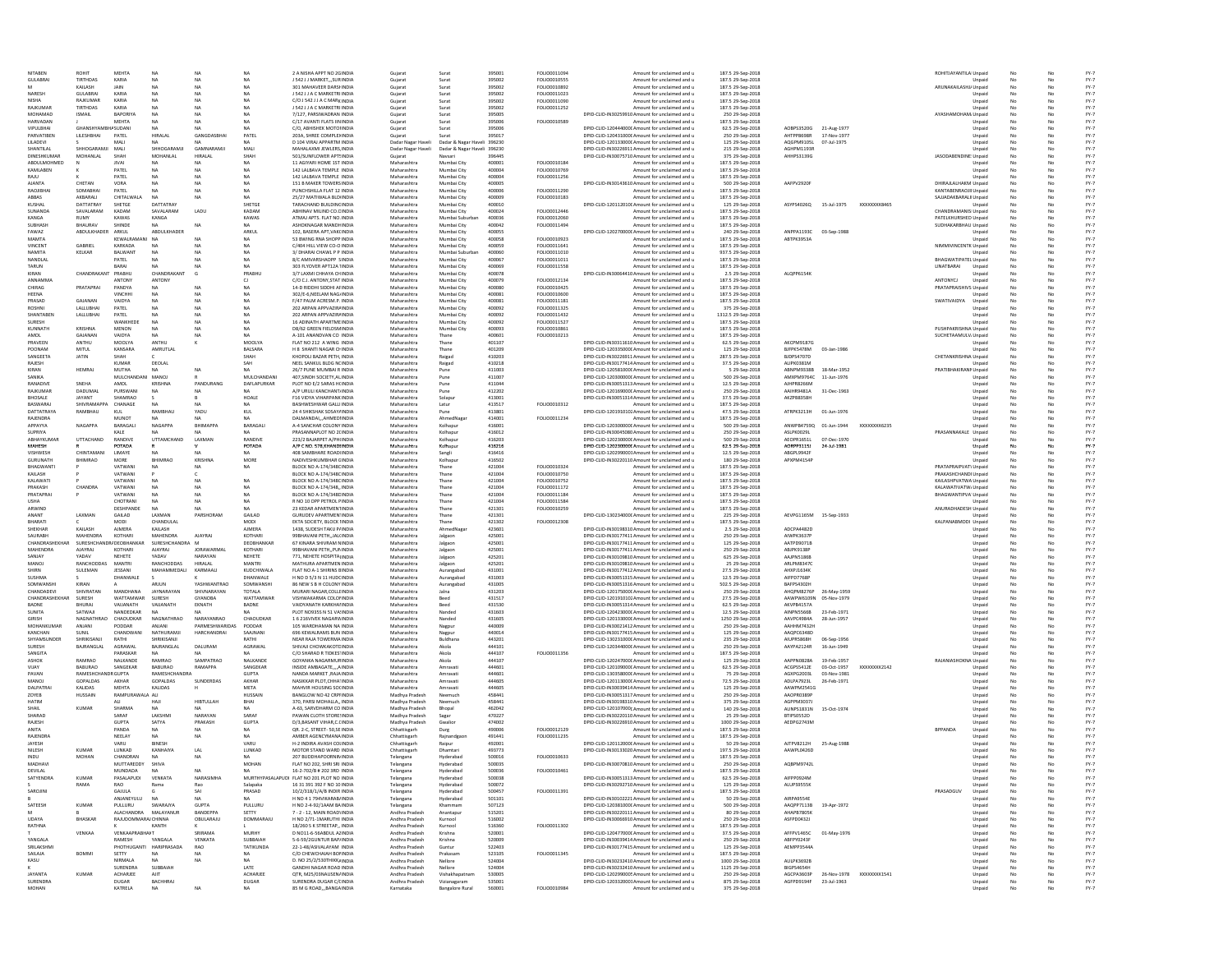| NITABEN                     | <b>ROHIT</b>                              | <b>MEHTA</b>                      | <b>NA</b>                   | <b>NA</b>                    | <b>NA</b>                 | 2 A NISHA APPT NO 2GINDIA                                 | Guiarat                          | Surat                                               | 395001           | FOLIO0011094                 | Amount for unclaimed and u                                                                         | 187.5 29-Sep-2018                      |                                                   |             |              | ROHITJAYANTILAI Unpaid                             |                  |                        |          | $FY-7$           |
|-----------------------------|-------------------------------------------|-----------------------------------|-----------------------------|------------------------------|---------------------------|-----------------------------------------------------------|----------------------------------|-----------------------------------------------------|------------------|------------------------------|----------------------------------------------------------------------------------------------------|----------------------------------------|---------------------------------------------------|-------------|--------------|----------------------------------------------------|------------------|------------------------|----------|------------------|
| <b>GULABRAI</b>             | TIRTHDAS<br>KAILASH                       | KARIA<br>JAIN                     | <b>NA</b><br><b>NA</b>      | <b>NA</b><br><b>NA</b>       | <b>NA</b><br><b>NA</b>    | J 542 J J MARKET, "SURINDIA<br>301 MAHAVEER DARSHINDIA    | Gujarat<br>Gujarat               | Surat<br>Surat                                      | 395002<br>395002 | FOLIO0010555<br>FOLIO0010892 | Amount for unclaimed and u<br>Amount for unclaimed and u                                           | 187.5 29-Sep-2018<br>187.5 29-Sep-2018 |                                                   |             |              | ARUNAKAILASHJ/ Unpaid                              | Unpaid           | No                     | No       | $FY-7$<br>$FY-7$ |
| NARESH                      | <b>GULABRAI</b>                           | KARIA                             | <b>NA</b>                   | <b>NA</b>                    | <b>NA</b>                 | J 542 J J A C MARKETRI INDIA                              | Gujarat                          | Surat                                               | 395002           | FOLIO0011023                 | Amount for unclaimed and u                                                                         | 187.5 29-Sep-2018                      |                                                   |             |              |                                                    | Unpaid           | No                     |          | $FY-7$           |
| <b>NISHA</b>                | RAJKUMAR                                  | KARIA                             | <b>NA</b>                   | <b>NA</b>                    | <b>NA</b>                 | C/O J 542 J J A C MARK INDIA                              | Gujarat                          | Surat                                               | 395002           | FOLIO0011090                 | Amount for unclaimed and u                                                                         | 187.5 29-Sep-2018                      |                                                   |             |              |                                                    | Unpaid           | No                     |          | $FY-7$           |
| RAJKUMAF                    | <b>TIRTHDAS</b>                           | KARIA                             | NA.                         | <b>NA</b>                    | <b>NA</b>                 | J 542 J J A C MARKETRI INDIA                              | Gujarat                          | Surat                                               | 395002           | FOLIO0011252                 | Amount for unclaimed and u                                                                         | 187.5 29-Sep-2018                      |                                                   |             |              |                                                    | Unpaid           | No                     |          | $FY-7$           |
| MOHAMAD<br><b>HARVADAN</b>  | <b>ISMAIL</b>                             | BAPORIYA<br><b>MEHTA</b>          | NA<br>NA                    | <b>NA</b><br><b>NA</b>       | <b>NA</b><br><b>NA</b>    | 7/127, PARSIWADRAN INDIA<br>C/17 AVANTI FLATS IININDIA    | Gujarat<br>Gujarat               | Surat<br>Surat                                      | 395005<br>395006 | FOLIO0010589                 | DPID-CLID-IN30259910 Amount for unclaimed and u<br>Amount for unclaimed and u                      | 250 29-Sep-2018<br>187.5 29-Sep-2018   |                                                   |             |              | AYASHAMOHAM Unpaid                                 | Unpaid           | No<br>No               | No       | $FY-7$<br>$FY-7$ |
| VIPULBHA                    |                                           | SUDANI                            |                             |                              |                           | C/O, ABHISHEK MOTOHNDIA                                   | Gujarat                          | Surat                                               | 39500            |                              | DPID-CLID-120444000C Amount for unclaimed and u                                                    | 62.5 29-Sep-2018                       | AOBPS3520G                                        | 21-Aug-1977 |              |                                                    | Unpaic           |                        |          | $FY-7$           |
| PARVATIBEN                  | LILESHBHAI                                | PATEL                             | HIRALAL                     | <b>GANGDASBI</b>             | PATEL                     | 203A, SHREE COMPLEXINDIA                                  | Gujarat                          |                                                     | 395017           |                              | DPID-CLID-120431000C Amount for unclaimed and u                                                    | 250 29-Sep-2018                        | AHTPP8698R                                        | 17-Nov-1977 |              |                                                    | Unpaid           | No                     |          | $FY-7$           |
| LILADEVI<br>SHANTILAL       | SHHOGARAMJI                               | MAL<br>MAL                        | NA<br>SHHOGARAMJI           | GAMNARAMJ                    | NA<br>MALI                | D 104 VIRAJ APPARTM INDIA<br>MAHALAXMI JEWLERS, INDIA     | Dadar Nagar Haveli               | Dadar & Nagar Haveli<br>Dadar & Nagar Haveli 396230 | 396230           |                              | DPID-CLID-120133000C Amount for unclaimed and u<br>DPID-CLID-IN30226911 Amount for unclaimed and u | 125 29-Sep-2018                        | AQGPM9105L<br><b>AGHPM1193R</b>                   | 07-Jul-1975 |              |                                                    | Unpaid           | No                     |          | $FY-7$<br>$FY-7$ |
| DINESHKUMAF                 | MOHANLAL                                  | SHAH                              | MOHANLAL                    | HIRALAI                      | SHAH                      | 501/SUNFLOWER APT!INDIA                                   | Dadar Nagar Haveli<br>Gujarat    | Navsar                                              | 396445           |                              | DPID-CLID-IN30075710 Amount for unclaimed and u                                                    | 215 29-Sep-2018<br>375 29-Sep-2018     | AHHPS3139G                                        |             |              | JASODABENDINE! Unpaid                              | Unpaid           | No                     |          | $FY-7$           |
| ABDULMOHMED                 |                                           | <b>JIVA</b>                       |                             |                              |                           | 11 AGIYARI HOME 1ST INDIJ                                 | Maharashtra                      | Mumbai City                                         | 400001           | FOLIO0010184                 | Amount for unclaimed and u                                                                         | 187.5 29-Sep-2018                      |                                                   |             |              |                                                    | Unpaid           |                        |          | $FY-7$           |
| KAMLABEN                    |                                           | PATEL                             | <b>NA</b>                   | <b>NA</b>                    | <b>NA</b>                 | 142 LALBAVA TEMPLE INDIA                                  | Maharashtra                      | Mumbai City                                         | 400004           | FOLIO0010769                 | Amount for unclaimed and u                                                                         | 187.5 29-Sep-2018                      |                                                   |             |              |                                                    | Unpaid           |                        |          | $FY-7$           |
| RAILI                       |                                           | PATEL                             | NΔ                          | <b>NA</b>                    | NA                        | 142 LALBAVA TEMPLE INDIA                                  | Maharashtra                      | Mumbai City                                         | 400004           | FOLIO0011256                 | Amount for unclaimed and u                                                                         | 187.5 29-Sep-2018                      |                                                   |             |              |                                                    | Unpaid           |                        |          | $FY-7$           |
| <b>AJANTA</b><br>RAQJIBHA   | CHETAN<br>SOMARHAL                        | VORA<br>PATEL                     | NA<br>NΔ                    | <b>NA</b><br>NA              | <b>NA</b><br>NA           | 151 B MAKER TOWERS INDIA<br>PUNCHSHILLA FLAT 12 INDIA     | Maharashtra<br>Maharashtra       | Mumbai City<br>Mumbai City                          | 400005<br>400006 | FOLIO0011290                 | DPID-CLID-IN30143610 Amount for unclaimed and u<br>Amount for unclaimed and u                      | 500 29-Sep-2018<br>187.5 29-Sep-2018   | AAFPV2920F                                        |             |              | DHIRAILALHAKM Unpaid<br>KANTABENRAOJI Unpaid       |                  | No                     |          | $FY-7$<br>$FY-7$ |
| ABBAS                       | AKBARALI                                  | CHITALWALA                        | <b>NA</b>                   | <b>NA</b>                    | NA                        | 25/27 MATIWALA BLD INDIA                                  | Maharashtra                      | Mumbai City                                         | 400009           | FOLIO0010183                 | Amount for unclaimed and u                                                                         | 187.5 29-Sep-2018                      |                                                   |             |              | SAJJADAKBARALII Unpaid                             |                  |                        |          | $FY-7$           |
| KIJSHAI                     | DATTATRAY                                 | SHETGE                            | DATTATRAY                   |                              | SHETGE                    | TARACHAND BUILDINGINDIA                                   | Maharashtra                      | Mumbai City                                         | 400010           |                              | DPID-CLID-120112010( Amount for unclaimed and u                                                    | 125 29-Sep-2018                        | ASYPS4026Q                                        | 15-Jul-1975 | XXXXXXXX8465 |                                                    | Unpaid           |                        |          | $FY-7$           |
| SUNANDA                     | SAVALARAM                                 | KADAM                             | SAVALARAM                   | LADU                         | KADAM                     | ABHINAV MILIND CO.CINDIA                                  | Maharashtra                      | Mumbai City                                         | 400024           | FOLIO0012446                 | Amount for unclaimed and u                                                                         | 187.5 29-Sep-2018                      |                                                   |             |              | CHANDRAMANISI Unpaid                               |                  | No                     | No       | $FY-7$           |
| KANGA                       | <b>RUMY</b>                               | KAWAS                             | KANGA                       |                              | KAWAS                     | ATMAJ APTS, FLAT NO, INDIA<br>ASHOKNAGAR MANDHINDIA       | Maharashtra                      | Mumbai Suburbar                                     | 400036           | FOLIO0012060                 | Amount for unclaimed and u                                                                         | 187.5 29-Sep-2018                      |                                                   |             |              | PATELKHURSHED Unpaid                               |                  | No                     | No       | FY-7             |
| <b>SUBHASH</b><br>FAWAZ     | BHAURAV<br>ABDULKHADER                    | SHINDE<br>ARKUL                   | <b>NA</b><br>ABDULKHADER    | <b>NA</b>                    | <b>NA</b><br>ARKUL        | 102. BASERA APT.VAKCINDIA                                 | Maharashtra<br>Maharashtra       | Mumbai City<br>Mumbai City                          | 400042<br>400055 | FOLIO0011494                 | Amount for unclaimed and u<br>DPID-CUD-120270000(Amount for unclaimed and u                        | 187.5 29-Sep-2018<br>240 29-Sep-2018   | ANPPA1193C 03-Sep-1988                            |             |              | SUDHAKARBHAU Unpaid                                | Unpaid           | No<br>No               | No<br>No | $FY-7$<br>$FY-7$ |
| <b>MAMTA</b>                |                                           | KEWALRAMANI                       | NA                          | NA                           | NA                        | 53 BWING RNA SHOPP INDIA                                  | Maharashtra                      | Mumbai City                                         | 400058           | FOLIO0010923                 | Amount for unclaimed and u                                                                         | 187.5 29-Sep-2018                      | ABTPK3953A                                        |             |              |                                                    | Unpaid           | No                     | No       | $FY-7$           |
| VINCENT                     | GABRIEL                                   | KARKADA                           | <b>NA</b>                   | NΔ                           | <b>NA</b>                 | C/404 HILL VIEW CO-O INDIA                                | Maharashtra                      | Mumbai City                                         | 400059           | FOLIO0011641                 | Amount for unclaimed and u                                                                         | 187.5 29-Sep-2018                      |                                                   |             |              | NIMMIVINCENTK Unpaid                               |                  | No                     | No       | FY-7             |
| NAMITA                      | KELKAR                                    | BALWANT                           | <b>NA</b>                   | <b>NA</b>                    | <b>NA</b>                 | 3/ DHARAI CHAWL P P INDIA                                 | Maharashtra                      | Mumbai Suburba                                      | 400060           | FOLIO0011010                 | Amount for unclaimed and u                                                                         | 937.5 29-Sep-2018                      |                                                   |             |              |                                                    | Unpaid           | No                     |          | $FY-7$           |
| NANDLAL                     |                                           | PATEL                             | <b>NA</b><br>NA.            | <b>NA</b>                    | <b>NA</b><br><b>NA</b>    | 8/C AMIVARSHAOPP SINDIA<br>303 FLYOVER APT12A 1INDIA      | Maharashtra                      | Mumbai City                                         | 400067           | FOLIO0011011<br>FOLIO0011558 | Amount for unclaimed and u                                                                         | 187.5 29-Sep-2018<br>187.5 29-Sep-2018 |                                                   |             |              | <b>BHAGWATIPATEL Unpaid</b><br>LINATBARAI          |                  | No<br>No               |          | $FY-7$<br>$FY-7$ |
| TARUN<br>KIRAN              | CHANDRAKANT                               | BARAI<br>PRABHU                   | CHANDRAKANT                 | G                            | PRABHU                    | 3/7 LAXMI CHHAYA CHINDIA                                  | Maharashtra<br>Maharashtra       | Mumbai City<br>Mumbai City                          | 400069<br>400078 |                              | Amount for unclaimed and u<br>DPID-CLID-IN30064410 Amount for unclaimed and u                      | 2.5 29-Sep-2018                        | ALQPP6154K                                        |             |              |                                                    | Unpaid<br>Unpaid | No                     | No       | $FY-7$           |
| ANNAMMA                     |                                           | ANTONY                            | ANTONY                      |                              | CJ                        | C/O C.J. ANTONY, STAT INDIA                               | Maharashtra                      | Mumbai City                                         | 400079           | FOLIO0012134                 | Amount for unclaimed and u                                                                         | 187.5 29-Sep-2018                      |                                                   |             |              | ANTONYCL                                           | Unpaid           | No                     |          | $FY-7$           |
| CHIRAG                      | PRATAPRAI                                 | PANDYA                            | NA.                         | <b>NA</b>                    | <b>NA</b>                 | 14-D RIDDHI SIDDHI AFINDIA                                | Maharashtra                      | Mumbai City                                         | 400080           | FOLIO0010425                 | Amount for unclaimed and u                                                                         | 187.5 29-Sep-2018                      |                                                   |             |              | PRATAPRAISHIVS Unpaid                              |                  | No                     | No       | $FY-7$           |
| HEENA                       |                                           | VINCHHI                           | <b>NA</b>                   | <b>NA</b>                    | <b>NA</b>                 | 302/E-6, NEELAM NAGJINDIA                                 | Maharashtra                      | Mumbai City                                         | 400081           | FOLIO0010600                 | Amount for unclaimed and u                                                                         | 187.5 29-Sep-2018                      |                                                   |             |              |                                                    | Unpaid           | No                     |          | $FY-7$           |
| PRASAD<br>ROSHN             | GAJANAN<br>LALLUBHAI                      | VAIDYA<br>PATEL                   | NA                          |                              | NA                        | F/47 PALM ACRESM.P. INDIA<br>202 ARPAN APPVAZIR/INDIA     | Maharashtra<br>Maharashtra       | Mumbai City<br>Mumbai City                          | 400081<br>400092 | FOLIO0011181<br>FOLIO0011325 | Amount for unclaimed and u<br>Amount for unclaimed and u                                           | 187.5 29-Sep-2018<br>375 29-Sep-2018   |                                                   |             |              | SWATIVAIDYA                                        | Unpaid<br>Unpaid | No                     |          | FY-7<br>$FY-7$   |
| SHANTABEN                   | LALLUBHAI                                 | PATEL                             | NA                          | NA                           | <b>NA</b>                 | 202 ARPAN APPVAZIR/INDIA                                  | Maharashtra                      | Mumbai City                                         | 400092           | FOLIO0011432                 | Amount for unclaimed and u                                                                         | 1312.5 29-Sep-2018                     |                                                   |             |              |                                                    | Unpaid           | No                     |          | $FY-7$           |
| <b>SURES</b>                |                                           | WANKHEDE                          | NA                          |                              |                           | 16 ADINATH APARTMEINDIA                                   | Maharashtra                      | Mumbai City                                         | 400092           | FOLIO0011527                 | Amount for unclaimed and u                                                                         | 187.5 29-Sep-2018                      |                                                   |             |              |                                                    | Unpaid           | No                     |          | $FY-7$           |
| KUNNATH                     | KRISHNA                                   | MENON                             | NA                          | NA                           |                           | D8/62 GREEN FIELDSMINDIA                                  | Maharashtra                      | Mumbai City                                         | 400093           | FOLIO0010861                 | Amount for unclaimed and u                                                                         | 187.5 29-Sep-2018                      |                                                   |             |              | PUSHPAKRISHNA Unpaid                               |                  |                        |          | $FY-7$           |
| AMOL<br>PRAVEEN             | GAJANAN<br>ANTHU                          | VAIDYA<br>MOOLYA                  | ANTHU                       |                              | MOOLY/                    | A-101 ANANDVAN CO INDIA<br>FLAT NO 212 A WING INDIA       | Maharashtra<br>Maharashtra       | Thane<br>Thane                                      | 400601<br>401107 | FOLIO0010213                 | Amount for unclaimed and u                                                                         | 187.5 29-Sep-2018                      | AKCPM9187G                                        |             |              | SUCHETAAMULV/ Unpaid                               |                  |                        |          | $FY-7$           |
| POONAM                      | MITUL                                     | KANSARA                           | AMRUTLAL                    |                              | BALSARA                   | H 8 SHANTI NAGAR CHINDIA                                  | Maharashtra                      | Thane                                               | 401209           |                              | DPID-CLID-IN30311610 Amount for unclaimed and u<br>DPID-CLID-120335000C Amount for unclaimed and u | 62.5 29-Sep-2018<br>125 29-Sep-2018    | BJFPK5478M                                        | 03-Jan-198  |              |                                                    | Unpaid<br>Unpaid |                        |          | $FY-7$<br>$FY-7$ |
| SANGEETA                    | <b>JATIN</b>                              | <b>HAH</b>                        |                             |                              | SHAH                      | KHOPOLI BAZAR PETH, INDIA                                 | Maharashtra                      | Raigad                                              | 410203           |                              | DPID-CLID-IN30226911 Amount for unclaimed and u                                                    | 287.5 29-Sep-2018                      | BJDPS4707D                                        |             |              | CHETANKRISHNA Unpaid                               |                  |                        |          | $FY-7$           |
| RAJESH                      |                                           | KUMAR                             | DEOLAL                      |                              | SAH                       | NEEL SANKUL BLDG NCINDIA                                  | Maharashtra                      | Raigad                                              | 410218           |                              | DPID-CLID-IN30177414 Amount for unclaimed and u                                                    | 37.5 29-Sep-2018                       | ALIPK0381M                                        |             |              |                                                    | Unpaid           |                        |          | $FY-7$           |
| KIRAN                       | <b>HEMRA</b>                              | MUTHA                             | NΔ                          | <b>NA</b>                    | NA                        | 26/7 PUNE MUMBAI R INDIA                                  | Maharashtra                      | Pune                                                | 411003           |                              | DPID-CLID-120581000C Amount for unclaimed and u                                                    | 5 29-Sep-2018                          | ABNPM9338B                                        | 18-Mar-1952 |              | PRATIBHAKIRANN Unpaid                              |                  |                        |          | $FY-7$           |
| SANIKA<br>RANADIVE          | SNEHA                                     | MULCHANDANI MANOL<br>AMOL         | KRISHNA                     | PANDURANG                    | MULCHANDAN<br>DAFLAPURKAR | 407.SINDH SOCIETY.ALINDIA<br>PLOT NO F/2 SARAS HONDIA     | Maharashtra<br>Maharashtra       | Pune<br>Pune                                        | 411007<br>411044 |                              | DPID-CLID-120300000C Amount for unclaimed and u<br>DPID-CLID-IN30051313 Amount for unclaimed and u | 500 29-Sep-2018<br>12.5 29-Sep-2018    | ΔΜΧΡΜ97640<br>AJHPR8266M                          | 11-Jun-1976 |              |                                                    | Unpaid           | No                     |          | $FY-7$<br>$FY-7$ |
| RAJKUMAR                    | DADUMAL                                   | PURSWANI                          | <b>NA</b>                   | <b>NA</b>                    | NA.                       | A/P URULI KANCHANT/INDIA                                  | Maharashtra                      | Pune                                                | 412202           |                              | DPID-CLID-1201690000 Amount for unclaimed and u.                                                   | 250 29-Sep-2018                        | AAIHR9481A                                        | 31-Dec-1963 |              |                                                    | Unpaid           | No                     | No       | $FY-7$           |
| <b>BHOSALE</b>              | JAYANT                                    | SHAMRAO                           |                             |                              | HOALE                     | F16 VIDYA VIHARPANK INDIA                                 | Maharashtra                      | Solapur                                             | 413001           |                              | DPID-CLID-IN30051314 Amount for unclaimed and u                                                    | 37.5 29-Sep-2018                       | AKZPB8358H                                        |             |              |                                                    | Unpaid           | No                     | No       | $FY-7$           |
| BASWARAJ                    | SHIVRAMAPPA                               | CHANAGE                           | <b>NA</b>                   | NΔ                           | NA                        | BASHWESHWAR GALLI INDIA                                   | Maharashtra                      | Latur                                               | 413517           | FOLIO0010312                 | Amount for unclaimed and u                                                                         | 187.5 29-Sep-2018                      |                                                   |             |              |                                                    | Unpaid           | No                     | No       | FY-7             |
| DATTATRAYA                  | RAMBHAU                                   | KUL                               | RAMBHAU                     | YADU                         | KUL                       | 24 4 SHIKSHAK SOSAY/INDIA                                 | Maharashtra                      | Pune                                                | 413801           |                              | DPID-CUD-1201910102 Amount for unclaimed and u<br>Amount for unclaimed and u                       | 47.5 29-Sep-2018                       | ATRPK3213H 01-Jun-1976                            |             |              |                                                    | Unpaid           | No                     | No       | $FY-7$           |
| RAJENDRA<br>APPAYYA         | NAGAPPA                                   | MUNOT<br>BARAGALI                 | NA.<br>NAGAPPA              | NΔ<br>ВНІМАРРА               | <b>NA</b><br>BARAGALI     | DALMANDAIAHMEDIINDIA<br>A-4 SANCHAR COLONY INDIA          | Maharashtra<br>Maharashtra       | AhmedNagar<br>Kolhapur                              | 414001<br>416001 | FOLIO0011234                 | DPID-CLID-120300000C Amount for unclaimed and u                                                    | 187.5 29-Sep-2018<br>500 29-Sep-2018   | ANWPB4759Q 01-Jun-1944                            |             | XXXXXXXX6235 |                                                    | Unpaid<br>Unpaid | No<br>No               | No<br>No | FY-7<br>$FY-7$   |
| SUPRIYA                     |                                           | KALE                              | NA.                         |                              | <b>NA</b>                 | PRASANNAPLOT NO 2CINDIA                                   | Maharashtra                      | Kolhapur                                            | 416012           |                              | DPID-CLID-IN30045080 Amount for unclaimed and u                                                    | 250 29-Sep-2018                        | ASLPK0029L                                        |             |              | PRASANNAKALE Unpaid                                |                  | No                     | No       | $FY-7$           |
| ABHAYKUMAF                  | UTTACHAND                                 | RANDIVE                           | UTTAMCHAND                  | LAXMAN                       | RANDIVE                   | 223/2 BAJARPET A/PH(INDIA                                 | Maharashtra                      | Kolhapur                                            | 416203           |                              | DPID-CLID-120230000C Amount for unclaimed and u                                                    | 500 29-Sep-2018                        | AEOPR1651L                                        | 07-Dec-1970 |              |                                                    | Unpaid           | No                     |          | $FY-7$           |
| MAHESH                      |                                           | POTADA                            |                             |                              | POTADA                    | A/P C NO. 578, KHANDIINDIA                                | Maharashtra                      | Kolhapur                                            | 416216           |                              | DPID-CLID-1202300000 Amount for unclaimed and u                                                    | 62.5 29-Sep-2018                       | AORPP3115J                                        | 24-Jul-1981 |              |                                                    | Unpaid           | No.                    | No       | $FY-7$           |
| VISHWESH<br><b>GURUNATH</b> | CHINTAMAN<br>BHIMRAO                      | LIMAYE<br>MORE                    | <b>NA</b><br><b>BHIMRAO</b> | NA.<br>KRISHNA               | <b>NA</b><br>MORE         | 408 SAMBHARE ROAD(INDIA<br>NADIVESHKUMBHAR GINDIA         | Maharashtra<br>Maharashtra       | Sangli<br>Kolhapur                                  | 416416<br>416502 |                              | DPID-CLID-1202990001Amount for unclaimed and u<br>DPID-CLID-IN30220110 Amount for unclaimed and u  | 12.5 29-Sep-2018<br>180 29-Sep-2018    | ABGPL9942F<br>APXPM4154F                          |             |              |                                                    | Unpaid<br>Unpaid | No<br><b>No</b>        | No       | $FY-7$<br>$FY-7$ |
| BHAGWANTI                   |                                           | VATWANI                           | <b>NA</b>                   | <b>NA</b>                    | NA                        | BLOCK NO A-174/348CINDIA                                  | Maharashtra                      | Thane                                               | 421004           | FOLIO0010324                 | Amount for unclaimed and u                                                                         | 187.5 29-Sep-2018                      |                                                   |             |              | PRATAPRAIPVAT\ Unpaid                              |                  | <b>No</b>              |          | $FY-7$           |
| KAILASH                     |                                           | VATWANI                           |                             |                              |                           | BLOCK NO A-174/348CINDIA                                  | Maharashtra                      | Thane                                               | 421004           | FOLIO0010750                 | Amount for unclaimed and u                                                                         | 187.5 29-Sep-2018                      |                                                   |             |              | RAKASHCHANDI Unpaid                                |                  | No                     |          | $FY-7$           |
| KALAWAT                     |                                           | VATWANI                           |                             |                              | NA                        | BLOCK NO A-174/348CINDIA                                  | Maharashtra                      | Thane                                               | 42100            | FOLIO0010752                 | Amount for unclaimed and u                                                                         | 187.5 29-Sep-2018                      |                                                   |             |              | KAILASHPVATWA Unpaid                               |                  |                        |          | $FY-7$           |
| PRAKASH                     | <b>CHANDRA</b>                            | VATWANI                           | <b>NA</b><br>NA             | NA                           | <b>NA</b>                 | BLOCK NO A-174/348, INDIA                                 | Maharashtra                      | Thane                                               | 421004           | FOLIO0011172                 | Amount for unclaimed and u                                                                         | 187.5 29-Sep-2018                      |                                                   |             |              | KALAWATIVATW/Unpaid<br><b>BHAGWANTIPVA' Unpaid</b> |                  |                        |          | $FY-7$           |
| PRATAPRA<br>USH/            |                                           | VATWANI<br>CHOTRANI               | NA                          |                              | NA<br><b>NA</b>           | BLOCK NO A-174/348DINDIA<br>R NO 10 OPP PETROL FINDIA     | Maharashtra<br>Maharashtra       | Thane<br>Thane                                      | 421004<br>421004 | FOLIO0011184<br>FOLIO0011584 | Amount for unclaimed and u<br>Amount for unclaimed and u                                           | 187.5 29-Sep-2018<br>187.5 29-Sep-2018 |                                                   |             |              |                                                    | Unpaid           | No<br>No               |          | $FY-7$<br>$FY-7$ |
| ARWIND                      |                                           | DESHPANDE                         |                             |                              |                           | 23 KEDAR APARTMENTINDIA                                   | Maharashtra                      | Thane                                               | 421301           | FOLIO0010259                 | Amount for unclaimed and u                                                                         | 187.5 29-Sep-2018                      |                                                   |             |              | ANURADHADESH Unpaid                                |                  |                        |          | $FY-7$           |
| <b>ANANT</b>                | LAXMAN                                    | GAILAD                            | LAXMAN                      | PARSHORAM                    | GAILAD                    | <b>GURUDEV APARTMEN' INDIA</b>                            | Maharashtra                      | Thane                                               | 421301           |                              | DPID-CLID-130234000C Amount for unclaimed and u                                                    | 225 29-Sep-2018                        | AEVPG1165M 15-Sep-1933                            |             |              |                                                    |                  |                        |          | $FY-7$           |
| RHARATI                     |                                           | MODI                              | CHANDULAL                   |                              | MODI                      | EKTA SOCIETY, BLOCK IINDIA                                | Maharashtra                      | Thane                                               | 421302           | FOLIO0012308                 | Amount for unclaimed and u                                                                         | 187.5 29-Sep-2018                      |                                                   |             |              | KALPANABMODI Unpaid                                |                  |                        |          | $FY-7$           |
| SHEKHAR                     | KAILASH<br><b>MAHENDRA</b>                | <b>AJMERA</b>                     | KAILASH<br>MAHENDRA         |                              | <b>AJMERA</b><br>KOTHARI  | 1438, SUDESH TAKIJ P/INDIA                                | Maharashtra                      | AhmedNap                                            | 423601           |                              | DPID-CLID-IN30198310 Amount for unclaimed and u                                                    | 2.5 29-Sep-2018                        | ADCPA4482D                                        |             |              |                                                    | Unpaid           | No                     |          | $FY-7$           |
| SAURARH<br>CHANDRASHEKHAI   |                                           | KOTHARI                           | SURESHCHANDRA M             | AJAYRAJ                      | DEOBHANKAR                | 99BHAVANI PETH, JAL(INDIA<br>67 KINARA SHIVRAM NINDIA     | Maharashtra<br>Maharashtra       | Jalgaor<br>Jalgaor                                  | 425001<br>425001 |                              | DPID-CLID-IN30177411 Amount for unclaimed and u<br>DPID-CLID-IN30177411 Amount for unclaimed and u | 250 29-Sep-2018<br>125 29-Sep-2018     | AIWPK3637P                                        |             |              |                                                    | Unpaid<br>Unpaid | No<br>No               |          | $FY-7$<br>$FY-7$ |
|                             |                                           |                                   |                             |                              |                           |                                                           |                                  |                                                     |                  |                              |                                                                                                    |                                        |                                                   |             |              |                                                    |                  |                        |          | $FY-7$           |
| MAHENDRA                    | SURESHCHANDR/DEOBHANKAR<br><b>AJAYRAJ</b> | KOTHARI                           | <b>AJAYRAJ</b>              | <b>IORAWARMAL</b>            | KOTHARI                   | 99BHAVANI PETH., PUNINDIA                                 |                                  |                                                     | 425001           |                              |                                                                                                    |                                        | AATPD9071B<br>ABJPK9138P                          |             |              |                                                    |                  |                        |          | $FY-7$           |
| SANJAY                      | YADAV                                     | NEHETE                            | YADAV                       | NARAYAN                      | NEHETE                    | 771. NEHETE HOSPITALINDIA                                 | Maharashtra<br>Maharashtra       | Jalgaor<br>Jalgaon                                  | 425201           |                              | DPID-CLID-IN30177411 Amount for unclaimed and u<br>DPID-CLID-IN30109810 Amount for unclaimed and u | 250 29-Sep-2018<br>625 29-Sep-2018     | AAJPN5186B                                        |             |              |                                                    | Unpaid<br>Unpaid | No<br>No               | No       |                  |
| MANOJ                       | RANCHODDAS                                | MANTRI                            | RANCHODDAS                  | HIRALAL                      | MANTRI                    | MATHURA APARTMEN INDIA                                    | Maharashtra                      | Jalgaon                                             | 425201           |                              | DPID-CLID-IN30109810 Amount for unclaimed and u                                                    | 25 29-Sep-2018                         | ARLPM8347C                                        |             |              |                                                    | Unpaid           | No                     | No       | FY-7             |
| SHIRN                       | SULEMAN                                   | JESSANI                           | MAHAMMEDALI                 | KARMAALI                     | KUDCHIWALA                | FLAT NO A-1 SHIRINS BINDIA                                | Maharashtra                      | Aurangabad                                          | 431001           |                              | DPID-CLID-IN30177412 Amount for unclaimed and u                                                    | 27.5 29-Sep-2018                       | AHXPJ1634K                                        |             |              |                                                    | Unpaid           | No                     | No       | $FY-7$           |
| <b>SUSHMA</b>               |                                           | DHANWALE                          |                             |                              | DHANWALE                  | H NO D 5/3 N 11 HUDCINDIA                                 | Maharashtra                      | Aurangabad                                          | 431003           |                              | DPID-CLID-IN30051315 Amount for unclaimed and u                                                    | 12.5 29-Sep-2018                       | AIFPD7768P                                        |             |              |                                                    | Unpaid           | No                     | No       | FY-7             |
| SOMWANSHI<br>CHANDADEVI     | KIRAN<br>SHIVRATAN                        | MANDHANA                          | ARJUN<br>JAYNARAYAN         | YASHWANTRAO<br>SHIVNARAYAN   | SOMWANSHI<br>TOTALA       | 86 NEW S B H COLONY INDIA<br>MURARI NAGAR.COLLEINDIA      | Maharashtra<br>Maharashtra       | Aurangabad<br>Jalna                                 | 431005<br>431203 |                              | DPID-CLID-IN30051316 Amount for unclaimed and u<br>DPID-CUD-120175000(Amount for unclaimed and u   | 502.5 29-Sep-2018<br>250 29-Sep-2018   | BAFPS4302H<br>AHOPM8276P                          | 26-May-1959 |              |                                                    | Unpaid<br>Unpaid | No<br>No               | No<br>No | $FY-7$<br>FY-7   |
| CHANDRASHEKHAR              | SURESH                                    | WATTAMWAR                         | SURESH                      | GYANOBA                      | WATTAMWAR                 | VISHWAKARMA COLONINDIA                                    | Maharashtra                      | Beed                                                | 431517           |                              | DPID-CLID-1201910102 Amount for unclaimed and u                                                    | 27.5 29-Sep-2018                       | AAWPW6109N                                        | 05-Nov-1979 |              |                                                    | Unpaid           | No                     | No       | $FY-7$           |
| BADNE                       | BHURAJ                                    | VAIJANATH                         | VAIJANATH                   | EKNATH                       | BADNE                     | VAIDYANATH KARKHAIINDIA                                   | Maharashtra                      | Beed                                                | 431530           |                              | DPID-CLID-IN30051314 Amount for unclaimed and u                                                    | 62.5 29-Sep-2018                       | AKVPB4157A                                        |             |              |                                                    | Unpaid           | No                     | No       | $FY-7$           |
| SUNITA                      | SATWAJI                                   | NANDEDKAR                         | <b>NA</b>                   |                              | <b>NA</b>                 | PLOT NO935S N 51 VA:INDIA                                 | Maharashtra                      | Nandec                                              | 431603           |                              | DPID-CLID-120423000( Amount for unclaimed and u                                                    | 12.5 29-Sep-2018                       | AINPN5566B                                        | 23-Feb-1971 |              |                                                    | Unpaid           | No                     |          | $FY-7$           |
| <b>GIRISH</b><br>MOHANKUMAF | <b>NAGNATHRAO</b><br>ANJANI               | CHAOUDKAR<br>PODDAR               | NAGNATHRAO<br>ANJANI        | NARAYANRAO<br>PARMESHWARIDAS | CHAOUDKAR<br>PODDAR       | 1 6 216VIVEK NAGARWINDIA<br>105 WARDHAMAN NA INDIA        | Maharashtra<br>Maharashtra       | Nanded<br>Nagpur                                    | 431605<br>440009 |                              | DPID-CLID-120133000C Amount for unclaimed and u<br>DPID-CLID-IN30021412 Amount for unclaimed and u | 1250 29-Sep-2018<br>250 29-Sep-2018    | AAVPC4984A<br>AAHHM7432H                          | 28-Jun-1957 |              |                                                    | Unpaid<br>Unpaid | No<br>No               | No<br>No | $FY-7$<br>$FY-7$ |
| KANCHAN                     | SUNIL                                     | CHANDWANI                         | NATHURAMJI                  | <b>HARCHANDRAI</b>           | SAAJNANI                  | 696 KEWALRAMS BUN INDIA                                   | Maharashtra                      | Nagpur                                              | 440014           |                              | DPID-CLID-IN30177415 Amount for unclaimed and u                                                    | 125 29-Sep-2018                        | AAQPC6348D                                        |             |              |                                                    | Unpaid           | No                     | No       | $FY-7$           |
| SHYAMSUNDER                 | SHRIKISANJI                               | RATHI                             | SHRIKISANJI                 |                              | RATHI                     | NEAR RAJA TOWERMA INDIA                                   | Maharashtra                      | Buldhana                                            | 443201           |                              | DPID-CLID-130231000C Amount for unclaimed and u                                                    | 235 29-Sep-2018                        | AIUPR5868H                                        | 06-Sep-1956 |              |                                                    | Unpaid           | No                     |          | $FY-7$           |
| <b>SURES</b>                | BAJRANGLAL                                | AGRAWAL                           | BAJRANGLAL                  | DALURAM                      | AGRAWAL                   | SHIVAJI CHOWKAKOTEINDIJ                                   | Maharashtra                      | Akola                                               | 444101           |                              | DPID-CLID-120344000C Amount for unclaimed and u                                                    | 250 29-Sep-2018                        | AAYPA2124R                                        | 16-Jun-1949 |              |                                                    | Unpaid           | No                     |          | $FY-7$           |
| SANGITA<br>ASHOK            | RAMRAO                                    | PARASKAR<br>NALKANDE              | RAMRAO                      | SAMPATRAC                    | NALKAND                   | C/O SHARAD R TIDKES INDIA<br><b>GOYANKA NAGARMURINDI</b>  | Maharashtra<br>Maharashtra       | Akola<br>Akola                                      | 444107<br>444107 | FOLIO0011356                 | Amount for unclaimed and u<br>DPID-CLID-1202470000 Amount for unclaimed and u                      | 187.5 29-Sep-2018<br>125 29-Sep-2018   | AAPPN0828A                                        | 19-Feb-1957 |              | RAJANIASHOKNA Unpaid                               | Unpaid           | No<br>No               |          | $FY-7$<br>$FY-7$ |
| VIJAY                       | BABURAC                                   | SANGEKAR                          | BABURAO                     | RAMAPPA                      | SANGEKAR                  | INSIDE AMBAGATE, AINDIA                                   | Maharashtra                      | Amravati                                            | 444601           |                              | DPID-CLID-120109000C Amount for unclaimed and u                                                    | 62.5 29-Sep-2018                       | ACGPS5412E                                        | 03-Oct-1957 | XXXXXXXX2142 |                                                    | Unpaid           | No                     |          | $FY-7$           |
| PAVAN                       | RAMESHCH.                                 | <b>RGUPTA</b>                     | <b>RAMESHCHANDRA</b>        |                              | <b>GUPTA</b>              | NANDA MARKET , RAJA INDIA                                 | Maharashtra                      | Amravati                                            | 444601           |                              | DPID-CLID-130358000C Amount for unclaimed and u                                                    | 75 29-Sep-2018                         | AGXPG2003L                                        | 03-Nov-1981 |              |                                                    | Unpaid           | No                     |          | $FY-7$           |
| MANO.<br><b>DAI PATRA</b>   | GOPALDAS                                  | AKHAR                             | GOPALDAS                    | SUNDERDAS                    | AKHAR                     | NASIKKAR PLOT, CHHATINDIJ                                 | Maharashtra                      | Amravati                                            | 444605<br>444605 |                              | DPID-CLID-120113000C Amount for unclaimed and u                                                    | 72.5 29-Sep-2018                       | ADLPA7923L                                        | 26-Feb-1971 |              |                                                    | Unpaid           |                        |          | $FY-7$           |
| <b>ZOYER</b>                | KALIDAS<br>HUSSAIN                        | <b>MEHTA</b><br>RAMPURAWALA ALI   | KALIDAS                     |                              | META<br>HUSSAIN           | MAHVIR HOUSING SOCINDIA<br>BANGLOW NO 42 CRPFINDIA        | Maharashtra<br>Madhya Pradesh    | Amravati<br>Neemuch                                 | 458441           |                              | DPID-CLID-IN30039414 Amount for unclaimed and r<br>DPID-CLID-IN30051317 Amount for unclaimed and u | 125 29-Sep-2018<br>250 29-Sep-2018     | AAWPM2541G<br>AAOPR0389P                          |             |              |                                                    | Unpaid           | No<br>No               |          | $FY-7$<br>$FY-7$ |
| HATIM                       |                                           | ALI                               | HAJI                        | HIBTULLAH                    | BHAI                      | 370, PARSI MOHALLA,, INDIA                                | Madhya Pradesh                   | Neemuch                                             | 458441           |                              | DPID-CLID-IN30198310 Amount for unclaimed and u                                                    | 375 29-Sep-2018                        | <b>AGPPM3037J</b>                                 |             |              |                                                    | Unpaid           | No                     |          | $FY-7$           |
| SHAIL                       | <b>KUMAR</b>                              | SHARMA                            | NA.                         |                              | NA.                       | A-63, SARVDHARM CO INDIA                                  | Madhya Pradesh                   | Bhopal                                              | 462042           |                              | DPID-CLID-120107000C Amount for unclaimed and u                                                    | 140 29-Sep-2018                        | AUNPS1831N                                        | 15-Oct-1974 |              |                                                    | Unpaid           | No                     |          | $FY-7$           |
| SHARAD                      |                                           | SARAF                             | LAKSHM                      | NARAYAN                      | SARAF                     | PAWAN CLOTH STORESINDIA                                   | Madhya Pradesh                   | Sagar                                               | 470227           |                              | DPID-CLID-IN30220110 Amount for unclaimed and u                                                    | 25 29-Sep-2018                         | BTIPS0552D                                        |             |              |                                                    | Unpaid           | No                     |          | $FY-7$           |
| RAIFSH<br>ANITA             |                                           | <b>GUPTA</b><br>PANDA             | SATYA<br><b>NA</b>          | PRAKASH<br><b>NA</b>         | <b>GUPTA</b><br>NA        | D/3 BASANT VIHAR C CINDIA<br>OR. 2-C. STREET- 50.SE INDIA | Madhya Pradesh                   | Gwalion                                             | 474002<br>490006 | FOLIO0012129                 | DPID-CLID-IN30226910 Amount for unclaimed and u<br>Amount for unclaimed and u                      | 1000 29-Sep-2018                       | AEDPG2743M                                        |             |              | BPPANDA                                            | Unpaid           | No                     | No       | $FY-7$<br>FY-7   |
| RAJENDRA                    |                                           | NEELAY                            | <b>NA</b>                   | <b>NA</b>                    | NA                        | AMBER AGENCYMANA INDIA                                    | Chhattisgarh<br>Chhattisgarh     | Durg<br>Rajnandgaon                                 | 491441           | FOLIO0011235                 | Amount for unclaimed and u                                                                         | 187.5 29-Sep-2018<br>187.5 29-Sep-2018 |                                                   |             |              |                                                    | Unpaid<br>Unpaid | No                     |          | FY-7             |
| JAYESH                      |                                           | VARU                              | BINESH                      |                              | VARU                      | H-2 INDIRA AVASH COUNDIA                                  | Chhattisgarh                     | Raipur                                              | 492001           |                              | DPID-CUD-120112000(Amount for unclaimed and u                                                      | 50 29-Sep-2018                         | AJTPV8212H                                        | 25-Aug-1988 |              |                                                    | Unpaid           | No                     | No       | $FY-7$           |
| NILESH                      | <b>KUMAR</b>                              | <b>LUNKAD</b>                     | KANHAIYA                    | LAL                          | LUNKAD                    | MOTOR STAND WARD INDIA                                    | Chhattisgarh                     | Dhamtari                                            | 493773           |                              | DPID-CLID-IN30133020 Amount for unclaimed and u                                                    | 197.5 29-Sep-2018                      | AAWPL0426D                                        |             |              |                                                    | Unpaid           | No                     |          | FY-7             |
| <b>INDU</b>                 | MOHAN                                     | CHANDRAN                          | <b>NA</b>                   | <b>NA</b>                    | NA                        | 207 BLIDDHAPOORNIN INDIA                                  | Telangana                        | Hyderabad                                           | 500016           | FOLIO0010633                 | Amount for unclaimed and u                                                                         | 187.5 29-Sep-2018                      |                                                   |             |              |                                                    | Unpaid           | <b>No</b>              |          | $FY-7$           |
| MADHAVI<br>DEVILAL          |                                           | MUTTAREDDY<br>MUNDADA             | SHIVA<br><b>NA</b>          | <b>NA</b>                    | <b>MOHAN</b><br><b>NA</b> | FLAT NO 202, SHRI SRI INDIA<br>16-2-702/B # 202 3RD INDIA | Telangana<br>Telangana           | Hyderabad<br>Hyderabad                              | 500035<br>500036 | FOLIO0010461                 | DPID-CLID-IN30070810 Amount for unclaimed and u<br>Amount for unclaimed and u                      | 250 29-Sep-2018<br>187.5 29-Sep-2018   | AQBPM9742L                                        |             |              |                                                    | Unpaid<br>Unpaid |                        |          | $FY-7$<br>FY-7   |
| SATYENDRA                   | KUMAR                                     | PASALAPUDI                        | VENKATA                     | NARASIMHA                    |                           | MURTHYPASALAPUDI FLAT NO 201 PLOT NO INDIA                | Telangana                        | Hyderabad                                           | 500038           |                              | DPID-CLID-IN30051313 Amount for unclaimed and u                                                    | 62.5 29-Sep-2018                       | AIFPP0924M                                        |             |              |                                                    | Unpaid           | No                     | No       | $FY-7$           |
|                             | RAMA                                      | RAO                               | Rama                        | Rao                          | Salapaka                  | 16 31 391 392 F NO 10 INDIA                               | Telangana                        | Hyderabad                                           | 500072           |                              | DPID-CLID-IN30292710 Amount for unclaimed and u                                                    | 125 29-Sep-2018                        | ALUPS9555K                                        |             |              |                                                    | Unpaid           | <b>No</b>              | No       | $FY-7$           |
| SAROJINI                    |                                           | GAJULA                            |                             | SAI                          | PRASAD                    | 10/2/318/1/A/B INDIR INDIA                                | Telangana                        | Hyderabad                                           | 500457           | FOLIO0011391                 | Amount for unclaimed and u                                                                         | 187.5 29-Sep-2018                      |                                                   |             |              | PRASADGUV                                          | Unpaid           | <b>No</b>              | No       | $FY-7$           |
|                             |                                           | ANJANEYULU NA                     |                             | <b>NA</b><br><b>GUPTA</b>    | NA                        | H NO 4 1 794VIKARAB/INDIA                                 | Telangana                        | Hyderabad                                           | 501101           |                              | DPID-CLID-IN30102221 Amount for unclaimed and u                                                    | 50 29-Sep-2018                         | AIRPA9554E                                        |             |              |                                                    | Unpaid           | <b>No</b><br><b>No</b> | No<br>No | $FY-7$           |
| SATEESH                     | KUMAR                                     | PULLURU<br>ALACHANDRA MALAYANUR   | SWARAJYA                    | BANDEPPA                     | PULLURU<br>SETTY          | H NO 2-4-92/1AAM BAINDIA<br>7 - 2 - 12, MAIN ROAD\INDIA   | Telangana<br>Andhra Pradesh      | Khammam<br>Anantapur                                | 507123<br>515201 |                              | DPID-CLID-120381000C Amount for unclaimed and u<br>DPID-CLID-IN30220111 Amount for unclaimed and u | 500 29-Sep-2018<br>80 29-Sep-2018      | AAQPP7113B<br>AHAPB7805K                          | 19-Apr-1972 |              |                                                    | Unpaid<br>Unpaid | <b>No</b>              | No       | $FY-7$<br>$FY-7$ |
| UDAYA                       | BHASKAP                                   | RAJUDOMMARAJ CHINNA               |                             | OBULARAJU                    | DOMMARAJU                 | H NO 2/71-1MARUTHI INDIA                                  | Andhra Pradesh                   | Kurnool                                             | 516002           |                              | DPID-CLID-IN30066910 Amount for unclaimed and u                                                    | 250 29-Sep-2018                        | ASFPD0432J                                        |             |              |                                                    | Unpaid           |                        |          | $FY-7$           |
| RATHNA                      |                                           |                                   | KANTH                       |                              |                           | 18/260 S K STREETAP,, INDIA                               | Andhra Pradesh                   | Kurnool                                             | 516360           | FOLIO0011302                 | Amount for unclaimed and u                                                                         | 187.5 29-Sep-2018                      |                                                   |             |              |                                                    | Unpaid           |                        |          | $FY-7$           |
|                             | VENKAA                                    | VENKAAPRABHAFT                    |                             | SRIRAMA                      | MURHY                     | D NO11-6-56ABDUL AZINDIA                                  | Andhra Pradesh                   | Krishna                                             | 520001           |                              | DPID-CLID-1204770000 Amount for unclaimed and u                                                    | 37.5 29-Sep-2018                       | AFFPV1465C                                        | 01-May-1976 |              |                                                    | Unpaid           |                        |          | $FY-7$           |
| YANGALA<br>SRILAKSHM        |                                           | RAMESH<br>PHOTHUGANTI HARIPRASAD/ | YANGALA                     | VENKATA<br>RAO               | SUBBAIAH<br>TATIKUNDA     | 5-6-59/2GUNTUR BAP/INDIA<br>22-1-48/ASIVALAYAM INDIA      | Andhra Pradesh<br>Andhra Pradesh | Krishna<br>Guntur                                   | 520009<br>522403 |                              | DPID-CLID-IN30039414 Amount for unclaimed and u<br>DPID-CLID-IN30177415 Amount for unclaimed and u | 250 29-Sep-2018<br>125 29-Sep-2018     | ABFPY0243F<br>AEMPP3544A                          |             |              |                                                    | Unpaid<br>Unpaid |                        |          | $FY-7$<br>$FY-7$ |
| SAILAJA                     | BOMMI                                     | SETTY                             |                             |                              | NA                        | C/O CHEWCHAIAH BONNDIA                                    | Andhra Pradesh                   | Prakasan                                            | 523105           | FOLIO0011345                 | Amount for unclaimed and u                                                                         | 187.5 29-Sep-2018                      |                                                   |             |              |                                                    | Unpaid           |                        |          | $FY-7$           |
| KASU                        |                                           | NIRMALA                           | <b>NA</b>                   | <b>NA</b>                    | <b>NA</b>                 | D. NO 25/2/530THIKK/INDIA                                 | Andhra Pradesh                   | Nellore                                             | 524004           |                              | DPID-CLID-IN30232410 Amount for unclaimed and u                                                    | 1000 29-Sep-2018                       | AULPK3692B                                        |             |              |                                                    | Unpaid           |                        | No       | $FY-7$           |
|                             |                                           | SURENDRA                          | <b>SUBBAIAH</b>             |                              | LATE                      | GANDHI NAGAR ROAD INDIA<br>OTR M25/03NAUSEN/INDIA         | Andhra Pradesh                   | Nellore                                             | 524004<br>530005 |                              | DPID-CLID-IN30232410 Amount for unclaimed and u                                                    | 1125 29-Sep-2018                       | BIGPS4654H                                        |             |              |                                                    | Unpaid           |                        | No       | $FY-7$           |
| JAYANTA<br>SURENDRA         | KUMAR                                     | ACHARJEE<br><b>DUGAR</b>          | AJIT<br><b>BACHHRAI</b>     |                              | ACHARJEE<br>DUGAR         | SURENDRA DUGAR C/(INDIA                                   | Andhra Pradesh                   | Vishakhapatnam<br>Vizianagaram                      | 535001           |                              | DPID-CLID-1202990005 Amount for unclaimed and u                                                    | 250 29-Sep-2018                        | AGCPA3603P 26-Nov-1978 XXXXXXXX1541<br>AGFPD9194F | 23-Jul-1963 |              |                                                    | Unpaid<br>Unpaid | No                     | No       | $FY-7$<br>$FY-7$ |
| MOHAN                       |                                           | KATRELA                           | <b>NA</b>                   | <b>NA</b>                    | <b>NA</b>                 | 85 M G ROADBANGAINDIA                                     | Andhra Pradesh<br>Karnataka      | Bangalore Rural                                     | 560001           | FOLIO0010984                 | DPID-CLID-1203320001Amount for unclaimed and u<br>Amount for unclaimed and u                       | 875 29-Sep-2018<br>375 29-Sep-2018     |                                                   |             |              |                                                    | Unpaid           |                        | No       | $FY-7$           |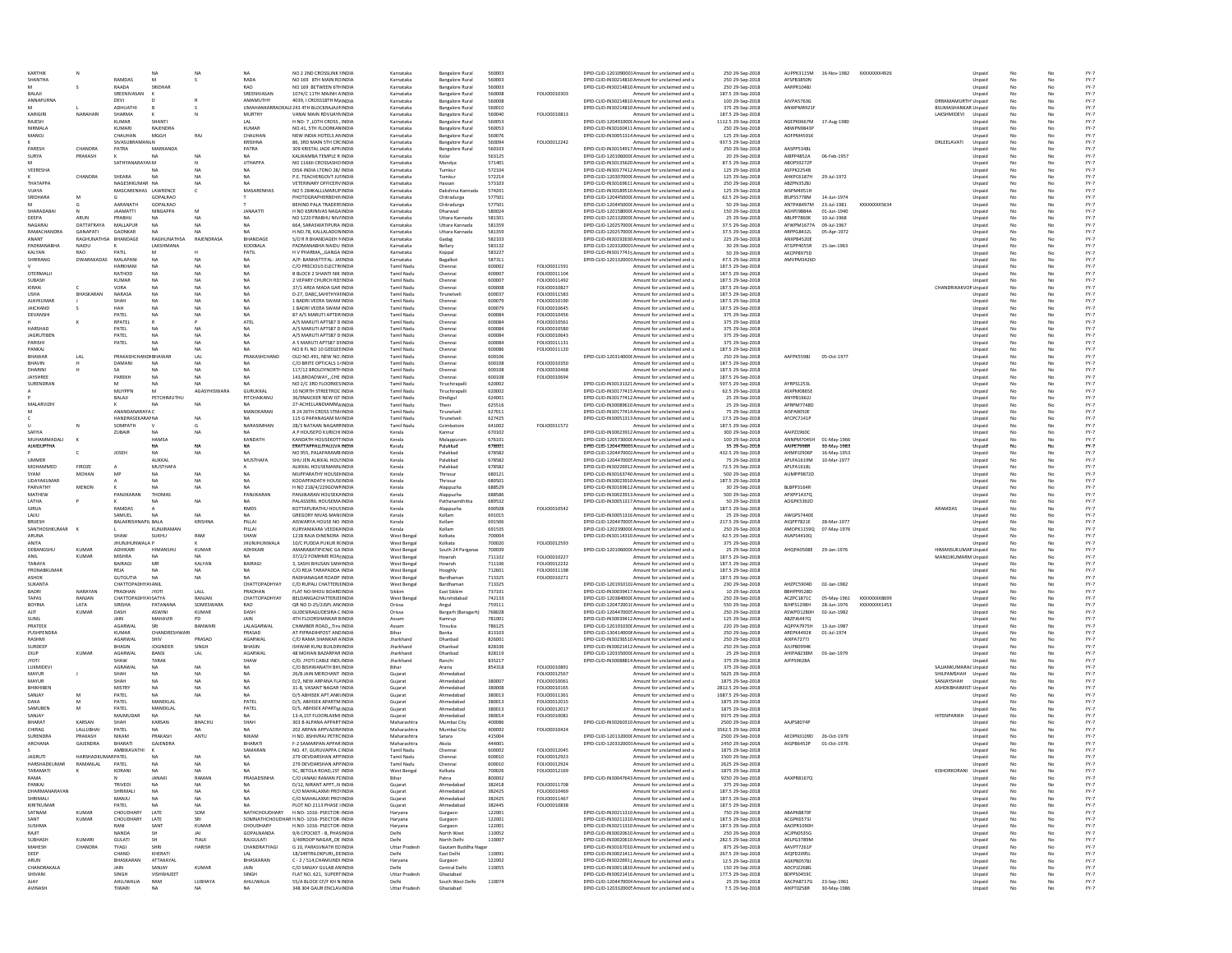| SHANTHA                       |                               |                               | N4                       | <b>NA</b>              | <b>NA</b>                | NO 2 2ND CROSSLINK FINDIA                                             | Karnataka                              | <b>Bangalore Rural</b>                           | 560003           |                              | DPID-CLID-1201090001Amount for unclaimed and u                                                     | 250 29-Sep-2018                        | AUPPK3115M 16-Nov-1982 XXXXXXXX4926  |                            |              |                                     | Unpaid           |          | No       | $FY-7$           |
|-------------------------------|-------------------------------|-------------------------------|--------------------------|------------------------|--------------------------|-----------------------------------------------------------------------|----------------------------------------|--------------------------------------------------|------------------|------------------------------|----------------------------------------------------------------------------------------------------|----------------------------------------|--------------------------------------|----------------------------|--------------|-------------------------------------|------------------|----------|----------|------------------|
|                               |                               | RAMDAS<br>RAADA               | M<br>SRIDHAR             | s                      | RADA<br>RAO              | NO 169 STH MAIN RCINDIA<br>NO 169 BETWEEN 6THINDIA                    | Karnataka<br>Karnataka                 | <b>Bangalore Rural</b>                           | 560003<br>560003 |                              | DPID-CLID-IN30214810 Amount for unclaimed and u<br>DPID-CLID-IN30214810 Amount for unclaimed and u | 250 29-Sep-2018<br>250 29-Sep-2018     | AFSPB3850N<br>AARPR1048J             |                            |              |                                     | Unpaid<br>Unpaid | No       | No<br>No | $FY-7$<br>$FY-7$ |
| BALAJI                        |                               | SREENIVASAN                   |                          |                        | SREENIVASAN              | 1074/C 11TH MAINH AINDIA                                              | Karnataka                              | <b>Bangalore Rural</b><br><b>Bangalore Rural</b> | 560008           | FOLIO0010303                 | Amount for unclaimed and u                                                                         | 187.5 29-Sep-2018                      |                                      |                            |              |                                     | Unpaid           | No<br>No | No       | $FY-7$           |
| <b>ANNAPURNA</b>              |                               | DEVI                          |                          |                        | AMAMUTHY                 | 4039. I CROSS18TH MAINDIA                                             | Karnataka                              | <b>Bangalore Rural</b>                           | 560008           |                              | DPID-CLID-IN30214810 Amount for unclaimed and u                                                    | 100 29-Sep-2018                        | AJVPA5763G                           |                            |              | DRRAMAMURTH' Unpaid                 |                  | No       | No       | $FY-7$           |
|                               |                               | ADHUATHI                      | $\mathbf{R}$             |                        |                          | <b>UMAHANKARRAOKALE 243 ATH BLOCKRAIA IININDIA</b>                    | Karnataka                              | <b>Bangalore Rural</b>                           | 560010           |                              | DPID-CLID-IN30214810 Amount for unclaimed and u                                                    | 375 29-Sep-2018                        | ANWPM4921F                           |                            |              | <b>BSUMASHANKAR Unpaid</b>          |                  | No       | No       | $FY-7$           |
| KARIGIRI                      | NARAHARI                      | SHARMA                        |                          |                        | MURTHY                   | VANAI MAIN RDVUAYNINDIA                                               | Karnataka                              | <b>Bangalore Rural</b>                           | 560040           | FOLIO0010813                 | Amount for unclaimed and u                                                                         | 187.5 29-Sep-2018                      |                                      |                            |              | LAKSHMIDEVI Unnaid                  |                  | No       | No       | $FY-7$           |
| RAJESH<br>NIRMALA             |                               | <b>KUMAR</b><br>KUMARI        | SHANTI<br>RAJENDRA       |                        | LAL<br><b>KUMAR</b>      | H NO- 7 .LOTH CROSS . INDIA<br>NO.41, STH FLOORKANINDIA               | Karnataka<br>Karnataka                 | <b>Bangalore Rural</b><br><b>Bangalore Rural</b> | 560053<br>560053 |                              | DPID-CLID-120491000' Amount for unclaimed and u<br>DPID-CLID-IN30160411 Amount for unclaimed and u | 1112.5 29-Sep-2018<br>250 29-Sep-2018  | AGEPK0667M<br>ABWPN9843P             | 17-Aug-1980                |              |                                     | Unpaid<br>Unpaid | No<br>No | No<br>No | $FY-7$<br>$FY-7$ |
| MANOJ                         |                               | CHAUHAN                       | MGGH                     | RAJ                    | CHAUHAN                  | NEW INDIA HOTELS ANINDIA                                              | Karnataka                              | <b>Bangalore Rural</b>                           | 560076           |                              | DPID-CLID-IN30051314 Amount for unclaimed and u                                                    | 125 29-Sep-2018                        | AOFPM4591K                           |                            |              |                                     | Unpaid           | No       | No       | $FY-7$           |
|                               |                               | SIVASUBRAMANI/N               |                          |                        | KRISHNA                  | 86, 3RD MAIN 5TH CR(INDIA                                             | Karnataka                              | <b>Bangalore Rural</b>                           | 560094           | FOLIO0012242                 | Amount for unclaimed and u                                                                         | 937.5 29-Sep-2018                      |                                      |                            |              | DRLEELAVATI                         | Unpaid           | No       | No       | $FY-7$           |
| PARESH                        | CHANDRA                       | PATRA                         | MARKANDA                 |                        | PATRA                    | 309 KRISTAL JADE APP INDIA                                            | Karnataka                              | <b>Bangalore Rural</b>                           | 560103           |                              | DPID-CLID-IN30154917 Amount for unclaimed and u                                                    | 250 29-Sep-2018                        | AASPP5348L                           |                            |              |                                     | Unpaid           | No       | No       | $FY-7$           |
| SURYA                         | PRAKASH                       | SATHYANARAYANM                | <b>NA</b>                | NA                     | NA.<br>UTHAPPA           | KALIKAMBA TEMPLE R INDIA<br>NO 11661 CROSSASHOINDIA                   | Karnataka<br>Karnataka                 | Kolar<br>Mandya                                  | 563125<br>571401 |                              | DPID-CLID-120106000C Amount for unclaimed and u<br>DPID-CLID-IN30135620 Amount for unclaimed and u | 20 29-Sep-2018<br>87.5 29-Sep-2018     | AIBPP4852A<br>ABOPS9272F             | 06-Feb-1957                |              |                                     | Unpaid<br>Unpaid | No<br>No | No<br>No | $FY-7$<br>$FY-7$ |
| VEERESHA                      |                               |                               |                          |                        |                          | DISA INDIA LTDNO 28/ INDIA                                            | Karnataka                              | Tumkur                                           | 572104           |                              | DPID-CLID-IN30177412 Amount for unclaimed and u                                                    | 125 29-Sep-2018                        | ASFPK2254B                           |                            |              |                                     | Unpaid           |          |          | $FY-7$           |
|                               | CHANDRA                       | SHEARA                        |                          |                        |                          | P.E. TEACHERGOVT JUIINDIA                                             | Karnataka                              | Tumkur                                           | 572214           |                              | DPID-CLID-120307000C Amount for unclaimed and u                                                    | 125 29-Sep-2018                        | AHKPC6187H                           | 29-Jul-1972                |              |                                     | Unpaid           | No       |          | $FY-7$           |
| ТНАТАРРА                      |                               | NAGESHKUMAR NA                |                          |                        |                          | VETERINARY OFFICERVINDIA                                              | Karnataka                              | Hassan                                           | 573103           |                              | DPID-CLID-IN30169611 Amount for unclaimed and u                                                    | 250 29-Sep-2018                        | ABZPN3528J                           |                            |              |                                     | Unpaid           | No       | No       | $FY-7$           |
| VIJAYA<br><b>SRIDHARA</b>     |                               | MASCARENHAS LAWRENCE          | GOPALRAC                 | c                      | MASARENHAS               | NO 5 284KALLLMARUPINDIA<br>PHOTOGRAPHERBEHININDIA                     | Karnataka<br>Karnataka                 | Dakshina Kannada<br>Chitradurga                  | 574201<br>577501 |                              | DPID-CLID-IN30189510 Amount for unclaimed and u<br>DPID-CLID-120445000C Amount for unclaimed and u | 125 29-Sep-2018<br>62.5 29-Sep-2018    | AISPM4051F<br>BSJPS5778M             | 14-Jun-1974                |              |                                     | Unpaid<br>Unpaid | No<br>No | No       | $FY-7$<br>$FY-7$ |
|                               |                               | AARANATH                      | GOPALRAC                 |                        |                          | BEHIND PALA TRADERSINDIA                                              | Karnataka                              | Chitradurga                                      | 577501           |                              | DPID-CLID-120445000C Amount for unclaimed and u                                                    | 50 29-Sep-2018                         | ANTPA8497M                           | 23-Jul-1981                | XXXXXXXX5634 |                                     | Unpaid           |          |          | $FY-7$           |
| SHARADABA                     |                               | <b>JAAMATTI</b>               | <b>NINGAPPA</b>          | M                      | <b>JANAATTI</b>          | H NO 6SRINIVAS NAGAINDIA                                              | Karnataka                              | Dharwad                                          | 580024           |                              | DPID-CLID-120158000C Amount for unclaimed and u                                                    | 150 29-Sep-2018                        | AGHPJ9884A                           | 01-Jun-1940                |              |                                     | Unpaid           | No       | No       | $FY-7$           |
| DEEPA                         | <b>ARLIN</b>                  | PRARHII                       | <b>NA</b>                | <b>NA</b>              | NA.                      | NO 1220 PRABHU NIV/INDIA                                              | Karnataka                              | Uttara Kannada                                   | 581301           |                              | DPID-CLID-120132000C Amount for unclaimed and u                                                    | 25 29-Sep-2018                         | ABLPP7860K                           | 10-Jul-1968                |              |                                     | Unpaid           | No       | No       | $FY-7$           |
| NAGARAJ<br><b>RAMACHANDRA</b> | DATTATRAYA<br><b>GANAPATI</b> | MALLAPUR<br>GAONKAR           | <b>NA</b><br>N4          | NA                     | NA.<br>NA.               | 664, SARASWATIPURA INDIA<br>H.NO.78, KALLALADONINDIA                  | Karnataka<br>Karnataka                 | Uttara Kannada<br>Uttara Kannada                 | 581359<br>581359 |                              | DPID-CLID-120257000C Amount for unclaimed and u<br>DPID-CLID-120257000C Amount for unclaimed and u | 37.5 29-Sep-2018<br>37.5 29-Sep-2018   | AFWPM1677A<br>ARPPG8432L             | 09-Jul-1967<br>05-Apr-1972 |              |                                     | Unpaid<br>Unpaid | No<br>No | No<br>No | $FY-7$<br>$FY-7$ |
| <b>ANANT</b>                  | RAGHUNATHSA                   | BHANDAGE                      | RAGHUNATHSA              | RAJENDRASA             | BHANDAGE                 | S/O R R BHANDAGEH MINDIA                                              | Karnataka                              | Gadag                                            | 582103           |                              | DPID-CLID-IN30192630 Amount for unclaimed and u                                                    | 225 29-Sep-2018                        | ANXPB4520E                           |                            |              |                                     | Unpaid           | No       | No       | $FY-7$           |
| ΡΑΩΜΑΝΑΒΗΑ                    | NAIDU                         |                               | LAKSHMANA                |                        | KODIBALA                 | PADMANARHA NAIDI I INDIA                                              | Karnataka                              | Bellary                                          | 583132           |                              | DPID-CLID-1203320001Amount for unclaimed and u                                                     | 30 29-Sep-2018                         | ATGPP4055R                           | 15-Jan-1963                |              |                                     | Unpaid           | No       | No       | $FY-7$           |
| KALYAN                        | RAO                           | PATIL                         | M                        |                        | PATIL                    | H V PHARMAGANGA INDIA                                                 | Karnataka                              | Koppal                                           | 583227           |                              | DPID-CLID-IN30177415 Amount for unclaimed and u                                                    | 50 29-Sep-2018                         | AKCPP8975D                           |                            |              |                                     | Unpaid           | No       | No       | $FY-7$           |
| SHRIRANG                      | DWARAKADAS MALAPANI           | <b>HARKHAN</b>                | NA<br><b>NA</b>          | <b>NA</b>              | <b>NA</b><br><b>NA</b>   | A/P: BANHATTITAL: JAIINDIA<br>C/O PRECIOUS ELECTRINDIA                | Karnataka<br><b>Tamil Nadu</b>         | Bagalkot<br>Chennai                              | 587311<br>600002 | FOLIO0011591                 | DPID-CLID-1201320001Amount for unclaimed and u<br>Amount for unclaimed and u                       | 47.5 29-Sep-2018<br>187.5 29-Sep-2018  | AMVPM3426D                           |                            |              |                                     | Unpaid<br>Unpaid | No<br>No | No<br>No | $FY-7$<br>$FY-7$ |
| OTERMALI                      |                               | RATHOD                        | <b>NA</b>                | <b>NA</b>              | <b>NA</b>                | <b>B BLOCK 2 SHANTI NIK INDIA</b>                                     | Tamil Nadu                             | Chennai                                          | 600007           | FOLIO0011104                 | Amount for unclaimed and u                                                                         | 187.5 29-Sep-2018                      |                                      |                            |              |                                     | Unpaid           | No       | No       | $FY-7$           |
| SUBASH                        |                               | <b>KUMAR</b>                  | <b>NA</b>                | <b>NA</b>              | <b>NA</b>                | 2 VEPARY CHURCH RD INDIA                                              | Tamil Nadu                             | Chennai                                          | 600007           | FOLIO0011492                 | Amount for unclaimed and u                                                                         | 187.5 29-Sep-2018                      |                                      |                            |              |                                     | Unpaid           | No       | No       | $FY-7$           |
| KIRAN                         |                               | VORA                          | <b>NA</b>                | <b>NA</b>              | <b>NA</b>                | 37/1 AREA MADA GAR INDIA                                              | Tamil Nadu                             | Chennai                                          | 600008           | FOLIO0010827                 | Amount for unclaimed and u                                                                         | 187.5 29-Sep-2018                      |                                      |                            |              | CHANDRIKAKVOR Unpaid                |                  | No       | No       | $FY-7$           |
| <b>USHA</b><br>AJAYKUMAR      | BHASKARAN                     | NARASA<br>SHAH                | <b>NA</b><br><b>NA</b>   | <b>NA</b><br><b>NA</b> | <b>NA</b><br><b>NA</b>   | D-27, DABC.SAHITHYAIINDIA<br>1 BADRI VEERA SWAM INDIA                 | Tamil Nadu<br>Tamil Nadu               | Tirunelvel<br>Chennai                            | 600037<br>600079 | FOLIO0011583<br>FOLIO0010190 | Amount for unclaimed and u<br>Amount for unclaimed and u                                           | 187.5 29-Sep-2018<br>187.5 29-Sep-2018 |                                      |                            |              |                                     | Unpaid<br>Unpaid | No<br>No | No<br>No | $FY-7$<br>$FY-7$ |
| <b>JAICHAND</b>               |                               | HAH                           | <b>NA</b>                | <b>NA</b>              | <b>NA</b>                | 1 BADRI VEERA SWAM INDIA                                              | Tamil Nadu                             | Chennai                                          | 600079           | FOLIO0010649                 | Amount for unclaimed and u                                                                         | 187.5 29-Sep-2018                      |                                      |                            |              |                                     | Unpaid           | No       | No       | $FY-7$           |
| DEVANSHI                      |                               | PATEL                         | <b>NA</b>                | <b>NA</b>              | NA                       | 87 A/5 MARUTI APTORINDIA                                              | Tamil Nadu                             | Chennai                                          | 600084           | FOLIO0010456                 | Amount for unclaimed and u                                                                         | 375 29-Sep-2018                        |                                      |                            |              |                                     | Unpaid           | No       | No       | $FY-7$           |
|                               |                               | RPATEL                        |                          |                        | ATEL                     | A/S MARUTI APTS87 D INDIA                                             | Tamil Nadu                             | Chennai                                          | 600084           | FOLIO0010561                 | Amount for unclaimed and u                                                                         | 375 29-Sep-2018                        |                                      |                            |              |                                     | Unpaid           | No       | No       | $FY-7$           |
| HARSHAD<br><b>JAGRUTIBEN</b>  |                               | PATEL<br>PATEL                | <b>NA</b><br><b>NA</b>   | <b>NA</b><br><b>NA</b> | <b>NA</b><br><b>NA</b>   | A/S MARUTI APTS87 D INDIA<br>A/S MARUTI APTS87 D INDIA                | Tamil Nadu                             | Chennai                                          | 600084<br>600084 | FOLIO0010580<br>FOLIO0010643 | Amount for unclaimed and u                                                                         | 375 29-Sep-2018<br>375 29-Sep-2018     |                                      |                            |              |                                     | Unpaid           | No<br>No | No<br>No | $FY-7$<br>$FY-7$ |
| PARISH                        |                               | PATEL                         | NA                       |                        | <b>NA</b>                | A 5 MARUTI APTS87 DHNDIA                                              | Tamil Nadu<br>Tamil Nadu               | Chennai<br>Chenna                                | 600084           | FOLIO0011131                 | Amount for unclaimed and u<br>Amount for unclaimed and u                                           | 375 29-Sep-2018                        |                                      |                            |              |                                     | Unpaid<br>Unpaid |          |          | $FY-7$           |
| PANKAJ                        |                               |                               |                          |                        |                          | NO 8 FL NO 10 GEEGEEINDIA                                             | <b>Tamil Nadu</b>                      | Chenna                                           | 600086           | FOLIO0011120                 | Amount for unclaimed and u                                                                         | 187.5 29-Sep-2018                      |                                      |                            |              |                                     | Unpaid           | No       |          | $FY-7$           |
| BHAWAR                        | LAL                           | PRAKASHCHANDI BHAWAR          |                          | LAL                    | PRAKASHCHAND             | OLD NO.491, NEW NO.INDIA                                              | <b>Tamil Nadu</b>                      | Chennai                                          | 600106           |                              | DPID-CLID-120314000C Amount for unclaimed and u                                                    | 250 29-Sep-2018                        | AAFPK5598J                           | 05-Oct-1977                |              |                                     | Unpaid           | No       | No       | $FY-7$           |
| BHAVIN<br>DHARIN              |                               | DAMANI                        | NA                       | NA                     | <b>NA</b>                | C/O BRITE OPTICALS 1/INDIA<br>117/12 BROLOYNORTH INDIA                | <b>Tamil Nadu</b><br><b>Tamil Nadu</b> | Chennai                                          | 600108<br>600108 | FOLIO0010350<br>FOLIO0010468 | Amount for unclaimed and u<br>Amount for unclaimed and u                                           | 187.5 29-Sep-2018<br>187.5 29-Sep-2018 |                                      |                            |              |                                     | Unpaid           | No       | No       | $FY-7$<br>$FY-7$ |
| <b>JAYSHREE</b>               |                               | PAREKH                        |                          |                        |                          | 143, BROADWAY,  CHE INDIA                                             | <b>Tamil Nadu</b>                      | Chennai<br>Chennai                               | 600108           | FOLIO0010694                 | Amount for unclaimed and u                                                                         | 187.5 29-Sep-2018                      |                                      |                            |              |                                     | Unpaid<br>Unpaid |          |          | $FY-7$           |
| SURENDRAN                     |                               | M                             | <b>NA</b>                | <b>NA</b>              | MA.                      | NO 2/C 3RD FLOORKESINDIA                                              | Tamil Nadu                             | Tiruchirapall                                    | 620002           |                              | DPID-CLID-IN30131321 Amount for unclaimed and u                                                    | 597.5 29-Sep-2018                      | AYRPS1253L                           |                            |              |                                     | Unpaid           | No       | No       | $FY-7$           |
|                               |                               | MUYPPN                        | M                        | AGASYHISWARA           | <b>GURUKKAL</b>          | 10 NORTH STREETROC INDIA                                              | Tamil Nadu                             | Tiruchirapalli                                   | 620002           |                              | DPID-CLID-IN30177415 Amount for unclaimed and u                                                    | 62.5 29-Sep-2018                       | ASXPM0865E                           |                            |              |                                     | Unpaid           | No       | No       | $FY-7$           |
|                               |                               | BALAJI                        | PETCHIMUTHL              |                        | PITCHAIKANU              | 36/9NAICKER NEW IST INDIA                                             | <b>Tamil Nadu</b>                      | Dindigul                                         | 624001           |                              | DPID-CLID-IN30177412 Amount for unclaimed and u                                                    | 25 29-Sep-2018                         | ANYPB1662J<br>APRPM7748D             |                            |              |                                     | Unpaid           | No       | No       | $FY-7$           |
| MALARVIZHI<br>M               |                               | ANANDANARAYA C                |                          |                        | MANOKARAN                | 27-ACHELLANDIAMMAINDIA<br><b>B 24 26TH CROSS STM INDIA</b>            | Tamil Nadu<br>Tamil Nadu               | Theni<br>Tirunelvel                              | 625516<br>627011 |                              | DPID-CLID-IN30089610 Amount for unclaimed and u<br>DPID-CLID-IN30177414 Amount for unclaimed and u | 25 29-Sep-2018<br>75 29-Sep-2018       | AISPA9050E                           |                            |              |                                     | Unpaid<br>Unpaid | No<br>No | No<br>No | $FY-7$<br>$FY-7$ |
|                               |                               | <b>HANDRASEKARAMA</b>         |                          | <b>NA</b>              | MA                       | 115 G PAPANASAM M/INDIA                                               | <b>Tamil Nadu</b>                      | Tirunelveli                                      | 627425           |                              | DPID-CLID-IN30051313 Amount for unclaimed and u                                                    | 17.5 29-Sep-2018                       | AFCPC7141P                           |                            |              |                                     | Unpaid           | No       | No       | $FY-7$           |
|                               |                               | SOMPATH                       | $\mathbf{v}$             | G                      | NARASIMHAN               | 28/3 NATAAN NAGARFINDIA                                               | <b>Tamil Nadu</b>                      | Coimbatore                                       | 641002           | FOLIO0011572                 | Amount for unclaimed and u                                                                         | 187.5 29-Sep-2018                      |                                      |                            |              |                                     | Unpaid           | No       | No       | $FY-7$           |
| SAFIYA<br>MUHAMMADAL          |                               | ZUBAIR                        | <b>NA</b><br>HAMSA       | <b>NA</b>              | NA.<br>KANDATH           | A P HOUSEPO KURICHI INDIA<br>KANDATH HOUSEKOTTINDIA                   | Kerala<br>Kerala                       | Kannur<br>Malappuram                             | 670102<br>676101 |                              | DPID-CLID-IN30023912 Amount for unclaimed and u<br>DPID-CLID-1205730000 Amount for unclaimed and u | 300 29-Sep-2018<br>100 29-Sep-2018     | AAIPZ1960C<br>ANNPM7045H 01-May-1966 |                            |              |                                     | Unpaid<br>Unpaid | No<br>No | No<br>No | $FY-7$<br>$FY-7$ |
| <b>AIAIGUPTHA</b>             |                               |                               | NA.                      | NA                     | NA                       | FRATTAPPALLIVALILVA INDIA                                             | Kerala                                 | Palakkad                                         | 678001           |                              | DPID-CUD-1204470001Amount for unclaimed and u                                                      | 35 29-Sep-2018                         | AAIPE7998R                           | 30-May-1983                |              |                                     | Unpaid           | No       | No       | $FY-7$           |
|                               |                               | JOSEH                         | <b>NA</b>                | <b>NA</b>              | <b>NA</b>                | NO 955, PALAPARAMBINDIA                                               | Kerala                                 | Palakkad                                         | 678582           |                              | DPID-CLID-1204470002 Amount for unclaimed and u                                                    | 432.5 29-Sep-2018                      | AHMPJ2906P                           | 16-May-1953                |              |                                     | Unpaid           | No       | No       | $FY-7$           |
| <b>UMMER</b>                  |                               |                               | ALIKKAL                  |                        | <b>MUSTHAFA</b>          | SHITTEN ATTKKAT HOLLINDIA                                             | Kerala                                 | Palakkad                                         | 678582           |                              | DPID-CLID-1204470005 Amount for unclaimed and u                                                    | 75 29-Sep-2018                         | APLPA1619M                           | 10-Mar-1977                |              |                                     | Unpaid           | No       | No       | $FY-7$           |
| MOHAMMED                      | FIROZE                        | MF                            | MUSTHAFA                 | <b>NA</b>              | NA                       | ALIKKAL HOUSEMANN, INDIA                                              | Kerala                                 | Palakkad                                         | 678582           |                              | DPID-CLID-IN30226912 Amount for unclaimed and u<br>DPID-CLID-IN30163740 Amount for unclaimed and u | 72.5 29-Sep-2018                       | APLPA1618L<br>AUMPP9872D             |                            |              |                                     | Unpaid           | No<br>No | No<br>No | $FY-7$<br>$FY-7$ |
| SYAM<br>UDAYAKUMAF            | <b>MOHAN</b>                  |                               | <b>NA</b><br><b>NA</b>   | <b>NA</b>              | <b>NA</b>                | MUPPARATHY HOUSENNDIA<br>KOOAPPADATH HOUSEINDIA                       | Kerala<br>Kerala                       | Thrissur<br>Thrissur                             | 680121<br>680501 |                              | DPID-CLID-IN30023910 Amount for unclaimed and u                                                    | 500 29-Sep-2018<br>187.5 29-Sep-2018   |                                      |                            |              |                                     | Unpaid<br>Unpaid | No       | No       | $FY-7$           |
| PARVATHY                      | MENON                         |                               | <b>NA</b>                | <b>NA</b>              | <b>NA</b>                | H NO 218/4/229GOWFINDIA                                               | Kerala                                 | Alappuzha                                        | 688529           |                              | DPID-CLID-IN30169612 Amount for unclaimed and u                                                    | 30 29-Sep-2018                         | BLBPP3164R                           |                            |              |                                     | Unpaid           | No       | No       | $FY-7$           |
| MATHEW                        |                               | PANJIKARAN                    | THOMAS                   |                        | PANJIKARAN               | PANJIKARAN HOUSEKAINDIA                                               | Kerala                                 | Alappuzha                                        | 688586           |                              | DPID-CLID-IN30023913 Amount for unclaimed and u                                                    | 500 29-Sep-2018                        | APXPP1437Q                           |                            |              |                                     | Unpaid           | No       | No       | $FY-7$           |
| LATHA                         |                               |                               | NA                       | <b>NA</b>              | <b>NA</b>                | PALASSERIL HOUSEMAINDIA                                               | Kerala                                 | Pathanamthitta                                   | 689532           |                              | DPID-CLID-IN30051317 Amount for unclaimed and u                                                    | 50 29-Sep-2018                         | AOGPK5392D                           |                            |              |                                     | Unpaid           | No       | No       | $FY-7$           |
| <b>GIRIJA</b>                 |                               | RAMDAS                        |                          |                        | RMDS                     | KOTTAPURATHU HOUSINDIA                                                | Kerala                                 | Alappuzha<br>Kollam                              | 690508<br>691015 | FOLIO0010542                 | Amount for unclaimed and u<br>DPID-CLID-IN30051316 Amount for unclaimed and u                      | 187.5 29-Sep-2018<br>25 29-Sep-2018    | AWGPS7440E                           |                            |              | ARAMDAS                             | Unpaid<br>Unpaid | No       | No       | $FY-7$<br>$FY-7$ |
|                               |                               |                               |                          |                        |                          |                                                                       |                                        |                                                  |                  |                              |                                                                                                    |                                        |                                      |                            |              |                                     |                  |          |          |                  |
| LAUU<br><b>BRUESH</b>         |                               | SAMUEL<br>BALAKRISHNAPIL BALA |                          | NA<br><b>KRISHN</b>    | PILLA                    | GREGORY NIVAS MAN(INDIA<br>AISWARYA HOUSE NO INDIA                    | Kerala<br>Kerala                       | Kollam                                           | 691506           |                              | DPID-CLID-1204470005 Amount for unclaimed and u                                                    |                                        | AIQPP7821E                           | 28-Mar-197                 |              |                                     |                  |          |          | $FY-7$           |
| SANTHOSHKUMAR                 |                               |                               | KUNJIRAMA                |                        | PILLAI                   | KURYANIKARA VEEDKAINDIA                                               | Kerala                                 | Kollam                                           | 691535           |                              | DPID-CLID-120239000C Amount for unclaimed and u                                                    | 217.5 29-Sep-2018<br>250 29-Sep-2018   | AMOPK1159Q 07-May-1976               |                            |              |                                     | Unpaid<br>Unpaid |          |          | $FY-7$           |
| ARUNA                         |                               | SHAW                          | SUKHU                    |                        | SHAW                     | 121B RAJA DINENDRA INDIA                                              | West Benga                             | Kolkata                                          | 700004           |                              | DPID-CLID-IN30114310 Amount for unclaimed and u                                                    | 62.5 29-Sep-2018                       | ASAPS4410Q                           |                            |              |                                     | Unpaid           |          |          | $FY-7$           |
| ANITA                         |                               | JHUNJHUNWALA P                |                          |                        | <b>JHUNJHUNWALA</b>      | 10/C PUDDA PUKUR R(INDIA                                              | West Benga                             | Kolkata                                          | 700020           | FOLIO0012593                 | Amount for unclaimed and u                                                                         | 375 29-Sep-2018                        |                                      |                            |              |                                     | Unpaid           |          | No       | $FY-7$           |
| DEBANGSHU<br>ANIL             | KUMAI<br>KUMAR                | ADHIKARI<br>MISHRA            | HIMANSHL                 | KUMAF                  | ADHIKARI<br>NA.          | AMARABATIPICNIC GA INDIA<br>37/2/2 FOMHME ROAINDIA                    | West Benga                             | South 24 Parganas                                | 700039<br>711102 | FOLIO0010227                 | DPID-CLID-120106000C Amount for unclaimed and u                                                    | 25 29-Sep-2018                         | AHQPA0508E 29-Jan-1976               |                            |              | HIMANSUKUMAR Unpaid                 |                  |          | No       | $FY-7$           |
| TANAYA                        |                               | BAIRAGI                       | MR                       | KALYAN                 | BAIRAGI                  | 3. SASHI BHUSAN SANHNDIA                                              | West Beng<br>West Benga                | Howrah<br>Howrah                                 | 711106           | FOLIO0012232                 | Amount for unclaimed and u<br>Amount for unclaimed and u                                           | 187.5 29-Sep-2018<br>187.5 29-Sep-2018 |                                      |                            |              | MANOJKUMARM Unpaid                  | Unpaid           | No       | No       | $FY-7$<br>$FY-7$ |
| PRONABKUMAR                   |                               | REJA                          | <b>NA</b>                | <b>NA</b>              | <b>NA</b>                | C/O REJA TARAPADDA INDIA                                              | <b>West Benga</b>                      | Hooghly                                          | 712601           | FOLIO0011198                 | Amount for unclaimed and u                                                                         | 187.5 29-Sep-2018                      |                                      |                            |              |                                     | Unpaid           | No       | No       | $FY-7$           |
| ASHOK                         |                               | <b>GUTGUTIA</b>               | <b>NA</b>                | <b>NA</b>              | NA.                      | RADHANAGAR ROADP INDIA                                                | West Benga                             | Bardhaman                                        | 713325           | FOLIO0010271                 | Amount for unclaimed and u                                                                         | 187.5 29-Sep-2018                      |                                      |                            |              |                                     | Unpaid           |          | No       | $FY-7$           |
| <b>SUKANTA</b><br>RADRI       | NARAYAN                       | CHATTOPADHYAYANIL<br>PRADHAN  | <b>IYOTI</b>             | LALL                   | CHATTOPADHYAY<br>PRADHAN | C/O RUPALI CHATTERJIINDIA<br>FLAT NO-9HOU BOARCINDIA                  | West Benga<br>Sikkim                   | Bardhaman<br>East Sikkim                         | 713325<br>737101 |                              | DPID-CLID-1201910102 Amount for unclaimed and u                                                    | 230 29-Sep-2018                        | AHZPC5904D<br>BBHPP9528D             | 02-Jan-1982                |              |                                     | Unpaid           | No       | No<br>No | $FY-7$           |
| TAPAS                         | RANJAN                        | CHATTOPADHYAYSATYA            |                          | RANJAN                 | CHATTOPADHYAY            | BELDANGACHATTERJEIINDIA                                               | West Bengal                            | Murshidabad                                      | 742133           |                              | DPID-CLID-IN30039417 Amount for unclaimed and u<br>DPID-CLID-1203840000 Amount for unclaimed and u | 10 29-Sep-2018<br>250 29-Sep-2018      | ACZPC1871C                           | 05-May-1961                | XXXXXXXX8699 |                                     | Unpaid<br>Unpaid | No       | No       | $FY-7$<br>$FY-7$ |
| BOYINA                        | LATA                          | SIRISHA                       | PATANANA                 | SOMESWARA              | RAO                      | OR NO D-25/2JSPL AN(INDIA                                             | Orissa                                 | Angul                                            | 759111           |                              | DPID-CLID-120472001(Amount for unclaimed and u                                                     | 550 29-Sep-2018                        | BJHPS1298H                           | 28-Jun-1976                | XXXXXXXX1453 |                                     | Unpaid           | No       | No       | $FY-7$           |
| AJIT                          | <b>KUMAR</b>                  | DASH                          | ASWINI                   | <b>KUMAR</b>           | DASH                     | GUDESIRAGUDESIRA C INDIA                                              | Orissa                                 | Bargarh (Baragarh)                               | 768028           |                              | DPID-CLID-1204470005 Amount for unclaimed and u                                                    | 250 29-Sep-2018                        | ASWPD1280H                           | 02-Jun-1982                |              |                                     | Unpaid           | No       | No       | $FY-7$           |
| SUNIL<br>PRATEEK              |                               | JAIN<br>AGARWAI               | MAHAVIR<br>SRI           | PD<br>BANWARI          | JAIN<br>LALAGARWAL       | 4TH FLOORSHANKAR BINDIA<br>CHAMBER ROADTins INDIA                     | Assam<br>Assam                         | Kamrup<br>Tinsukia                               | 781001<br>786125 |                              | DPID-CLID-IN30039412 Amount for unclaimed and u<br>DPID-CLID-120191030(Amount for unclaimed and u  | 125 29-Sep-2018<br>220 29-Sep-2018     | ABZPJ6447Q<br>AQPPA7975H             | 13-Jun-1987                |              |                                     | Unpaid<br>Unpaid | No<br>No | No<br>No | $FY-7$<br>$FY-7$ |
| PUSHPENDRA                    |                               | <b>KUMAR</b>                  | CHANDRESHWAR             |                        | PRASAD                   | AT PIPRADIHPOST ANCINDIA                                              | Bihar                                  | Banka                                            | 813103           |                              | DPID-CLID-130414000£ Amount for unclaimed and u                                                    | 250 29-Sep-2018                        | AREPK4492K                           | 01-Jul-1974                |              |                                     | Unpaid           | No       | No       | $FY-7$           |
| RASHMI                        |                               | AGARWAL                       | SHIV                     | PRASAD                 | AGARWAL                  | C/O RAMA SHANKAR AINDIA                                               | Jharkhand                              | Dhanbad                                          | 826001           |                              | DPID-CLID-IN30236510 Amount for unclaimed and u                                                    | 250 29-Sep-2018                        | AIXPA7277J                           |                            |              |                                     | Unpaid           | No       | No       | $FY-7$           |
| SURDEEP<br>DILIP              | <b>KUMAR</b>                  | BHASIN<br>AGARWAI             | <b>JOGINDER</b><br>BANSI | SINGH<br>LAL           | BHASIN<br>AGARWAL        | ISHWAR KUNJ BUILDIN INDIA<br>48 MOHAN BAZARPAR INDIA                  | Jharkhand<br>Jharkhand                 | Dhanbad<br>Dhanbad                               | 828106<br>828119 |                              | DPID-CLID-IN30021412 Amount for unclaimed and u<br>DPID-CLID-120335000C Amount for unclaimed and u | 250 29-Sep-2018<br>25 29-Sep-2018      | AJUPB0994K<br>AHIPA8238M             | 03-Jan-1979                |              |                                     | Unpaid<br>Unpaid | No<br>No | No<br>No | $FY-7$           |
| <b>JYOTI</b>                  |                               | SHAW                          | TARAK                    |                        | SHAW                     | C/O. JYOTI CABLE INDUINDIA                                            | Jharkhand                              | Ranchi                                           | 835217           |                              | DPID-CLID-IN30088814 Amount for unclaimed and u                                                    | 375 29-Sep-2018                        | AJFPS9628A                           |                            |              |                                     | Unpaid           | No       | No       | $FY-7$<br>$FY-7$ |
| LUXMIDEV                      |                               | AGRAWAI                       | NA                       | <b>NA</b>              | <b>NA</b>                | C/O BISHWANATH BHLINDIA                                               | Bihar                                  | Araria                                           | 854318           | FOLIO0010891                 | Amount for unclaimed and u                                                                         | 375 29-Sep-2018                        |                                      |                            |              | SAJJANKUMARAC Unpaid                |                  | No       | No       | $FY-7$           |
| MAYUR                         |                               | SHAH                          | <b>NA</b>                | <b>NA</b>              | <b>NA</b>                | 26/B JAIN MERCHANT INDIA                                              | Gujarat                                | Ahmedabac                                        |                  | FOLIO0012567                 | Amount for unclaimed and u                                                                         | 5625 29-Sep-2018                       |                                      |                            |              | SHILPAMSHAH Unpaid                  |                  |          | No       | $FY-7$           |
| MAYUR<br>BHIKHIBEN            |                               | SHAH<br>MISTR'                | <b>NA</b><br><b>NA</b>   | <b>NA</b><br>NA        | <b>NA</b><br>NA          | D/2, NEW ARPANA FLAINDIA<br>31-B. VASANT NAGAR : INDIA                | Gujarat<br>Gujarat                     | Ahmedabad<br>Ahmedabac                           | 380007<br>380008 | FOLIO0010061<br>FOLIO0010165 | Amount for unclaimed and u<br>Amount for unclaimed and u                                           | 1875 29-Sep-2018<br>2812.5 29-Sep-2018 |                                      |                            |              | SANJAYSHAH<br>ASHOKBHAIMISTI Unpaid | Unpaid           | No       | No       | $FY-7$           |
| SANJAY                        |                               | PATEL                         |                          |                        |                          | D/5 ABHISEK APT.ANKIINDIA                                             | Gujarat                                | Ahmedabac                                        | 380013           | FOLIO0011361                 | Amount for unclaimed and u                                                                         | 1687.5 29-Sep-2018                     |                                      |                            |              |                                     | Unpaid           |          |          | $FY-7$<br>$FY-7$ |
| DAXA                          |                               | PATEL                         | MANEKLAL                 |                        | PATEI                    | D/5, ABHISEK APARTMINDIA                                              | Gujarat                                | Ahmedabac                                        | 380013           | FOLIO0012019                 | Amount for unclaimed and u                                                                         | 1875 29-Sep-2018                       |                                      |                            |              |                                     | Unpaid           |          |          | $FY-7$           |
| SAMUBEN                       |                               | PATEL                         | MANEKLAL                 |                        | PATEL                    | D/5, ABHISEK APARTMINDIA                                              | Gujarat                                | Ahmedabac                                        | 380013           | FOLIO0012017                 | Amount for unclaimed and u                                                                         | 1875 29-Sep-2018                       |                                      |                            |              |                                     | Unpaid           |          |          | $FY-7$           |
| SANJA)<br>BHARAT              | KARSA                         | MAJMUDA                       | <b>NA</b><br>KARSAN      | <b>NA</b><br>BHACHL    | NA<br>SHAH               | 13-A,1ST FLOORLAXMI INDIA<br>303 B ALPANA APPARTINDIA                 | Gujarat<br>Maharashtra                 | Ahmedabac<br>Mumbai City                         | 380014<br>400086 | FOLIO0010081                 | Amount for unclaimed and u                                                                         | 9375 29-Sep-2018<br>2500 29-Sep-2018   | AAJPS8074                            |                            |              | HITENPARIKH                         | Unpaid<br>Unpaid |          |          | $FY-7$<br>$FY-7$ |
| CHIRAG                        | LALLUBHA                      | PATEL                         | <b>NA</b>                | <b>NA</b>              | NA.                      | 202 ARPAN APPVAZIRAINDIA                                              | Maharashtra                            | Mumbai City                                      | 400092           | FOLIO0010424                 | DPID-CLID-IN30260310 Amount for unclaimed and u<br>Amount for unclaimed and u                      | 3562.5 29-Sep-2018                     |                                      |                            |              |                                     | Unpaid           |          |          | $FY-7$           |
| SURENDRA                      | PRAKASH                       | NIKAM                         | PRAKASH                  | <b>ANTII</b>           | NIKAM                    | H NO. 8SHIVRAJ PETRCINDIA                                             | Maharashtra                            | Satara                                           | 415004           |                              | DPID-CLID-120132000C Amount for unclaimed and u                                                    | 2500 29-Sep-2018                       | AFOPN3109D 26-Oct-1979               |                            |              |                                     | Unpaid           |          |          | $FY-7$           |
| ARCHANA                       | <b>GAJENDRA</b>               | <b>BHARATI</b>                | GAJENDRA                 |                        | BHARATI                  | F-2 SAMARPAN APPAR INDIA                                              | Maharashtra                            | Akola                                            | 444001           |                              | DPID-CLID-1203320001Amount for unclaimed and u                                                     | 2450 29-Sep-2018                       | AIGPB6452P                           | 01-Oct-1976                |              |                                     | Unpaid           |          |          | $FY-7$           |
| <b>JAGRUTI</b>                | <b>HARSHADKUMARPATEL</b>      | ΑΜΒΙΚΑΥΑΤΗΙ                   | <b>NA</b>                | <b>NA</b>              | SAMARAN<br><b>NA</b>     | NO. 47. GURUVAPPA CINDIA<br>279 DEVDARSHAN APPINDIA                   | Tamil Nadu<br><b>Tamil Nadu</b>        | Chennai<br>Chennai                               | 600002<br>600010 | FOLIO0012049<br>FOLIO0012923 | Amount for unclaimed and u<br>Amount for unclaimed and u                                           | 1875 29-Sep-2018                       |                                      |                            |              |                                     | Unpaid<br>Unpaid |          | No       | $FY-7$<br>$FY-7$ |
| HARSHADKUMAR                  | RAMANLAL                      | PATEL                         |                          |                        | NA                       | 279 DEVDARSHAN APPINDIA                                               | Tamil Nadu                             | Chenna                                           | 600010           | FOLIO0012924                 | Amount for unclaimed and u                                                                         | 1500 29-Sep-2018<br>2625 29-Sep-2018   |                                      |                            |              |                                     | Unpaid           |          |          | $FY-7$           |
| TARAMATI                      |                               | KORANI                        | <b>NA</b>                | <b>NA</b>              | <b>NA</b>                | <b>5C. BETOLA ROAD.1ST INDIA</b>                                      | West Bengal                            | Kolkata                                          | 700026           | FOLIO0012169                 | Amount for unclaimed and u                                                                         | 1875 29-Sep-2018                       |                                      |                            |              | KISHORKORANI Linnaid                |                  | No       | No       | FY-7             |
| RAMA                          |                               |                               | <b>JANAKI</b>            | RAMAN                  | PRASADSINHA              | C/O JANAKI RAMAN PEINDIA<br>D/12 NIRANT APPT N INDIA                  | Rihar                                  | Patna                                            | 800002           |                              | DPID-CLID-IN30047643 Amount for unclaimed and u                                                    | 9250 29-Sep-2018                       | AAXPR8167Q                           |                            |              |                                     | Unpaid           | No       | No       | $FY-7$           |
| PANKAJ<br>DHARMANARAYAN       |                               | <b>TRIVEDI</b><br>SHRIMALI    | <b>NA</b><br><b>NA</b>   | NA<br><b>NA</b>        | <b>NA</b><br><b>NA</b>   | C/O MAHALAXMI PROVINDIA                                               | Guiarat<br>Guiarat                     | Ahmedabad<br>Ahmedabad                           | 382418<br>382425 | FOLIO0011708<br>FOLIO0010469 | Amount for unclaimed and u<br>Amount for unclaimed and u                                           | 375 29-Sep-2018<br>187 S 29-Sen-2018   |                                      |                            |              |                                     | Unpaid<br>Unpaid | No<br>No | No<br>No | $FY-7$<br>$FY-7$ |
| SHRIMALI                      |                               | MANJU                         | <b>NA</b>                | <b>NA</b>              | <b>NA</b>                | C/O MAHALAXMI PROVINDIA                                               | Guiarat                                | Ahmedabad                                        | 382425           | FOLIO0011467                 | Amount for unclaimed and u                                                                         | 187 S 29-Sen-2018                      |                                      |                            |              |                                     | Unpaid           | No       | No       | $FY-7$           |
| KIRITKUMAR                    |                               | PATEL                         | <b>NA</b>                | NA                     | NA.                      | PLOT NO 2113 PHASE IINDIA                                             | Guiarat                                | Ahmedabad                                        | 382445           | FOLIO0010838                 | Amount for unclaimed and u                                                                         | 187 S 29-Sen-2018                      |                                      |                            |              |                                     | Unpaid           | No       | No       | $FY-7$           |
| SATNAM                        | KUMAR                         | CHOUDHARY                     | LATE                     | SOM                    | NATHCHOUDHARY            | H.NO-1016- PSECTOR-INDIA                                              | Harvana                                | Gurgaon                                          | 122001           |                              | DPID-CLID-IN30211310 Amount for unclaimed and u                                                    | 750 29-Sep-2018                        | ABAPK8870F                           |                            |              |                                     | Unpaid           | No       | No       | $FY-7$           |
| SANT<br>SUSHMA                | KUMAR                         | CHOUDHARY<br>RANI             | LATE<br>SANT             | SRI<br>KUMAR           | CHOUDHARY                | SOMNATHCHOUDHAR H.NO- 1016- PSECTOR-INDIA<br>H.NO-1016- PSECTOR-INDIA | Haryana<br>Haryana                     | Gurgaon<br>Gurgaon                               | 122001<br>122001 |                              | DPID-CLID-IN30211310 Amount for unclaimed and u<br>DPID-CLID-IN30211310 Amount for unclaimed and u | 187.5 29-Sep-2018<br>187.5 29-Sep-2018 | ACGPK6573J<br>AAOPR1090H             |                            |              |                                     | Unpaid<br>Unpaid | No<br>No | No<br>No | $FY-7$<br>$FY-7$ |
| RAJIT                         |                               | NANDA                         | SH                       | <b>JAI</b>             | GOPALNANDA               | 9/6 CPOCKET - B, PHASINDIA                                            | Delhi                                  | North West                                       | 110052           |                              | DPID-CLID-IN30020610 Amount for unclaimed and u                                                    | 250 29-Sep-2018                        | ACIPN0535G                           |                            |              |                                     | Unpaid           | No       | No       | $FY-7$           |
| SUBHASH                       | KUMARI                        | GULATI                        |                          | TIALK                  | RAJGULATI                | 3/40ROOP NAGAR, DE INDIA                                              | Delhi                                  | North Delhi                                      | 110007           |                              | DPID-CLID-IN30020610 Amount for unclaimed and u                                                    | 282.5 29-Sep-2018                      | AKLPG3789M                           |                            |              |                                     | Unpaid           | No       | No       | $FY-7$           |
| MAHESH                        | CHANDRA                       | TYAGI                         | SHRI                     | HARISH                 | CHANDRATYAGI             | G 10, PARASVNATH EDINDIA                                              | <b>Uttar Pradesh</b>                   | Gautam Buddha Nagar                              |                  |                              | DPID-CLID-IN30167010 Amount for unclaimed and u                                                    | 875 29-Sep-2018                        | AAVPT7261P                           |                            |              |                                     | Unpaid           | No       | No       | $FY-7$           |
| DEEP<br>ARUN                  |                               | CHAND<br>BHASKARAN            | KHERATI<br>ATTAKAYAL     |                        | LAL<br>BHASKARAN         | 18/349TRILOKPURIDEINDIA<br>C - 2 / 514, CHAMUNDI INDIA                | Delhi<br>Haryana                       | East Delhi<br>Gurgaon                            | 110091<br>122002 |                              | DPID-CLID-IN30021411 Amount for unclaimed and u<br>DPID-CLID-IN30226911 Amount for unclaimed and u | 267.5 29-Sep-2018<br>12.5 29-Sep-2018  | AIQPD2095L<br>AGKPB0578J             |                            |              |                                     | Unpaid<br>Unpaid | No       | No       | $FY-7$<br>$FY-7$ |
| CHANDRAKALA                   |                               | JAIN                          | SANJAY                   | KUMAR                  | JAIN                     | C/O SANJAY GULAB ANINDIA                                              | Delhi                                  | Central Delhi                                    | 110055           |                              | DPID-CLID-IN30011810 Amount for unclaimed and u                                                    | 150 29-Sep-2018                        | ADCPJ2268G                           |                            |              |                                     | Unpaid           |          |          | $FY-7$           |
| SHIVAN                        |                               | SINGH                         | VISHWAJEET               |                        | SINGH                    | FLAT NO. 621, SUPERTINDIA                                             | Uttar Pradesh                          | Ghaziabad                                        |                  |                              | DPID-CLID-IN30021416 Amount for unclaimed and u                                                    | 177.5 29-Sep-2018                      | BDPPS0459C                           |                            |              |                                     | Unpaid           |          |          | $FY-7$           |
| AJAY<br>AVINASH               |                               | AHLUWALIA<br>TIWARI           | RAM<br>NA                | LUBHAYA<br>NA          | AHLUWALIA<br>NA          | 55/A BLOCK CF/F KH N INDIA<br>348 304 GAUR ENCLAVINDIA                | Delhi<br><b>Uttar Pradesh</b>          | South West Delhi<br>Ghaziabad                    | 110074           |                              | DPID-CLID-1204470004 Amount for unclaimed and u<br>DPID-CLID-1203320005 Amount for unclaimed and u | 25 29-Sep-2018<br>7.5 29-Sep-2018      | AACPA8717G 23-Sep-1961<br>AIKPT0258R | 30-May-1986                |              |                                     | Unpaid<br>Unpaid |          |          | $FY-7$<br>$FY-7$ |